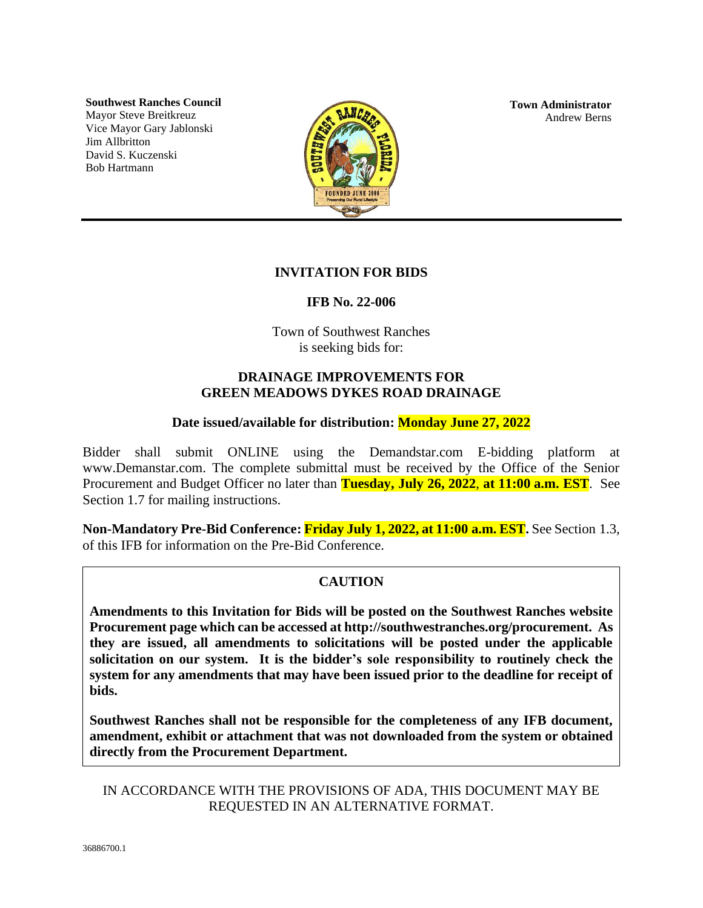**Southwest Ranches Council** Mayor Steve Breitkreuz Vice Mayor Gary Jablonski Jim Allbritton David S. Kuczenski Bob Hartmann



**Town Administrator** Andrew Berns

### **INVITATION FOR BIDS**

### **IFB No. 22-006**

Town of Southwest Ranches is seeking bids for:

### **DRAINAGE IMPROVEMENTS FOR GREEN MEADOWS DYKES ROAD DRAINAGE**

### **Date issued/available for distribution: Monday June 27, 2022**

Bidder shall submit ONLINE using the Demandstar.com E-bidding platform at www.Demanstar.com. The complete submittal must be received by the Office of the Senior Procurement and Budget Officer no later than **Tuesday, July 26, 2022**, **at 11:00 a.m. EST**. See Section 1.7 for mailing instructions.

**Non-Mandatory Pre-Bid Conference: Friday July 1, 2022, at 11:00 a.m. EST.** See Section 1.3, of this IFB for information on the Pre-Bid Conference.

# **CAUTION**

**Amendments to this Invitation for Bids will be posted on the Southwest Ranches website Procurement page which can be accessed at http://southwestranches.org/procurement. As they are issued, all amendments to solicitations will be posted under the applicable solicitation on our system. It is the bidder's sole responsibility to routinely check the system for any amendments that may have been issued prior to the deadline for receipt of bids.**

**Southwest Ranches shall not be responsible for the completeness of any IFB document, amendment, exhibit or attachment that was not downloaded from the system or obtained directly from the Procurement Department.**

IN ACCORDANCE WITH THE PROVISIONS OF ADA, THIS DOCUMENT MAY BE REQUESTED IN AN ALTERNATIVE FORMAT.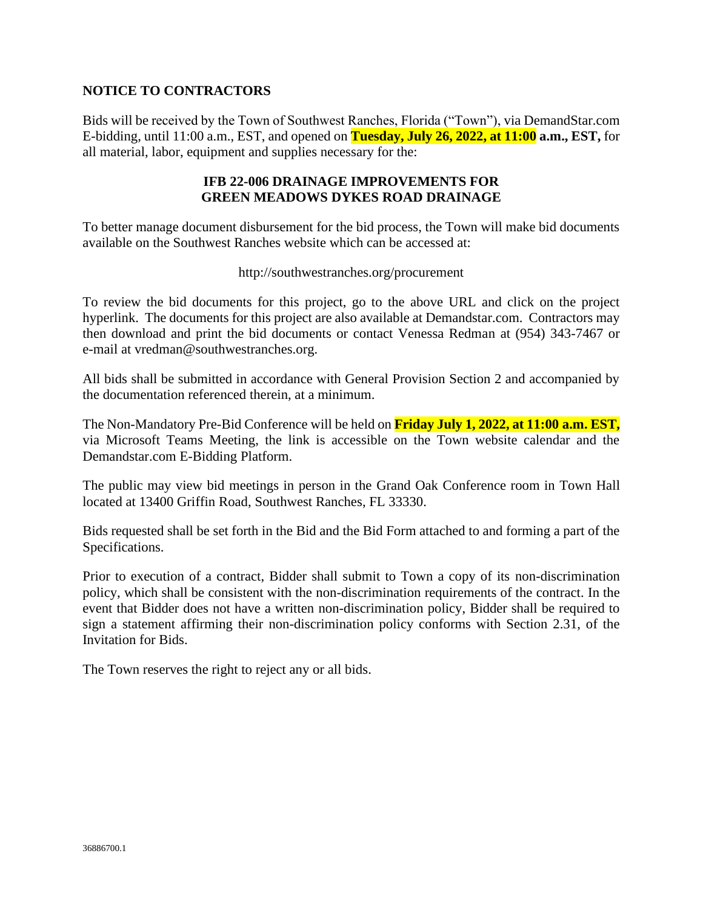### **NOTICE TO CONTRACTORS**

Bids will be received by the Town of Southwest Ranches, Florida ("Town"), via DemandStar.com E-bidding, until 11:00 a.m., EST, and opened on **Tuesday, July 26, 2022, at 11:00 a.m., EST,** for all material, labor, equipment and supplies necessary for the:

#### **IFB 22-006 DRAINAGE IMPROVEMENTS FOR GREEN MEADOWS DYKES ROAD DRAINAGE**

To better manage document disbursement for the bid process, the Town will make bid documents available on the Southwest Ranches website which can be accessed at:

http://southwestranches.org/procurement

To review the bid documents for this project, go to the above URL and click on the project hyperlink. The documents for this project are also available at Demandstar.com. Contractors may then download and print the bid documents or contact Venessa Redman at (954) 343-7467 or e-mail at vredman@southwestranches.org.

All bids shall be submitted in accordance with General Provision Section 2 and accompanied by the documentation referenced therein, at a minimum.

The Non-Mandatory Pre-Bid Conference will be held on **Friday July 1, 2022, at 11:00 a.m. EST,** via Microsoft Teams Meeting, the link is accessible on the Town website calendar and the Demandstar.com E-Bidding Platform.

The public may view bid meetings in person in the Grand Oak Conference room in Town Hall located at 13400 Griffin Road, Southwest Ranches, FL 33330.

Bids requested shall be set forth in the Bid and the Bid Form attached to and forming a part of the Specifications.

Prior to execution of a contract, Bidder shall submit to Town a copy of its non-discrimination policy, which shall be consistent with the non-discrimination requirements of the contract. In the event that Bidder does not have a written non-discrimination policy, Bidder shall be required to sign a statement affirming their non-discrimination policy conforms with Section 2.31, of the Invitation for Bids.

The Town reserves the right to reject any or all bids.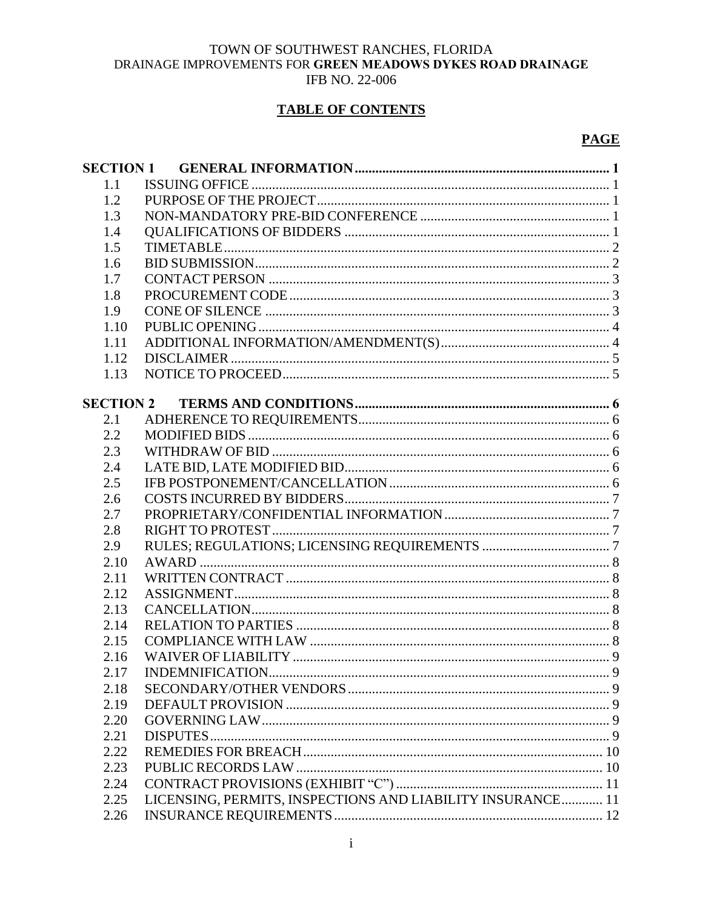# **TABLE OF CONTENTS**

# **PAGE**

| <b>SECTION 1</b> |                                                            |  |
|------------------|------------------------------------------------------------|--|
| 1.1              |                                                            |  |
| 1.2              |                                                            |  |
| 1.3              |                                                            |  |
| 1.4              |                                                            |  |
| 1.5              |                                                            |  |
| 1.6              |                                                            |  |
| 1.7              |                                                            |  |
| 1.8              |                                                            |  |
| 1.9              |                                                            |  |
| 1.10             |                                                            |  |
| 1.11             |                                                            |  |
| 1.12             |                                                            |  |
| 1.13             |                                                            |  |
|                  |                                                            |  |
| <b>SECTION 2</b> |                                                            |  |
| 2.1              |                                                            |  |
| 2.2              |                                                            |  |
| 2.3              |                                                            |  |
| 2.4              |                                                            |  |
| 2.5              |                                                            |  |
| 2.6              |                                                            |  |
| 2.7              |                                                            |  |
| 2.8              |                                                            |  |
| 2.9              |                                                            |  |
| 2.10             |                                                            |  |
| 2.11             |                                                            |  |
| 2.12             |                                                            |  |
| 2.13             |                                                            |  |
| 2.14             |                                                            |  |
| 2.15             |                                                            |  |
| 2.16             |                                                            |  |
| 2.17             |                                                            |  |
| 2.18             |                                                            |  |
| 2.19             |                                                            |  |
| 2.20             |                                                            |  |
| 2.21             |                                                            |  |
| 2.22             |                                                            |  |
| 2.23             |                                                            |  |
| 2.24             |                                                            |  |
| 2.25             | LICENSING, PERMITS, INSPECTIONS AND LIABILITY INSURANCE 11 |  |
| 2.26             |                                                            |  |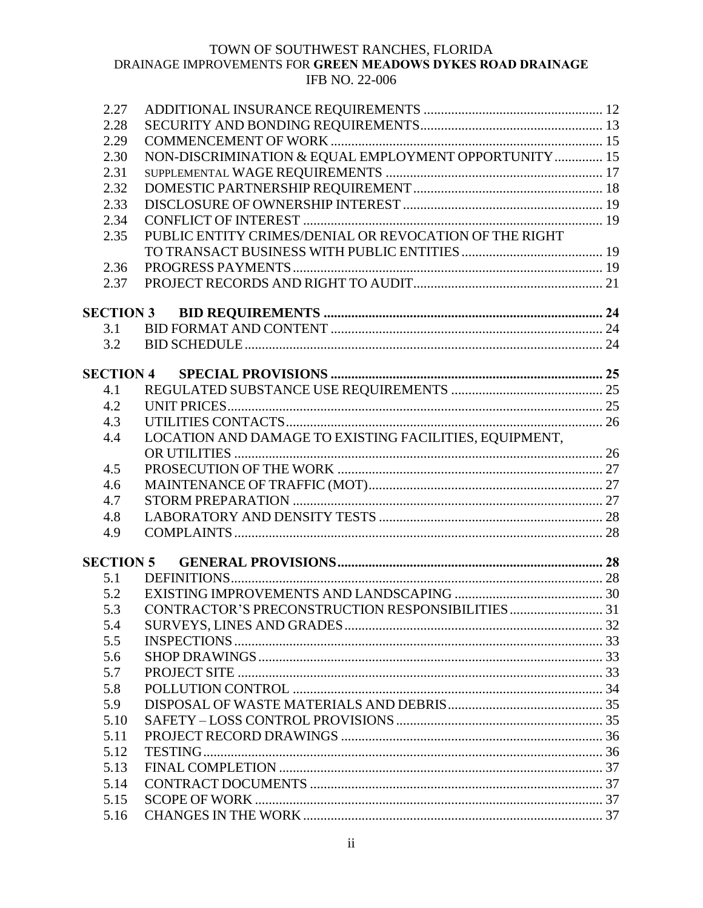| 2.27             |                                                        |  |
|------------------|--------------------------------------------------------|--|
| 2.28             |                                                        |  |
| 2.29             |                                                        |  |
| 2.30             | NON-DISCRIMINATION & EQUAL EMPLOYMENT OPPORTUNITY  15  |  |
| 2.31             |                                                        |  |
| 2.32             |                                                        |  |
| 2.33             |                                                        |  |
| 2.34             |                                                        |  |
| 2.35             | PUBLIC ENTITY CRIMES/DENIAL OR REVOCATION OF THE RIGHT |  |
|                  |                                                        |  |
| 2.36             |                                                        |  |
| 2.37             |                                                        |  |
| <b>SECTION 3</b> |                                                        |  |
| 3.1              |                                                        |  |
| 3.2              |                                                        |  |
| <b>SECTION 4</b> |                                                        |  |
| 4.1              |                                                        |  |
| 4.2              |                                                        |  |
| 4.3              |                                                        |  |
| 4.4              | LOCATION AND DAMAGE TO EXISTING FACILITIES, EQUIPMENT, |  |
|                  |                                                        |  |
| 4.5              |                                                        |  |
| 4.6              |                                                        |  |
| 4.7              |                                                        |  |
| 4.8              |                                                        |  |
| 4.9              |                                                        |  |
| <b>SECTION 5</b> |                                                        |  |
| 5.1              |                                                        |  |
| 5.2              |                                                        |  |
| 5.3              |                                                        |  |
| 5.4              |                                                        |  |
| 5.5              |                                                        |  |
| 5.6              |                                                        |  |
| 5.7              |                                                        |  |
| 5.8              |                                                        |  |
| 5.9              |                                                        |  |
| 5.10             |                                                        |  |
| 5.11             |                                                        |  |
| 5.12             |                                                        |  |
| 5.13             |                                                        |  |
| 5.14             |                                                        |  |
| 5.15             |                                                        |  |
| 5.16             |                                                        |  |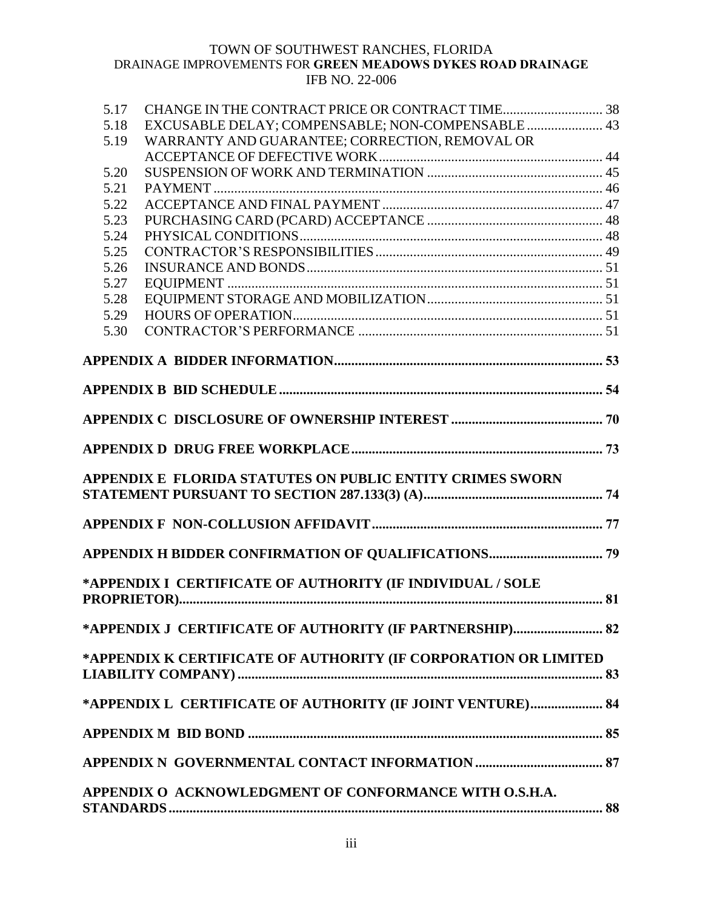| 5.17 |                                                                 |  |
|------|-----------------------------------------------------------------|--|
| 5.18 | EXCUSABLE DELAY; COMPENSABLE; NON-COMPENSABLE  43               |  |
| 5.19 | WARRANTY AND GUARANTEE; CORRECTION, REMOVAL OR                  |  |
|      |                                                                 |  |
| 5.20 |                                                                 |  |
| 5.21 |                                                                 |  |
| 5.22 |                                                                 |  |
| 5.23 |                                                                 |  |
| 5.24 |                                                                 |  |
| 5.25 |                                                                 |  |
| 5.26 |                                                                 |  |
| 5.27 |                                                                 |  |
| 5.28 |                                                                 |  |
| 5.29 |                                                                 |  |
| 5.30 |                                                                 |  |
|      |                                                                 |  |
|      |                                                                 |  |
|      |                                                                 |  |
|      |                                                                 |  |
|      |                                                                 |  |
|      |                                                                 |  |
|      |                                                                 |  |
|      | APPENDIX E FLORIDA STATUTES ON PUBLIC ENTITY CRIMES SWORN       |  |
|      |                                                                 |  |
|      |                                                                 |  |
|      |                                                                 |  |
|      |                                                                 |  |
|      |                                                                 |  |
|      | *APPENDIX I  CERTIFICATE OF AUTHORITY (IF INDIVIDUAL / SOLE     |  |
|      |                                                                 |  |
|      |                                                                 |  |
|      | *APPENDIX J CERTIFICATE OF AUTHORITY (IF PARTNERSHIP) 82        |  |
|      |                                                                 |  |
|      | *APPENDIX K CERTIFICATE OF AUTHORITY (IF CORPORATION OR LIMITED |  |
|      |                                                                 |  |
|      | *APPENDIX L CERTIFICATE OF AUTHORITY (IF JOINT VENTURE) 84      |  |
|      |                                                                 |  |
|      |                                                                 |  |
|      |                                                                 |  |
|      |                                                                 |  |
|      |                                                                 |  |
|      | APPENDIX O ACKNOWLEDGMENT OF CONFORMANCE WITH O.S.H.A.          |  |
|      |                                                                 |  |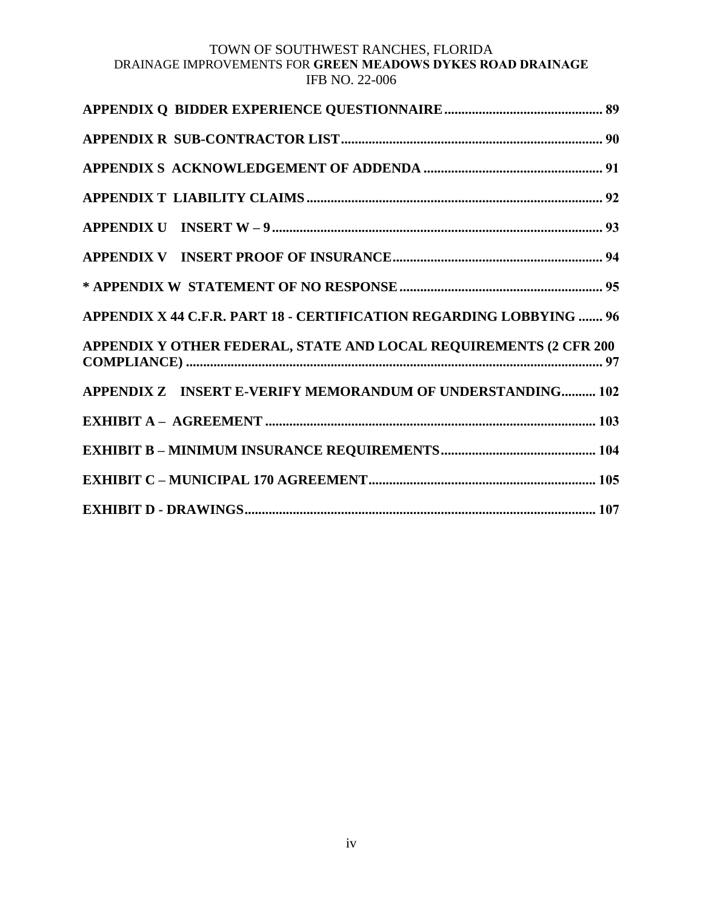| APPENDIX X 44 C.F.R. PART 18 - CERTIFICATION REGARDING LOBBYING  96 |
|---------------------------------------------------------------------|
| APPENDIX Y OTHER FEDERAL, STATE AND LOCAL REQUIREMENTS (2 CFR 200   |
| APPENDIX Z INSERT E-VERIFY MEMORANDUM OF UNDERSTANDING 102          |
|                                                                     |
|                                                                     |
|                                                                     |
|                                                                     |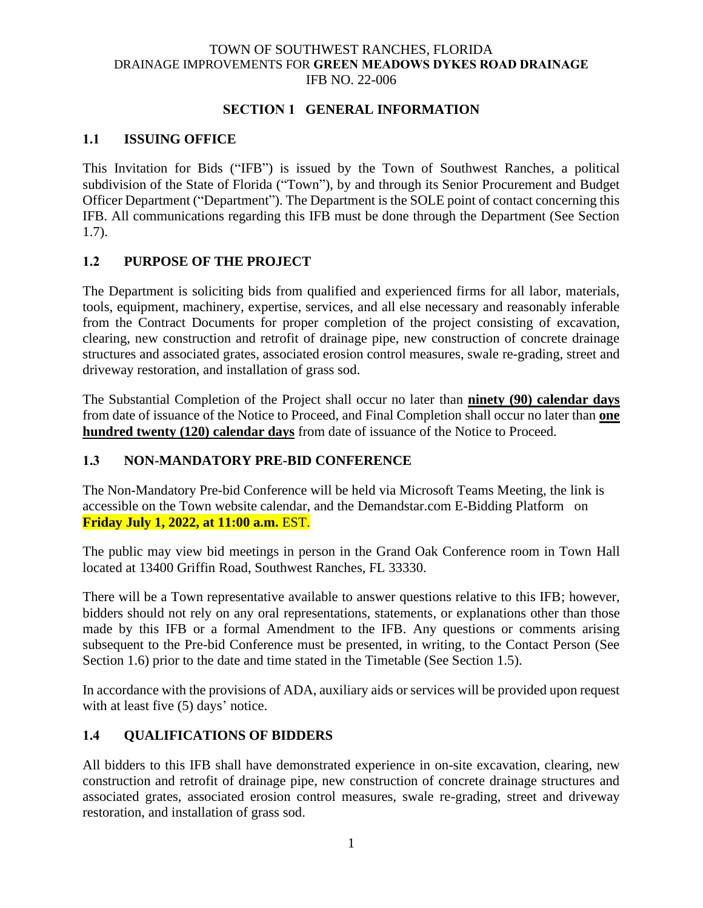### **SECTION 1 GENERAL INFORMATION**

### <span id="page-6-1"></span><span id="page-6-0"></span>**1.1 ISSUING OFFICE**

This Invitation for Bids ("IFB") is issued by the Town of Southwest Ranches, a political subdivision of the State of Florida ("Town"), by and through its Senior Procurement and Budget Officer Department ("Department"). The Department is the SOLE point of contact concerning this IFB. All communications regarding this IFB must be done through the Department (See Section 1.7).

### <span id="page-6-2"></span>**1.2 PURPOSE OF THE PROJECT**

The Department is soliciting bids from qualified and experienced firms for all labor, materials, tools, equipment, machinery, expertise, services, and all else necessary and reasonably inferable from the Contract Documents for proper completion of the project consisting of excavation, clearing, new construction and retrofit of drainage pipe, new construction of concrete drainage structures and associated grates, associated erosion control measures, swale re-grading, street and driveway restoration, and installation of grass sod.

The Substantial Completion of the Project shall occur no later than **ninety (90) calendar days** from date of issuance of the Notice to Proceed, and Final Completion shall occur no later than **one hundred twenty (120) calendar days** from date of issuance of the Notice to Proceed.

## <span id="page-6-3"></span>**1.3 NON-MANDATORY PRE-BID CONFERENCE**

The Non-Mandatory Pre-bid Conference will be held via Microsoft Teams Meeting, the link is accessible on the Town website calendar, and the Demandstar.com E-Bidding Platform on **Friday July 1, 2022, at 11:00 a.m.** EST.

The public may view bid meetings in person in the Grand Oak Conference room in Town Hall located at 13400 Griffin Road, Southwest Ranches, FL 33330.

There will be a Town representative available to answer questions relative to this IFB; however, bidders should not rely on any oral representations, statements, or explanations other than those made by this IFB or a formal Amendment to the IFB. Any questions or comments arising subsequent to the Pre-bid Conference must be presented, in writing, to the Contact Person (See Section 1.6) prior to the date and time stated in the Timetable (See Section 1.5).

In accordance with the provisions of ADA, auxiliary aids or services will be provided upon request with at least five  $(5)$  days' notice.

# <span id="page-6-4"></span>**1.4 QUALIFICATIONS OF BIDDERS**

All bidders to this IFB shall have demonstrated experience in on-site excavation, clearing, new construction and retrofit of drainage pipe, new construction of concrete drainage structures and associated grates, associated erosion control measures, swale re-grading, street and driveway restoration, and installation of grass sod.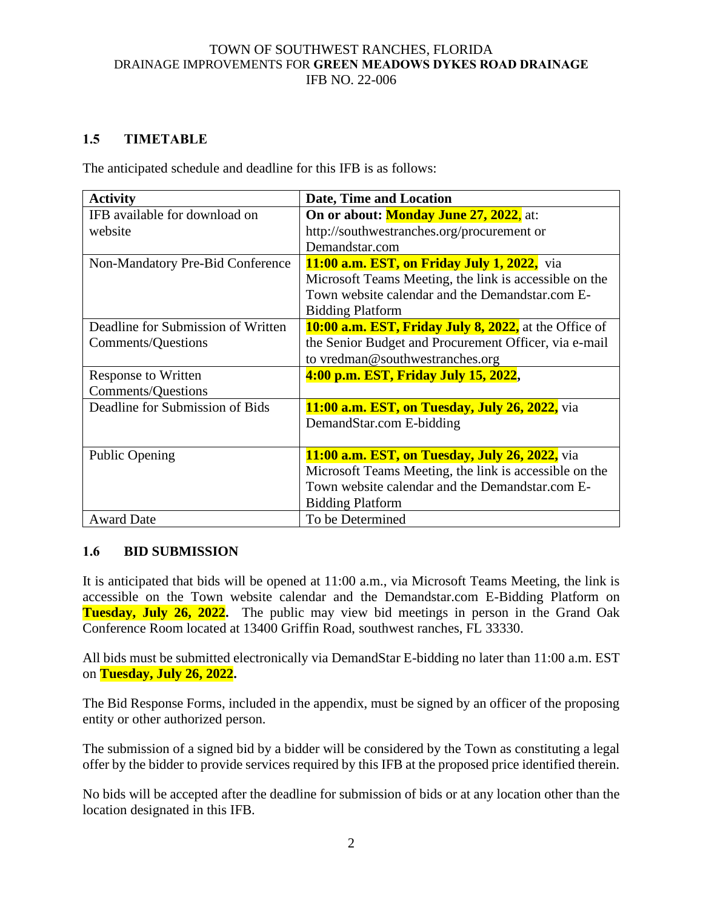# <span id="page-7-0"></span>**1.5 TIMETABLE**

The anticipated schedule and deadline for this IFB is as follows:

| <b>Activity</b>                    | <b>Date, Time and Location</b>                         |  |
|------------------------------------|--------------------------------------------------------|--|
| IFB available for download on      | On or about: Monday June 27, 2022, at:                 |  |
| website                            | http://southwestranches.org/procurement or             |  |
|                                    | Demandstar.com                                         |  |
| Non-Mandatory Pre-Bid Conference   | 11:00 a.m. EST, on Friday July 1, 2022, via            |  |
|                                    | Microsoft Teams Meeting, the link is accessible on the |  |
|                                    | Town website calendar and the Demandstar.com E-        |  |
|                                    | <b>Bidding Platform</b>                                |  |
| Deadline for Submission of Written | 10:00 a.m. EST, Friday July 8, 2022, at the Office of  |  |
| Comments/Questions                 | the Senior Budget and Procurement Officer, via e-mail  |  |
|                                    | to vredman@southwestranches.org                        |  |
| Response to Written                | 4:00 p.m. EST, Friday July 15, 2022,                   |  |
| <b>Comments/Questions</b>          |                                                        |  |
| Deadline for Submission of Bids    | <b>11:00 a.m. EST, on Tuesday, July 26, 2022,</b> via  |  |
|                                    | DemandStar.com E-bidding                               |  |
|                                    |                                                        |  |
| <b>Public Opening</b>              | 11:00 a.m. EST, on Tuesday, July 26, 2022, via         |  |
|                                    | Microsoft Teams Meeting, the link is accessible on the |  |
|                                    | Town website calendar and the Demandstar.com E-        |  |
|                                    | <b>Bidding Platform</b>                                |  |
| <b>Award Date</b>                  | To be Determined                                       |  |

# <span id="page-7-1"></span>**1.6 BID SUBMISSION**

It is anticipated that bids will be opened at 11:00 a.m., via Microsoft Teams Meeting, the link is accessible on the Town website calendar and the Demandstar.com E-Bidding Platform on **Tuesday, July 26, 2022.** The public may view bid meetings in person in the Grand Oak Conference Room located at 13400 Griffin Road, southwest ranches, FL 33330.

All bids must be submitted electronically via DemandStar E-bidding no later than 11:00 a.m. EST on **Tuesday, July 26, 2022.**

The Bid Response Forms, included in the appendix, must be signed by an officer of the proposing entity or other authorized person.

The submission of a signed bid by a bidder will be considered by the Town as constituting a legal offer by the bidder to provide services required by this IFB at the proposed price identified therein.

No bids will be accepted after the deadline for submission of bids or at any location other than the location designated in this IFB.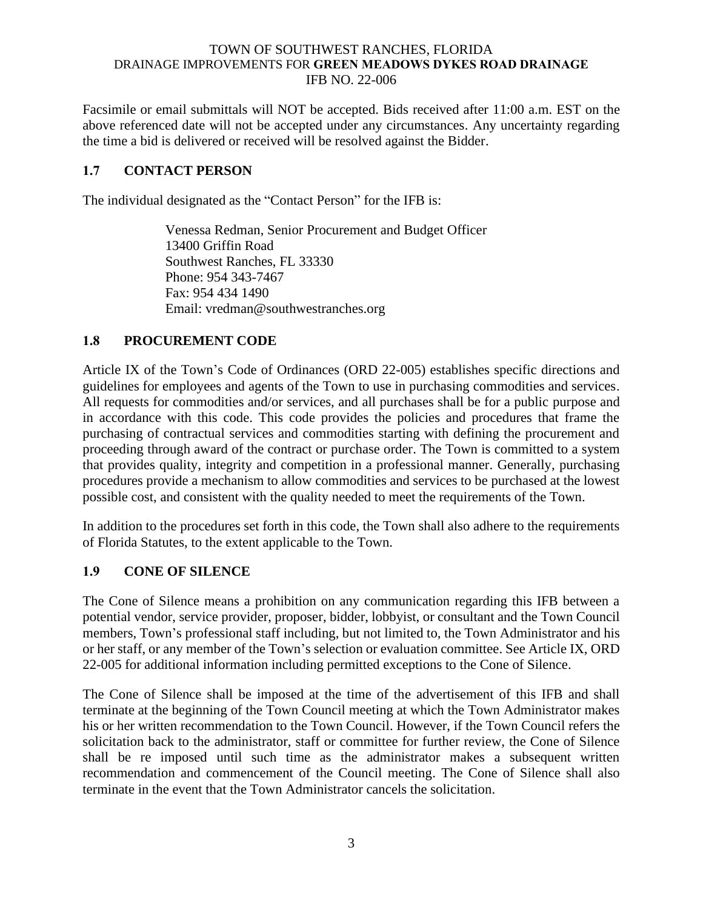Facsimile or email submittals will NOT be accepted. Bids received after 11:00 a.m. EST on the above referenced date will not be accepted under any circumstances. Any uncertainty regarding the time a bid is delivered or received will be resolved against the Bidder.

# <span id="page-8-0"></span>**1.7 CONTACT PERSON**

The individual designated as the "Contact Person" for the IFB is:

Venessa Redman, Senior Procurement and Budget Officer 13400 Griffin Road Southwest Ranches, FL 33330 Phone: 954 343-7467 Fax: 954 434 1490 Email: vredman@southwestranches.org

# <span id="page-8-1"></span>**1.8 PROCUREMENT CODE**

Article IX of the Town's Code of Ordinances (ORD 22-005) establishes specific directions and guidelines for employees and agents of the Town to use in purchasing commodities and services. All requests for commodities and/or services, and all purchases shall be for a public purpose and in accordance with this code. This code provides the policies and procedures that frame the purchasing of contractual services and commodities starting with defining the procurement and proceeding through award of the contract or purchase order. The Town is committed to a system that provides quality, integrity and competition in a professional manner. Generally, purchasing procedures provide a mechanism to allow commodities and services to be purchased at the lowest possible cost, and consistent with the quality needed to meet the requirements of the Town.

In addition to the procedures set forth in this code, the Town shall also adhere to the requirements of Florida Statutes, to the extent applicable to the Town.

# <span id="page-8-2"></span>**1.9 CONE OF SILENCE**

The Cone of Silence means a prohibition on any communication regarding this IFB between a potential vendor, service provider, proposer, bidder, lobbyist, or consultant and the Town Council members, Town's professional staff including, but not limited to, the Town Administrator and his or her staff, or any member of the Town's selection or evaluation committee. See Article IX, ORD 22-005 for additional information including permitted exceptions to the Cone of Silence.

The Cone of Silence shall be imposed at the time of the advertisement of this IFB and shall terminate at the beginning of the Town Council meeting at which the Town Administrator makes his or her written recommendation to the Town Council. However, if the Town Council refers the solicitation back to the administrator, staff or committee for further review, the Cone of Silence shall be re imposed until such time as the administrator makes a subsequent written recommendation and commencement of the Council meeting. The Cone of Silence shall also terminate in the event that the Town Administrator cancels the solicitation.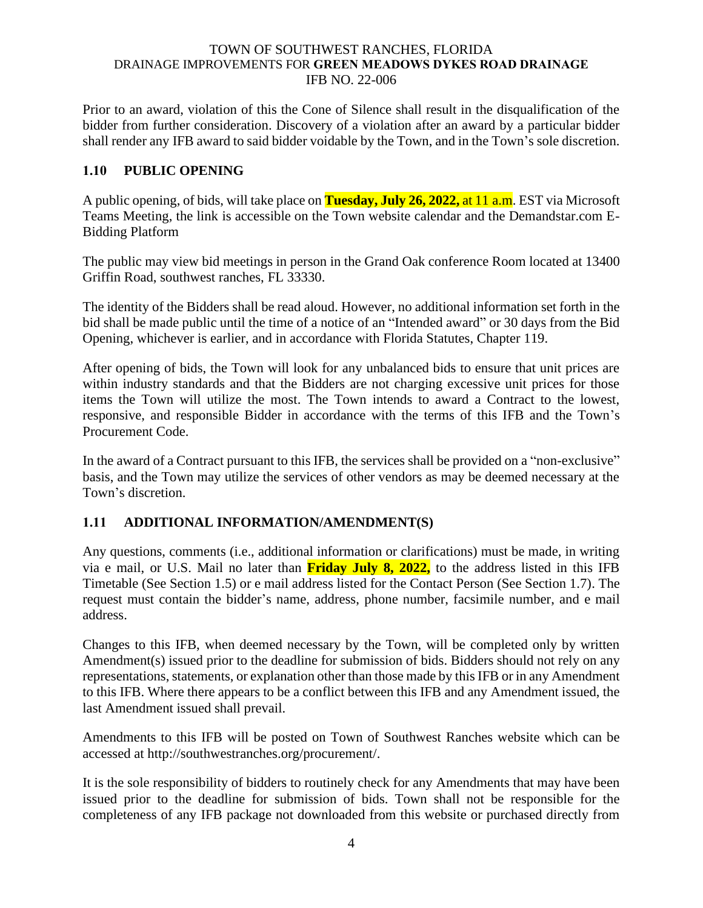Prior to an award, violation of this the Cone of Silence shall result in the disqualification of the bidder from further consideration. Discovery of a violation after an award by a particular bidder shall render any IFB award to said bidder voidable by the Town, and in the Town's sole discretion.

## <span id="page-9-0"></span>**1.10 PUBLIC OPENING**

A public opening, of bids, will take place on **Tuesday, July 26, 2022,** at 11 a.m. EST via Microsoft Teams Meeting, the link is accessible on the Town website calendar and the Demandstar.com E-Bidding Platform

The public may view bid meetings in person in the Grand Oak conference Room located at 13400 Griffin Road, southwest ranches, FL 33330.

The identity of the Bidders shall be read aloud. However, no additional information set forth in the bid shall be made public until the time of a notice of an "Intended award" or 30 days from the Bid Opening, whichever is earlier, and in accordance with Florida Statutes, Chapter 119.

After opening of bids, the Town will look for any unbalanced bids to ensure that unit prices are within industry standards and that the Bidders are not charging excessive unit prices for those items the Town will utilize the most. The Town intends to award a Contract to the lowest, responsive, and responsible Bidder in accordance with the terms of this IFB and the Town's Procurement Code.

In the award of a Contract pursuant to this IFB, the services shall be provided on a "non-exclusive" basis, and the Town may utilize the services of other vendors as may be deemed necessary at the Town's discretion.

# <span id="page-9-1"></span>**1.11 ADDITIONAL INFORMATION/AMENDMENT(S)**

Any questions, comments (i.e., additional information or clarifications) must be made, in writing via e mail, or U.S. Mail no later than **Friday July 8, 2022,** to the address listed in this IFB Timetable (See Section 1.5) or e mail address listed for the Contact Person (See Section 1.7). The request must contain the bidder's name, address, phone number, facsimile number, and e mail address.

Changes to this IFB, when deemed necessary by the Town, will be completed only by written Amendment(s) issued prior to the deadline for submission of bids. Bidders should not rely on any representations, statements, or explanation other than those made by this IFB or in any Amendment to this IFB. Where there appears to be a conflict between this IFB and any Amendment issued, the last Amendment issued shall prevail.

Amendments to this IFB will be posted on Town of Southwest Ranches website which can be accessed at http://southwestranches.org/procurement/.

It is the sole responsibility of bidders to routinely check for any Amendments that may have been issued prior to the deadline for submission of bids. Town shall not be responsible for the completeness of any IFB package not downloaded from this website or purchased directly from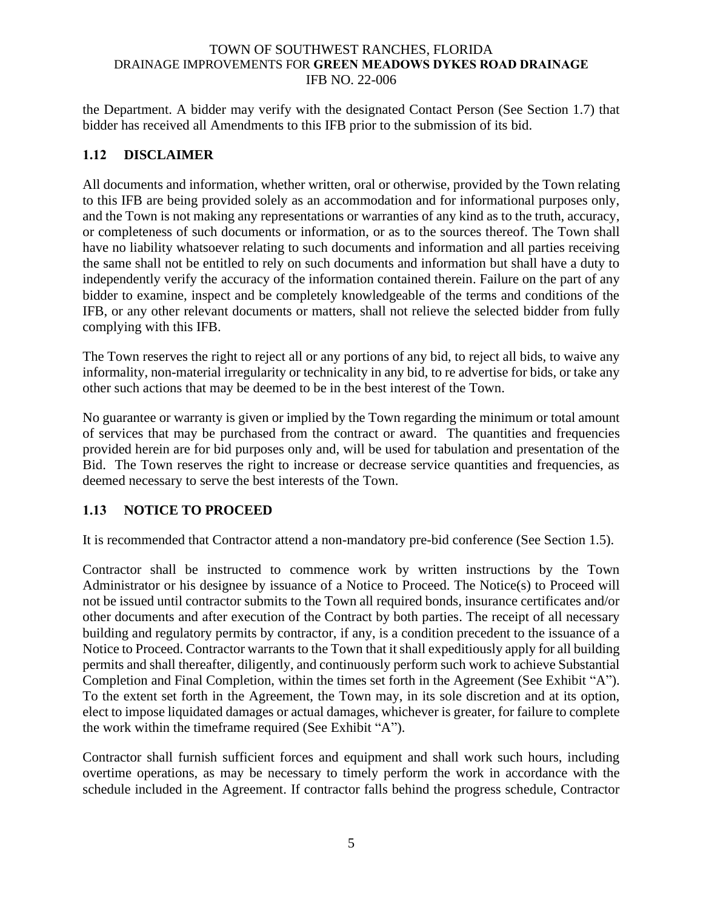the Department. A bidder may verify with the designated Contact Person (See Section 1.7) that bidder has received all Amendments to this IFB prior to the submission of its bid.

# <span id="page-10-0"></span>**1.12 DISCLAIMER**

All documents and information, whether written, oral or otherwise, provided by the Town relating to this IFB are being provided solely as an accommodation and for informational purposes only, and the Town is not making any representations or warranties of any kind as to the truth, accuracy, or completeness of such documents or information, or as to the sources thereof. The Town shall have no liability whatsoever relating to such documents and information and all parties receiving the same shall not be entitled to rely on such documents and information but shall have a duty to independently verify the accuracy of the information contained therein. Failure on the part of any bidder to examine, inspect and be completely knowledgeable of the terms and conditions of the IFB, or any other relevant documents or matters, shall not relieve the selected bidder from fully complying with this IFB.

The Town reserves the right to reject all or any portions of any bid, to reject all bids, to waive any informality, non-material irregularity or technicality in any bid, to re advertise for bids, or take any other such actions that may be deemed to be in the best interest of the Town.

No guarantee or warranty is given or implied by the Town regarding the minimum or total amount of services that may be purchased from the contract or award. The quantities and frequencies provided herein are for bid purposes only and, will be used for tabulation and presentation of the Bid. The Town reserves the right to increase or decrease service quantities and frequencies, as deemed necessary to serve the best interests of the Town.

# <span id="page-10-1"></span>**1.13 NOTICE TO PROCEED**

It is recommended that Contractor attend a non-mandatory pre-bid conference (See Section 1.5).

Contractor shall be instructed to commence work by written instructions by the Town Administrator or his designee by issuance of a Notice to Proceed. The Notice(s) to Proceed will not be issued until contractor submits to the Town all required bonds, insurance certificates and/or other documents and after execution of the Contract by both parties. The receipt of all necessary building and regulatory permits by contractor, if any, is a condition precedent to the issuance of a Notice to Proceed. Contractor warrants to the Town that it shall expeditiously apply for all building permits and shall thereafter, diligently, and continuously perform such work to achieve Substantial Completion and Final Completion, within the times set forth in the Agreement (See Exhibit "A"). To the extent set forth in the Agreement, the Town may, in its sole discretion and at its option, elect to impose liquidated damages or actual damages, whichever is greater, for failure to complete the work within the timeframe required (See Exhibit "A").

Contractor shall furnish sufficient forces and equipment and shall work such hours, including overtime operations, as may be necessary to timely perform the work in accordance with the schedule included in the Agreement. If contractor falls behind the progress schedule, Contractor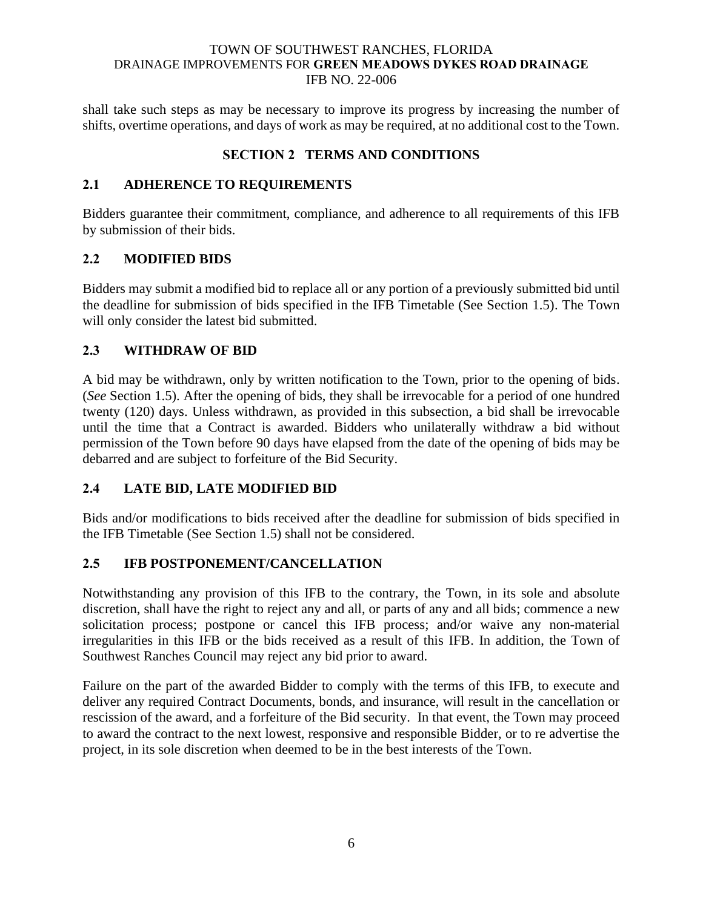shall take such steps as may be necessary to improve its progress by increasing the number of shifts, overtime operations, and days of work as may be required, at no additional cost to the Town.

# **SECTION 2 TERMS AND CONDITIONS**

### <span id="page-11-1"></span><span id="page-11-0"></span>**2.1 ADHERENCE TO REQUIREMENTS**

Bidders guarantee their commitment, compliance, and adherence to all requirements of this IFB by submission of their bids.

### <span id="page-11-2"></span>**2.2 MODIFIED BIDS**

Bidders may submit a modified bid to replace all or any portion of a previously submitted bid until the deadline for submission of bids specified in the IFB Timetable (See Section 1.5). The Town will only consider the latest bid submitted.

# <span id="page-11-3"></span>**2.3 WITHDRAW OF BID**

A bid may be withdrawn, only by written notification to the Town, prior to the opening of bids. (*See* Section 1.5). After the opening of bids, they shall be irrevocable for a period of one hundred twenty (120) days. Unless withdrawn, as provided in this subsection, a bid shall be irrevocable until the time that a Contract is awarded. Bidders who unilaterally withdraw a bid without permission of the Town before 90 days have elapsed from the date of the opening of bids may be debarred and are subject to forfeiture of the Bid Security.

# <span id="page-11-4"></span>**2.4 LATE BID, LATE MODIFIED BID**

Bids and/or modifications to bids received after the deadline for submission of bids specified in the IFB Timetable (See Section 1.5) shall not be considered.

# <span id="page-11-5"></span>**2.5 IFB POSTPONEMENT/CANCELLATION**

Notwithstanding any provision of this IFB to the contrary, the Town, in its sole and absolute discretion, shall have the right to reject any and all, or parts of any and all bids; commence a new solicitation process; postpone or cancel this IFB process; and/or waive any non-material irregularities in this IFB or the bids received as a result of this IFB. In addition, the Town of Southwest Ranches Council may reject any bid prior to award.

Failure on the part of the awarded Bidder to comply with the terms of this IFB, to execute and deliver any required Contract Documents, bonds, and insurance, will result in the cancellation or rescission of the award, and a forfeiture of the Bid security. In that event, the Town may proceed to award the contract to the next lowest, responsive and responsible Bidder, or to re advertise the project, in its sole discretion when deemed to be in the best interests of the Town.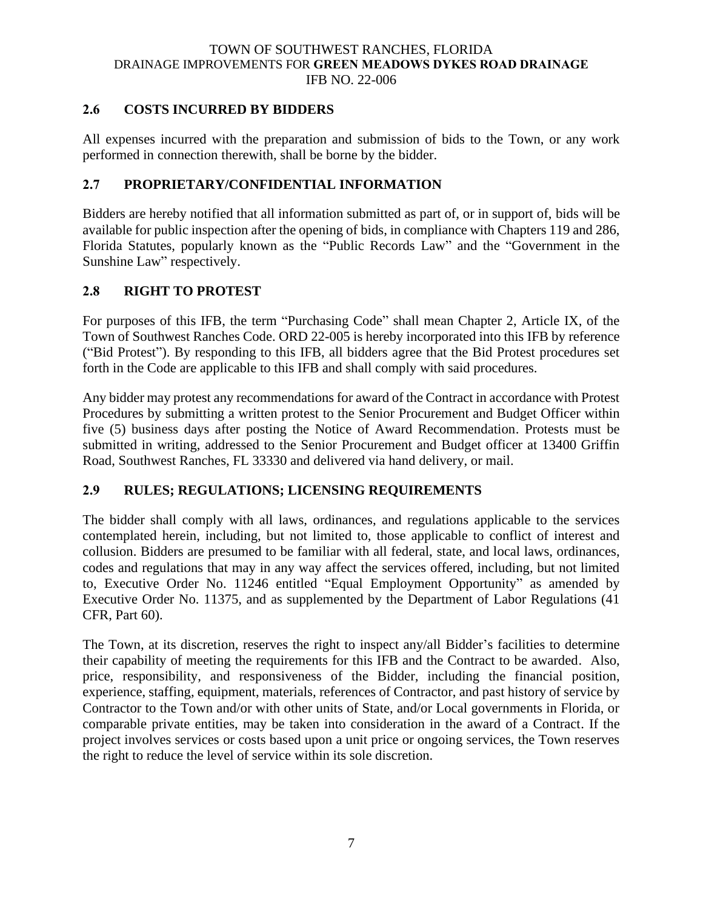### <span id="page-12-0"></span>**2.6 COSTS INCURRED BY BIDDERS**

All expenses incurred with the preparation and submission of bids to the Town, or any work performed in connection therewith, shall be borne by the bidder.

### <span id="page-12-1"></span>**2.7 PROPRIETARY/CONFIDENTIAL INFORMATION**

Bidders are hereby notified that all information submitted as part of, or in support of, bids will be available for public inspection after the opening of bids, in compliance with Chapters 119 and 286, Florida Statutes, popularly known as the "Public Records Law" and the "Government in the Sunshine Law" respectively.

### <span id="page-12-2"></span>**2.8 RIGHT TO PROTEST**

For purposes of this IFB, the term "Purchasing Code" shall mean Chapter 2, Article IX, of the Town of Southwest Ranches Code. ORD 22-005 is hereby incorporated into this IFB by reference ("Bid Protest"). By responding to this IFB, all bidders agree that the Bid Protest procedures set forth in the Code are applicable to this IFB and shall comply with said procedures.

Any bidder may protest any recommendations for award of the Contract in accordance with Protest Procedures by submitting a written protest to the Senior Procurement and Budget Officer within five (5) business days after posting the Notice of Award Recommendation. Protests must be submitted in writing, addressed to the Senior Procurement and Budget officer at 13400 Griffin Road, Southwest Ranches, FL 33330 and delivered via hand delivery, or mail.

### <span id="page-12-3"></span>**2.9 RULES; REGULATIONS; LICENSING REQUIREMENTS**

The bidder shall comply with all laws, ordinances, and regulations applicable to the services contemplated herein, including, but not limited to, those applicable to conflict of interest and collusion. Bidders are presumed to be familiar with all federal, state, and local laws, ordinances, codes and regulations that may in any way affect the services offered, including, but not limited to, Executive Order No. 11246 entitled "Equal Employment Opportunity" as amended by Executive Order No. 11375, and as supplemented by the Department of Labor Regulations (41 CFR, Part 60).

The Town, at its discretion, reserves the right to inspect any/all Bidder's facilities to determine their capability of meeting the requirements for this IFB and the Contract to be awarded. Also, price, responsibility, and responsiveness of the Bidder, including the financial position, experience, staffing, equipment, materials, references of Contractor, and past history of service by Contractor to the Town and/or with other units of State, and/or Local governments in Florida, or comparable private entities, may be taken into consideration in the award of a Contract. If the project involves services or costs based upon a unit price or ongoing services, the Town reserves the right to reduce the level of service within its sole discretion.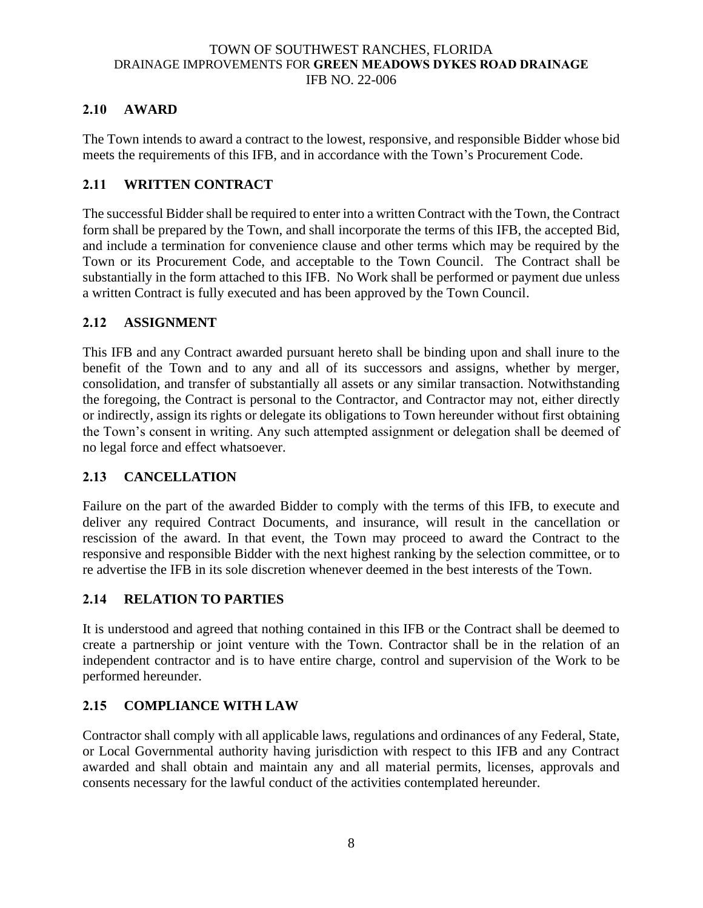# <span id="page-13-0"></span>**2.10 AWARD**

The Town intends to award a contract to the lowest, responsive, and responsible Bidder whose bid meets the requirements of this IFB, and in accordance with the Town's Procurement Code.

# <span id="page-13-1"></span>**2.11 WRITTEN CONTRACT**

The successful Bidder shall be required to enter into a written Contract with the Town, the Contract form shall be prepared by the Town, and shall incorporate the terms of this IFB, the accepted Bid, and include a termination for convenience clause and other terms which may be required by the Town or its Procurement Code, and acceptable to the Town Council. The Contract shall be substantially in the form attached to this IFB. No Work shall be performed or payment due unless a written Contract is fully executed and has been approved by the Town Council.

# <span id="page-13-2"></span>**2.12 ASSIGNMENT**

This IFB and any Contract awarded pursuant hereto shall be binding upon and shall inure to the benefit of the Town and to any and all of its successors and assigns, whether by merger, consolidation, and transfer of substantially all assets or any similar transaction. Notwithstanding the foregoing, the Contract is personal to the Contractor, and Contractor may not, either directly or indirectly, assign its rights or delegate its obligations to Town hereunder without first obtaining the Town's consent in writing. Any such attempted assignment or delegation shall be deemed of no legal force and effect whatsoever.

# <span id="page-13-3"></span>**2.13 CANCELLATION**

Failure on the part of the awarded Bidder to comply with the terms of this IFB, to execute and deliver any required Contract Documents, and insurance, will result in the cancellation or rescission of the award. In that event, the Town may proceed to award the Contract to the responsive and responsible Bidder with the next highest ranking by the selection committee, or to re advertise the IFB in its sole discretion whenever deemed in the best interests of the Town.

# <span id="page-13-4"></span>**2.14 RELATION TO PARTIES**

It is understood and agreed that nothing contained in this IFB or the Contract shall be deemed to create a partnership or joint venture with the Town. Contractor shall be in the relation of an independent contractor and is to have entire charge, control and supervision of the Work to be performed hereunder.

# <span id="page-13-5"></span>**2.15 COMPLIANCE WITH LAW**

Contractor shall comply with all applicable laws, regulations and ordinances of any Federal, State, or Local Governmental authority having jurisdiction with respect to this IFB and any Contract awarded and shall obtain and maintain any and all material permits, licenses, approvals and consents necessary for the lawful conduct of the activities contemplated hereunder.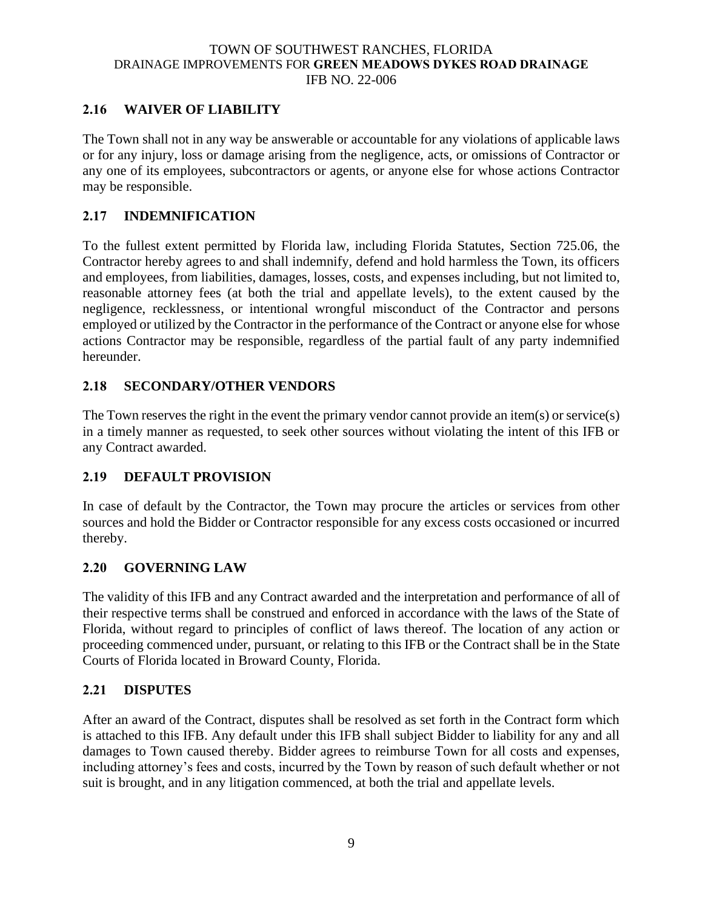## <span id="page-14-0"></span>**2.16 WAIVER OF LIABILITY**

The Town shall not in any way be answerable or accountable for any violations of applicable laws or for any injury, loss or damage arising from the negligence, acts, or omissions of Contractor or any one of its employees, subcontractors or agents, or anyone else for whose actions Contractor may be responsible.

### <span id="page-14-1"></span>**2.17 INDEMNIFICATION**

To the fullest extent permitted by Florida law, including Florida Statutes, Section 725.06, the Contractor hereby agrees to and shall indemnify, defend and hold harmless the Town, its officers and employees, from liabilities, damages, losses, costs, and expenses including, but not limited to, reasonable attorney fees (at both the trial and appellate levels), to the extent caused by the negligence, recklessness, or intentional wrongful misconduct of the Contractor and persons employed or utilized by the Contractor in the performance of the Contract or anyone else for whose actions Contractor may be responsible, regardless of the partial fault of any party indemnified hereunder.

### <span id="page-14-2"></span>**2.18 SECONDARY/OTHER VENDORS**

The Town reserves the right in the event the primary vendor cannot provide an item(s) or service(s) in a timely manner as requested, to seek other sources without violating the intent of this IFB or any Contract awarded.

### <span id="page-14-3"></span>**2.19 DEFAULT PROVISION**

In case of default by the Contractor, the Town may procure the articles or services from other sources and hold the Bidder or Contractor responsible for any excess costs occasioned or incurred thereby.

### <span id="page-14-4"></span>**2.20 GOVERNING LAW**

The validity of this IFB and any Contract awarded and the interpretation and performance of all of their respective terms shall be construed and enforced in accordance with the laws of the State of Florida, without regard to principles of conflict of laws thereof. The location of any action or proceeding commenced under, pursuant, or relating to this IFB or the Contract shall be in the State Courts of Florida located in Broward County, Florida.

### <span id="page-14-5"></span>**2.21 DISPUTES**

After an award of the Contract, disputes shall be resolved as set forth in the Contract form which is attached to this IFB. Any default under this IFB shall subject Bidder to liability for any and all damages to Town caused thereby. Bidder agrees to reimburse Town for all costs and expenses, including attorney's fees and costs, incurred by the Town by reason of such default whether or not suit is brought, and in any litigation commenced, at both the trial and appellate levels.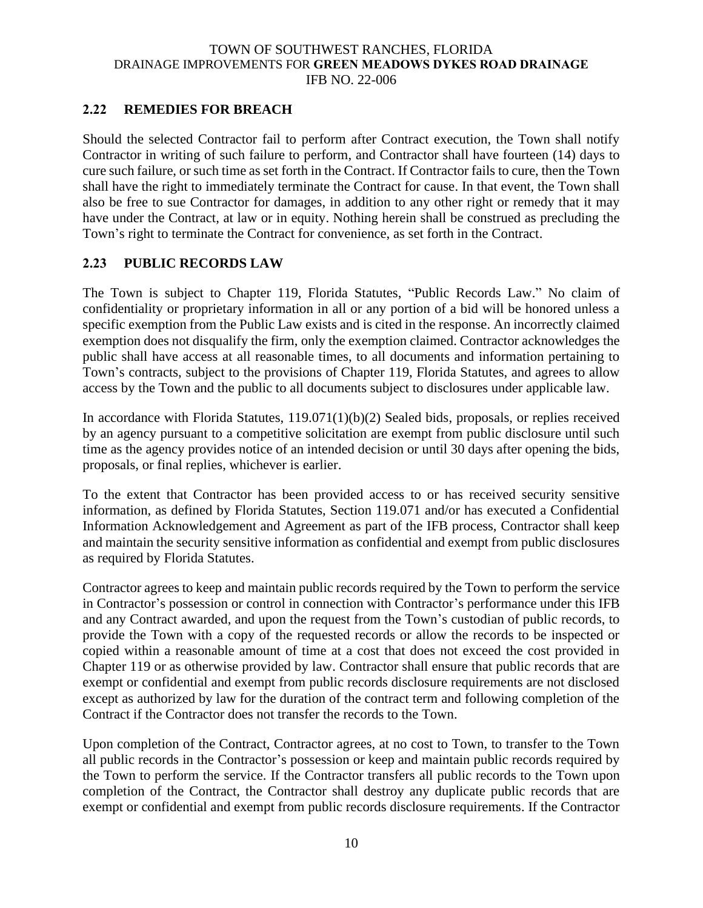### <span id="page-15-0"></span>**2.22 REMEDIES FOR BREACH**

Should the selected Contractor fail to perform after Contract execution, the Town shall notify Contractor in writing of such failure to perform, and Contractor shall have fourteen (14) days to cure such failure, or such time as set forth in the Contract. If Contractor fails to cure, then the Town shall have the right to immediately terminate the Contract for cause. In that event, the Town shall also be free to sue Contractor for damages, in addition to any other right or remedy that it may have under the Contract, at law or in equity. Nothing herein shall be construed as precluding the Town's right to terminate the Contract for convenience, as set forth in the Contract.

### <span id="page-15-1"></span>**2.23 PUBLIC RECORDS LAW**

The Town is subject to Chapter 119, Florida Statutes, "Public Records Law." No claim of confidentiality or proprietary information in all or any portion of a bid will be honored unless a specific exemption from the Public Law exists and is cited in the response. An incorrectly claimed exemption does not disqualify the firm, only the exemption claimed. Contractor acknowledges the public shall have access at all reasonable times, to all documents and information pertaining to Town's contracts, subject to the provisions of Chapter 119, Florida Statutes, and agrees to allow access by the Town and the public to all documents subject to disclosures under applicable law.

In accordance with Florida Statutes, 119.071(1)(b)(2) Sealed bids, proposals, or replies received by an agency pursuant to a competitive solicitation are exempt from public disclosure until such time as the agency provides notice of an intended decision or until 30 days after opening the bids, proposals, or final replies, whichever is earlier.

To the extent that Contractor has been provided access to or has received security sensitive information, as defined by Florida Statutes, Section 119.071 and/or has executed a Confidential Information Acknowledgement and Agreement as part of the IFB process, Contractor shall keep and maintain the security sensitive information as confidential and exempt from public disclosures as required by Florida Statutes.

Contractor agrees to keep and maintain public records required by the Town to perform the service in Contractor's possession or control in connection with Contractor's performance under this IFB and any Contract awarded, and upon the request from the Town's custodian of public records, to provide the Town with a copy of the requested records or allow the records to be inspected or copied within a reasonable amount of time at a cost that does not exceed the cost provided in Chapter 119 or as otherwise provided by law. Contractor shall ensure that public records that are exempt or confidential and exempt from public records disclosure requirements are not disclosed except as authorized by law for the duration of the contract term and following completion of the Contract if the Contractor does not transfer the records to the Town.

Upon completion of the Contract, Contractor agrees, at no cost to Town, to transfer to the Town all public records in the Contractor's possession or keep and maintain public records required by the Town to perform the service. If the Contractor transfers all public records to the Town upon completion of the Contract, the Contractor shall destroy any duplicate public records that are exempt or confidential and exempt from public records disclosure requirements. If the Contractor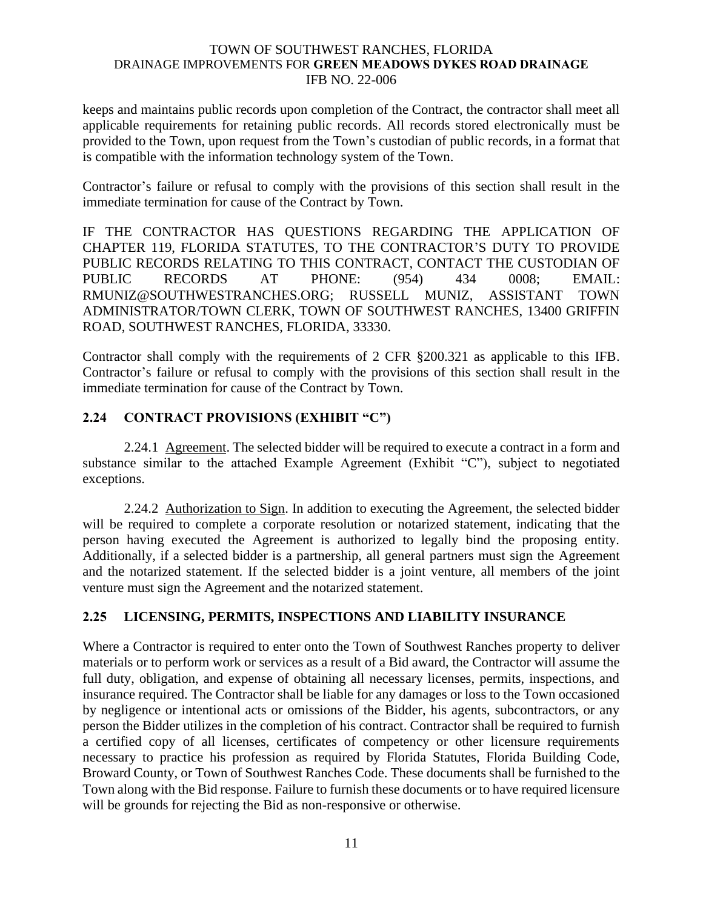keeps and maintains public records upon completion of the Contract, the contractor shall meet all applicable requirements for retaining public records. All records stored electronically must be provided to the Town, upon request from the Town's custodian of public records, in a format that is compatible with the information technology system of the Town.

Contractor's failure or refusal to comply with the provisions of this section shall result in the immediate termination for cause of the Contract by Town.

IF THE CONTRACTOR HAS QUESTIONS REGARDING THE APPLICATION OF CHAPTER 119, FLORIDA STATUTES, TO THE CONTRACTOR'S DUTY TO PROVIDE PUBLIC RECORDS RELATING TO THIS CONTRACT, CONTACT THE CUSTODIAN OF PUBLIC RECORDS AT PHONE: (954) 434 0008; EMAIL: RMUNIZ@SOUTHWESTRANCHES.ORG; RUSSELL MUNIZ, ASSISTANT TOWN ADMINISTRATOR/TOWN CLERK, TOWN OF SOUTHWEST RANCHES, 13400 GRIFFIN ROAD, SOUTHWEST RANCHES, FLORIDA, 33330.

Contractor shall comply with the requirements of 2 CFR §200.321 as applicable to this IFB. Contractor's failure or refusal to comply with the provisions of this section shall result in the immediate termination for cause of the Contract by Town.

# <span id="page-16-0"></span>**2.24 CONTRACT PROVISIONS (EXHIBIT "C")**

2.24.1 Agreement. The selected bidder will be required to execute a contract in a form and substance similar to the attached Example Agreement (Exhibit "C"), subject to negotiated exceptions.

2.24.2 Authorization to Sign. In addition to executing the Agreement, the selected bidder will be required to complete a corporate resolution or notarized statement, indicating that the person having executed the Agreement is authorized to legally bind the proposing entity. Additionally, if a selected bidder is a partnership, all general partners must sign the Agreement and the notarized statement. If the selected bidder is a joint venture, all members of the joint venture must sign the Agreement and the notarized statement.

# <span id="page-16-1"></span>**2.25 LICENSING, PERMITS, INSPECTIONS AND LIABILITY INSURANCE**

Where a Contractor is required to enter onto the Town of Southwest Ranches property to deliver materials or to perform work or services as a result of a Bid award, the Contractor will assume the full duty, obligation, and expense of obtaining all necessary licenses, permits, inspections, and insurance required. The Contractor shall be liable for any damages or loss to the Town occasioned by negligence or intentional acts or omissions of the Bidder, his agents, subcontractors, or any person the Bidder utilizes in the completion of his contract. Contractor shall be required to furnish a certified copy of all licenses, certificates of competency or other licensure requirements necessary to practice his profession as required by Florida Statutes, Florida Building Code, Broward County, or Town of Southwest Ranches Code. These documents shall be furnished to the Town along with the Bid response. Failure to furnish these documents or to have required licensure will be grounds for rejecting the Bid as non-responsive or otherwise.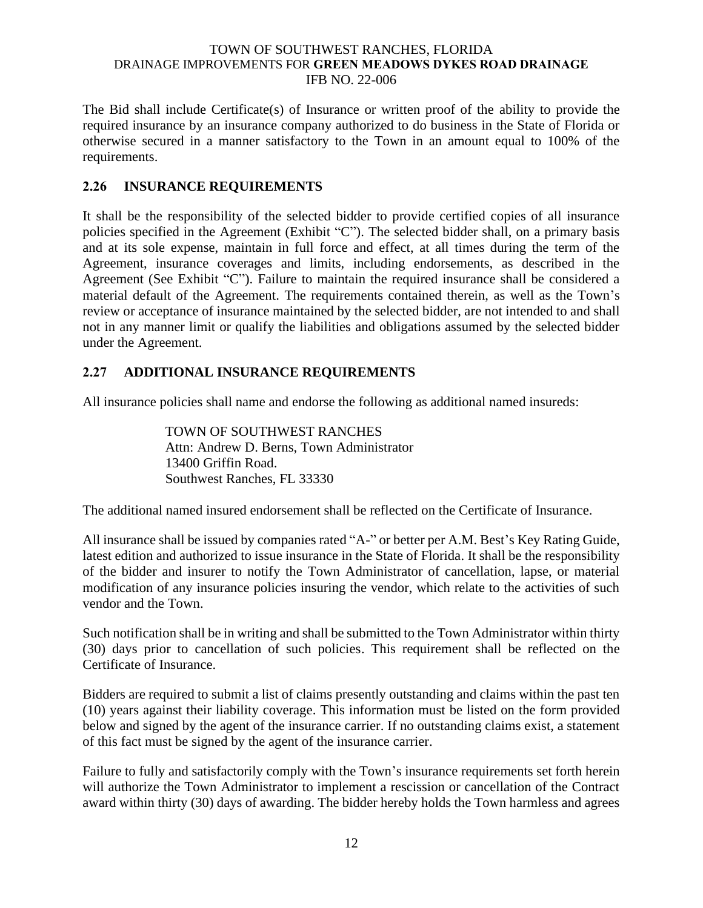The Bid shall include Certificate(s) of Insurance or written proof of the ability to provide the required insurance by an insurance company authorized to do business in the State of Florida or otherwise secured in a manner satisfactory to the Town in an amount equal to 100% of the requirements.

### <span id="page-17-0"></span>**2.26 INSURANCE REQUIREMENTS**

It shall be the responsibility of the selected bidder to provide certified copies of all insurance policies specified in the Agreement (Exhibit "C"). The selected bidder shall, on a primary basis and at its sole expense, maintain in full force and effect, at all times during the term of the Agreement, insurance coverages and limits, including endorsements, as described in the Agreement (See Exhibit "C"). Failure to maintain the required insurance shall be considered a material default of the Agreement. The requirements contained therein, as well as the Town's review or acceptance of insurance maintained by the selected bidder, are not intended to and shall not in any manner limit or qualify the liabilities and obligations assumed by the selected bidder under the Agreement.

# <span id="page-17-1"></span>**2.27 ADDITIONAL INSURANCE REQUIREMENTS**

All insurance policies shall name and endorse the following as additional named insureds:

TOWN OF SOUTHWEST RANCHES Attn: Andrew D. Berns, Town Administrator 13400 Griffin Road. Southwest Ranches, FL 33330

The additional named insured endorsement shall be reflected on the Certificate of Insurance.

All insurance shall be issued by companies rated "A-" or better per A.M. Best's Key Rating Guide, latest edition and authorized to issue insurance in the State of Florida. It shall be the responsibility of the bidder and insurer to notify the Town Administrator of cancellation, lapse, or material modification of any insurance policies insuring the vendor, which relate to the activities of such vendor and the Town.

Such notification shall be in writing and shall be submitted to the Town Administrator within thirty (30) days prior to cancellation of such policies. This requirement shall be reflected on the Certificate of Insurance.

Bidders are required to submit a list of claims presently outstanding and claims within the past ten (10) years against their liability coverage. This information must be listed on the form provided below and signed by the agent of the insurance carrier. If no outstanding claims exist, a statement of this fact must be signed by the agent of the insurance carrier.

Failure to fully and satisfactorily comply with the Town's insurance requirements set forth herein will authorize the Town Administrator to implement a rescission or cancellation of the Contract award within thirty (30) days of awarding. The bidder hereby holds the Town harmless and agrees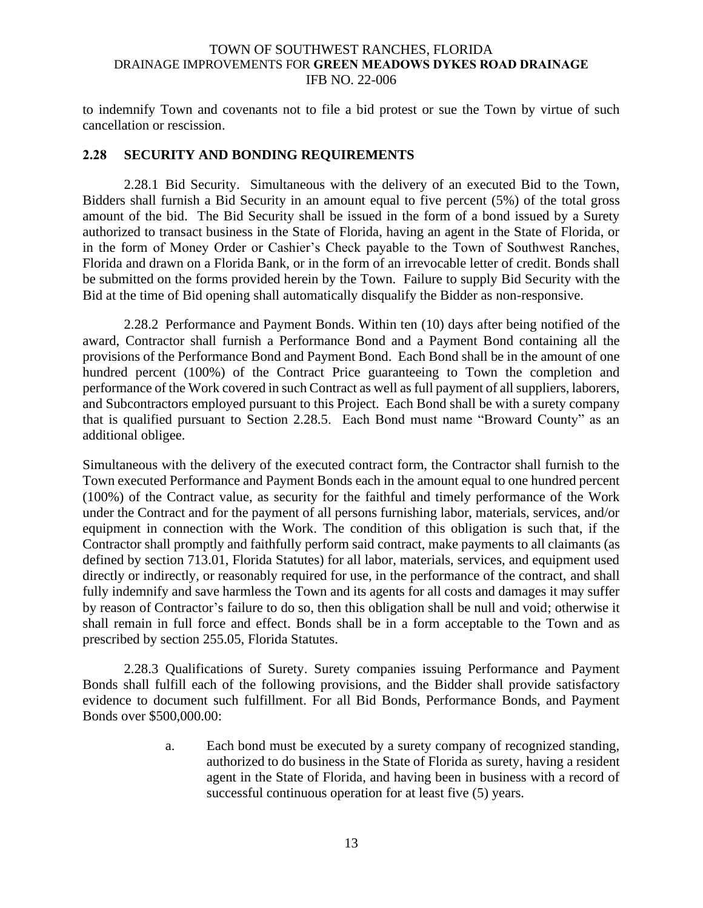to indemnify Town and covenants not to file a bid protest or sue the Town by virtue of such cancellation or rescission.

#### <span id="page-18-0"></span>**2.28 SECURITY AND BONDING REQUIREMENTS**

2.28.1 Bid Security. Simultaneous with the delivery of an executed Bid to the Town, Bidders shall furnish a Bid Security in an amount equal to five percent (5%) of the total gross amount of the bid. The Bid Security shall be issued in the form of a bond issued by a Surety authorized to transact business in the State of Florida, having an agent in the State of Florida, or in the form of Money Order or Cashier's Check payable to the Town of Southwest Ranches, Florida and drawn on a Florida Bank, or in the form of an irrevocable letter of credit. Bonds shall be submitted on the forms provided herein by the Town. Failure to supply Bid Security with the Bid at the time of Bid opening shall automatically disqualify the Bidder as non-responsive.

2.28.2 Performance and Payment Bonds. Within ten (10) days after being notified of the award, Contractor shall furnish a Performance Bond and a Payment Bond containing all the provisions of the Performance Bond and Payment Bond. Each Bond shall be in the amount of one hundred percent (100%) of the Contract Price guaranteeing to Town the completion and performance of the Work covered in such Contract as well as full payment of all suppliers, laborers, and Subcontractors employed pursuant to this Project. Each Bond shall be with a surety company that is qualified pursuant to Section 2.28.5. Each Bond must name "Broward County" as an additional obligee.

Simultaneous with the delivery of the executed contract form, the Contractor shall furnish to the Town executed Performance and Payment Bonds each in the amount equal to one hundred percent (100%) of the Contract value, as security for the faithful and timely performance of the Work under the Contract and for the payment of all persons furnishing labor, materials, services, and/or equipment in connection with the Work. The condition of this obligation is such that, if the Contractor shall promptly and faithfully perform said contract, make payments to all claimants (as defined by section 713.01, Florida Statutes) for all labor, materials, services, and equipment used directly or indirectly, or reasonably required for use, in the performance of the contract, and shall fully indemnify and save harmless the Town and its agents for all costs and damages it may suffer by reason of Contractor's failure to do so, then this obligation shall be null and void; otherwise it shall remain in full force and effect. Bonds shall be in a form acceptable to the Town and as prescribed by section 255.05, Florida Statutes.

2.28.3 Qualifications of Surety. Surety companies issuing Performance and Payment Bonds shall fulfill each of the following provisions, and the Bidder shall provide satisfactory evidence to document such fulfillment. For all Bid Bonds, Performance Bonds, and Payment Bonds over \$500,000.00:

> a. Each bond must be executed by a surety company of recognized standing, authorized to do business in the State of Florida as surety, having a resident agent in the State of Florida, and having been in business with a record of successful continuous operation for at least five (5) years.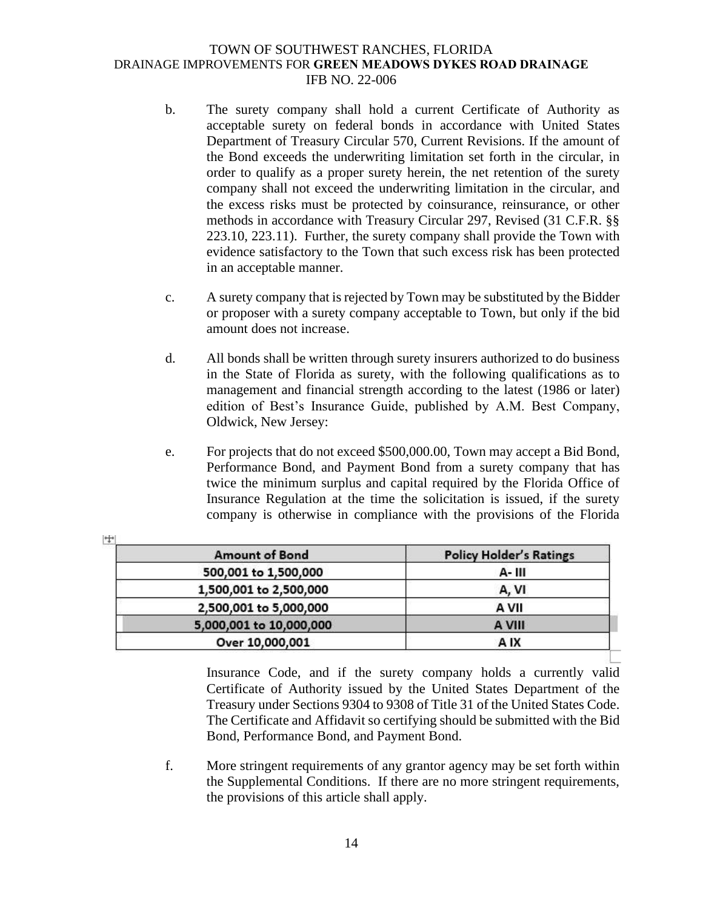- b. The surety company shall hold a current Certificate of Authority as acceptable surety on federal bonds in accordance with United States Department of Treasury Circular 570, Current Revisions. If the amount of the Bond exceeds the underwriting limitation set forth in the circular, in order to qualify as a proper surety herein, the net retention of the surety company shall not exceed the underwriting limitation in the circular, and the excess risks must be protected by coinsurance, reinsurance, or other methods in accordance with Treasury Circular 297, Revised (31 C.F.R. §§ 223.10, 223.11). Further, the surety company shall provide the Town with evidence satisfactory to the Town that such excess risk has been protected in an acceptable manner.
- c. A surety company that is rejected by Town may be substituted by the Bidder or proposer with a surety company acceptable to Town, but only if the bid amount does not increase.
- d. All bonds shall be written through surety insurers authorized to do business in the State of Florida as surety, with the following qualifications as to management and financial strength according to the latest (1986 or later) edition of Best's Insurance Guide, published by A.M. Best Company, Oldwick, New Jersey:
- e. For projects that do not exceed \$500,000.00, Town may accept a Bid Bond, Performance Bond, and Payment Bond from a surety company that has twice the minimum surplus and capital required by the Florida Office of Insurance Regulation at the time the solicitation is issued, if the surety company is otherwise in compliance with the provisions of the Florida

| <b>Amount of Bond</b>   | <b>Policy Holder's Ratings</b> |
|-------------------------|--------------------------------|
| 500,001 to 1,500,000    | A- III                         |
| 1,500,001 to 2,500,000  | A, VI                          |
| 2,500,001 to 5,000,000  | A VII                          |
| 5,000,001 to 10,000,000 | A VIII                         |
| Over 10,000,001         | A IX                           |

Insurance Code, and if the surety company holds a currently valid Certificate of Authority issued by the United States Department of the Treasury under Sections 9304 to 9308 of Title 31 of the United States Code. The Certificate and Affidavit so certifying should be submitted with the Bid Bond, Performance Bond, and Payment Bond.

f. More stringent requirements of any grantor agency may be set forth within the Supplemental Conditions. If there are no more stringent requirements, the provisions of this article shall apply.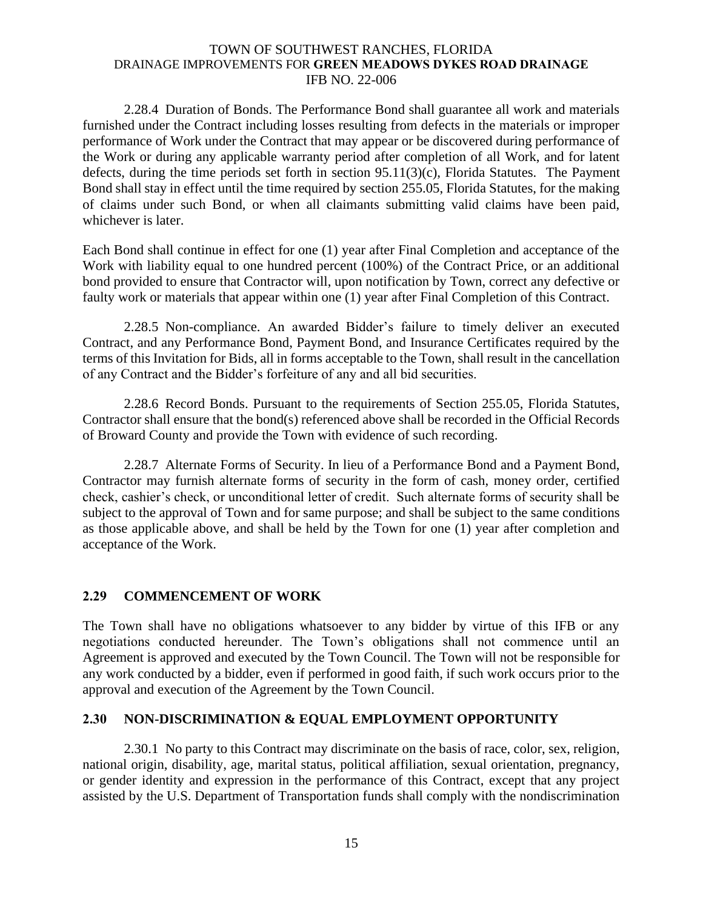2.28.4 Duration of Bonds. The Performance Bond shall guarantee all work and materials furnished under the Contract including losses resulting from defects in the materials or improper performance of Work under the Contract that may appear or be discovered during performance of the Work or during any applicable warranty period after completion of all Work, and for latent defects, during the time periods set forth in section 95.11(3)(c), Florida Statutes. The Payment Bond shall stay in effect until the time required by section 255.05, Florida Statutes, for the making of claims under such Bond, or when all claimants submitting valid claims have been paid, whichever is later.

Each Bond shall continue in effect for one (1) year after Final Completion and acceptance of the Work with liability equal to one hundred percent (100%) of the Contract Price, or an additional bond provided to ensure that Contractor will, upon notification by Town, correct any defective or faulty work or materials that appear within one (1) year after Final Completion of this Contract.

2.28.5 Non-compliance. An awarded Bidder's failure to timely deliver an executed Contract, and any Performance Bond, Payment Bond, and Insurance Certificates required by the terms of this Invitation for Bids, all in forms acceptable to the Town, shall result in the cancellation of any Contract and the Bidder's forfeiture of any and all bid securities.

2.28.6 Record Bonds. Pursuant to the requirements of Section 255.05, Florida Statutes, Contractor shall ensure that the bond(s) referenced above shall be recorded in the Official Records of Broward County and provide the Town with evidence of such recording.

2.28.7 Alternate Forms of Security. In lieu of a Performance Bond and a Payment Bond, Contractor may furnish alternate forms of security in the form of cash, money order, certified check, cashier's check, or unconditional letter of credit. Such alternate forms of security shall be subject to the approval of Town and for same purpose; and shall be subject to the same conditions as those applicable above, and shall be held by the Town for one (1) year after completion and acceptance of the Work.

#### <span id="page-20-0"></span>**2.29 COMMENCEMENT OF WORK**

The Town shall have no obligations whatsoever to any bidder by virtue of this IFB or any negotiations conducted hereunder. The Town's obligations shall not commence until an Agreement is approved and executed by the Town Council. The Town will not be responsible for any work conducted by a bidder, even if performed in good faith, if such work occurs prior to the approval and execution of the Agreement by the Town Council.

#### <span id="page-20-1"></span>**2.30 NON-DISCRIMINATION & EQUAL EMPLOYMENT OPPORTUNITY**

2.30.1 No party to this Contract may discriminate on the basis of race, color, sex, religion, national origin, disability, age, marital status, political affiliation, sexual orientation, pregnancy, or gender identity and expression in the performance of this Contract, except that any project assisted by the U.S. Department of Transportation funds shall comply with the nondiscrimination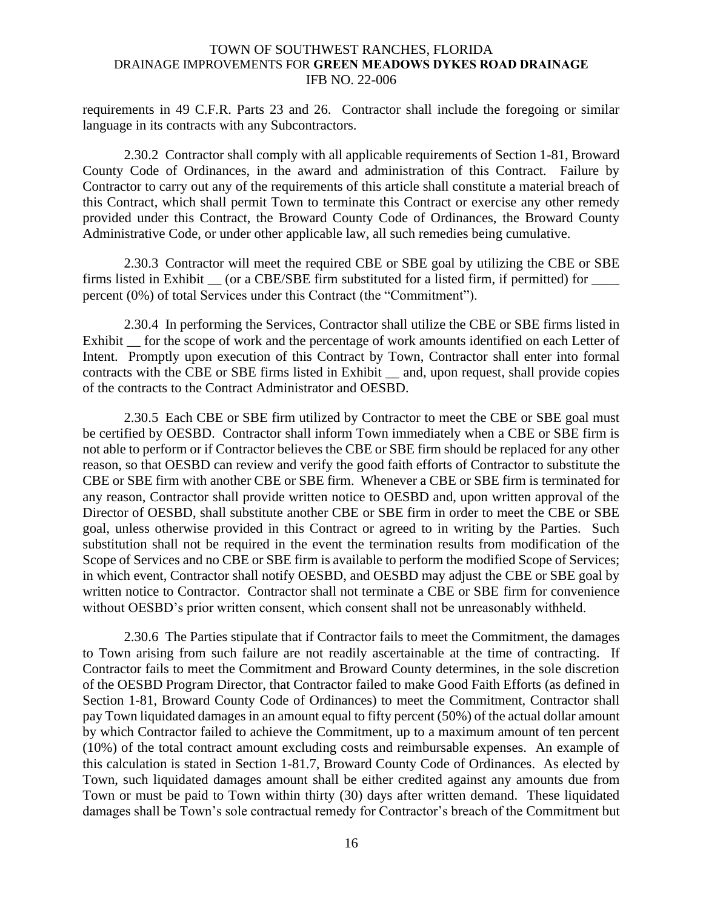requirements in 49 C.F.R. Parts 23 and 26. Contractor shall include the foregoing or similar language in its contracts with any Subcontractors.

2.30.2 Contractor shall comply with all applicable requirements of Section 1-81, Broward County Code of Ordinances, in the award and administration of this Contract. Failure by Contractor to carry out any of the requirements of this article shall constitute a material breach of this Contract, which shall permit Town to terminate this Contract or exercise any other remedy provided under this Contract, the Broward County Code of Ordinances, the Broward County Administrative Code, or under other applicable law, all such remedies being cumulative.

2.30.3 Contractor will meet the required CBE or SBE goal by utilizing the CBE or SBE firms listed in Exhibit (or a CBE/SBE firm substituted for a listed firm, if permitted) for percent (0%) of total Services under this Contract (the "Commitment").

2.30.4 In performing the Services, Contractor shall utilize the CBE or SBE firms listed in Exhibit  $\equiv$  for the scope of work and the percentage of work amounts identified on each Letter of Intent. Promptly upon execution of this Contract by Town, Contractor shall enter into formal contracts with the CBE or SBE firms listed in Exhibit \_\_ and, upon request, shall provide copies of the contracts to the Contract Administrator and OESBD.

2.30.5 Each CBE or SBE firm utilized by Contractor to meet the CBE or SBE goal must be certified by OESBD. Contractor shall inform Town immediately when a CBE or SBE firm is not able to perform or if Contractor believes the CBE or SBE firm should be replaced for any other reason, so that OESBD can review and verify the good faith efforts of Contractor to substitute the CBE or SBE firm with another CBE or SBE firm. Whenever a CBE or SBE firm is terminated for any reason, Contractor shall provide written notice to OESBD and, upon written approval of the Director of OESBD, shall substitute another CBE or SBE firm in order to meet the CBE or SBE goal, unless otherwise provided in this Contract or agreed to in writing by the Parties. Such substitution shall not be required in the event the termination results from modification of the Scope of Services and no CBE or SBE firm is available to perform the modified Scope of Services; in which event, Contractor shall notify OESBD, and OESBD may adjust the CBE or SBE goal by written notice to Contractor. Contractor shall not terminate a CBE or SBE firm for convenience without OESBD's prior written consent, which consent shall not be unreasonably withheld.

2.30.6 The Parties stipulate that if Contractor fails to meet the Commitment, the damages to Town arising from such failure are not readily ascertainable at the time of contracting. If Contractor fails to meet the Commitment and Broward County determines, in the sole discretion of the OESBD Program Director, that Contractor failed to make Good Faith Efforts (as defined in Section 1-81, Broward County Code of Ordinances) to meet the Commitment, Contractor shall pay Town liquidated damages in an amount equal to fifty percent (50%) of the actual dollar amount by which Contractor failed to achieve the Commitment, up to a maximum amount of ten percent (10%) of the total contract amount excluding costs and reimbursable expenses. An example of this calculation is stated in Section 1-81.7, Broward County Code of Ordinances. As elected by Town, such liquidated damages amount shall be either credited against any amounts due from Town or must be paid to Town within thirty (30) days after written demand. These liquidated damages shall be Town's sole contractual remedy for Contractor's breach of the Commitment but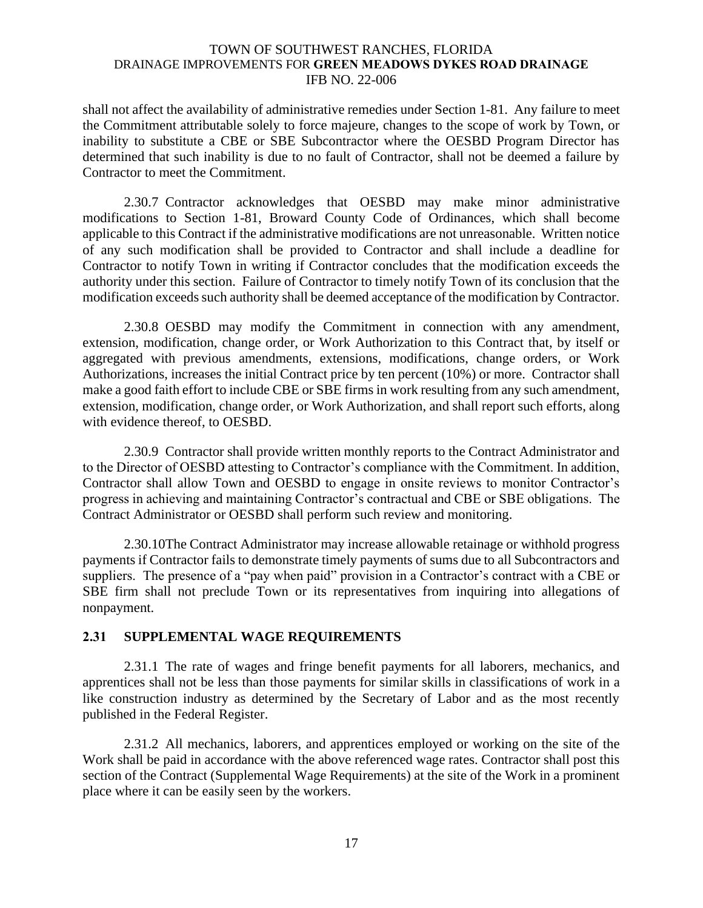shall not affect the availability of administrative remedies under Section 1-81. Any failure to meet the Commitment attributable solely to force majeure, changes to the scope of work by Town, or inability to substitute a CBE or SBE Subcontractor where the OESBD Program Director has determined that such inability is due to no fault of Contractor, shall not be deemed a failure by Contractor to meet the Commitment.

2.30.7 Contractor acknowledges that OESBD may make minor administrative modifications to Section 1-81, Broward County Code of Ordinances, which shall become applicable to this Contract if the administrative modifications are not unreasonable. Written notice of any such modification shall be provided to Contractor and shall include a deadline for Contractor to notify Town in writing if Contractor concludes that the modification exceeds the authority under this section. Failure of Contractor to timely notify Town of its conclusion that the modification exceeds such authority shall be deemed acceptance of the modification by Contractor.

2.30.8 OESBD may modify the Commitment in connection with any amendment, extension, modification, change order, or Work Authorization to this Contract that, by itself or aggregated with previous amendments, extensions, modifications, change orders, or Work Authorizations, increases the initial Contract price by ten percent (10%) or more. Contractor shall make a good faith effort to include CBE or SBE firms in work resulting from any such amendment, extension, modification, change order, or Work Authorization, and shall report such efforts, along with evidence thereof, to OESBD.

2.30.9 Contractor shall provide written monthly reports to the Contract Administrator and to the Director of OESBD attesting to Contractor's compliance with the Commitment. In addition, Contractor shall allow Town and OESBD to engage in onsite reviews to monitor Contractor's progress in achieving and maintaining Contractor's contractual and CBE or SBE obligations. The Contract Administrator or OESBD shall perform such review and monitoring.

2.30.10The Contract Administrator may increase allowable retainage or withhold progress payments if Contractor fails to demonstrate timely payments of sums due to all Subcontractors and suppliers. The presence of a "pay when paid" provision in a Contractor's contract with a CBE or SBE firm shall not preclude Town or its representatives from inquiring into allegations of nonpayment.

### <span id="page-22-0"></span>**2.31 SUPPLEMENTAL WAGE REQUIREMENTS**

2.31.1 The rate of wages and fringe benefit payments for all laborers, mechanics, and apprentices shall not be less than those payments for similar skills in classifications of work in a like construction industry as determined by the Secretary of Labor and as the most recently published in the Federal Register.

2.31.2 All mechanics, laborers, and apprentices employed or working on the site of the Work shall be paid in accordance with the above referenced wage rates. Contractor shall post this section of the Contract (Supplemental Wage Requirements) at the site of the Work in a prominent place where it can be easily seen by the workers.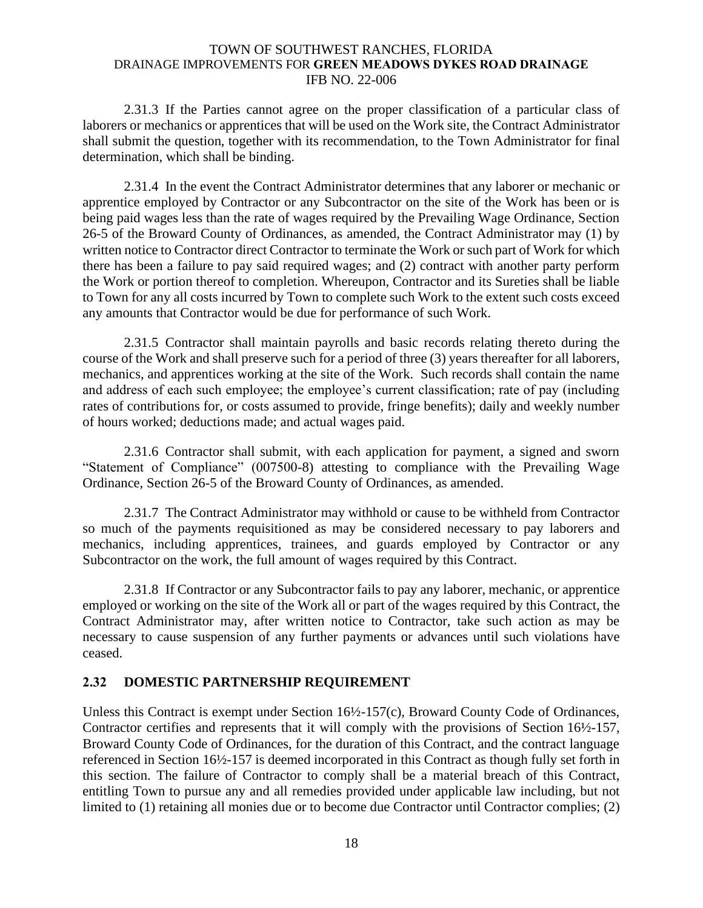2.31.3 If the Parties cannot agree on the proper classification of a particular class of laborers or mechanics or apprentices that will be used on the Work site, the Contract Administrator shall submit the question, together with its recommendation, to the Town Administrator for final determination, which shall be binding.

2.31.4 In the event the Contract Administrator determines that any laborer or mechanic or apprentice employed by Contractor or any Subcontractor on the site of the Work has been or is being paid wages less than the rate of wages required by the Prevailing Wage Ordinance, Section 26-5 of the Broward County of Ordinances, as amended, the Contract Administrator may (1) by written notice to Contractor direct Contractor to terminate the Work or such part of Work for which there has been a failure to pay said required wages; and (2) contract with another party perform the Work or portion thereof to completion. Whereupon, Contractor and its Sureties shall be liable to Town for any all costs incurred by Town to complete such Work to the extent such costs exceed any amounts that Contractor would be due for performance of such Work.

2.31.5 Contractor shall maintain payrolls and basic records relating thereto during the course of the Work and shall preserve such for a period of three (3) years thereafter for all laborers, mechanics, and apprentices working at the site of the Work. Such records shall contain the name and address of each such employee; the employee's current classification; rate of pay (including rates of contributions for, or costs assumed to provide, fringe benefits); daily and weekly number of hours worked; deductions made; and actual wages paid.

2.31.6 Contractor shall submit, with each application for payment, a signed and sworn "Statement of Compliance" (007500-8) attesting to compliance with the Prevailing Wage Ordinance, Section 26-5 of the Broward County of Ordinances, as amended.

2.31.7 The Contract Administrator may withhold or cause to be withheld from Contractor so much of the payments requisitioned as may be considered necessary to pay laborers and mechanics, including apprentices, trainees, and guards employed by Contractor or any Subcontractor on the work, the full amount of wages required by this Contract.

2.31.8 If Contractor or any Subcontractor fails to pay any laborer, mechanic, or apprentice employed or working on the site of the Work all or part of the wages required by this Contract, the Contract Administrator may, after written notice to Contractor, take such action as may be necessary to cause suspension of any further payments or advances until such violations have ceased.

### <span id="page-23-0"></span>**2.32 DOMESTIC PARTNERSHIP REQUIREMENT**

Unless this Contract is exempt under Section 16½-157(c), Broward County Code of Ordinances, Contractor certifies and represents that it will comply with the provisions of Section 16½-157, Broward County Code of Ordinances, for the duration of this Contract, and the contract language referenced in Section 16½-157 is deemed incorporated in this Contract as though fully set forth in this section. The failure of Contractor to comply shall be a material breach of this Contract, entitling Town to pursue any and all remedies provided under applicable law including, but not limited to (1) retaining all monies due or to become due Contractor until Contractor complies; (2)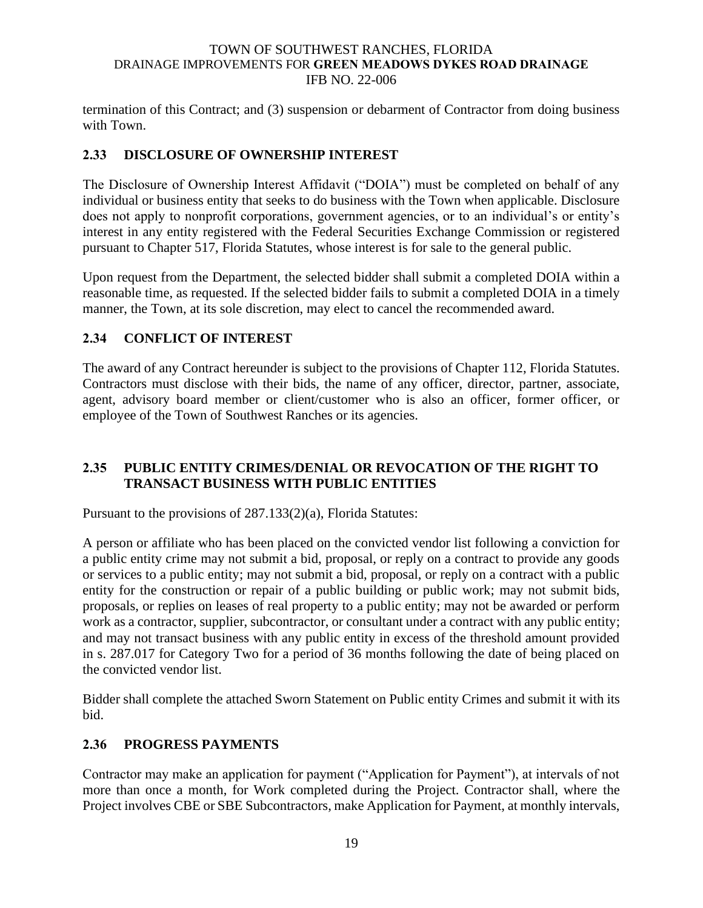termination of this Contract; and (3) suspension or debarment of Contractor from doing business with Town.

# <span id="page-24-0"></span>**2.33 DISCLOSURE OF OWNERSHIP INTEREST**

The Disclosure of Ownership Interest Affidavit ("DOIA") must be completed on behalf of any individual or business entity that seeks to do business with the Town when applicable. Disclosure does not apply to nonprofit corporations, government agencies, or to an individual's or entity's interest in any entity registered with the Federal Securities Exchange Commission or registered pursuant to Chapter 517, Florida Statutes, whose interest is for sale to the general public.

Upon request from the Department, the selected bidder shall submit a completed DOIA within a reasonable time, as requested. If the selected bidder fails to submit a completed DOIA in a timely manner, the Town, at its sole discretion, may elect to cancel the recommended award.

# <span id="page-24-1"></span>**2.34 CONFLICT OF INTEREST**

The award of any Contract hereunder is subject to the provisions of Chapter 112, Florida Statutes. Contractors must disclose with their bids, the name of any officer, director, partner, associate, agent, advisory board member or client/customer who is also an officer, former officer, or employee of the Town of Southwest Ranches or its agencies.

# <span id="page-24-2"></span>**2.35 PUBLIC ENTITY CRIMES/DENIAL OR REVOCATION OF THE RIGHT TO TRANSACT BUSINESS WITH PUBLIC ENTITIES**

Pursuant to the provisions of 287.133(2)(a), Florida Statutes:

A person or affiliate who has been placed on the convicted vendor list following a conviction for a public entity crime may not submit a bid, proposal, or reply on a contract to provide any goods or services to a public entity; may not submit a bid, proposal, or reply on a contract with a public entity for the construction or repair of a public building or public work; may not submit bids, proposals, or replies on leases of real property to a public entity; may not be awarded or perform work as a contractor, supplier, subcontractor, or consultant under a contract with any public entity; and may not transact business with any public entity in excess of the threshold amount provided in s. 287.017 for Category Two for a period of 36 months following the date of being placed on the convicted vendor list.

Bidder shall complete the attached Sworn Statement on Public entity Crimes and submit it with its bid.

# <span id="page-24-3"></span>**2.36 PROGRESS PAYMENTS**

Contractor may make an application for payment ("Application for Payment"), at intervals of not more than once a month, for Work completed during the Project. Contractor shall, where the Project involves CBE or SBE Subcontractors, make Application for Payment, at monthly intervals,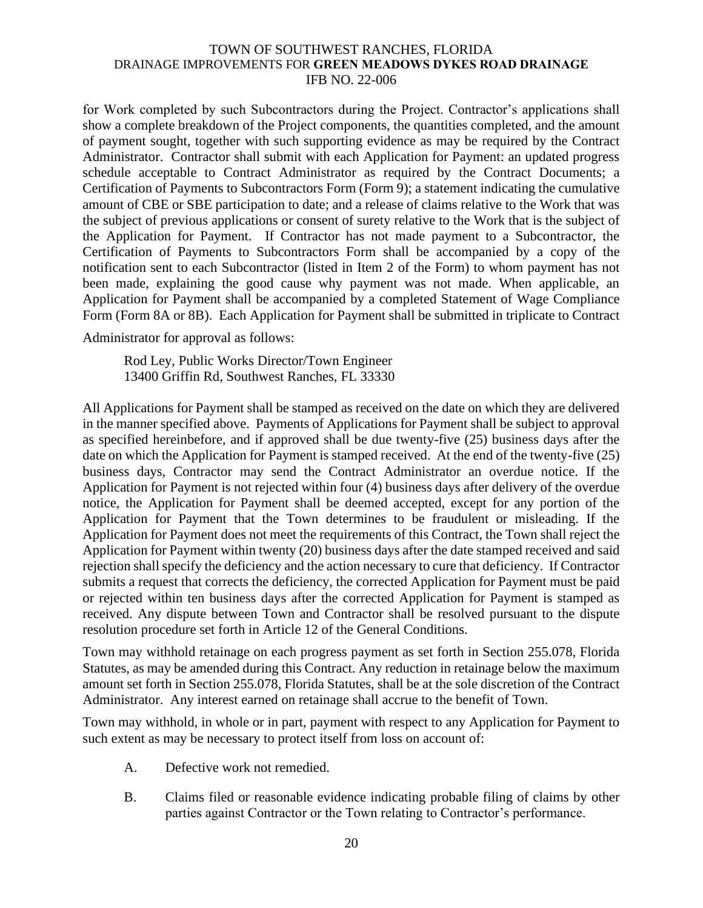for Work completed by such Subcontractors during the Project. Contractor's applications shall show a complete breakdown of the Project components, the quantities completed, and the amount of payment sought, together with such supporting evidence as may be required by the Contract Administrator. Contractor shall submit with each Application for Payment: an updated progress schedule acceptable to Contract Administrator as required by the Contract Documents; a Certification of Payments to Subcontractors Form (Form 9); a statement indicating the cumulative amount of CBE or SBE participation to date; and a release of claims relative to the Work that was the subject of previous applications or consent of surety relative to the Work that is the subject of the Application for Payment. If Contractor has not made payment to a Subcontractor, the Certification of Payments to Subcontractors Form shall be accompanied by a copy of the notification sent to each Subcontractor (listed in Item 2 of the Form) to whom payment has not been made, explaining the good cause why payment was not made. When applicable, an Application for Payment shall be accompanied by a completed Statement of Wage Compliance Form (Form 8A or 8B). Each Application for Payment shall be submitted in triplicate to Contract

Administrator for approval as follows:

Rod Ley, Public Works Director/Town Engineer 13400 Griffin Rd, Southwest Ranches, FL 33330

All Applications for Payment shall be stamped as received on the date on which they are delivered in the manner specified above. Payments of Applications for Payment shall be subject to approval as specified hereinbefore, and if approved shall be due twenty-five (25) business days after the date on which the Application for Payment is stamped received. At the end of the twenty-five (25) business days, Contractor may send the Contract Administrator an overdue notice. If the Application for Payment is not rejected within four (4) business days after delivery of the overdue notice, the Application for Payment shall be deemed accepted, except for any portion of the Application for Payment that the Town determines to be fraudulent or misleading. If the Application for Payment does not meet the requirements of this Contract, the Town shall reject the Application for Payment within twenty (20) business days after the date stamped received and said rejection shall specify the deficiency and the action necessary to cure that deficiency. If Contractor submits a request that corrects the deficiency, the corrected Application for Payment must be paid or rejected within ten business days after the corrected Application for Payment is stamped as received. Any dispute between Town and Contractor shall be resolved pursuant to the dispute resolution procedure set forth in Article 12 of the General Conditions.

Town may withhold retainage on each progress payment as set forth in Section 255.078, Florida Statutes, as may be amended during this Contract. Any reduction in retainage below the maximum amount set forth in Section 255.078, Florida Statutes, shall be at the sole discretion of the Contract Administrator. Any interest earned on retainage shall accrue to the benefit of Town.

Town may withhold, in whole or in part, payment with respect to any Application for Payment to such extent as may be necessary to protect itself from loss on account of:

- A. Defective work not remedied.
- B. Claims filed or reasonable evidence indicating probable filing of claims by other parties against Contractor or the Town relating to Contractor's performance.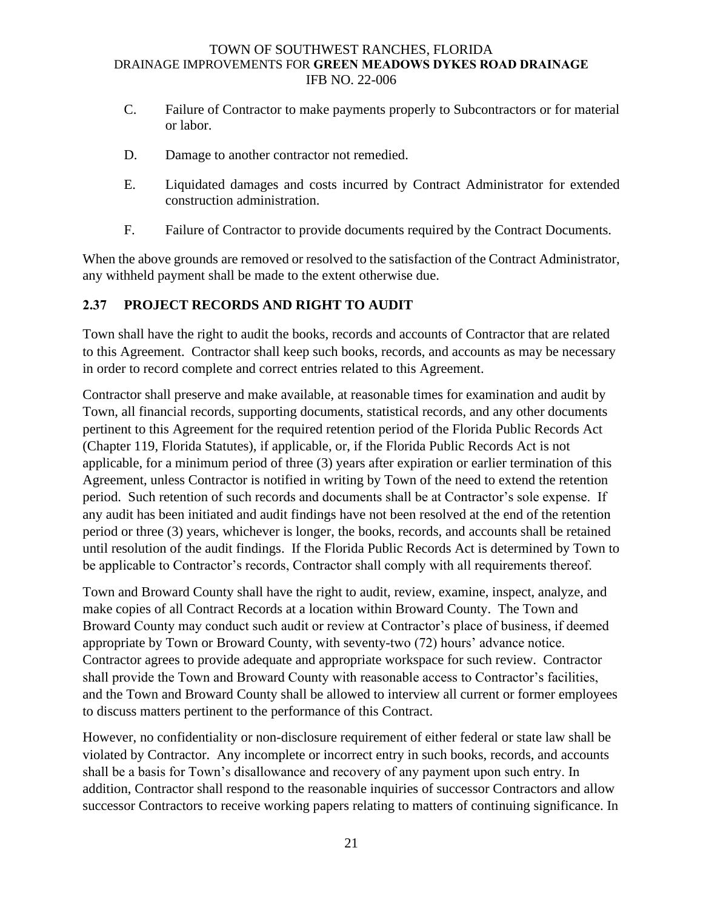- C. Failure of Contractor to make payments properly to Subcontractors or for material or labor.
- D. Damage to another contractor not remedied.
- E. Liquidated damages and costs incurred by Contract Administrator for extended construction administration.
- F. Failure of Contractor to provide documents required by the Contract Documents.

When the above grounds are removed or resolved to the satisfaction of the Contract Administrator, any withheld payment shall be made to the extent otherwise due.

# <span id="page-26-0"></span>**2.37 PROJECT RECORDS AND RIGHT TO AUDIT**

Town shall have the right to audit the books, records and accounts of Contractor that are related to this Agreement. Contractor shall keep such books, records, and accounts as may be necessary in order to record complete and correct entries related to this Agreement.

Contractor shall preserve and make available, at reasonable times for examination and audit by Town, all financial records, supporting documents, statistical records, and any other documents pertinent to this Agreement for the required retention period of the Florida Public Records Act (Chapter 119, Florida Statutes), if applicable, or, if the Florida Public Records Act is not applicable, for a minimum period of three (3) years after expiration or earlier termination of this Agreement, unless Contractor is notified in writing by Town of the need to extend the retention period. Such retention of such records and documents shall be at Contractor's sole expense. If any audit has been initiated and audit findings have not been resolved at the end of the retention period or three (3) years, whichever is longer, the books, records, and accounts shall be retained until resolution of the audit findings. If the Florida Public Records Act is determined by Town to be applicable to Contractor's records, Contractor shall comply with all requirements thereof.

Town and Broward County shall have the right to audit, review, examine, inspect, analyze, and make copies of all Contract Records at a location within Broward County. The Town and Broward County may conduct such audit or review at Contractor's place of business, if deemed appropriate by Town or Broward County, with seventy-two (72) hours' advance notice. Contractor agrees to provide adequate and appropriate workspace for such review. Contractor shall provide the Town and Broward County with reasonable access to Contractor's facilities, and the Town and Broward County shall be allowed to interview all current or former employees to discuss matters pertinent to the performance of this Contract.

However, no confidentiality or non-disclosure requirement of either federal or state law shall be violated by Contractor. Any incomplete or incorrect entry in such books, records, and accounts shall be a basis for Town's disallowance and recovery of any payment upon such entry. In addition, Contractor shall respond to the reasonable inquiries of successor Contractors and allow successor Contractors to receive working papers relating to matters of continuing significance. In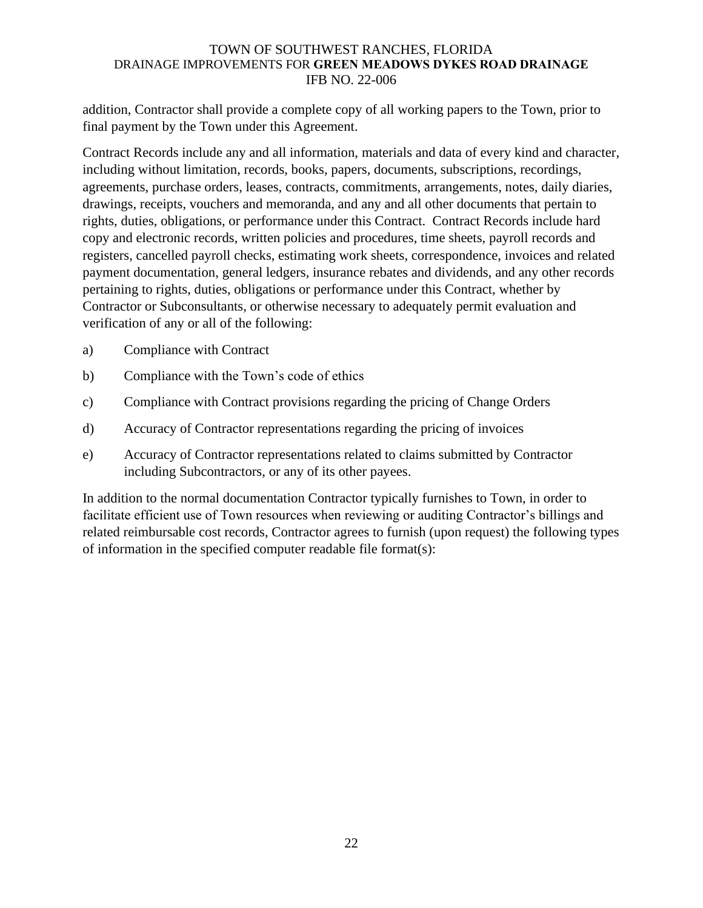addition, Contractor shall provide a complete copy of all working papers to the Town, prior to final payment by the Town under this Agreement.

Contract Records include any and all information, materials and data of every kind and character, including without limitation, records, books, papers, documents, subscriptions, recordings, agreements, purchase orders, leases, contracts, commitments, arrangements, notes, daily diaries, drawings, receipts, vouchers and memoranda, and any and all other documents that pertain to rights, duties, obligations, or performance under this Contract. Contract Records include hard copy and electronic records, written policies and procedures, time sheets, payroll records and registers, cancelled payroll checks, estimating work sheets, correspondence, invoices and related payment documentation, general ledgers, insurance rebates and dividends, and any other records pertaining to rights, duties, obligations or performance under this Contract, whether by Contractor or Subconsultants, or otherwise necessary to adequately permit evaluation and verification of any or all of the following:

- a) Compliance with Contract
- b) Compliance with the Town's code of ethics
- c) Compliance with Contract provisions regarding the pricing of Change Orders
- d) Accuracy of Contractor representations regarding the pricing of invoices
- e) Accuracy of Contractor representations related to claims submitted by Contractor including Subcontractors, or any of its other payees.

In addition to the normal documentation Contractor typically furnishes to Town, in order to facilitate efficient use of Town resources when reviewing or auditing Contractor's billings and related reimbursable cost records, Contractor agrees to furnish (upon request) the following types of information in the specified computer readable file format(s):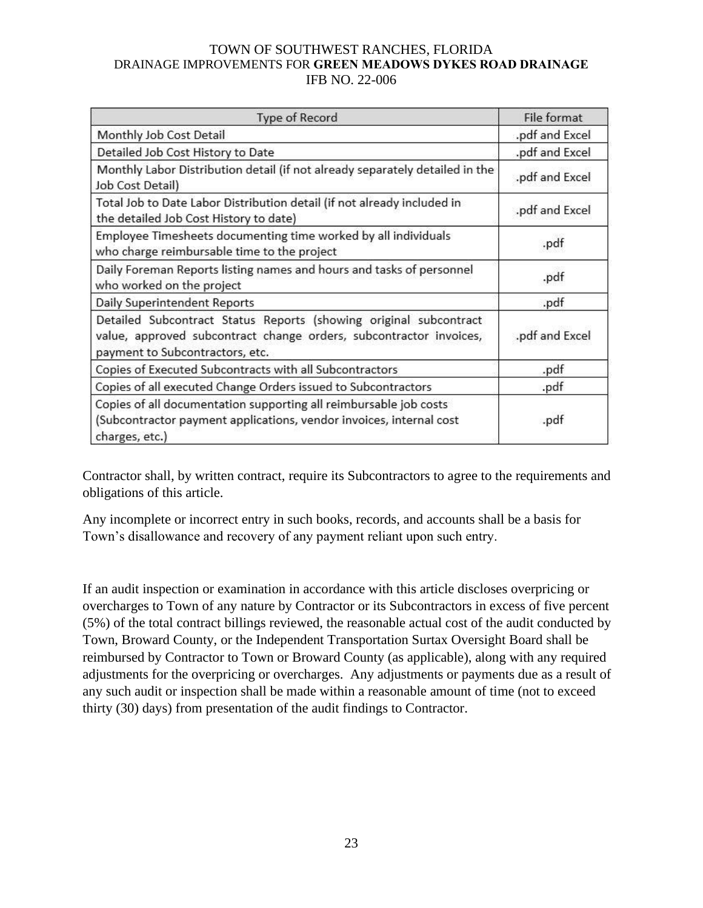| Type of Record                                                                                                                                                             | File format    |
|----------------------------------------------------------------------------------------------------------------------------------------------------------------------------|----------------|
| Monthly Job Cost Detail                                                                                                                                                    | .pdf and Excel |
| Detailed Job Cost History to Date                                                                                                                                          | .pdf and Excel |
| Monthly Labor Distribution detail (if not already separately detailed in the<br>Job Cost Detail)                                                                           | .pdf and Excel |
| Total Job to Date Labor Distribution detail (if not already included in<br>the detailed Job Cost History to date)                                                          | .pdf and Excel |
| Employee Timesheets documenting time worked by all individuals<br>who charge reimbursable time to the project                                                              | .pdf           |
| Daily Foreman Reports listing names and hours and tasks of personnel<br>who worked on the project                                                                          | .pdf           |
| Daily Superintendent Reports                                                                                                                                               | .pdf           |
| Detailed Subcontract Status Reports (showing original subcontract<br>value, approved subcontract change orders, subcontractor invoices,<br>payment to Subcontractors, etc. | .pdf and Excel |
| Copies of Executed Subcontracts with all Subcontractors                                                                                                                    | .pdf           |
| Copies of all executed Change Orders issued to Subcontractors                                                                                                              | .pdf           |
| Copies of all documentation supporting all reimbursable job costs<br>(Subcontractor payment applications, vendor invoices, internal cost<br>charges, etc.)                 | .pdf           |

Contractor shall, by written contract, require its Subcontractors to agree to the requirements and obligations of this article.

Any incomplete or incorrect entry in such books, records, and accounts shall be a basis for Town's disallowance and recovery of any payment reliant upon such entry.

If an audit inspection or examination in accordance with this article discloses overpricing or overcharges to Town of any nature by Contractor or its Subcontractors in excess of five percent (5%) of the total contract billings reviewed, the reasonable actual cost of the audit conducted by Town, Broward County, or the Independent Transportation Surtax Oversight Board shall be reimbursed by Contractor to Town or Broward County (as applicable), along with any required adjustments for the overpricing or overcharges. Any adjustments or payments due as a result of any such audit or inspection shall be made within a reasonable amount of time (not to exceed thirty (30) days) from presentation of the audit findings to Contractor.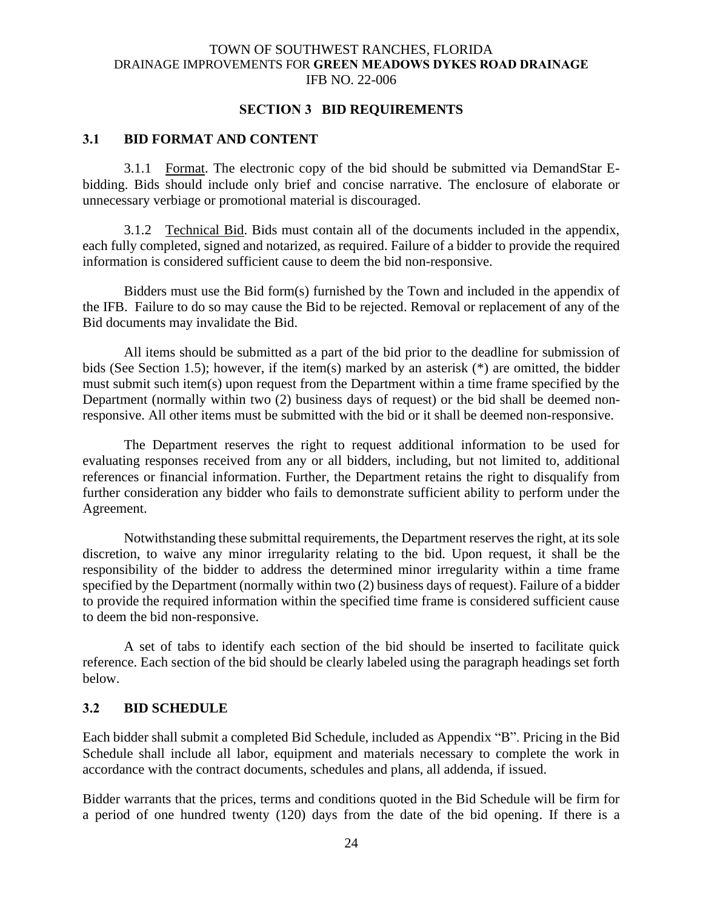### **SECTION 3 BID REQUIREMENTS**

#### <span id="page-29-1"></span><span id="page-29-0"></span>**3.1 BID FORMAT AND CONTENT**

3.1.1 Format. The electronic copy of the bid should be submitted via DemandStar Ebidding. Bids should include only brief and concise narrative. The enclosure of elaborate or unnecessary verbiage or promotional material is discouraged.

3.1.2 Technical Bid. Bids must contain all of the documents included in the appendix, each fully completed, signed and notarized, as required. Failure of a bidder to provide the required information is considered sufficient cause to deem the bid non-responsive.

Bidders must use the Bid form(s) furnished by the Town and included in the appendix of the IFB. Failure to do so may cause the Bid to be rejected. Removal or replacement of any of the Bid documents may invalidate the Bid.

All items should be submitted as a part of the bid prior to the deadline for submission of bids (See Section 1.5); however, if the item(s) marked by an asterisk (\*) are omitted, the bidder must submit such item(s) upon request from the Department within a time frame specified by the Department (normally within two (2) business days of request) or the bid shall be deemed nonresponsive. All other items must be submitted with the bid or it shall be deemed non-responsive.

The Department reserves the right to request additional information to be used for evaluating responses received from any or all bidders, including, but not limited to, additional references or financial information. Further, the Department retains the right to disqualify from further consideration any bidder who fails to demonstrate sufficient ability to perform under the Agreement.

Notwithstanding these submittal requirements, the Department reserves the right, at its sole discretion, to waive any minor irregularity relating to the bid. Upon request, it shall be the responsibility of the bidder to address the determined minor irregularity within a time frame specified by the Department (normally within two (2) business days of request). Failure of a bidder to provide the required information within the specified time frame is considered sufficient cause to deem the bid non-responsive.

A set of tabs to identify each section of the bid should be inserted to facilitate quick reference. Each section of the bid should be clearly labeled using the paragraph headings set forth below.

#### <span id="page-29-2"></span>**3.2 BID SCHEDULE**

Each bidder shall submit a completed Bid Schedule, included as Appendix "B". Pricing in the Bid Schedule shall include all labor, equipment and materials necessary to complete the work in accordance with the contract documents, schedules and plans, all addenda, if issued.

Bidder warrants that the prices, terms and conditions quoted in the Bid Schedule will be firm for a period of one hundred twenty (120) days from the date of the bid opening. If there is a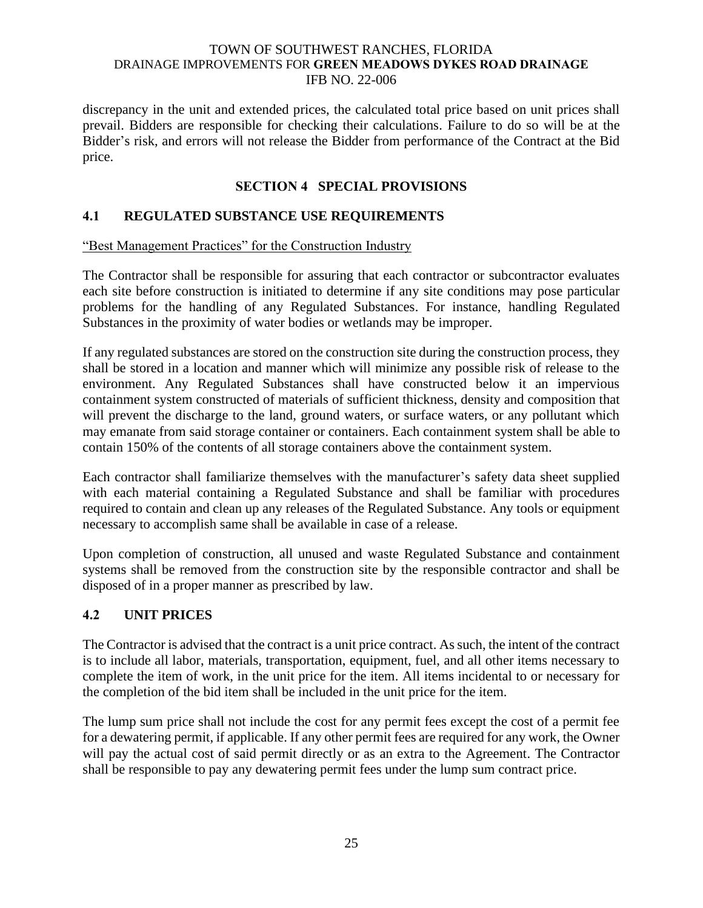discrepancy in the unit and extended prices, the calculated total price based on unit prices shall prevail. Bidders are responsible for checking their calculations. Failure to do so will be at the Bidder's risk, and errors will not release the Bidder from performance of the Contract at the Bid price.

# **SECTION 4 SPECIAL PROVISIONS**

### <span id="page-30-1"></span><span id="page-30-0"></span>**4.1 REGULATED SUBSTANCE USE REQUIREMENTS**

#### "Best Management Practices" for the Construction Industry

The Contractor shall be responsible for assuring that each contractor or subcontractor evaluates each site before construction is initiated to determine if any site conditions may pose particular problems for the handling of any Regulated Substances. For instance, handling Regulated Substances in the proximity of water bodies or wetlands may be improper.

If any regulated substances are stored on the construction site during the construction process, they shall be stored in a location and manner which will minimize any possible risk of release to the environment. Any Regulated Substances shall have constructed below it an impervious containment system constructed of materials of sufficient thickness, density and composition that will prevent the discharge to the land, ground waters, or surface waters, or any pollutant which may emanate from said storage container or containers. Each containment system shall be able to contain 150% of the contents of all storage containers above the containment system.

Each contractor shall familiarize themselves with the manufacturer's safety data sheet supplied with each material containing a Regulated Substance and shall be familiar with procedures required to contain and clean up any releases of the Regulated Substance. Any tools or equipment necessary to accomplish same shall be available in case of a release.

Upon completion of construction, all unused and waste Regulated Substance and containment systems shall be removed from the construction site by the responsible contractor and shall be disposed of in a proper manner as prescribed by law.

# <span id="page-30-2"></span>**4.2 UNIT PRICES**

The Contractor is advised that the contract is a unit price contract. As such, the intent of the contract is to include all labor, materials, transportation, equipment, fuel, and all other items necessary to complete the item of work, in the unit price for the item. All items incidental to or necessary for the completion of the bid item shall be included in the unit price for the item.

The lump sum price shall not include the cost for any permit fees except the cost of a permit fee for a dewatering permit, if applicable. If any other permit fees are required for any work, the Owner will pay the actual cost of said permit directly or as an extra to the Agreement. The Contractor shall be responsible to pay any dewatering permit fees under the lump sum contract price.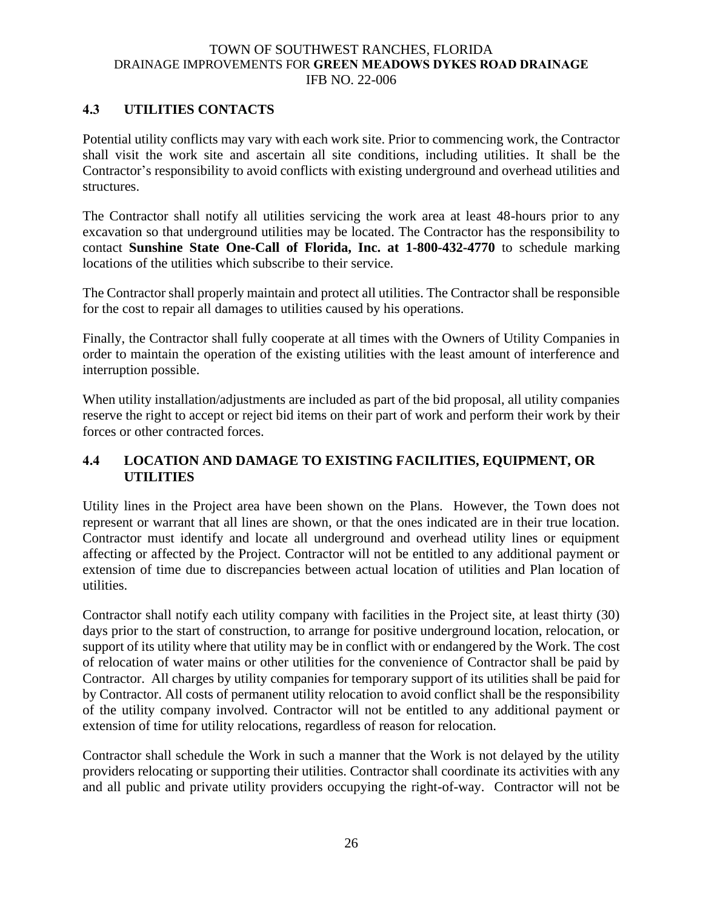## <span id="page-31-0"></span>**4.3 UTILITIES CONTACTS**

Potential utility conflicts may vary with each work site. Prior to commencing work, the Contractor shall visit the work site and ascertain all site conditions, including utilities. It shall be the Contractor's responsibility to avoid conflicts with existing underground and overhead utilities and structures.

The Contractor shall notify all utilities servicing the work area at least 48-hours prior to any excavation so that underground utilities may be located. The Contractor has the responsibility to contact **Sunshine State One-Call of Florida, Inc. at 1-800-432-4770** to schedule marking locations of the utilities which subscribe to their service.

The Contractor shall properly maintain and protect all utilities. The Contractor shall be responsible for the cost to repair all damages to utilities caused by his operations.

Finally, the Contractor shall fully cooperate at all times with the Owners of Utility Companies in order to maintain the operation of the existing utilities with the least amount of interference and interruption possible.

When utility installation/adjustments are included as part of the bid proposal, all utility companies reserve the right to accept or reject bid items on their part of work and perform their work by their forces or other contracted forces.

# <span id="page-31-1"></span>**4.4 LOCATION AND DAMAGE TO EXISTING FACILITIES, EQUIPMENT, OR UTILITIES**

Utility lines in the Project area have been shown on the Plans. However, the Town does not represent or warrant that all lines are shown, or that the ones indicated are in their true location. Contractor must identify and locate all underground and overhead utility lines or equipment affecting or affected by the Project. Contractor will not be entitled to any additional payment or extension of time due to discrepancies between actual location of utilities and Plan location of utilities.

Contractor shall notify each utility company with facilities in the Project site, at least thirty (30) days prior to the start of construction, to arrange for positive underground location, relocation, or support of its utility where that utility may be in conflict with or endangered by the Work. The cost of relocation of water mains or other utilities for the convenience of Contractor shall be paid by Contractor. All charges by utility companies for temporary support of its utilities shall be paid for by Contractor. All costs of permanent utility relocation to avoid conflict shall be the responsibility of the utility company involved. Contractor will not be entitled to any additional payment or extension of time for utility relocations, regardless of reason for relocation.

Contractor shall schedule the Work in such a manner that the Work is not delayed by the utility providers relocating or supporting their utilities. Contractor shall coordinate its activities with any and all public and private utility providers occupying the right-of-way. Contractor will not be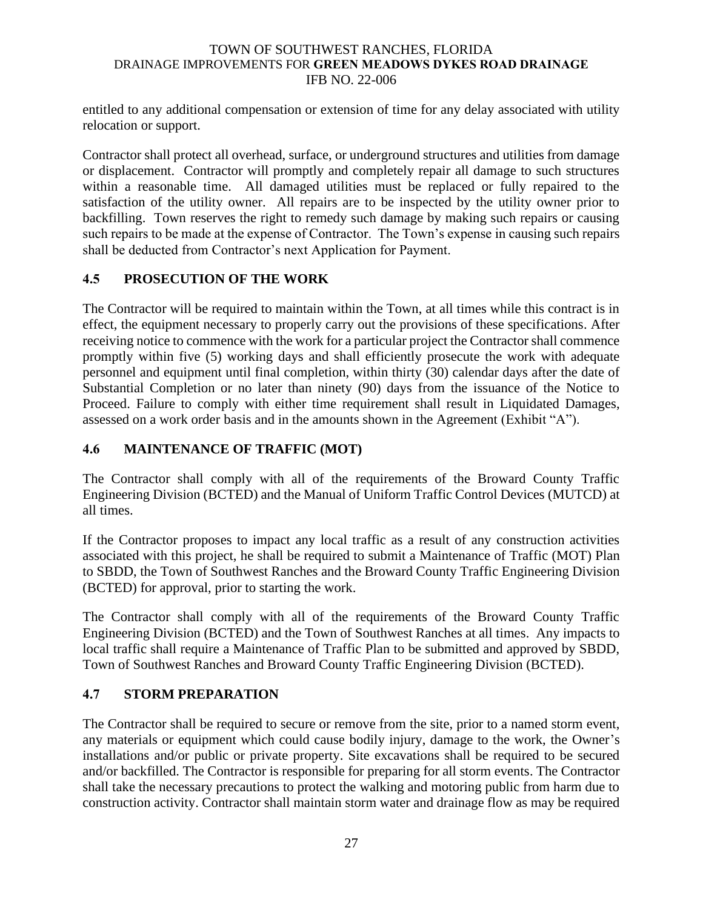entitled to any additional compensation or extension of time for any delay associated with utility relocation or support.

Contractor shall protect all overhead, surface, or underground structures and utilities from damage or displacement. Contractor will promptly and completely repair all damage to such structures within a reasonable time. All damaged utilities must be replaced or fully repaired to the satisfaction of the utility owner. All repairs are to be inspected by the utility owner prior to backfilling. Town reserves the right to remedy such damage by making such repairs or causing such repairs to be made at the expense of Contractor. The Town's expense in causing such repairs shall be deducted from Contractor's next Application for Payment.

### <span id="page-32-0"></span>**4.5 PROSECUTION OF THE WORK**

The Contractor will be required to maintain within the Town, at all times while this contract is in effect, the equipment necessary to properly carry out the provisions of these specifications. After receiving notice to commence with the work for a particular project the Contractor shall commence promptly within five (5) working days and shall efficiently prosecute the work with adequate personnel and equipment until final completion, within thirty (30) calendar days after the date of Substantial Completion or no later than ninety (90) days from the issuance of the Notice to Proceed. Failure to comply with either time requirement shall result in Liquidated Damages, assessed on a work order basis and in the amounts shown in the Agreement (Exhibit "A").

## <span id="page-32-1"></span>**4.6 MAINTENANCE OF TRAFFIC (MOT)**

The Contractor shall comply with all of the requirements of the Broward County Traffic Engineering Division (BCTED) and the Manual of Uniform Traffic Control Devices (MUTCD) at all times.

If the Contractor proposes to impact any local traffic as a result of any construction activities associated with this project, he shall be required to submit a Maintenance of Traffic (MOT) Plan to SBDD, the Town of Southwest Ranches and the Broward County Traffic Engineering Division (BCTED) for approval, prior to starting the work.

The Contractor shall comply with all of the requirements of the Broward County Traffic Engineering Division (BCTED) and the Town of Southwest Ranches at all times. Any impacts to local traffic shall require a Maintenance of Traffic Plan to be submitted and approved by SBDD, Town of Southwest Ranches and Broward County Traffic Engineering Division (BCTED).

# <span id="page-32-2"></span>**4.7 STORM PREPARATION**

The Contractor shall be required to secure or remove from the site, prior to a named storm event, any materials or equipment which could cause bodily injury, damage to the work, the Owner's installations and/or public or private property. Site excavations shall be required to be secured and/or backfilled. The Contractor is responsible for preparing for all storm events. The Contractor shall take the necessary precautions to protect the walking and motoring public from harm due to construction activity. Contractor shall maintain storm water and drainage flow as may be required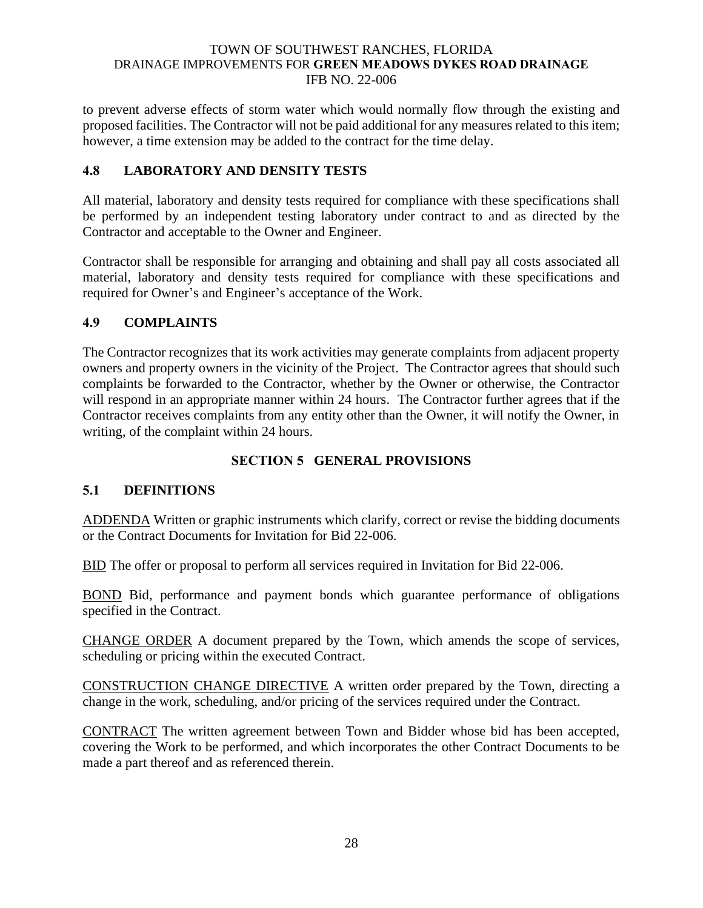to prevent adverse effects of storm water which would normally flow through the existing and proposed facilities. The Contractor will not be paid additional for any measures related to this item; however, a time extension may be added to the contract for the time delay.

# <span id="page-33-0"></span>**4.8 LABORATORY AND DENSITY TESTS**

All material, laboratory and density tests required for compliance with these specifications shall be performed by an independent testing laboratory under contract to and as directed by the Contractor and acceptable to the Owner and Engineer.

Contractor shall be responsible for arranging and obtaining and shall pay all costs associated all material, laboratory and density tests required for compliance with these specifications and required for Owner's and Engineer's acceptance of the Work.

### <span id="page-33-1"></span>**4.9 COMPLAINTS**

The Contractor recognizes that its work activities may generate complaints from adjacent property owners and property owners in the vicinity of the Project. The Contractor agrees that should such complaints be forwarded to the Contractor, whether by the Owner or otherwise, the Contractor will respond in an appropriate manner within 24 hours. The Contractor further agrees that if the Contractor receives complaints from any entity other than the Owner, it will notify the Owner, in writing, of the complaint within 24 hours.

# **SECTION 5 GENERAL PROVISIONS**

# <span id="page-33-3"></span><span id="page-33-2"></span>**5.1 DEFINITIONS**

ADDENDA Written or graphic instruments which clarify, correct or revise the bidding documents or the Contract Documents for Invitation for Bid 22-006.

BID The offer or proposal to perform all services required in Invitation for Bid 22-006.

BOND Bid, performance and payment bonds which guarantee performance of obligations specified in the Contract.

CHANGE ORDER A document prepared by the Town, which amends the scope of services, scheduling or pricing within the executed Contract.

CONSTRUCTION CHANGE DIRECTIVE A written order prepared by the Town, directing a change in the work, scheduling, and/or pricing of the services required under the Contract.

CONTRACT The written agreement between Town and Bidder whose bid has been accepted, covering the Work to be performed, and which incorporates the other Contract Documents to be made a part thereof and as referenced therein.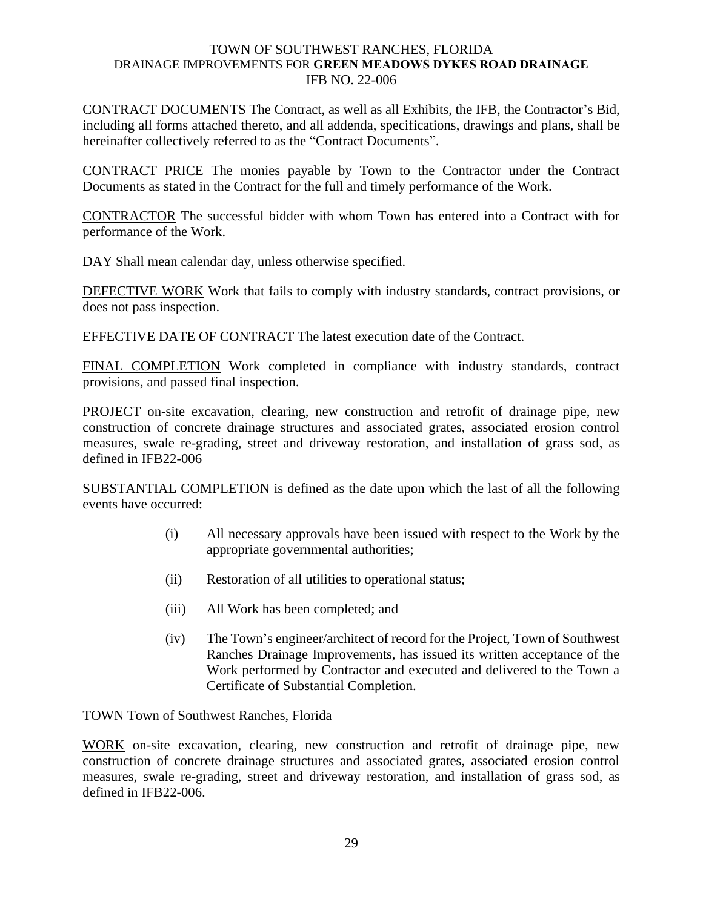CONTRACT DOCUMENTS The Contract, as well as all Exhibits, the IFB, the Contractor's Bid, including all forms attached thereto, and all addenda, specifications, drawings and plans, shall be hereinafter collectively referred to as the "Contract Documents".

CONTRACT PRICE The monies payable by Town to the Contractor under the Contract Documents as stated in the Contract for the full and timely performance of the Work.

CONTRACTOR The successful bidder with whom Town has entered into a Contract with for performance of the Work.

DAY Shall mean calendar day, unless otherwise specified.

DEFECTIVE WORK Work that fails to comply with industry standards, contract provisions, or does not pass inspection.

EFFECTIVE DATE OF CONTRACT The latest execution date of the Contract.

FINAL COMPLETION Work completed in compliance with industry standards, contract provisions, and passed final inspection.

PROJECT on-site excavation, clearing, new construction and retrofit of drainage pipe, new construction of concrete drainage structures and associated grates, associated erosion control measures, swale re-grading, street and driveway restoration, and installation of grass sod, as defined in IFB22-006

SUBSTANTIAL COMPLETION is defined as the date upon which the last of all the following events have occurred:

- (i) All necessary approvals have been issued with respect to the Work by the appropriate governmental authorities;
- (ii) Restoration of all utilities to operational status;
- (iii) All Work has been completed; and
- (iv) The Town's engineer/architect of record for the Project, Town of Southwest Ranches Drainage Improvements, has issued its written acceptance of the Work performed by Contractor and executed and delivered to the Town a Certificate of Substantial Completion.

TOWN Town of Southwest Ranches, Florida

WORK on-site excavation, clearing, new construction and retrofit of drainage pipe, new construction of concrete drainage structures and associated grates, associated erosion control measures, swale re-grading, street and driveway restoration, and installation of grass sod, as defined in IFB22-006.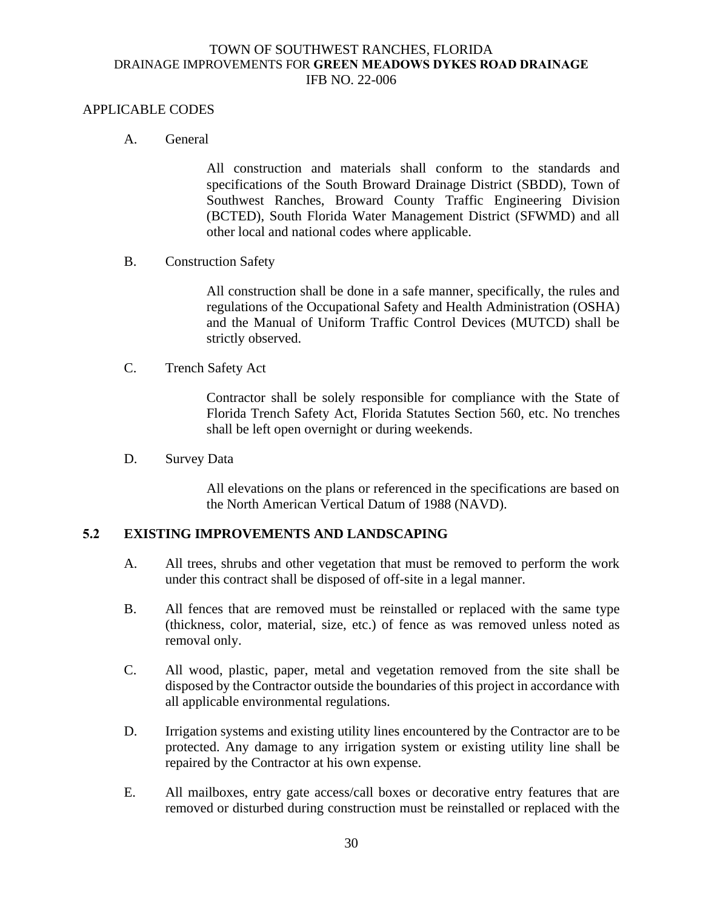#### APPLICABLE CODES

A. General

All construction and materials shall conform to the standards and specifications of the South Broward Drainage District (SBDD), Town of Southwest Ranches, Broward County Traffic Engineering Division (BCTED), South Florida Water Management District (SFWMD) and all other local and national codes where applicable.

B. Construction Safety

All construction shall be done in a safe manner, specifically, the rules and regulations of the Occupational Safety and Health Administration (OSHA) and the Manual of Uniform Traffic Control Devices (MUTCD) shall be strictly observed.

C. Trench Safety Act

Contractor shall be solely responsible for compliance with the State of Florida Trench Safety Act, Florida Statutes Section 560, etc. No trenches shall be left open overnight or during weekends.

D. Survey Data

All elevations on the plans or referenced in the specifications are based on the North American Vertical Datum of 1988 (NAVD).

### <span id="page-35-0"></span>**5.2 EXISTING IMPROVEMENTS AND LANDSCAPING**

- A. All trees, shrubs and other vegetation that must be removed to perform the work under this contract shall be disposed of off-site in a legal manner.
- B. All fences that are removed must be reinstalled or replaced with the same type (thickness, color, material, size, etc.) of fence as was removed unless noted as removal only.
- C. All wood, plastic, paper, metal and vegetation removed from the site shall be disposed by the Contractor outside the boundaries of this project in accordance with all applicable environmental regulations.
- D. Irrigation systems and existing utility lines encountered by the Contractor are to be protected. Any damage to any irrigation system or existing utility line shall be repaired by the Contractor at his own expense.
- E. All mailboxes, entry gate access/call boxes or decorative entry features that are removed or disturbed during construction must be reinstalled or replaced with the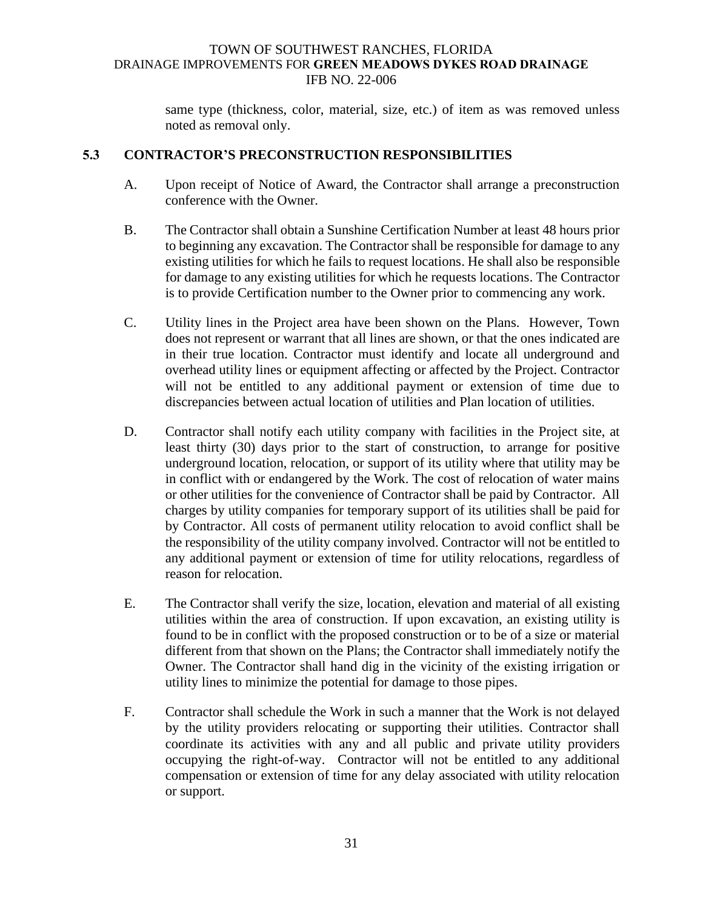same type (thickness, color, material, size, etc.) of item as was removed unless noted as removal only.

## **5.3 CONTRACTOR'S PRECONSTRUCTION RESPONSIBILITIES**

- A. Upon receipt of Notice of Award, the Contractor shall arrange a preconstruction conference with the Owner.
- B. The Contractor shall obtain a Sunshine Certification Number at least 48 hours prior to beginning any excavation. The Contractor shall be responsible for damage to any existing utilities for which he fails to request locations. He shall also be responsible for damage to any existing utilities for which he requests locations. The Contractor is to provide Certification number to the Owner prior to commencing any work.
- C. Utility lines in the Project area have been shown on the Plans. However, Town does not represent or warrant that all lines are shown, or that the ones indicated are in their true location. Contractor must identify and locate all underground and overhead utility lines or equipment affecting or affected by the Project. Contractor will not be entitled to any additional payment or extension of time due to discrepancies between actual location of utilities and Plan location of utilities.
- D. Contractor shall notify each utility company with facilities in the Project site, at least thirty (30) days prior to the start of construction, to arrange for positive underground location, relocation, or support of its utility where that utility may be in conflict with or endangered by the Work. The cost of relocation of water mains or other utilities for the convenience of Contractor shall be paid by Contractor. All charges by utility companies for temporary support of its utilities shall be paid for by Contractor. All costs of permanent utility relocation to avoid conflict shall be the responsibility of the utility company involved. Contractor will not be entitled to any additional payment or extension of time for utility relocations, regardless of reason for relocation.
- E. The Contractor shall verify the size, location, elevation and material of all existing utilities within the area of construction. If upon excavation, an existing utility is found to be in conflict with the proposed construction or to be of a size or material different from that shown on the Plans; the Contractor shall immediately notify the Owner. The Contractor shall hand dig in the vicinity of the existing irrigation or utility lines to minimize the potential for damage to those pipes.
- F. Contractor shall schedule the Work in such a manner that the Work is not delayed by the utility providers relocating or supporting their utilities. Contractor shall coordinate its activities with any and all public and private utility providers occupying the right-of-way. Contractor will not be entitled to any additional compensation or extension of time for any delay associated with utility relocation or support.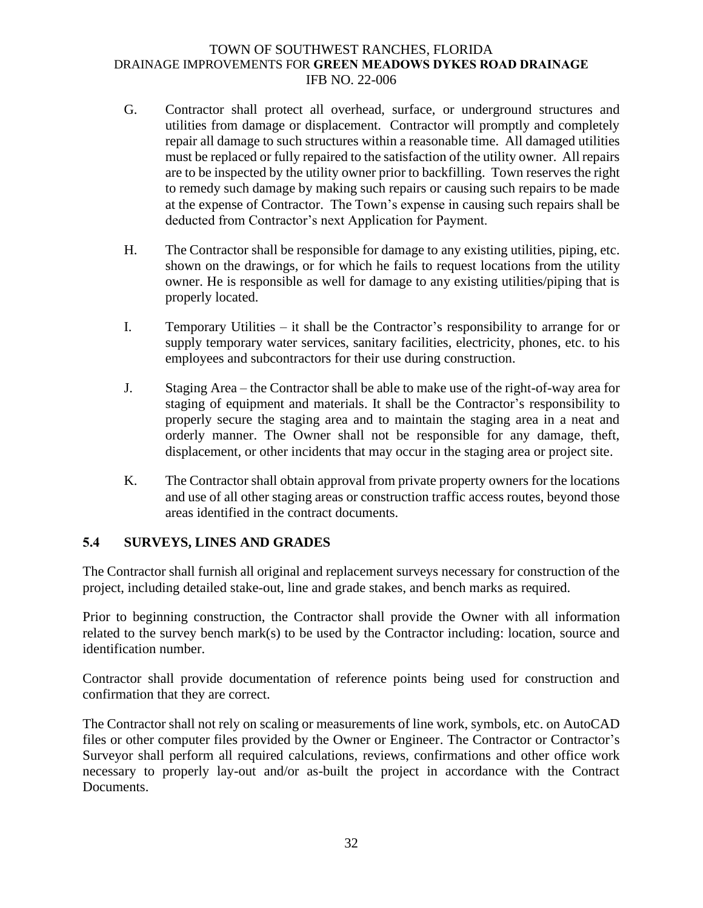- G. Contractor shall protect all overhead, surface, or underground structures and utilities from damage or displacement. Contractor will promptly and completely repair all damage to such structures within a reasonable time. All damaged utilities must be replaced or fully repaired to the satisfaction of the utility owner. All repairs are to be inspected by the utility owner prior to backfilling. Town reserves the right to remedy such damage by making such repairs or causing such repairs to be made at the expense of Contractor. The Town's expense in causing such repairs shall be deducted from Contractor's next Application for Payment.
- H. The Contractor shall be responsible for damage to any existing utilities, piping, etc. shown on the drawings, or for which he fails to request locations from the utility owner. He is responsible as well for damage to any existing utilities/piping that is properly located.
- I. Temporary Utilities it shall be the Contractor's responsibility to arrange for or supply temporary water services, sanitary facilities, electricity, phones, etc. to his employees and subcontractors for their use during construction.
- J. Staging Area the Contractor shall be able to make use of the right-of-way area for staging of equipment and materials. It shall be the Contractor's responsibility to properly secure the staging area and to maintain the staging area in a neat and orderly manner. The Owner shall not be responsible for any damage, theft, displacement, or other incidents that may occur in the staging area or project site.
- K. The Contractor shall obtain approval from private property owners for the locations and use of all other staging areas or construction traffic access routes, beyond those areas identified in the contract documents.

## **5.4 SURVEYS, LINES AND GRADES**

The Contractor shall furnish all original and replacement surveys necessary for construction of the project, including detailed stake-out, line and grade stakes, and bench marks as required.

Prior to beginning construction, the Contractor shall provide the Owner with all information related to the survey bench mark(s) to be used by the Contractor including: location, source and identification number.

Contractor shall provide documentation of reference points being used for construction and confirmation that they are correct.

The Contractor shall not rely on scaling or measurements of line work, symbols, etc. on AutoCAD files or other computer files provided by the Owner or Engineer. The Contractor or Contractor's Surveyor shall perform all required calculations, reviews, confirmations and other office work necessary to properly lay-out and/or as-built the project in accordance with the Contract Documents.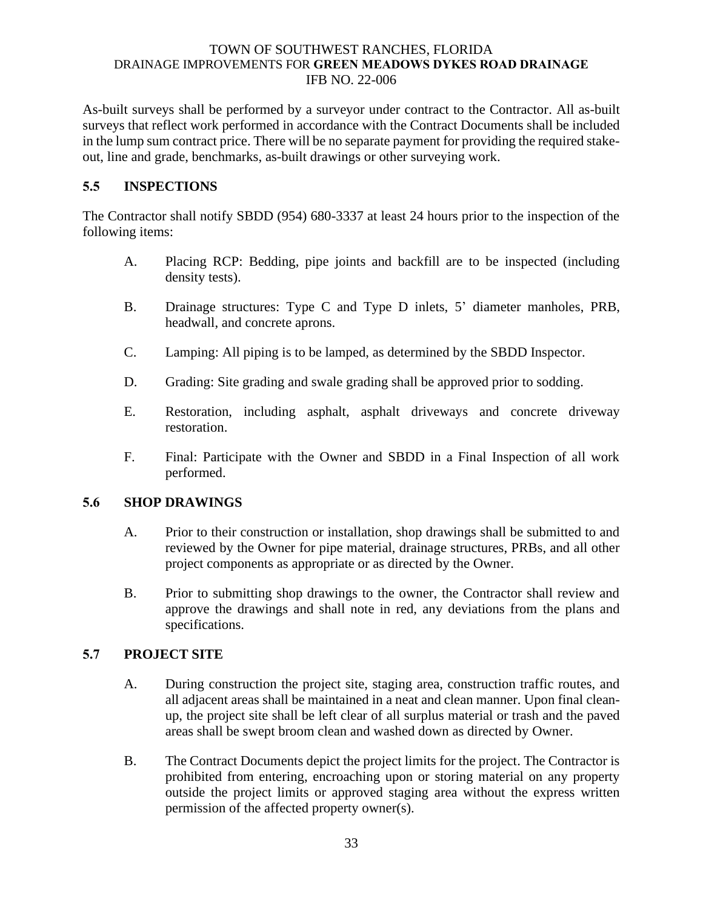As-built surveys shall be performed by a surveyor under contract to the Contractor. All as-built surveys that reflect work performed in accordance with the Contract Documents shall be included in the lump sum contract price. There will be no separate payment for providing the required stakeout, line and grade, benchmarks, as-built drawings or other surveying work.

## **5.5 INSPECTIONS**

The Contractor shall notify SBDD (954) 680-3337 at least 24 hours prior to the inspection of the following items:

- A. Placing RCP: Bedding, pipe joints and backfill are to be inspected (including density tests).
- B. Drainage structures: Type C and Type D inlets, 5' diameter manholes, PRB, headwall, and concrete aprons.
- C. Lamping: All piping is to be lamped, as determined by the SBDD Inspector.
- D. Grading: Site grading and swale grading shall be approved prior to sodding.
- E. Restoration, including asphalt, asphalt driveways and concrete driveway restoration.
- F. Final: Participate with the Owner and SBDD in a Final Inspection of all work performed.

#### **5.6 SHOP DRAWINGS**

- A. Prior to their construction or installation, shop drawings shall be submitted to and reviewed by the Owner for pipe material, drainage structures, PRBs, and all other project components as appropriate or as directed by the Owner.
- B. Prior to submitting shop drawings to the owner, the Contractor shall review and approve the drawings and shall note in red, any deviations from the plans and specifications.

## **5.7 PROJECT SITE**

- A. During construction the project site, staging area, construction traffic routes, and all adjacent areas shall be maintained in a neat and clean manner. Upon final cleanup, the project site shall be left clear of all surplus material or trash and the paved areas shall be swept broom clean and washed down as directed by Owner.
- B. The Contract Documents depict the project limits for the project. The Contractor is prohibited from entering, encroaching upon or storing material on any property outside the project limits or approved staging area without the express written permission of the affected property owner(s).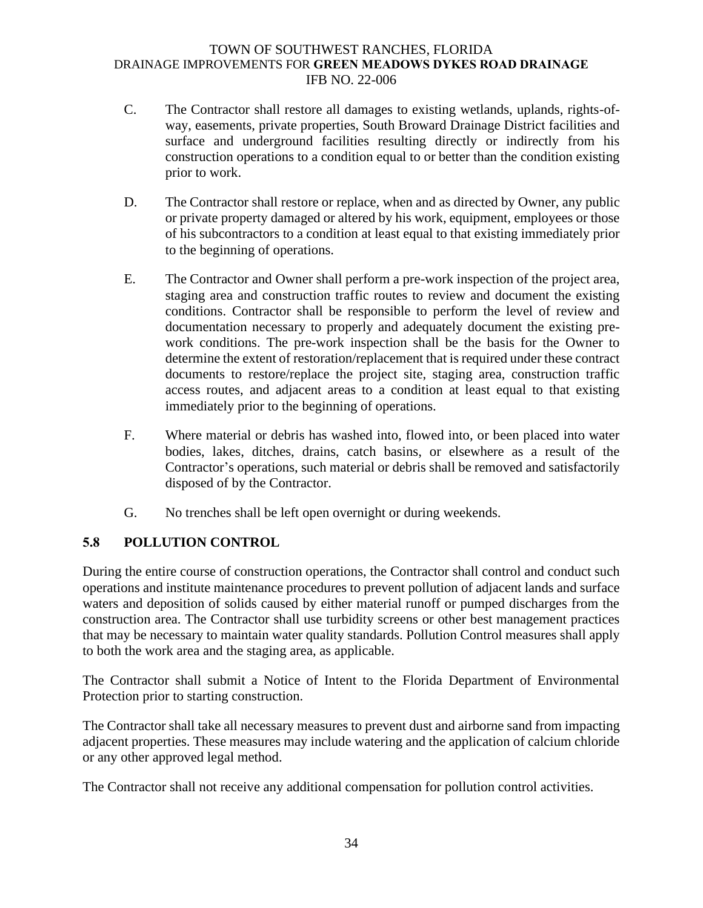- C. The Contractor shall restore all damages to existing wetlands, uplands, rights-ofway, easements, private properties, South Broward Drainage District facilities and surface and underground facilities resulting directly or indirectly from his construction operations to a condition equal to or better than the condition existing prior to work.
- D. The Contractor shall restore or replace, when and as directed by Owner, any public or private property damaged or altered by his work, equipment, employees or those of his subcontractors to a condition at least equal to that existing immediately prior to the beginning of operations.
- E. The Contractor and Owner shall perform a pre-work inspection of the project area, staging area and construction traffic routes to review and document the existing conditions. Contractor shall be responsible to perform the level of review and documentation necessary to properly and adequately document the existing prework conditions. The pre-work inspection shall be the basis for the Owner to determine the extent of restoration/replacement that is required under these contract documents to restore/replace the project site, staging area, construction traffic access routes, and adjacent areas to a condition at least equal to that existing immediately prior to the beginning of operations.
- F. Where material or debris has washed into, flowed into, or been placed into water bodies, lakes, ditches, drains, catch basins, or elsewhere as a result of the Contractor's operations, such material or debris shall be removed and satisfactorily disposed of by the Contractor.
- G. No trenches shall be left open overnight or during weekends.

## **5.8 POLLUTION CONTROL**

During the entire course of construction operations, the Contractor shall control and conduct such operations and institute maintenance procedures to prevent pollution of adjacent lands and surface waters and deposition of solids caused by either material runoff or pumped discharges from the construction area. The Contractor shall use turbidity screens or other best management practices that may be necessary to maintain water quality standards. Pollution Control measures shall apply to both the work area and the staging area, as applicable.

The Contractor shall submit a Notice of Intent to the Florida Department of Environmental Protection prior to starting construction.

The Contractor shall take all necessary measures to prevent dust and airborne sand from impacting adjacent properties. These measures may include watering and the application of calcium chloride or any other approved legal method.

The Contractor shall not receive any additional compensation for pollution control activities.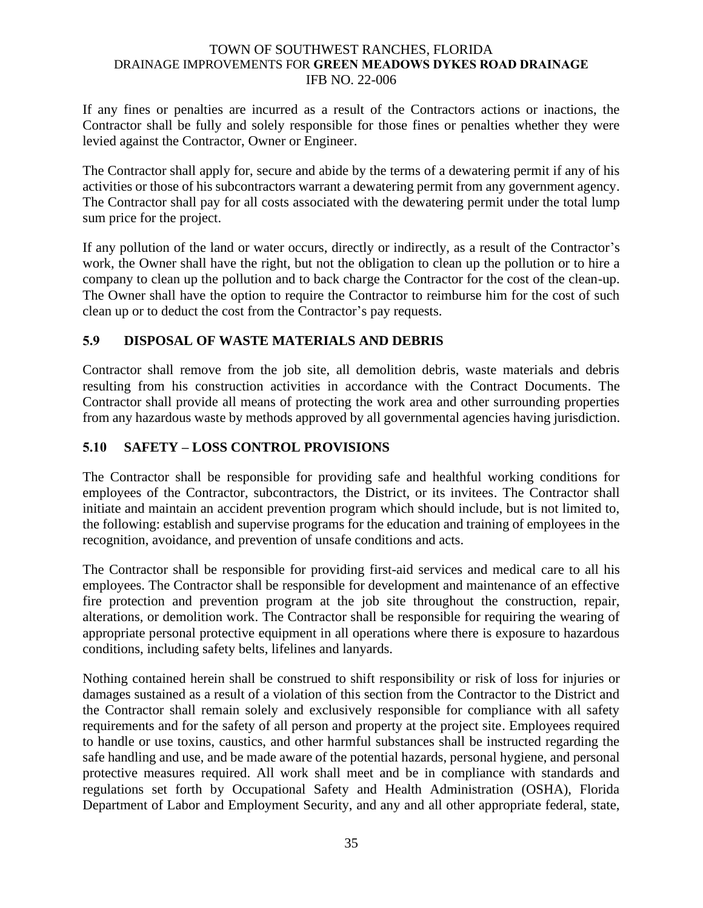If any fines or penalties are incurred as a result of the Contractors actions or inactions, the Contractor shall be fully and solely responsible for those fines or penalties whether they were levied against the Contractor, Owner or Engineer.

The Contractor shall apply for, secure and abide by the terms of a dewatering permit if any of his activities or those of his subcontractors warrant a dewatering permit from any government agency. The Contractor shall pay for all costs associated with the dewatering permit under the total lump sum price for the project.

If any pollution of the land or water occurs, directly or indirectly, as a result of the Contractor's work, the Owner shall have the right, but not the obligation to clean up the pollution or to hire a company to clean up the pollution and to back charge the Contractor for the cost of the clean-up. The Owner shall have the option to require the Contractor to reimburse him for the cost of such clean up or to deduct the cost from the Contractor's pay requests.

## **5.9 DISPOSAL OF WASTE MATERIALS AND DEBRIS**

Contractor shall remove from the job site, all demolition debris, waste materials and debris resulting from his construction activities in accordance with the Contract Documents. The Contractor shall provide all means of protecting the work area and other surrounding properties from any hazardous waste by methods approved by all governmental agencies having jurisdiction.

## **5.10 SAFETY – LOSS CONTROL PROVISIONS**

The Contractor shall be responsible for providing safe and healthful working conditions for employees of the Contractor, subcontractors, the District, or its invitees. The Contractor shall initiate and maintain an accident prevention program which should include, but is not limited to, the following: establish and supervise programs for the education and training of employees in the recognition, avoidance, and prevention of unsafe conditions and acts.

The Contractor shall be responsible for providing first-aid services and medical care to all his employees. The Contractor shall be responsible for development and maintenance of an effective fire protection and prevention program at the job site throughout the construction, repair, alterations, or demolition work. The Contractor shall be responsible for requiring the wearing of appropriate personal protective equipment in all operations where there is exposure to hazardous conditions, including safety belts, lifelines and lanyards.

Nothing contained herein shall be construed to shift responsibility or risk of loss for injuries or damages sustained as a result of a violation of this section from the Contractor to the District and the Contractor shall remain solely and exclusively responsible for compliance with all safety requirements and for the safety of all person and property at the project site. Employees required to handle or use toxins, caustics, and other harmful substances shall be instructed regarding the safe handling and use, and be made aware of the potential hazards, personal hygiene, and personal protective measures required. All work shall meet and be in compliance with standards and regulations set forth by Occupational Safety and Health Administration (OSHA), Florida Department of Labor and Employment Security, and any and all other appropriate federal, state,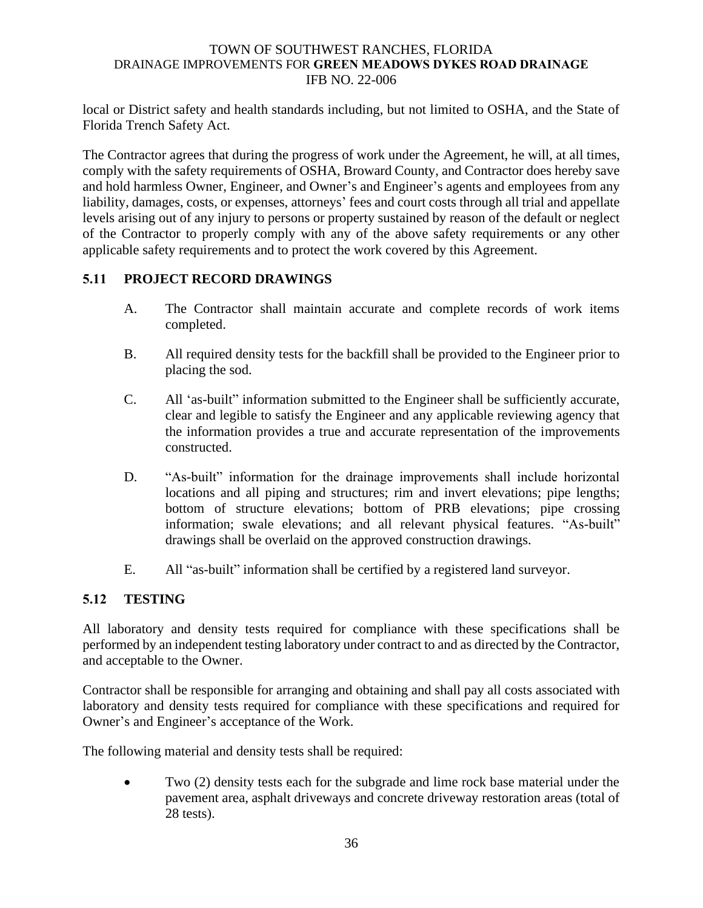local or District safety and health standards including, but not limited to OSHA, and the State of Florida Trench Safety Act.

The Contractor agrees that during the progress of work under the Agreement, he will, at all times, comply with the safety requirements of OSHA, Broward County, and Contractor does hereby save and hold harmless Owner, Engineer, and Owner's and Engineer's agents and employees from any liability, damages, costs, or expenses, attorneys' fees and court costs through all trial and appellate levels arising out of any injury to persons or property sustained by reason of the default or neglect of the Contractor to properly comply with any of the above safety requirements or any other applicable safety requirements and to protect the work covered by this Agreement.

## **5.11 PROJECT RECORD DRAWINGS**

- A. The Contractor shall maintain accurate and complete records of work items completed.
- B. All required density tests for the backfill shall be provided to the Engineer prior to placing the sod.
- C. All 'as-built" information submitted to the Engineer shall be sufficiently accurate, clear and legible to satisfy the Engineer and any applicable reviewing agency that the information provides a true and accurate representation of the improvements constructed.
- D. "As-built" information for the drainage improvements shall include horizontal locations and all piping and structures; rim and invert elevations; pipe lengths; bottom of structure elevations; bottom of PRB elevations; pipe crossing information; swale elevations; and all relevant physical features. "As-built" drawings shall be overlaid on the approved construction drawings.
- E. All "as-built" information shall be certified by a registered land surveyor.

## **5.12 TESTING**

All laboratory and density tests required for compliance with these specifications shall be performed by an independent testing laboratory under contract to and as directed by the Contractor, and acceptable to the Owner.

Contractor shall be responsible for arranging and obtaining and shall pay all costs associated with laboratory and density tests required for compliance with these specifications and required for Owner's and Engineer's acceptance of the Work.

The following material and density tests shall be required:

• Two (2) density tests each for the subgrade and lime rock base material under the pavement area, asphalt driveways and concrete driveway restoration areas (total of 28 tests).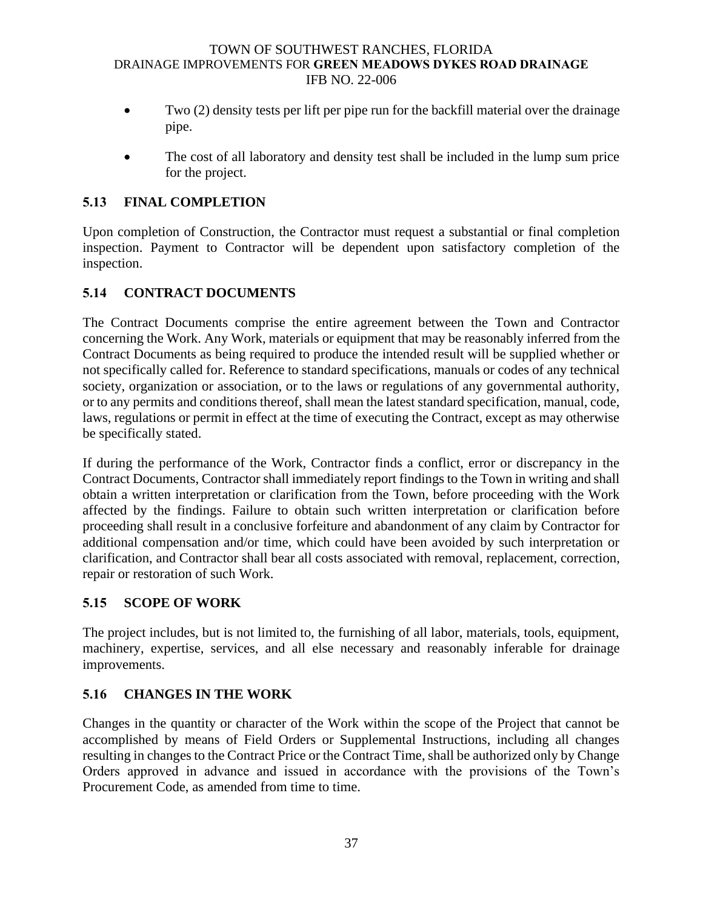- Two (2) density tests per lift per pipe run for the backfill material over the drainage pipe.
- The cost of all laboratory and density test shall be included in the lump sum price for the project.

## **5.13 FINAL COMPLETION**

Upon completion of Construction, the Contractor must request a substantial or final completion inspection. Payment to Contractor will be dependent upon satisfactory completion of the inspection.

## **5.14 CONTRACT DOCUMENTS**

The Contract Documents comprise the entire agreement between the Town and Contractor concerning the Work. Any Work, materials or equipment that may be reasonably inferred from the Contract Documents as being required to produce the intended result will be supplied whether or not specifically called for. Reference to standard specifications, manuals or codes of any technical society, organization or association, or to the laws or regulations of any governmental authority, or to any permits and conditions thereof, shall mean the latest standard specification, manual, code, laws, regulations or permit in effect at the time of executing the Contract, except as may otherwise be specifically stated.

If during the performance of the Work, Contractor finds a conflict, error or discrepancy in the Contract Documents, Contractor shall immediately report findings to the Town in writing and shall obtain a written interpretation or clarification from the Town, before proceeding with the Work affected by the findings. Failure to obtain such written interpretation or clarification before proceeding shall result in a conclusive forfeiture and abandonment of any claim by Contractor for additional compensation and/or time, which could have been avoided by such interpretation or clarification, and Contractor shall bear all costs associated with removal, replacement, correction, repair or restoration of such Work.

## **5.15 SCOPE OF WORK**

The project includes, but is not limited to, the furnishing of all labor, materials, tools, equipment, machinery, expertise, services, and all else necessary and reasonably inferable for drainage improvements.

## **5.16 CHANGES IN THE WORK**

Changes in the quantity or character of the Work within the scope of the Project that cannot be accomplished by means of Field Orders or Supplemental Instructions, including all changes resulting in changes to the Contract Price or the Contract Time, shall be authorized only by Change Orders approved in advance and issued in accordance with the provisions of the Town's Procurement Code, as amended from time to time.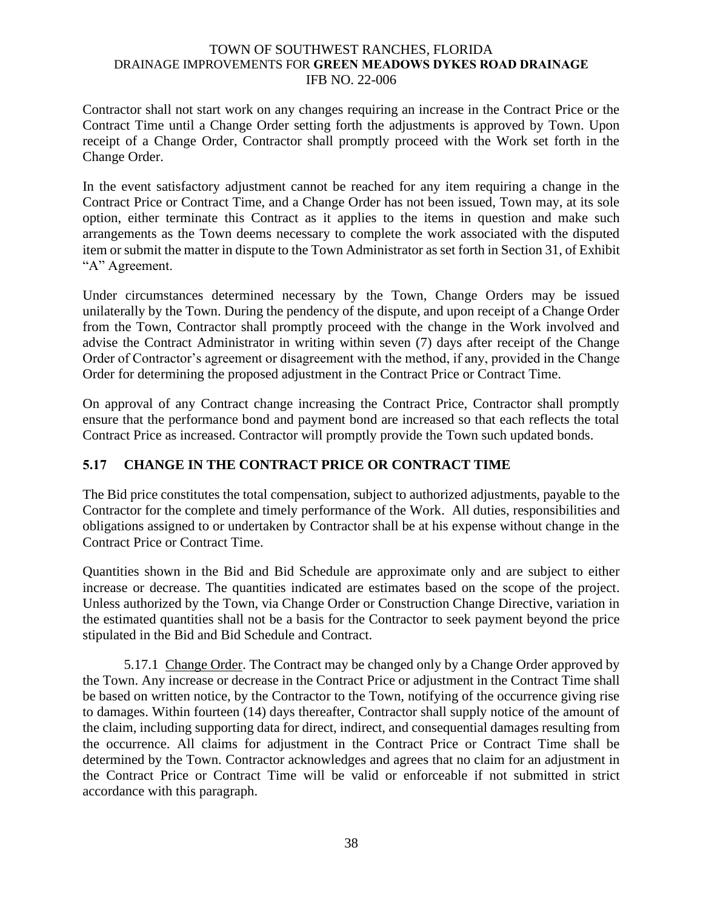Contractor shall not start work on any changes requiring an increase in the Contract Price or the Contract Time until a Change Order setting forth the adjustments is approved by Town. Upon receipt of a Change Order, Contractor shall promptly proceed with the Work set forth in the Change Order.

In the event satisfactory adjustment cannot be reached for any item requiring a change in the Contract Price or Contract Time, and a Change Order has not been issued, Town may, at its sole option, either terminate this Contract as it applies to the items in question and make such arrangements as the Town deems necessary to complete the work associated with the disputed item or submit the matter in dispute to the Town Administrator as set forth in Section 31, of Exhibit "A" Agreement.

Under circumstances determined necessary by the Town, Change Orders may be issued unilaterally by the Town. During the pendency of the dispute, and upon receipt of a Change Order from the Town, Contractor shall promptly proceed with the change in the Work involved and advise the Contract Administrator in writing within seven (7) days after receipt of the Change Order of Contractor's agreement or disagreement with the method, if any, provided in the Change Order for determining the proposed adjustment in the Contract Price or Contract Time.

On approval of any Contract change increasing the Contract Price, Contractor shall promptly ensure that the performance bond and payment bond are increased so that each reflects the total Contract Price as increased. Contractor will promptly provide the Town such updated bonds.

## **5.17 CHANGE IN THE CONTRACT PRICE OR CONTRACT TIME**

The Bid price constitutes the total compensation, subject to authorized adjustments, payable to the Contractor for the complete and timely performance of the Work. All duties, responsibilities and obligations assigned to or undertaken by Contractor shall be at his expense without change in the Contract Price or Contract Time.

Quantities shown in the Bid and Bid Schedule are approximate only and are subject to either increase or decrease. The quantities indicated are estimates based on the scope of the project. Unless authorized by the Town, via Change Order or Construction Change Directive, variation in the estimated quantities shall not be a basis for the Contractor to seek payment beyond the price stipulated in the Bid and Bid Schedule and Contract.

5.17.1 Change Order. The Contract may be changed only by a Change Order approved by the Town. Any increase or decrease in the Contract Price or adjustment in the Contract Time shall be based on written notice, by the Contractor to the Town, notifying of the occurrence giving rise to damages. Within fourteen (14) days thereafter, Contractor shall supply notice of the amount of the claim, including supporting data for direct, indirect, and consequential damages resulting from the occurrence. All claims for adjustment in the Contract Price or Contract Time shall be determined by the Town. Contractor acknowledges and agrees that no claim for an adjustment in the Contract Price or Contract Time will be valid or enforceable if not submitted in strict accordance with this paragraph.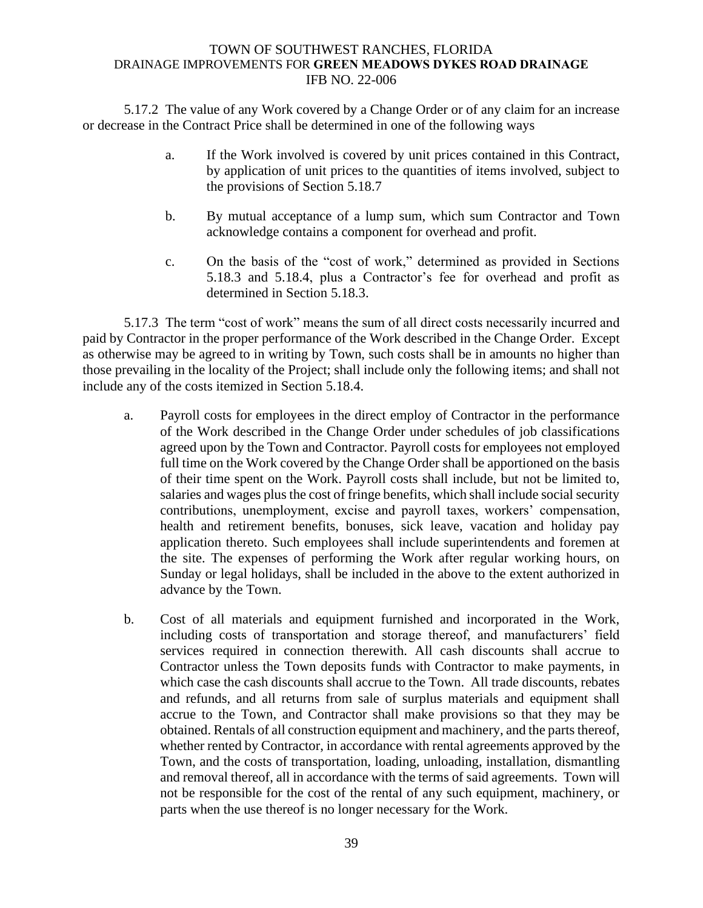5.17.2 The value of any Work covered by a Change Order or of any claim for an increase or decrease in the Contract Price shall be determined in one of the following ways

- a. If the Work involved is covered by unit prices contained in this Contract, by application of unit prices to the quantities of items involved, subject to the provisions of Section 5.18.7
- b. By mutual acceptance of a lump sum, which sum Contractor and Town acknowledge contains a component for overhead and profit.
- c. On the basis of the "cost of work," determined as provided in Sections 5.18.3 and 5.18.4, plus a Contractor's fee for overhead and profit as determined in Section 5.18.3.

5.17.3 The term "cost of work" means the sum of all direct costs necessarily incurred and paid by Contractor in the proper performance of the Work described in the Change Order. Except as otherwise may be agreed to in writing by Town, such costs shall be in amounts no higher than those prevailing in the locality of the Project; shall include only the following items; and shall not include any of the costs itemized in Section 5.18.4.

- a. Payroll costs for employees in the direct employ of Contractor in the performance of the Work described in the Change Order under schedules of job classifications agreed upon by the Town and Contractor. Payroll costs for employees not employed full time on the Work covered by the Change Order shall be apportioned on the basis of their time spent on the Work. Payroll costs shall include, but not be limited to, salaries and wages plus the cost of fringe benefits, which shall include social security contributions, unemployment, excise and payroll taxes, workers' compensation, health and retirement benefits, bonuses, sick leave, vacation and holiday pay application thereto. Such employees shall include superintendents and foremen at the site. The expenses of performing the Work after regular working hours, on Sunday or legal holidays, shall be included in the above to the extent authorized in advance by the Town.
- b. Cost of all materials and equipment furnished and incorporated in the Work, including costs of transportation and storage thereof, and manufacturers' field services required in connection therewith. All cash discounts shall accrue to Contractor unless the Town deposits funds with Contractor to make payments, in which case the cash discounts shall accrue to the Town. All trade discounts, rebates and refunds, and all returns from sale of surplus materials and equipment shall accrue to the Town, and Contractor shall make provisions so that they may be obtained. Rentals of all construction equipment and machinery, and the parts thereof, whether rented by Contractor, in accordance with rental agreements approved by the Town, and the costs of transportation, loading, unloading, installation, dismantling and removal thereof, all in accordance with the terms of said agreements. Town will not be responsible for the cost of the rental of any such equipment, machinery, or parts when the use thereof is no longer necessary for the Work.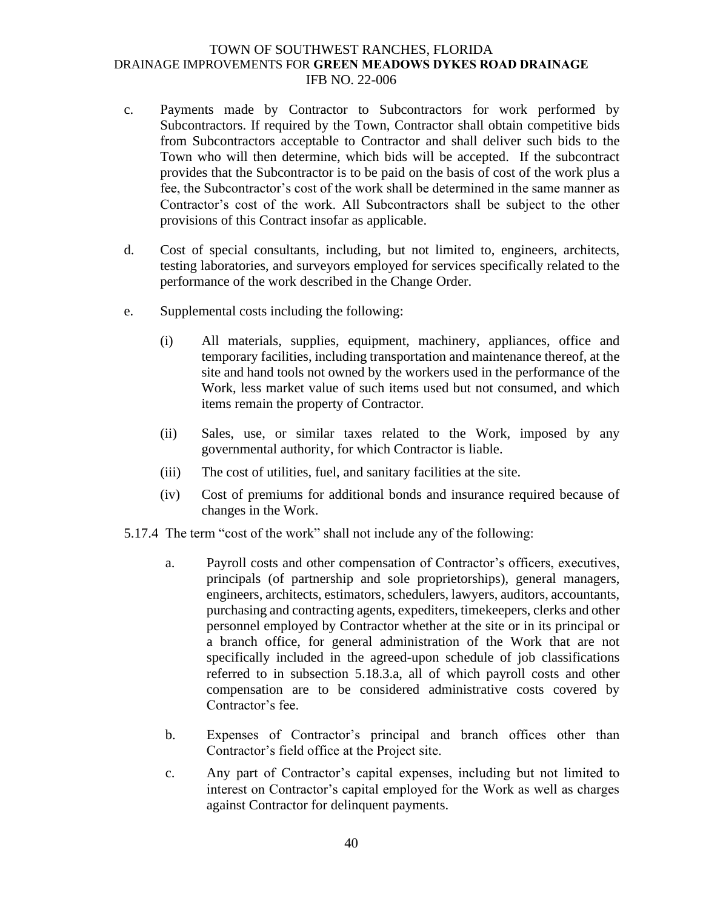- c. Payments made by Contractor to Subcontractors for work performed by Subcontractors. If required by the Town, Contractor shall obtain competitive bids from Subcontractors acceptable to Contractor and shall deliver such bids to the Town who will then determine, which bids will be accepted. If the subcontract provides that the Subcontractor is to be paid on the basis of cost of the work plus a fee, the Subcontractor's cost of the work shall be determined in the same manner as Contractor's cost of the work. All Subcontractors shall be subject to the other provisions of this Contract insofar as applicable.
- d. Cost of special consultants, including, but not limited to, engineers, architects, testing laboratories, and surveyors employed for services specifically related to the performance of the work described in the Change Order.
- e. Supplemental costs including the following:
	- (i) All materials, supplies, equipment, machinery, appliances, office and temporary facilities, including transportation and maintenance thereof, at the site and hand tools not owned by the workers used in the performance of the Work, less market value of such items used but not consumed, and which items remain the property of Contractor.
	- (ii) Sales, use, or similar taxes related to the Work, imposed by any governmental authority, for which Contractor is liable.
	- (iii) The cost of utilities, fuel, and sanitary facilities at the site.
	- (iv) Cost of premiums for additional bonds and insurance required because of changes in the Work.
- 5.17.4 The term "cost of the work" shall not include any of the following:
	- a. Payroll costs and other compensation of Contractor's officers, executives, principals (of partnership and sole proprietorships), general managers, engineers, architects, estimators, schedulers, lawyers, auditors, accountants, purchasing and contracting agents, expediters, timekeepers, clerks and other personnel employed by Contractor whether at the site or in its principal or a branch office, for general administration of the Work that are not specifically included in the agreed-upon schedule of job classifications referred to in subsection 5.18.3.a, all of which payroll costs and other compensation are to be considered administrative costs covered by Contractor's fee.
	- b. Expenses of Contractor's principal and branch offices other than Contractor's field office at the Project site.
	- c. Any part of Contractor's capital expenses, including but not limited to interest on Contractor's capital employed for the Work as well as charges against Contractor for delinquent payments.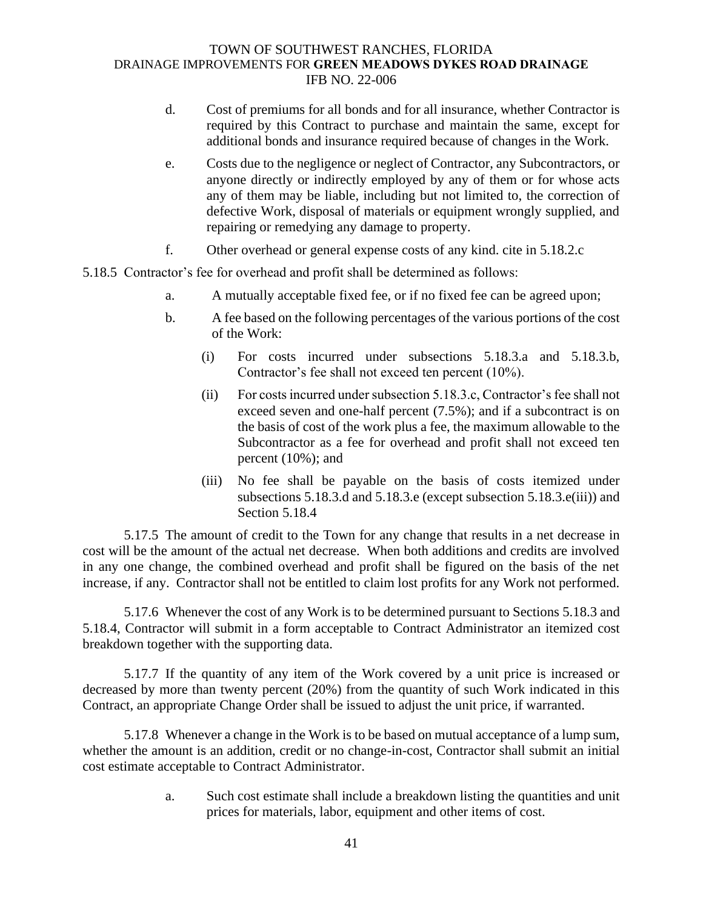- d. Cost of premiums for all bonds and for all insurance, whether Contractor is required by this Contract to purchase and maintain the same, except for additional bonds and insurance required because of changes in the Work.
- e. Costs due to the negligence or neglect of Contractor, any Subcontractors, or anyone directly or indirectly employed by any of them or for whose acts any of them may be liable, including but not limited to, the correction of defective Work, disposal of materials or equipment wrongly supplied, and repairing or remedying any damage to property.
- f. Other overhead or general expense costs of any kind. cite in 5.18.2.c
- 5.18.5 Contractor's fee for overhead and profit shall be determined as follows:
	- a. A mutually acceptable fixed fee, or if no fixed fee can be agreed upon;
	- b. A fee based on the following percentages of the various portions of the cost of the Work:
		- (i) For costs incurred under subsections 5.18.3.a and 5.18.3.b, Contractor's fee shall not exceed ten percent (10%).
		- (ii) For costs incurred under subsection 5.18.3.c, Contractor's fee shall not exceed seven and one-half percent (7.5%); and if a subcontract is on the basis of cost of the work plus a fee, the maximum allowable to the Subcontractor as a fee for overhead and profit shall not exceed ten percent (10%); and
		- (iii) No fee shall be payable on the basis of costs itemized under subsections 5.18.3.d and 5.18.3.e (except subsection 5.18.3.e(iii)) and Section 5.18.4

5.17.5 The amount of credit to the Town for any change that results in a net decrease in cost will be the amount of the actual net decrease. When both additions and credits are involved in any one change, the combined overhead and profit shall be figured on the basis of the net increase, if any. Contractor shall not be entitled to claim lost profits for any Work not performed.

5.17.6 Whenever the cost of any Work is to be determined pursuant to Sections 5.18.3 and 5.18.4, Contractor will submit in a form acceptable to Contract Administrator an itemized cost breakdown together with the supporting data.

5.17.7 If the quantity of any item of the Work covered by a unit price is increased or decreased by more than twenty percent (20%) from the quantity of such Work indicated in this Contract, an appropriate Change Order shall be issued to adjust the unit price, if warranted.

5.17.8 Whenever a change in the Work is to be based on mutual acceptance of a lump sum, whether the amount is an addition, credit or no change-in-cost, Contractor shall submit an initial cost estimate acceptable to Contract Administrator.

> a. Such cost estimate shall include a breakdown listing the quantities and unit prices for materials, labor, equipment and other items of cost.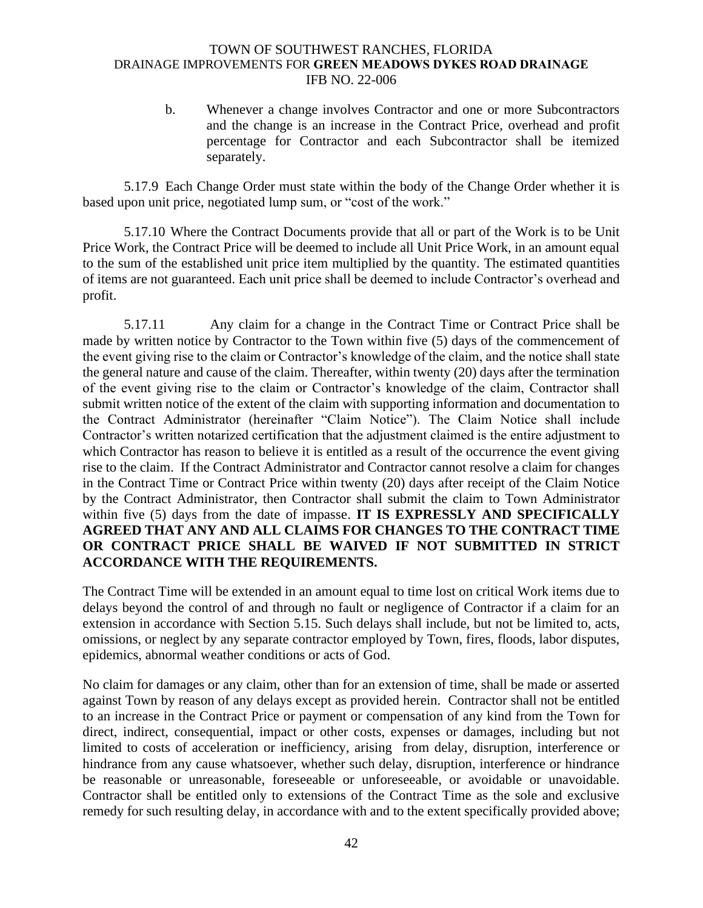b. Whenever a change involves Contractor and one or more Subcontractors and the change is an increase in the Contract Price, overhead and profit percentage for Contractor and each Subcontractor shall be itemized separately.

5.17.9 Each Change Order must state within the body of the Change Order whether it is based upon unit price, negotiated lump sum, or "cost of the work."

5.17.10 Where the Contract Documents provide that all or part of the Work is to be Unit Price Work, the Contract Price will be deemed to include all Unit Price Work, in an amount equal to the sum of the established unit price item multiplied by the quantity. The estimated quantities of items are not guaranteed. Each unit price shall be deemed to include Contractor's overhead and profit.

5.17.11 Any claim for a change in the Contract Time or Contract Price shall be made by written notice by Contractor to the Town within five (5) days of the commencement of the event giving rise to the claim or Contractor's knowledge of the claim, and the notice shall state the general nature and cause of the claim. Thereafter, within twenty (20) days after the termination of the event giving rise to the claim or Contractor's knowledge of the claim, Contractor shall submit written notice of the extent of the claim with supporting information and documentation to the Contract Administrator (hereinafter "Claim Notice"). The Claim Notice shall include Contractor's written notarized certification that the adjustment claimed is the entire adjustment to which Contractor has reason to believe it is entitled as a result of the occurrence the event giving rise to the claim. If the Contract Administrator and Contractor cannot resolve a claim for changes in the Contract Time or Contract Price within twenty (20) days after receipt of the Claim Notice by the Contract Administrator, then Contractor shall submit the claim to Town Administrator within five (5) days from the date of impasse. **IT IS EXPRESSLY AND SPECIFICALLY AGREED THAT ANY AND ALL CLAIMS FOR CHANGES TO THE CONTRACT TIME OR CONTRACT PRICE SHALL BE WAIVED IF NOT SUBMITTED IN STRICT ACCORDANCE WITH THE REQUIREMENTS.**

The Contract Time will be extended in an amount equal to time lost on critical Work items due to delays beyond the control of and through no fault or negligence of Contractor if a claim for an extension in accordance with Section 5.15. Such delays shall include, but not be limited to, acts, omissions, or neglect by any separate contractor employed by Town, fires, floods, labor disputes, epidemics, abnormal weather conditions or acts of God.

No claim for damages or any claim, other than for an extension of time, shall be made or asserted against Town by reason of any delays except as provided herein. Contractor shall not be entitled to an increase in the Contract Price or payment or compensation of any kind from the Town for direct, indirect, consequential, impact or other costs, expenses or damages, including but not limited to costs of acceleration or inefficiency, arising from delay, disruption, interference or hindrance from any cause whatsoever, whether such delay, disruption, interference or hindrance be reasonable or unreasonable, foreseeable or unforeseeable, or avoidable or unavoidable. Contractor shall be entitled only to extensions of the Contract Time as the sole and exclusive remedy for such resulting delay, in accordance with and to the extent specifically provided above;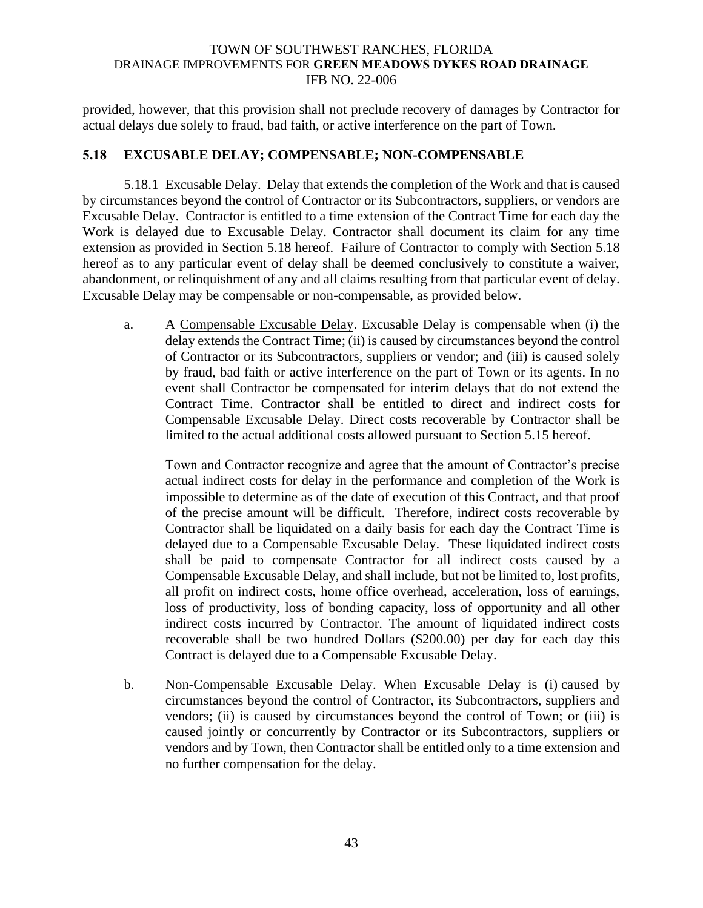provided, however, that this provision shall not preclude recovery of damages by Contractor for actual delays due solely to fraud, bad faith, or active interference on the part of Town.

## **5.18 EXCUSABLE DELAY; COMPENSABLE; NON-COMPENSABLE**

5.18.1 Excusable Delay. Delay that extends the completion of the Work and that is caused by circumstances beyond the control of Contractor or its Subcontractors, suppliers, or vendors are Excusable Delay. Contractor is entitled to a time extension of the Contract Time for each day the Work is delayed due to Excusable Delay. Contractor shall document its claim for any time extension as provided in Section 5.18 hereof. Failure of Contractor to comply with Section 5.18 hereof as to any particular event of delay shall be deemed conclusively to constitute a waiver, abandonment, or relinquishment of any and all claims resulting from that particular event of delay. Excusable Delay may be compensable or non-compensable, as provided below.

a. A Compensable Excusable Delay. Excusable Delay is compensable when (i) the delay extends the Contract Time; (ii) is caused by circumstances beyond the control of Contractor or its Subcontractors, suppliers or vendor; and (iii) is caused solely by fraud, bad faith or active interference on the part of Town or its agents. In no event shall Contractor be compensated for interim delays that do not extend the Contract Time. Contractor shall be entitled to direct and indirect costs for Compensable Excusable Delay. Direct costs recoverable by Contractor shall be limited to the actual additional costs allowed pursuant to Section 5.15 hereof.

Town and Contractor recognize and agree that the amount of Contractor's precise actual indirect costs for delay in the performance and completion of the Work is impossible to determine as of the date of execution of this Contract, and that proof of the precise amount will be difficult. Therefore, indirect costs recoverable by Contractor shall be liquidated on a daily basis for each day the Contract Time is delayed due to a Compensable Excusable Delay. These liquidated indirect costs shall be paid to compensate Contractor for all indirect costs caused by a Compensable Excusable Delay, and shall include, but not be limited to, lost profits, all profit on indirect costs, home office overhead, acceleration, loss of earnings, loss of productivity, loss of bonding capacity, loss of opportunity and all other indirect costs incurred by Contractor. The amount of liquidated indirect costs recoverable shall be two hundred Dollars (\$200.00) per day for each day this Contract is delayed due to a Compensable Excusable Delay.

b. Non-Compensable Excusable Delay. When Excusable Delay is (i) caused by circumstances beyond the control of Contractor, its Subcontractors, suppliers and vendors; (ii) is caused by circumstances beyond the control of Town; or (iii) is caused jointly or concurrently by Contractor or its Subcontractors, suppliers or vendors and by Town, then Contractor shall be entitled only to a time extension and no further compensation for the delay.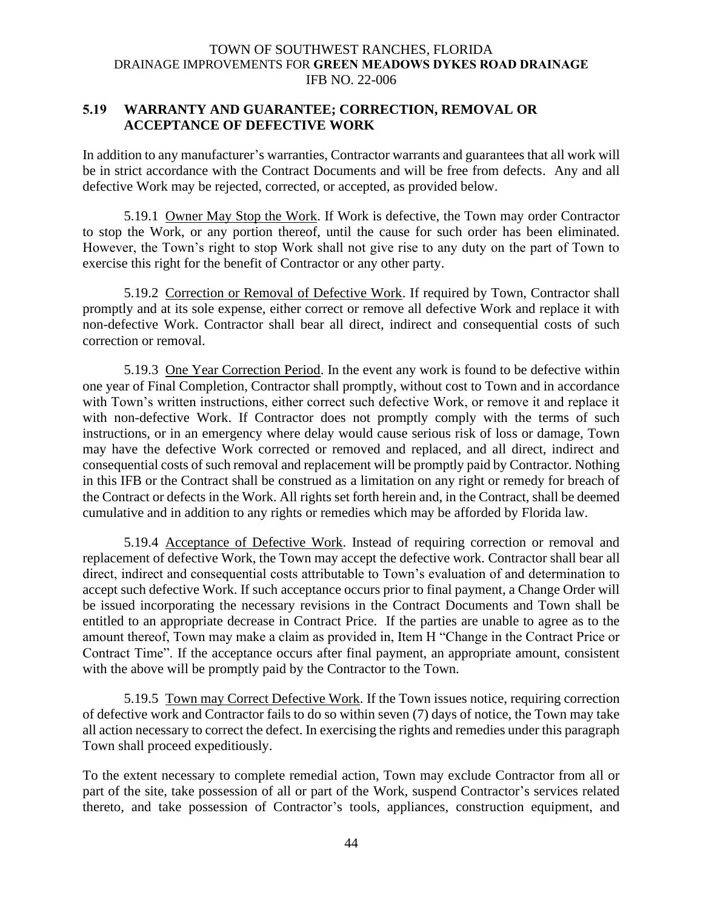## **5.19 WARRANTY AND GUARANTEE; CORRECTION, REMOVAL OR ACCEPTANCE OF DEFECTIVE WORK**

In addition to any manufacturer's warranties, Contractor warrants and guarantees that all work will be in strict accordance with the Contract Documents and will be free from defects. Any and all defective Work may be rejected, corrected, or accepted, as provided below.

5.19.1 Owner May Stop the Work. If Work is defective, the Town may order Contractor to stop the Work, or any portion thereof, until the cause for such order has been eliminated. However, the Town's right to stop Work shall not give rise to any duty on the part of Town to exercise this right for the benefit of Contractor or any other party.

5.19.2 Correction or Removal of Defective Work. If required by Town, Contractor shall promptly and at its sole expense, either correct or remove all defective Work and replace it with non-defective Work. Contractor shall bear all direct, indirect and consequential costs of such correction or removal.

5.19.3 One Year Correction Period. In the event any work is found to be defective within one year of Final Completion, Contractor shall promptly, without cost to Town and in accordance with Town's written instructions, either correct such defective Work, or remove it and replace it with non-defective Work. If Contractor does not promptly comply with the terms of such instructions, or in an emergency where delay would cause serious risk of loss or damage, Town may have the defective Work corrected or removed and replaced, and all direct, indirect and consequential costs of such removal and replacement will be promptly paid by Contractor. Nothing in this IFB or the Contract shall be construed as a limitation on any right or remedy for breach of the Contract or defects in the Work. All rights set forth herein and, in the Contract, shall be deemed cumulative and in addition to any rights or remedies which may be afforded by Florida law.

5.19.4 Acceptance of Defective Work. Instead of requiring correction or removal and replacement of defective Work, the Town may accept the defective work. Contractor shall bear all direct, indirect and consequential costs attributable to Town's evaluation of and determination to accept such defective Work. If such acceptance occurs prior to final payment, a Change Order will be issued incorporating the necessary revisions in the Contract Documents and Town shall be entitled to an appropriate decrease in Contract Price. If the parties are unable to agree as to the amount thereof, Town may make a claim as provided in, Item H "Change in the Contract Price or Contract Time". If the acceptance occurs after final payment, an appropriate amount, consistent with the above will be promptly paid by the Contractor to the Town.

5.19.5 Town may Correct Defective Work. If the Town issues notice, requiring correction of defective work and Contractor fails to do so within seven (7) days of notice, the Town may take all action necessary to correct the defect. In exercising the rights and remedies under this paragraph Town shall proceed expeditiously.

To the extent necessary to complete remedial action, Town may exclude Contractor from all or part of the site, take possession of all or part of the Work, suspend Contractor's services related thereto, and take possession of Contractor's tools, appliances, construction equipment, and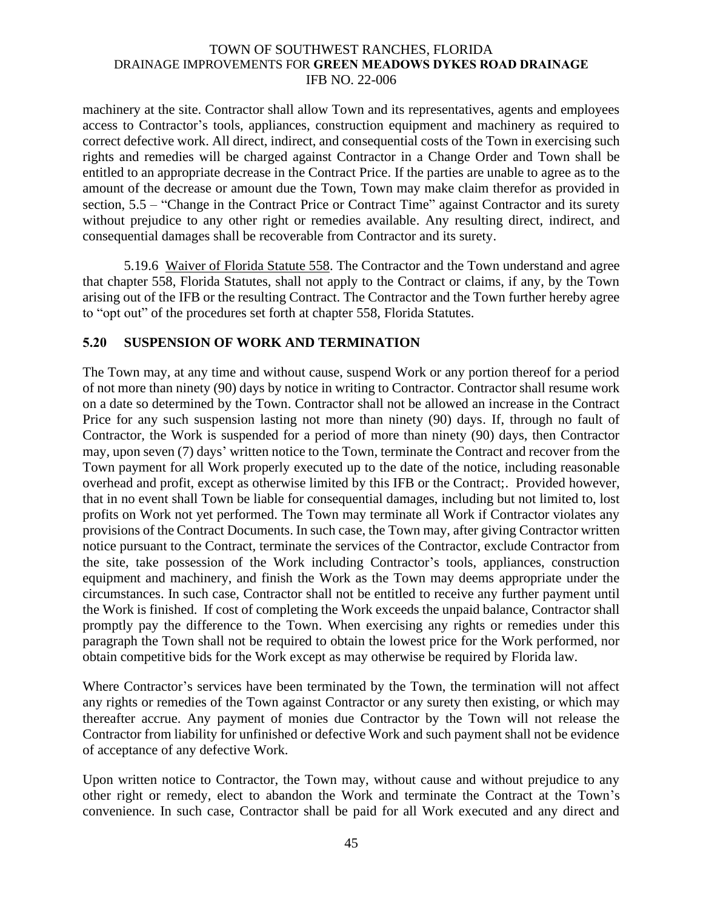machinery at the site. Contractor shall allow Town and its representatives, agents and employees access to Contractor's tools, appliances, construction equipment and machinery as required to correct defective work. All direct, indirect, and consequential costs of the Town in exercising such rights and remedies will be charged against Contractor in a Change Order and Town shall be entitled to an appropriate decrease in the Contract Price. If the parties are unable to agree as to the amount of the decrease or amount due the Town, Town may make claim therefor as provided in section, 5.5 – "Change in the Contract Price or Contract Time" against Contractor and its surety without prejudice to any other right or remedies available. Any resulting direct, indirect, and consequential damages shall be recoverable from Contractor and its surety.

5.19.6 Waiver of Florida Statute 558. The Contractor and the Town understand and agree that chapter 558, Florida Statutes, shall not apply to the Contract or claims, if any, by the Town arising out of the IFB or the resulting Contract. The Contractor and the Town further hereby agree to "opt out" of the procedures set forth at chapter 558, Florida Statutes.

#### **5.20 SUSPENSION OF WORK AND TERMINATION**

The Town may, at any time and without cause, suspend Work or any portion thereof for a period of not more than ninety (90) days by notice in writing to Contractor. Contractor shall resume work on a date so determined by the Town. Contractor shall not be allowed an increase in the Contract Price for any such suspension lasting not more than ninety (90) days. If, through no fault of Contractor, the Work is suspended for a period of more than ninety (90) days, then Contractor may, upon seven (7) days' written notice to the Town, terminate the Contract and recover from the Town payment for all Work properly executed up to the date of the notice, including reasonable overhead and profit, except as otherwise limited by this IFB or the Contract;. Provided however, that in no event shall Town be liable for consequential damages, including but not limited to, lost profits on Work not yet performed. The Town may terminate all Work if Contractor violates any provisions of the Contract Documents. In such case, the Town may, after giving Contractor written notice pursuant to the Contract, terminate the services of the Contractor, exclude Contractor from the site, take possession of the Work including Contractor's tools, appliances, construction equipment and machinery, and finish the Work as the Town may deems appropriate under the circumstances. In such case, Contractor shall not be entitled to receive any further payment until the Work is finished. If cost of completing the Work exceeds the unpaid balance, Contractor shall promptly pay the difference to the Town. When exercising any rights or remedies under this paragraph the Town shall not be required to obtain the lowest price for the Work performed, nor obtain competitive bids for the Work except as may otherwise be required by Florida law.

Where Contractor's services have been terminated by the Town, the termination will not affect any rights or remedies of the Town against Contractor or any surety then existing, or which may thereafter accrue. Any payment of monies due Contractor by the Town will not release the Contractor from liability for unfinished or defective Work and such payment shall not be evidence of acceptance of any defective Work.

Upon written notice to Contractor, the Town may, without cause and without prejudice to any other right or remedy, elect to abandon the Work and terminate the Contract at the Town's convenience. In such case, Contractor shall be paid for all Work executed and any direct and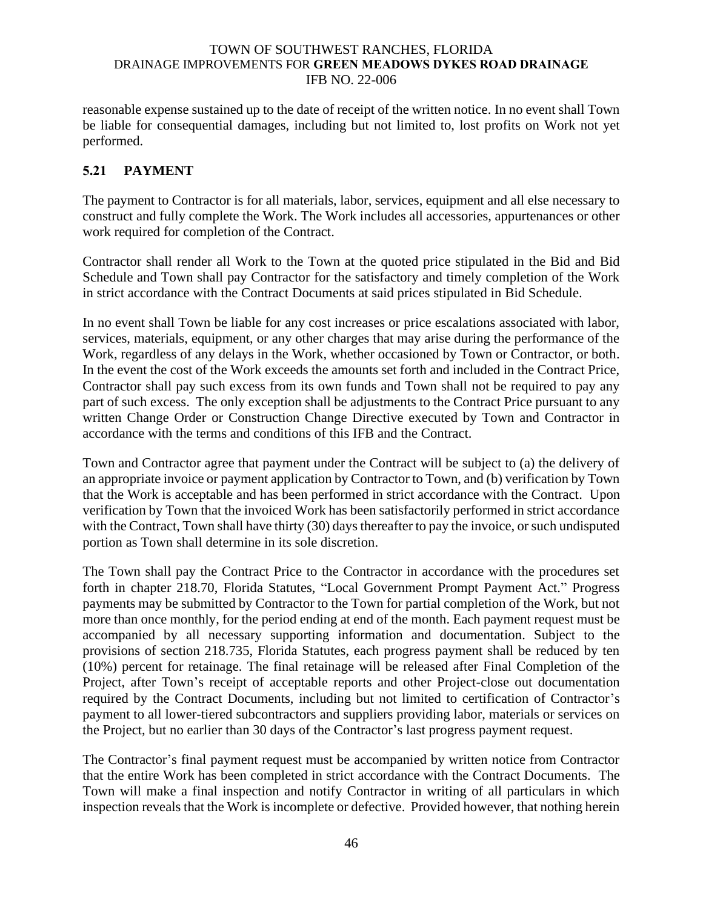reasonable expense sustained up to the date of receipt of the written notice. In no event shall Town be liable for consequential damages, including but not limited to, lost profits on Work not yet performed.

## **5.21 PAYMENT**

The payment to Contractor is for all materials, labor, services, equipment and all else necessary to construct and fully complete the Work. The Work includes all accessories, appurtenances or other work required for completion of the Contract.

Contractor shall render all Work to the Town at the quoted price stipulated in the Bid and Bid Schedule and Town shall pay Contractor for the satisfactory and timely completion of the Work in strict accordance with the Contract Documents at said prices stipulated in Bid Schedule.

In no event shall Town be liable for any cost increases or price escalations associated with labor, services, materials, equipment, or any other charges that may arise during the performance of the Work, regardless of any delays in the Work, whether occasioned by Town or Contractor, or both. In the event the cost of the Work exceeds the amounts set forth and included in the Contract Price, Contractor shall pay such excess from its own funds and Town shall not be required to pay any part of such excess. The only exception shall be adjustments to the Contract Price pursuant to any written Change Order or Construction Change Directive executed by Town and Contractor in accordance with the terms and conditions of this IFB and the Contract.

Town and Contractor agree that payment under the Contract will be subject to (a) the delivery of an appropriate invoice or payment application by Contractor to Town, and (b) verification by Town that the Work is acceptable and has been performed in strict accordance with the Contract. Upon verification by Town that the invoiced Work has been satisfactorily performed in strict accordance with the Contract, Town shall have thirty (30) days thereafter to pay the invoice, or such undisputed portion as Town shall determine in its sole discretion.

The Town shall pay the Contract Price to the Contractor in accordance with the procedures set forth in chapter 218.70, Florida Statutes, "Local Government Prompt Payment Act." Progress payments may be submitted by Contractor to the Town for partial completion of the Work, but not more than once monthly, for the period ending at end of the month. Each payment request must be accompanied by all necessary supporting information and documentation. Subject to the provisions of section 218.735, Florida Statutes, each progress payment shall be reduced by ten (10%) percent for retainage. The final retainage will be released after Final Completion of the Project, after Town's receipt of acceptable reports and other Project-close out documentation required by the Contract Documents, including but not limited to certification of Contractor's payment to all lower-tiered subcontractors and suppliers providing labor, materials or services on the Project, but no earlier than 30 days of the Contractor's last progress payment request.

The Contractor's final payment request must be accompanied by written notice from Contractor that the entire Work has been completed in strict accordance with the Contract Documents. The Town will make a final inspection and notify Contractor in writing of all particulars in which inspection reveals that the Work is incomplete or defective. Provided however, that nothing herein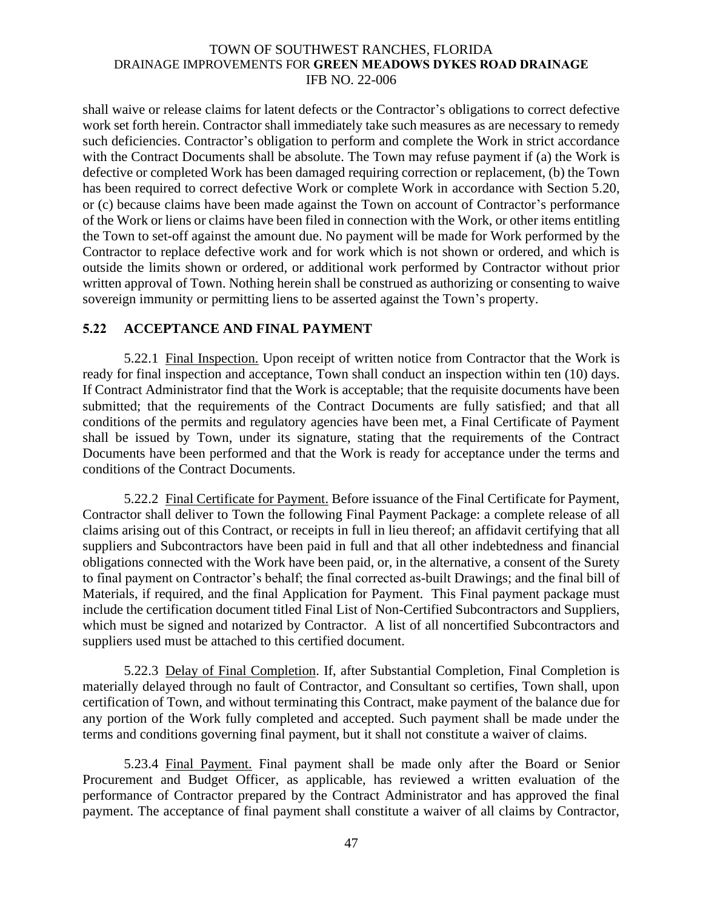shall waive or release claims for latent defects or the Contractor's obligations to correct defective work set forth herein. Contractor shall immediately take such measures as are necessary to remedy such deficiencies. Contractor's obligation to perform and complete the Work in strict accordance with the Contract Documents shall be absolute. The Town may refuse payment if (a) the Work is defective or completed Work has been damaged requiring correction or replacement, (b) the Town has been required to correct defective Work or complete Work in accordance with Section 5.20, or (c) because claims have been made against the Town on account of Contractor's performance of the Work or liens or claims have been filed in connection with the Work, or other items entitling the Town to set-off against the amount due. No payment will be made for Work performed by the Contractor to replace defective work and for work which is not shown or ordered, and which is outside the limits shown or ordered, or additional work performed by Contractor without prior written approval of Town. Nothing herein shall be construed as authorizing or consenting to waive sovereign immunity or permitting liens to be asserted against the Town's property.

#### **5.22 ACCEPTANCE AND FINAL PAYMENT**

5.22.1 Final Inspection. Upon receipt of written notice from Contractor that the Work is ready for final inspection and acceptance, Town shall conduct an inspection within ten (10) days. If Contract Administrator find that the Work is acceptable; that the requisite documents have been submitted; that the requirements of the Contract Documents are fully satisfied; and that all conditions of the permits and regulatory agencies have been met, a Final Certificate of Payment shall be issued by Town, under its signature, stating that the requirements of the Contract Documents have been performed and that the Work is ready for acceptance under the terms and conditions of the Contract Documents.

5.22.2 Final Certificate for Payment. Before issuance of the Final Certificate for Payment, Contractor shall deliver to Town the following Final Payment Package: a complete release of all claims arising out of this Contract, or receipts in full in lieu thereof; an affidavit certifying that all suppliers and Subcontractors have been paid in full and that all other indebtedness and financial obligations connected with the Work have been paid, or, in the alternative, a consent of the Surety to final payment on Contractor's behalf; the final corrected as-built Drawings; and the final bill of Materials, if required, and the final Application for Payment. This Final payment package must include the certification document titled Final List of Non-Certified Subcontractors and Suppliers, which must be signed and notarized by Contractor. A list of all noncertified Subcontractors and suppliers used must be attached to this certified document.

5.22.3 Delay of Final Completion. If, after Substantial Completion, Final Completion is materially delayed through no fault of Contractor, and Consultant so certifies, Town shall, upon certification of Town, and without terminating this Contract, make payment of the balance due for any portion of the Work fully completed and accepted. Such payment shall be made under the terms and conditions governing final payment, but it shall not constitute a waiver of claims.

5.23.4 Final Payment. Final payment shall be made only after the Board or Senior Procurement and Budget Officer, as applicable, has reviewed a written evaluation of the performance of Contractor prepared by the Contract Administrator and has approved the final payment. The acceptance of final payment shall constitute a waiver of all claims by Contractor,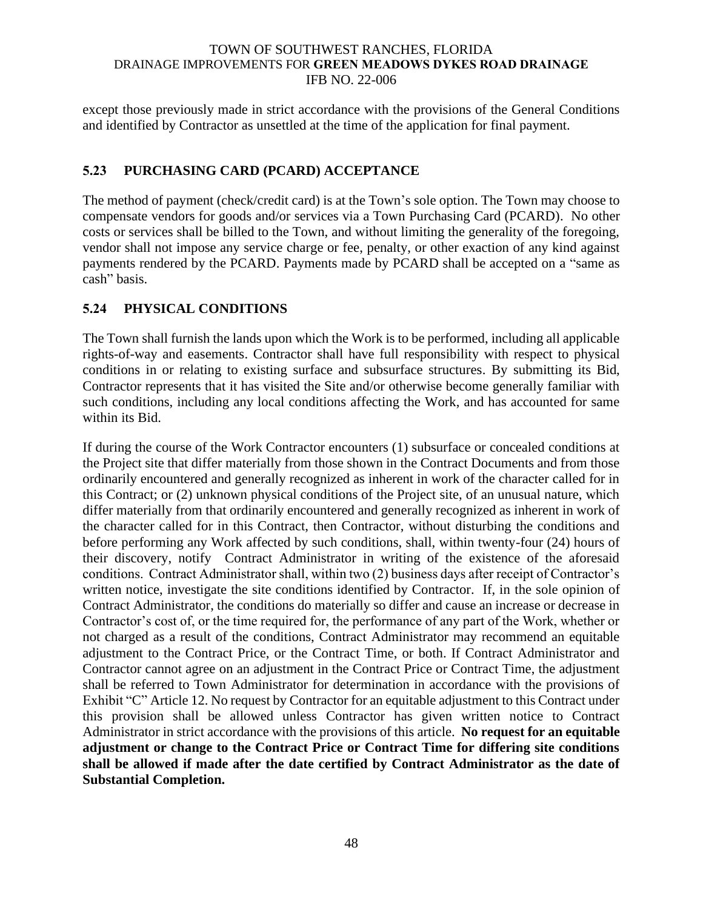except those previously made in strict accordance with the provisions of the General Conditions and identified by Contractor as unsettled at the time of the application for final payment.

## **5.23 PURCHASING CARD (PCARD) ACCEPTANCE**

The method of payment (check/credit card) is at the Town's sole option. The Town may choose to compensate vendors for goods and/or services via a Town Purchasing Card (PCARD). No other costs or services shall be billed to the Town, and without limiting the generality of the foregoing, vendor shall not impose any service charge or fee, penalty, or other exaction of any kind against payments rendered by the PCARD. Payments made by PCARD shall be accepted on a "same as cash" basis.

## **5.24 PHYSICAL CONDITIONS**

The Town shall furnish the lands upon which the Work is to be performed, including all applicable rights-of-way and easements. Contractor shall have full responsibility with respect to physical conditions in or relating to existing surface and subsurface structures. By submitting its Bid, Contractor represents that it has visited the Site and/or otherwise become generally familiar with such conditions, including any local conditions affecting the Work, and has accounted for same within its Bid.

If during the course of the Work Contractor encounters (1) subsurface or concealed conditions at the Project site that differ materially from those shown in the Contract Documents and from those ordinarily encountered and generally recognized as inherent in work of the character called for in this Contract; or (2) unknown physical conditions of the Project site, of an unusual nature, which differ materially from that ordinarily encountered and generally recognized as inherent in work of the character called for in this Contract, then Contractor, without disturbing the conditions and before performing any Work affected by such conditions, shall, within twenty-four (24) hours of their discovery, notify Contract Administrator in writing of the existence of the aforesaid conditions. Contract Administrator shall, within two (2) business days after receipt of Contractor's written notice, investigate the site conditions identified by Contractor. If, in the sole opinion of Contract Administrator, the conditions do materially so differ and cause an increase or decrease in Contractor's cost of, or the time required for, the performance of any part of the Work, whether or not charged as a result of the conditions, Contract Administrator may recommend an equitable adjustment to the Contract Price, or the Contract Time, or both. If Contract Administrator and Contractor cannot agree on an adjustment in the Contract Price or Contract Time, the adjustment shall be referred to Town Administrator for determination in accordance with the provisions of Exhibit "C" Article 12. No request by Contractor for an equitable adjustment to this Contract under this provision shall be allowed unless Contractor has given written notice to Contract Administrator in strict accordance with the provisions of this article. **No request for an equitable adjustment or change to the Contract Price or Contract Time for differing site conditions shall be allowed if made after the date certified by Contract Administrator as the date of Substantial Completion.**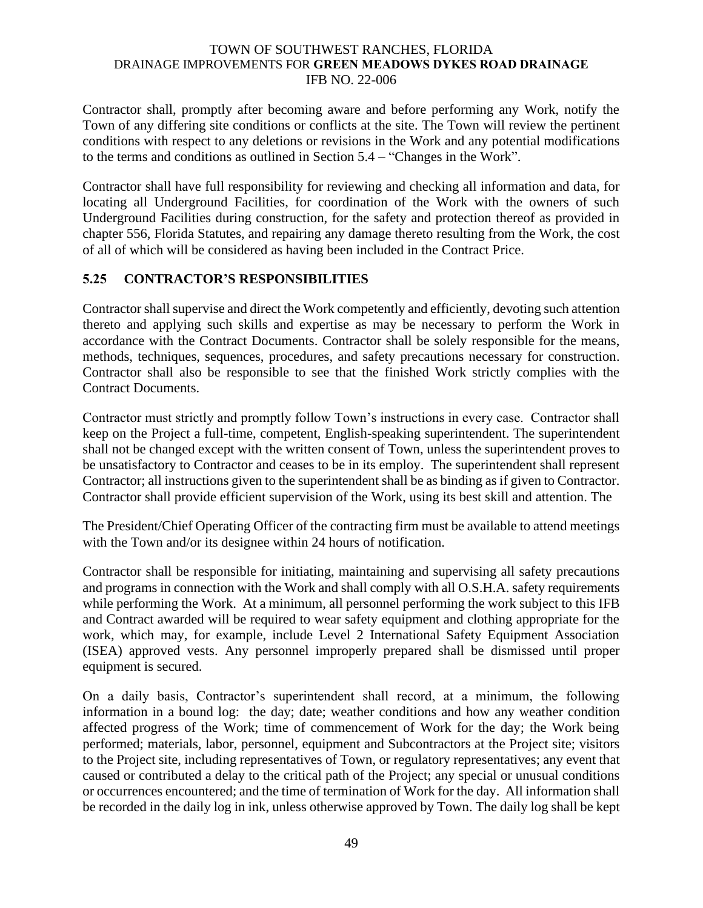Contractor shall, promptly after becoming aware and before performing any Work, notify the Town of any differing site conditions or conflicts at the site. The Town will review the pertinent conditions with respect to any deletions or revisions in the Work and any potential modifications to the terms and conditions as outlined in Section 5.4 – "Changes in the Work".

Contractor shall have full responsibility for reviewing and checking all information and data, for locating all Underground Facilities, for coordination of the Work with the owners of such Underground Facilities during construction, for the safety and protection thereof as provided in chapter 556, Florida Statutes, and repairing any damage thereto resulting from the Work, the cost of all of which will be considered as having been included in the Contract Price.

## **5.25 CONTRACTOR'S RESPONSIBILITIES**

Contractor shall supervise and direct the Work competently and efficiently, devoting such attention thereto and applying such skills and expertise as may be necessary to perform the Work in accordance with the Contract Documents. Contractor shall be solely responsible for the means, methods, techniques, sequences, procedures, and safety precautions necessary for construction. Contractor shall also be responsible to see that the finished Work strictly complies with the Contract Documents.

Contractor must strictly and promptly follow Town's instructions in every case. Contractor shall keep on the Project a full-time, competent, English-speaking superintendent. The superintendent shall not be changed except with the written consent of Town, unless the superintendent proves to be unsatisfactory to Contractor and ceases to be in its employ. The superintendent shall represent Contractor; all instructions given to the superintendent shall be as binding as if given to Contractor. Contractor shall provide efficient supervision of the Work, using its best skill and attention. The

The President/Chief Operating Officer of the contracting firm must be available to attend meetings with the Town and/or its designee within 24 hours of notification.

Contractor shall be responsible for initiating, maintaining and supervising all safety precautions and programs in connection with the Work and shall comply with all O.S.H.A. safety requirements while performing the Work. At a minimum, all personnel performing the work subject to this IFB and Contract awarded will be required to wear safety equipment and clothing appropriate for the work, which may, for example, include Level 2 International Safety Equipment Association (ISEA) approved vests. Any personnel improperly prepared shall be dismissed until proper equipment is secured.

On a daily basis, Contractor's superintendent shall record, at a minimum, the following information in a bound log: the day; date; weather conditions and how any weather condition affected progress of the Work; time of commencement of Work for the day; the Work being performed; materials, labor, personnel, equipment and Subcontractors at the Project site; visitors to the Project site, including representatives of Town, or regulatory representatives; any event that caused or contributed a delay to the critical path of the Project; any special or unusual conditions or occurrences encountered; and the time of termination of Work for the day. All information shall be recorded in the daily log in ink, unless otherwise approved by Town. The daily log shall be kept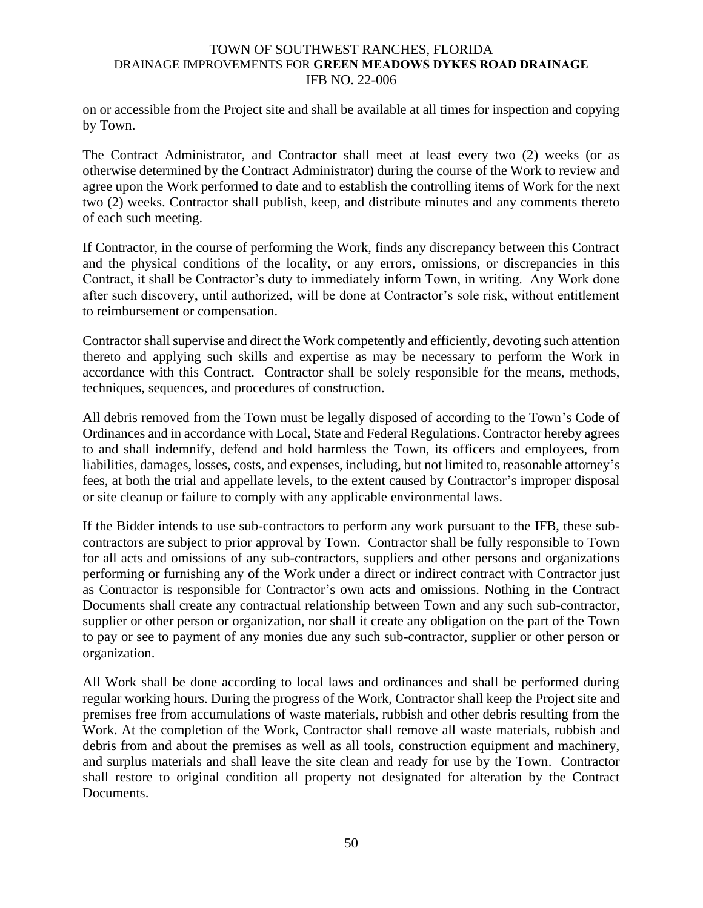on or accessible from the Project site and shall be available at all times for inspection and copying by Town.

The Contract Administrator, and Contractor shall meet at least every two (2) weeks (or as otherwise determined by the Contract Administrator) during the course of the Work to review and agree upon the Work performed to date and to establish the controlling items of Work for the next two (2) weeks. Contractor shall publish, keep, and distribute minutes and any comments thereto of each such meeting.

If Contractor, in the course of performing the Work, finds any discrepancy between this Contract and the physical conditions of the locality, or any errors, omissions, or discrepancies in this Contract, it shall be Contractor's duty to immediately inform Town, in writing. Any Work done after such discovery, until authorized, will be done at Contractor's sole risk, without entitlement to reimbursement or compensation.

Contractor shall supervise and direct the Work competently and efficiently, devoting such attention thereto and applying such skills and expertise as may be necessary to perform the Work in accordance with this Contract. Contractor shall be solely responsible for the means, methods, techniques, sequences, and procedures of construction.

All debris removed from the Town must be legally disposed of according to the Town's Code of Ordinances and in accordance with Local, State and Federal Regulations. Contractor hereby agrees to and shall indemnify, defend and hold harmless the Town, its officers and employees, from liabilities, damages, losses, costs, and expenses, including, but not limited to, reasonable attorney's fees, at both the trial and appellate levels, to the extent caused by Contractor's improper disposal or site cleanup or failure to comply with any applicable environmental laws.

If the Bidder intends to use sub-contractors to perform any work pursuant to the IFB, these subcontractors are subject to prior approval by Town. Contractor shall be fully responsible to Town for all acts and omissions of any sub-contractors, suppliers and other persons and organizations performing or furnishing any of the Work under a direct or indirect contract with Contractor just as Contractor is responsible for Contractor's own acts and omissions. Nothing in the Contract Documents shall create any contractual relationship between Town and any such sub-contractor, supplier or other person or organization, nor shall it create any obligation on the part of the Town to pay or see to payment of any monies due any such sub-contractor, supplier or other person or organization.

All Work shall be done according to local laws and ordinances and shall be performed during regular working hours. During the progress of the Work, Contractor shall keep the Project site and premises free from accumulations of waste materials, rubbish and other debris resulting from the Work. At the completion of the Work, Contractor shall remove all waste materials, rubbish and debris from and about the premises as well as all tools, construction equipment and machinery, and surplus materials and shall leave the site clean and ready for use by the Town. Contractor shall restore to original condition all property not designated for alteration by the Contract Documents.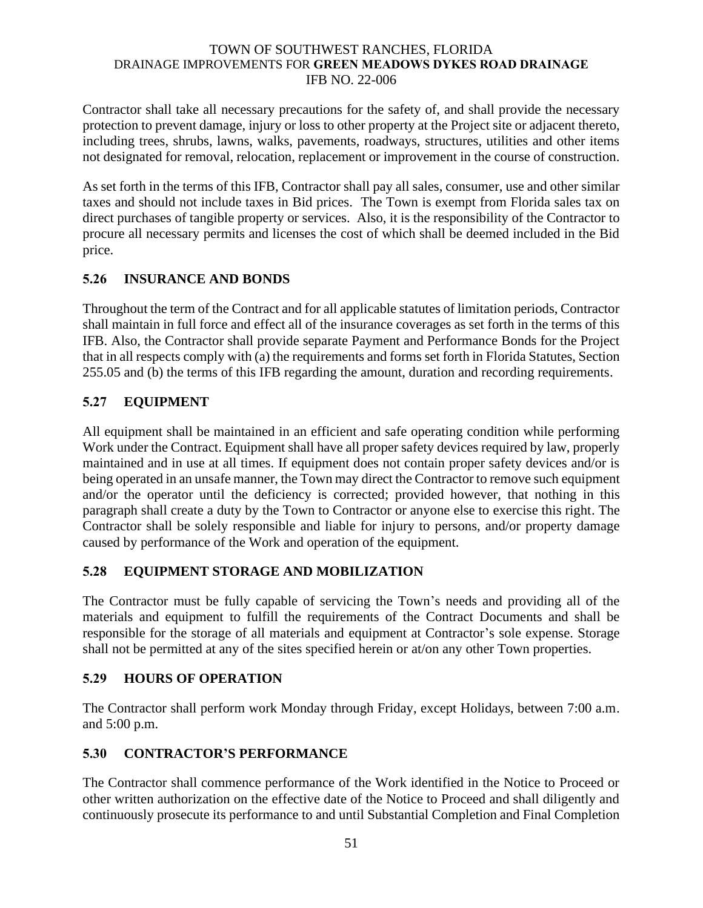Contractor shall take all necessary precautions for the safety of, and shall provide the necessary protection to prevent damage, injury or loss to other property at the Project site or adjacent thereto, including trees, shrubs, lawns, walks, pavements, roadways, structures, utilities and other items not designated for removal, relocation, replacement or improvement in the course of construction.

As set forth in the terms of this IFB, Contractor shall pay all sales, consumer, use and other similar taxes and should not include taxes in Bid prices. The Town is exempt from Florida sales tax on direct purchases of tangible property or services. Also, it is the responsibility of the Contractor to procure all necessary permits and licenses the cost of which shall be deemed included in the Bid price.

## **5.26 INSURANCE AND BONDS**

Throughout the term of the Contract and for all applicable statutes of limitation periods, Contractor shall maintain in full force and effect all of the insurance coverages as set forth in the terms of this IFB. Also, the Contractor shall provide separate Payment and Performance Bonds for the Project that in all respects comply with (a) the requirements and forms set forth in Florida Statutes, Section 255.05 and (b) the terms of this IFB regarding the amount, duration and recording requirements.

## **5.27 EQUIPMENT**

All equipment shall be maintained in an efficient and safe operating condition while performing Work under the Contract. Equipment shall have all proper safety devices required by law, properly maintained and in use at all times. If equipment does not contain proper safety devices and/or is being operated in an unsafe manner, the Town may direct the Contractor to remove such equipment and/or the operator until the deficiency is corrected; provided however, that nothing in this paragraph shall create a duty by the Town to Contractor or anyone else to exercise this right. The Contractor shall be solely responsible and liable for injury to persons, and/or property damage caused by performance of the Work and operation of the equipment.

#### **5.28 EQUIPMENT STORAGE AND MOBILIZATION**

The Contractor must be fully capable of servicing the Town's needs and providing all of the materials and equipment to fulfill the requirements of the Contract Documents and shall be responsible for the storage of all materials and equipment at Contractor's sole expense. Storage shall not be permitted at any of the sites specified herein or at/on any other Town properties.

## **5.29 HOURS OF OPERATION**

The Contractor shall perform work Monday through Friday, except Holidays, between 7:00 a.m. and 5:00 p.m.

## **5.30 CONTRACTOR'S PERFORMANCE**

The Contractor shall commence performance of the Work identified in the Notice to Proceed or other written authorization on the effective date of the Notice to Proceed and shall diligently and continuously prosecute its performance to and until Substantial Completion and Final Completion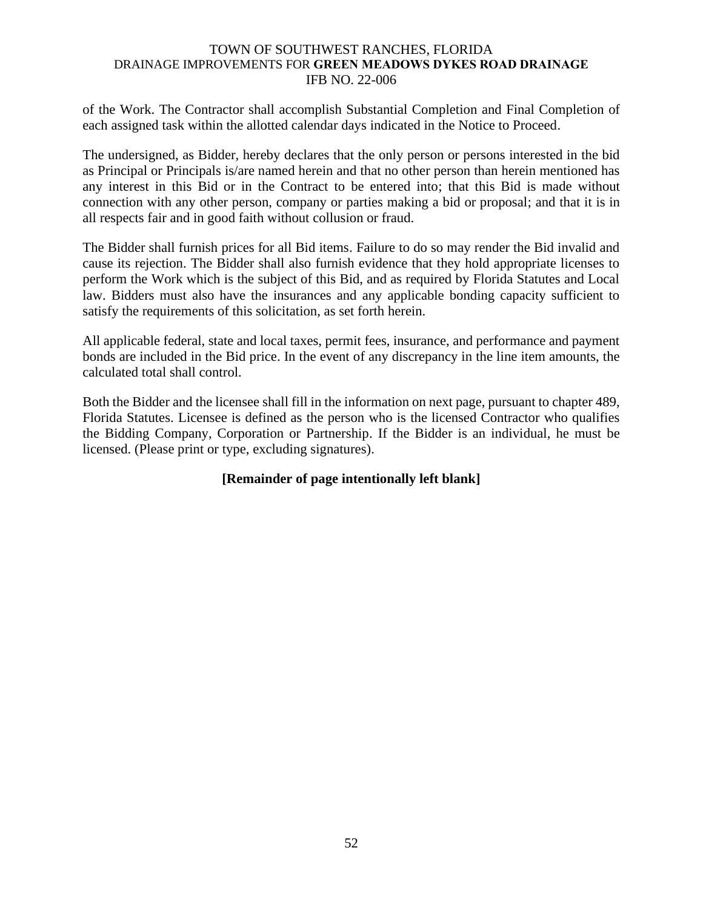of the Work. The Contractor shall accomplish Substantial Completion and Final Completion of each assigned task within the allotted calendar days indicated in the Notice to Proceed.

The undersigned, as Bidder, hereby declares that the only person or persons interested in the bid as Principal or Principals is/are named herein and that no other person than herein mentioned has any interest in this Bid or in the Contract to be entered into; that this Bid is made without connection with any other person, company or parties making a bid or proposal; and that it is in all respects fair and in good faith without collusion or fraud.

The Bidder shall furnish prices for all Bid items. Failure to do so may render the Bid invalid and cause its rejection. The Bidder shall also furnish evidence that they hold appropriate licenses to perform the Work which is the subject of this Bid, and as required by Florida Statutes and Local law. Bidders must also have the insurances and any applicable bonding capacity sufficient to satisfy the requirements of this solicitation, as set forth herein.

All applicable federal, state and local taxes, permit fees, insurance, and performance and payment bonds are included in the Bid price. In the event of any discrepancy in the line item amounts, the calculated total shall control.

Both the Bidder and the licensee shall fill in the information on next page, pursuant to chapter 489, Florida Statutes. Licensee is defined as the person who is the licensed Contractor who qualifies the Bidding Company, Corporation or Partnership. If the Bidder is an individual, he must be licensed. (Please print or type, excluding signatures).

## **[Remainder of page intentionally left blank]**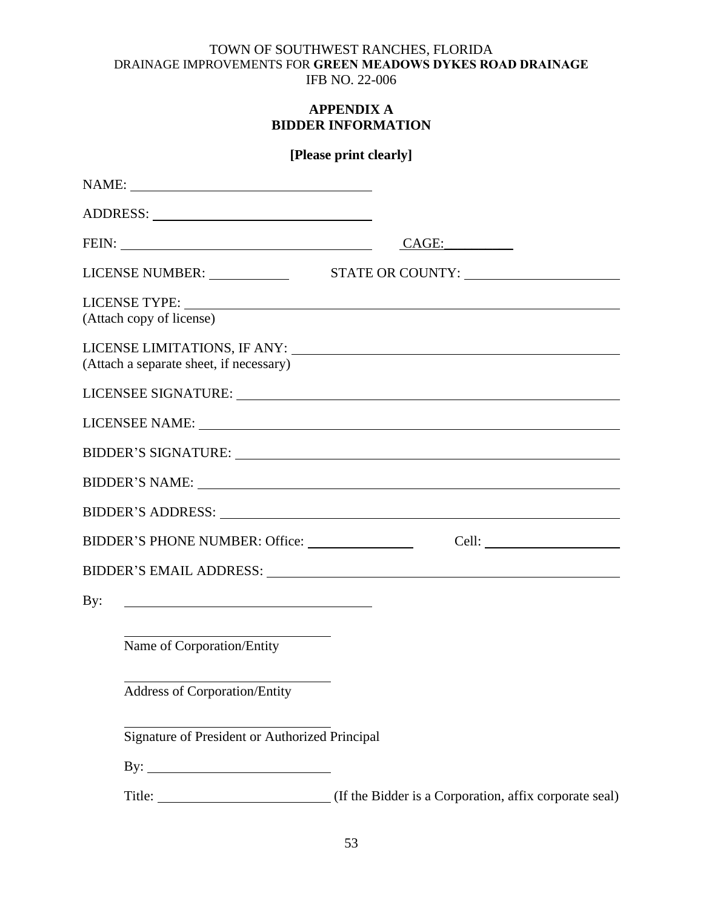IFB NO. 22-006

## **APPENDIX A BIDDER INFORMATION**

| [Please print clearly] |  |  |
|------------------------|--|--|
|                        |  |  |

|                                                | CAGE:                                                                                                           |
|------------------------------------------------|-----------------------------------------------------------------------------------------------------------------|
|                                                |                                                                                                                 |
| (Attach copy of license)                       |                                                                                                                 |
| (Attach a separate sheet, if necessary)        |                                                                                                                 |
|                                                |                                                                                                                 |
|                                                |                                                                                                                 |
|                                                |                                                                                                                 |
|                                                |                                                                                                                 |
|                                                |                                                                                                                 |
| BIDDER'S PHONE NUMBER: Office: _______________ |                                                                                                                 |
|                                                | BIDDER'S EMAIL ADDRESS: Value of the Contract of the Contract of the Contract of the Contract of the Contract o |
| By:                                            |                                                                                                                 |
| Name of Corporation/Entity                     |                                                                                                                 |
| <b>Address of Corporation/Entity</b>           |                                                                                                                 |
| Signature of President or Authorized Principal |                                                                                                                 |
|                                                |                                                                                                                 |
|                                                | (If the Bidder is a Corporation, affix corporate seal)                                                          |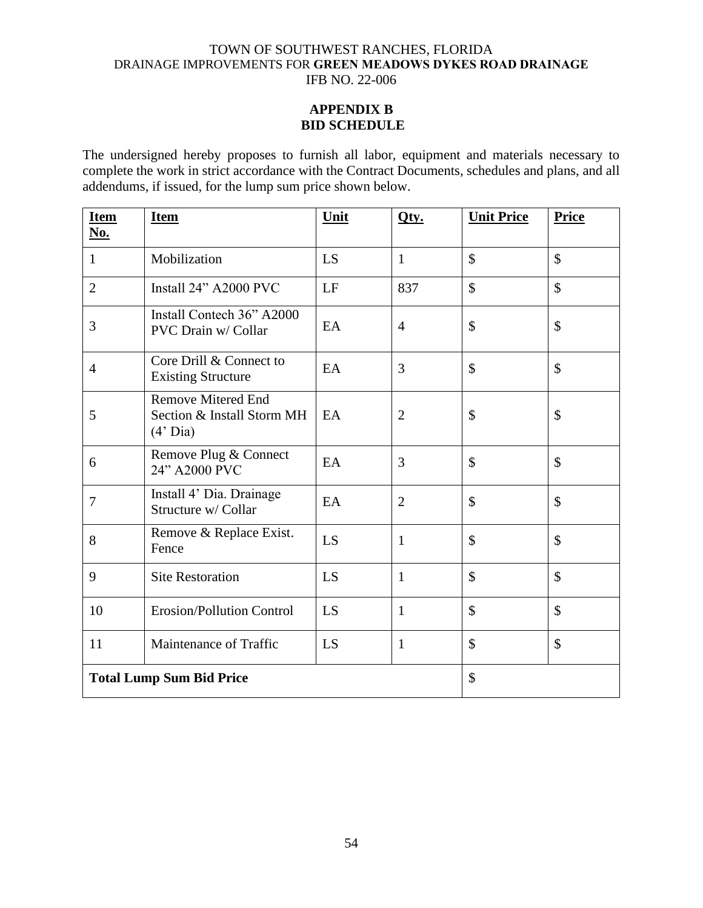# **APPENDIX B**

**BID SCHEDULE** 

The undersigned hereby proposes to furnish all labor, equipment and materials necessary to complete the work in strict accordance with the Contract Documents, schedules and plans, and all addendums, if issued, for the lump sum price shown below.

| <b>Item</b><br><u>No.</u>       | <b>Item</b>                                                           | Unit | Oty.           | <b>Unit Price</b> | <b>Price</b>              |
|---------------------------------|-----------------------------------------------------------------------|------|----------------|-------------------|---------------------------|
| $\mathbf{1}$                    | Mobilization                                                          | LS   | $\mathbf{1}$   | \$                | $\mathbb{S}$              |
| $\overline{2}$                  | Install 24" A2000 PVC                                                 | LF   | 837            | \$                | $\mathbb{S}$              |
| 3                               | Install Contech 36" A2000<br>PVC Drain w/ Collar                      | EA   | $\overline{4}$ | \$                | $\mathcal{S}$             |
| $\overline{4}$                  | Core Drill & Connect to<br><b>Existing Structure</b>                  | EA   | 3              | $\mathcal{S}$     | $\boldsymbol{\mathsf{S}}$ |
| 5                               | <b>Remove Mitered End</b><br>Section & Install Storm MH<br>$(4'$ Dia) | EA   | $\overline{2}$ | \$                | \$                        |
| 6                               | Remove Plug & Connect<br>24" A2000 PVC                                | EA   | 3              | $\mathcal{S}$     | $\mathcal{S}$             |
| $\overline{7}$                  | Install 4' Dia. Drainage<br>Structure w/ Collar                       | EA   | $\overline{2}$ | \$                | $\mathcal{S}$             |
| 8                               | Remove & Replace Exist.<br>Fence                                      | LS   | $\mathbf{1}$   | \$                | $\boldsymbol{\mathsf{S}}$ |
| 9                               | <b>Site Restoration</b>                                               | LS   | $\mathbf{1}$   | $\mathcal{S}$     | \$                        |
| 10                              | Erosion/Pollution Control                                             | LS   | $\mathbf{1}$   | \$                | $\boldsymbol{\mathsf{S}}$ |
| 11                              | Maintenance of Traffic                                                | LS   | $\mathbf{1}$   | $\mathcal{S}$     | $\mathcal{S}$             |
| <b>Total Lump Sum Bid Price</b> |                                                                       |      | \$             |                   |                           |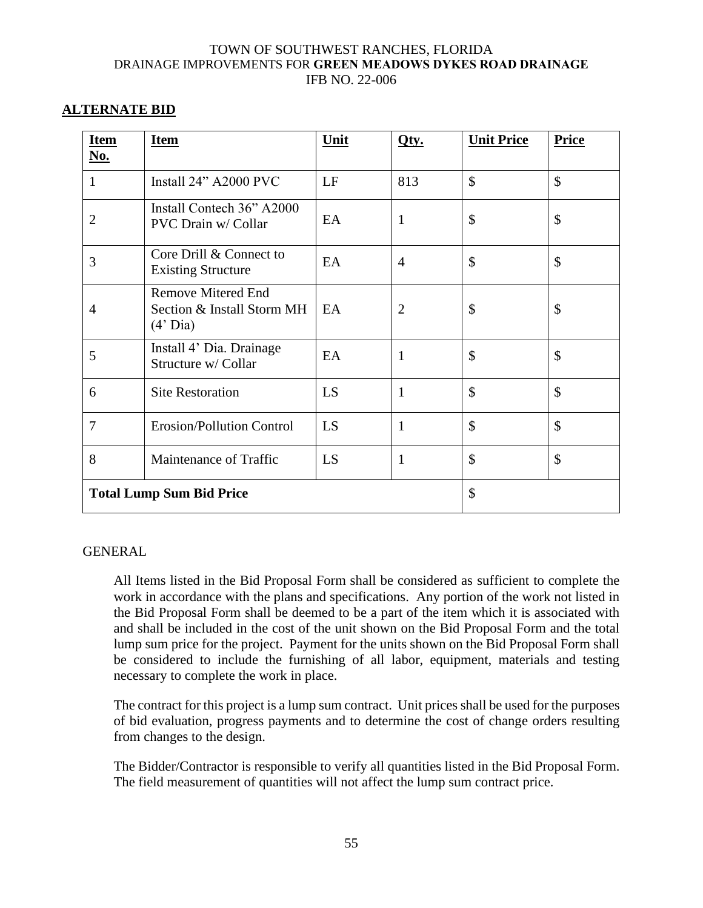## **ALTERNATE BID**

| <b>Item</b><br><u>No.</u>       | <b>Item</b>                                                           | Unit | Qty.           | <b>Unit Price</b> | <b>Price</b>  |
|---------------------------------|-----------------------------------------------------------------------|------|----------------|-------------------|---------------|
| $\mathbf{1}$                    | Install 24" A2000 PVC                                                 | LF   | 813            | \$                | $\mathcal{S}$ |
| $\overline{2}$                  | Install Contech 36" A2000<br>PVC Drain w/ Collar                      | EA   | 1              | \$                | \$            |
| 3                               | Core Drill & Connect to<br><b>Existing Structure</b>                  | EA   | $\overline{4}$ | \$                | $\mathcal{S}$ |
| 4                               | <b>Remove Mitered End</b><br>Section & Install Storm MH<br>$(4'$ Dia) | EA   | $\overline{2}$ | \$                | \$            |
| 5                               | Install 4' Dia. Drainage<br>Structure w/ Collar                       | EA   | $\mathbf{1}$   | \$                | \$            |
| 6                               | <b>Site Restoration</b>                                               | LS   | $\mathbf{1}$   | \$                | \$            |
| $\overline{7}$                  | <b>Erosion/Pollution Control</b>                                      | LS   | $\mathbf{1}$   | \$                | $\mathcal{S}$ |
| 8                               | Maintenance of Traffic                                                | LS   | $\mathbf{1}$   | \$                | \$            |
| <b>Total Lump Sum Bid Price</b> |                                                                       |      | \$             |                   |               |

#### **GENERAL**

All Items listed in the Bid Proposal Form shall be considered as sufficient to complete the work in accordance with the plans and specifications. Any portion of the work not listed in the Bid Proposal Form shall be deemed to be a part of the item which it is associated with and shall be included in the cost of the unit shown on the Bid Proposal Form and the total lump sum price for the project. Payment for the units shown on the Bid Proposal Form shall be considered to include the furnishing of all labor, equipment, materials and testing necessary to complete the work in place.

The contract for this project is a lump sum contract. Unit prices shall be used for the purposes of bid evaluation, progress payments and to determine the cost of change orders resulting from changes to the design.

The Bidder/Contractor is responsible to verify all quantities listed in the Bid Proposal Form. The field measurement of quantities will not affect the lump sum contract price.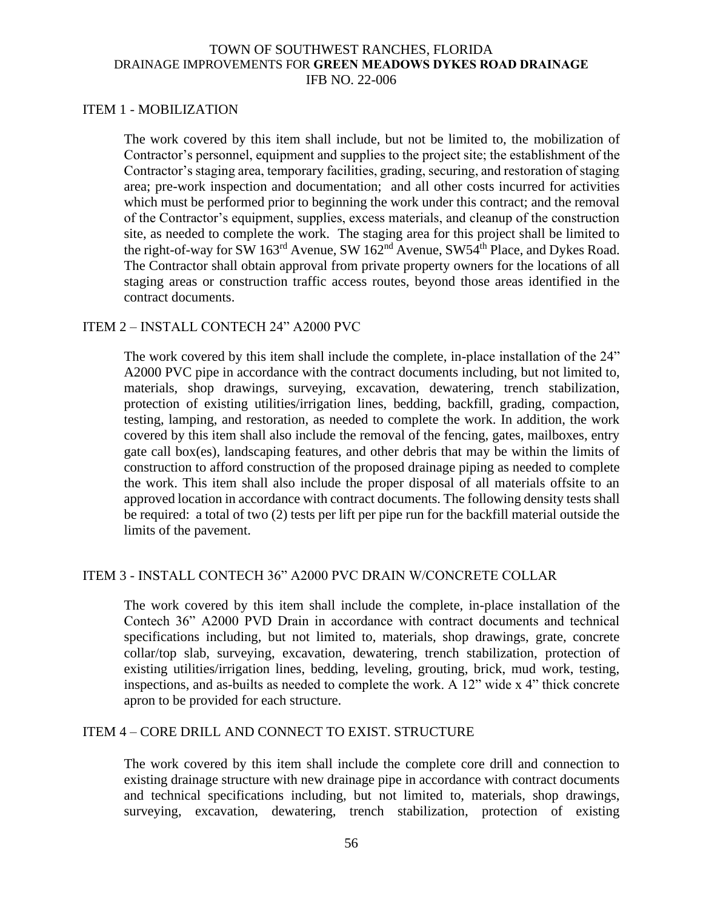#### ITEM 1 - MOBILIZATION

The work covered by this item shall include, but not be limited to, the mobilization of Contractor's personnel, equipment and supplies to the project site; the establishment of the Contractor's staging area, temporary facilities, grading, securing, and restoration of staging area; pre-work inspection and documentation; and all other costs incurred for activities which must be performed prior to beginning the work under this contract; and the removal of the Contractor's equipment, supplies, excess materials, and cleanup of the construction site, as needed to complete the work. The staging area for this project shall be limited to the right-of-way for SW 163<sup>rd</sup> Avenue, SW 162<sup>nd</sup> Avenue, SW54<sup>th</sup> Place, and Dykes Road. The Contractor shall obtain approval from private property owners for the locations of all staging areas or construction traffic access routes, beyond those areas identified in the contract documents.

#### ITEM 2 – INSTALL CONTECH 24" A2000 PVC

The work covered by this item shall include the complete, in-place installation of the 24" A2000 PVC pipe in accordance with the contract documents including, but not limited to, materials, shop drawings, surveying, excavation, dewatering, trench stabilization, protection of existing utilities/irrigation lines, bedding, backfill, grading, compaction, testing, lamping, and restoration, as needed to complete the work. In addition, the work covered by this item shall also include the removal of the fencing, gates, mailboxes, entry gate call box(es), landscaping features, and other debris that may be within the limits of construction to afford construction of the proposed drainage piping as needed to complete the work. This item shall also include the proper disposal of all materials offsite to an approved location in accordance with contract documents. The following density tests shall be required: a total of two (2) tests per lift per pipe run for the backfill material outside the limits of the pavement.

#### ITEM 3 - INSTALL CONTECH 36" A2000 PVC DRAIN W/CONCRETE COLLAR

The work covered by this item shall include the complete, in-place installation of the Contech 36" A2000 PVD Drain in accordance with contract documents and technical specifications including, but not limited to, materials, shop drawings, grate, concrete collar/top slab, surveying, excavation, dewatering, trench stabilization, protection of existing utilities/irrigation lines, bedding, leveling, grouting, brick, mud work, testing, inspections, and as-builts as needed to complete the work. A 12" wide x 4" thick concrete apron to be provided for each structure.

## ITEM 4 – CORE DRILL AND CONNECT TO EXIST. STRUCTURE

The work covered by this item shall include the complete core drill and connection to existing drainage structure with new drainage pipe in accordance with contract documents and technical specifications including, but not limited to, materials, shop drawings, surveying, excavation, dewatering, trench stabilization, protection of existing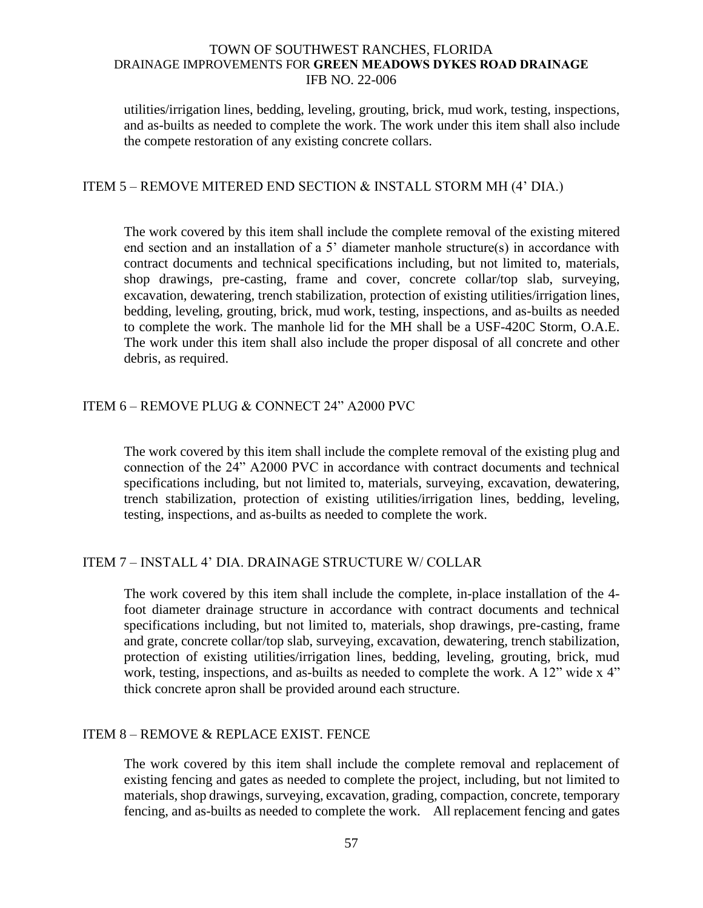utilities/irrigation lines, bedding, leveling, grouting, brick, mud work, testing, inspections, and as-builts as needed to complete the work. The work under this item shall also include the compete restoration of any existing concrete collars.

#### ITEM 5 – REMOVE MITERED END SECTION & INSTALL STORM MH (4' DIA.)

The work covered by this item shall include the complete removal of the existing mitered end section and an installation of a 5' diameter manhole structure(s) in accordance with contract documents and technical specifications including, but not limited to, materials, shop drawings, pre-casting, frame and cover, concrete collar/top slab, surveying, excavation, dewatering, trench stabilization, protection of existing utilities/irrigation lines, bedding, leveling, grouting, brick, mud work, testing, inspections, and as-builts as needed to complete the work. The manhole lid for the MH shall be a USF-420C Storm, O.A.E. The work under this item shall also include the proper disposal of all concrete and other debris, as required.

#### ITEM 6 – REMOVE PLUG & CONNECT 24" A2000 PVC

The work covered by this item shall include the complete removal of the existing plug and connection of the 24" A2000 PVC in accordance with contract documents and technical specifications including, but not limited to, materials, surveying, excavation, dewatering, trench stabilization, protection of existing utilities/irrigation lines, bedding, leveling, testing, inspections, and as-builts as needed to complete the work.

#### ITEM 7 – INSTALL 4' DIA. DRAINAGE STRUCTURE W/ COLLAR

The work covered by this item shall include the complete, in-place installation of the 4 foot diameter drainage structure in accordance with contract documents and technical specifications including, but not limited to, materials, shop drawings, pre-casting, frame and grate, concrete collar/top slab, surveying, excavation, dewatering, trench stabilization, protection of existing utilities/irrigation lines, bedding, leveling, grouting, brick, mud work, testing, inspections, and as-builts as needed to complete the work. A 12" wide x 4" thick concrete apron shall be provided around each structure.

## ITEM 8 – REMOVE & REPLACE EXIST. FENCE

The work covered by this item shall include the complete removal and replacement of existing fencing and gates as needed to complete the project, including, but not limited to materials, shop drawings, surveying, excavation, grading, compaction, concrete, temporary fencing, and as-builts as needed to complete the work. All replacement fencing and gates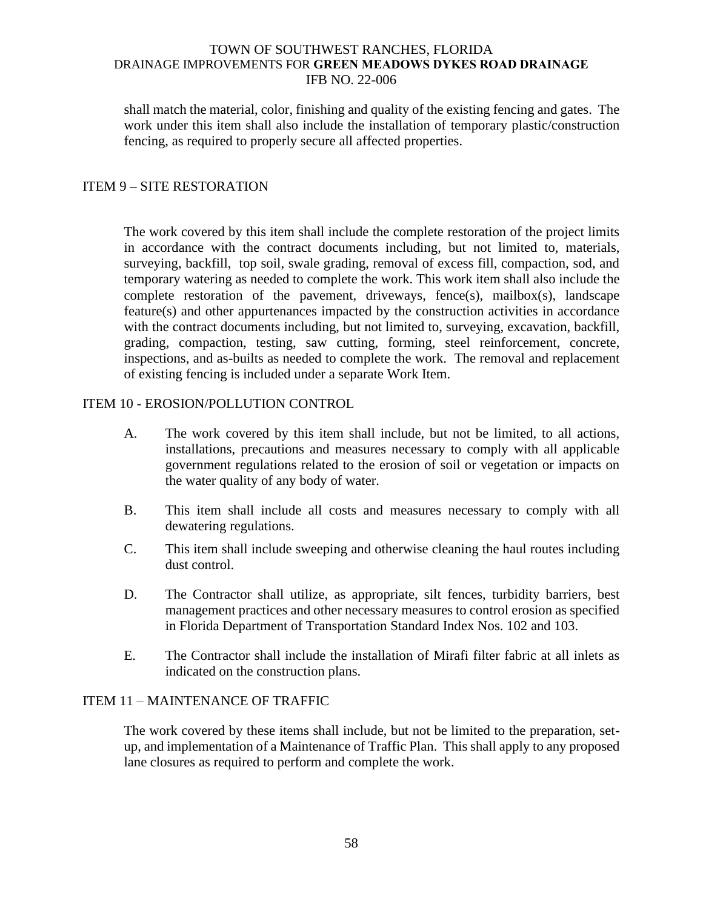shall match the material, color, finishing and quality of the existing fencing and gates. The work under this item shall also include the installation of temporary plastic/construction fencing, as required to properly secure all affected properties.

## ITEM 9 – SITE RESTORATION

The work covered by this item shall include the complete restoration of the project limits in accordance with the contract documents including, but not limited to, materials, surveying, backfill, top soil, swale grading, removal of excess fill, compaction, sod, and temporary watering as needed to complete the work. This work item shall also include the complete restoration of the pavement, driveways, fence(s), mailbox(s), landscape feature(s) and other appurtenances impacted by the construction activities in accordance with the contract documents including, but not limited to, surveying, excavation, backfill, grading, compaction, testing, saw cutting, forming, steel reinforcement, concrete, inspections, and as-builts as needed to complete the work. The removal and replacement of existing fencing is included under a separate Work Item.

#### ITEM 10 - EROSION/POLLUTION CONTROL

- A. The work covered by this item shall include, but not be limited, to all actions, installations, precautions and measures necessary to comply with all applicable government regulations related to the erosion of soil or vegetation or impacts on the water quality of any body of water.
- B. This item shall include all costs and measures necessary to comply with all dewatering regulations.
- C. This item shall include sweeping and otherwise cleaning the haul routes including dust control.
- D. The Contractor shall utilize, as appropriate, silt fences, turbidity barriers, best management practices and other necessary measures to control erosion as specified in Florida Department of Transportation Standard Index Nos. 102 and 103.
- E. The Contractor shall include the installation of Mirafi filter fabric at all inlets as indicated on the construction plans.

#### ITEM 11 – MAINTENANCE OF TRAFFIC

The work covered by these items shall include, but not be limited to the preparation, setup, and implementation of a Maintenance of Traffic Plan. This shall apply to any proposed lane closures as required to perform and complete the work.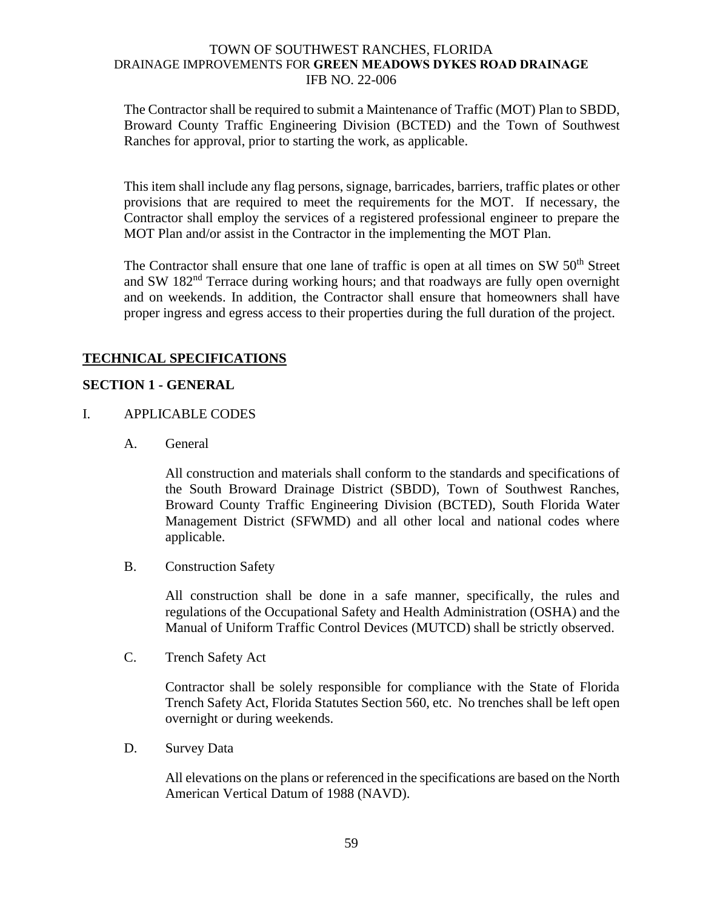The Contractor shall be required to submit a Maintenance of Traffic (MOT) Plan to SBDD, Broward County Traffic Engineering Division (BCTED) and the Town of Southwest Ranches for approval, prior to starting the work, as applicable.

This item shall include any flag persons, signage, barricades, barriers, traffic plates or other provisions that are required to meet the requirements for the MOT. If necessary, the Contractor shall employ the services of a registered professional engineer to prepare the MOT Plan and/or assist in the Contractor in the implementing the MOT Plan.

The Contractor shall ensure that one lane of traffic is open at all times on SW 50<sup>th</sup> Street and SW 182nd Terrace during working hours; and that roadways are fully open overnight and on weekends. In addition, the Contractor shall ensure that homeowners shall have proper ingress and egress access to their properties during the full duration of the project.

## **TECHNICAL SPECIFICATIONS**

## **SECTION 1 - GENERAL**

- I. APPLICABLE CODES
	- A. General

All construction and materials shall conform to the standards and specifications of the South Broward Drainage District (SBDD), Town of Southwest Ranches, Broward County Traffic Engineering Division (BCTED), South Florida Water Management District (SFWMD) and all other local and national codes where applicable.

#### B. Construction Safety

All construction shall be done in a safe manner, specifically, the rules and regulations of the Occupational Safety and Health Administration (OSHA) and the Manual of Uniform Traffic Control Devices (MUTCD) shall be strictly observed.

C. Trench Safety Act

Contractor shall be solely responsible for compliance with the State of Florida Trench Safety Act, Florida Statutes Section 560, etc. No trenches shall be left open overnight or during weekends.

D. Survey Data

All elevations on the plans or referenced in the specifications are based on the North American Vertical Datum of 1988 (NAVD).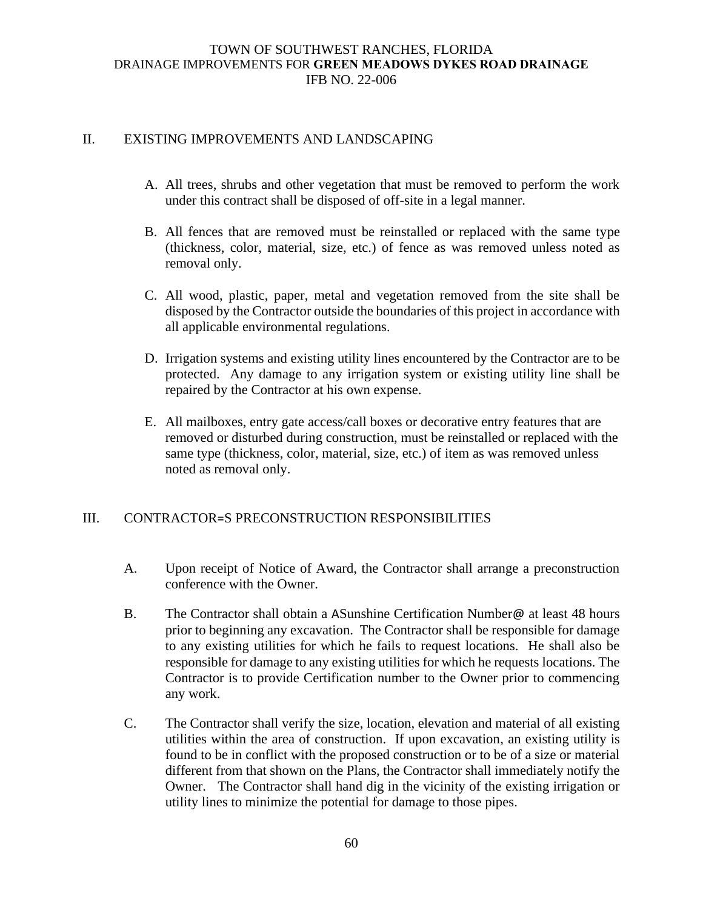#### II. EXISTING IMPROVEMENTS AND LANDSCAPING

- A. All trees, shrubs and other vegetation that must be removed to perform the work under this contract shall be disposed of off-site in a legal manner.
- B. All fences that are removed must be reinstalled or replaced with the same type (thickness, color, material, size, etc.) of fence as was removed unless noted as removal only.
- C. All wood, plastic, paper, metal and vegetation removed from the site shall be disposed by the Contractor outside the boundaries of this project in accordance with all applicable environmental regulations.
- D. Irrigation systems and existing utility lines encountered by the Contractor are to be protected. Any damage to any irrigation system or existing utility line shall be repaired by the Contractor at his own expense.
- E. All mailboxes, entry gate access/call boxes or decorative entry features that are removed or disturbed during construction, must be reinstalled or replaced with the same type (thickness, color, material, size, etc.) of item as was removed unless noted as removal only.

#### III. CONTRACTOR=S PRECONSTRUCTION RESPONSIBILITIES

- A. Upon receipt of Notice of Award, the Contractor shall arrange a preconstruction conference with the Owner.
- B. The Contractor shall obtain a ASunshine Certification Number@ at least 48 hours prior to beginning any excavation. The Contractor shall be responsible for damage to any existing utilities for which he fails to request locations. He shall also be responsible for damage to any existing utilities for which he requests locations. The Contractor is to provide Certification number to the Owner prior to commencing any work.
- C. The Contractor shall verify the size, location, elevation and material of all existing utilities within the area of construction. If upon excavation, an existing utility is found to be in conflict with the proposed construction or to be of a size or material different from that shown on the Plans, the Contractor shall immediately notify the Owner. The Contractor shall hand dig in the vicinity of the existing irrigation or utility lines to minimize the potential for damage to those pipes.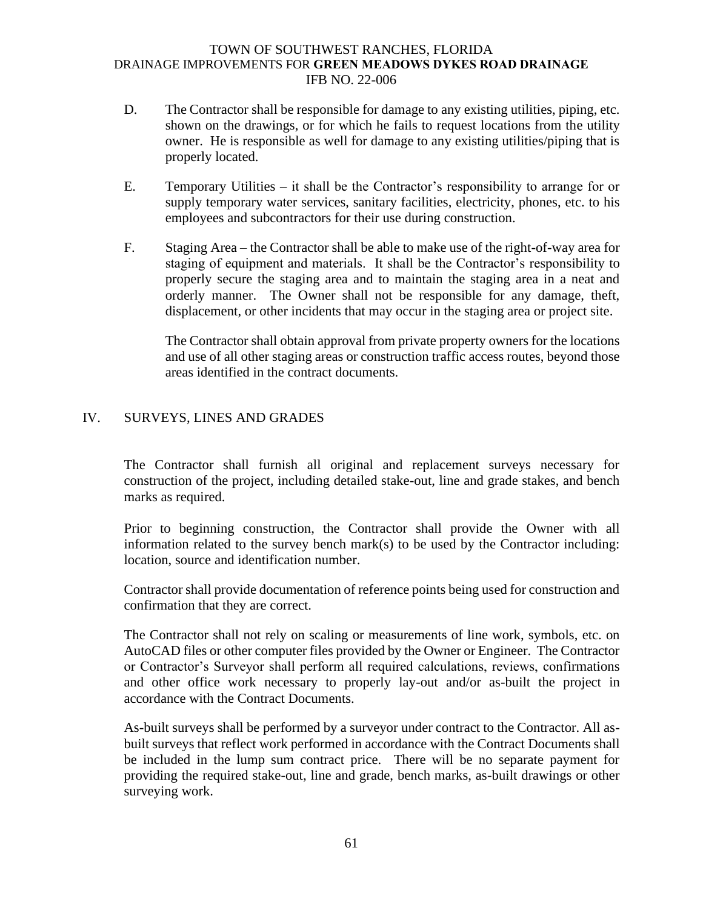- D. The Contractor shall be responsible for damage to any existing utilities, piping, etc. shown on the drawings, or for which he fails to request locations from the utility owner. He is responsible as well for damage to any existing utilities/piping that is properly located.
- E. Temporary Utilities it shall be the Contractor's responsibility to arrange for or supply temporary water services, sanitary facilities, electricity, phones, etc. to his employees and subcontractors for their use during construction.
- F. Staging Area the Contractor shall be able to make use of the right-of-way area for staging of equipment and materials. It shall be the Contractor's responsibility to properly secure the staging area and to maintain the staging area in a neat and orderly manner. The Owner shall not be responsible for any damage, theft, displacement, or other incidents that may occur in the staging area or project site.

The Contractor shall obtain approval from private property owners for the locations and use of all other staging areas or construction traffic access routes, beyond those areas identified in the contract documents.

## IV. SURVEYS, LINES AND GRADES

The Contractor shall furnish all original and replacement surveys necessary for construction of the project, including detailed stake-out, line and grade stakes, and bench marks as required.

Prior to beginning construction, the Contractor shall provide the Owner with all information related to the survey bench mark(s) to be used by the Contractor including: location, source and identification number.

Contractor shall provide documentation of reference points being used for construction and confirmation that they are correct.

The Contractor shall not rely on scaling or measurements of line work, symbols, etc. on AutoCAD files or other computer files provided by the Owner or Engineer. The Contractor or Contractor's Surveyor shall perform all required calculations, reviews, confirmations and other office work necessary to properly lay-out and/or as-built the project in accordance with the Contract Documents.

As-built surveys shall be performed by a surveyor under contract to the Contractor. All asbuilt surveys that reflect work performed in accordance with the Contract Documents shall be included in the lump sum contract price. There will be no separate payment for providing the required stake-out, line and grade, bench marks, as-built drawings or other surveying work.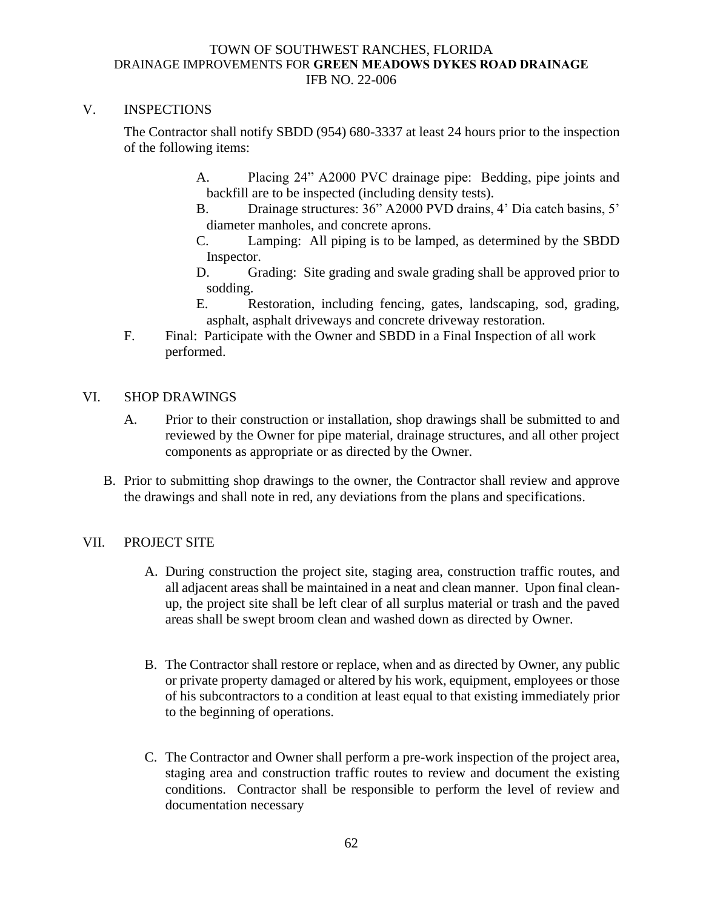#### V. INSPECTIONS

The Contractor shall notify SBDD (954) 680-3337 at least 24 hours prior to the inspection of the following items:

- A. Placing 24" A2000 PVC drainage pipe: Bedding, pipe joints and backfill are to be inspected (including density tests).
- B. Drainage structures: 36" A2000 PVD drains, 4' Dia catch basins, 5' diameter manholes, and concrete aprons.
- C. Lamping: All piping is to be lamped, as determined by the SBDD Inspector.
- D. Grading: Site grading and swale grading shall be approved prior to sodding.
- E. Restoration, including fencing, gates, landscaping, sod, grading, asphalt, asphalt driveways and concrete driveway restoration.
- F. Final: Participate with the Owner and SBDD in a Final Inspection of all work performed.

#### VI. SHOP DRAWINGS

- A. Prior to their construction or installation, shop drawings shall be submitted to and reviewed by the Owner for pipe material, drainage structures, and all other project components as appropriate or as directed by the Owner.
- B. Prior to submitting shop drawings to the owner, the Contractor shall review and approve the drawings and shall note in red, any deviations from the plans and specifications.

#### VII. PROJECT SITE

- A. During construction the project site, staging area, construction traffic routes, and all adjacent areas shall be maintained in a neat and clean manner. Upon final cleanup, the project site shall be left clear of all surplus material or trash and the paved areas shall be swept broom clean and washed down as directed by Owner.
- B. The Contractor shall restore or replace, when and as directed by Owner, any public or private property damaged or altered by his work, equipment, employees or those of his subcontractors to a condition at least equal to that existing immediately prior to the beginning of operations.
- C. The Contractor and Owner shall perform a pre-work inspection of the project area, staging area and construction traffic routes to review and document the existing conditions. Contractor shall be responsible to perform the level of review and documentation necessary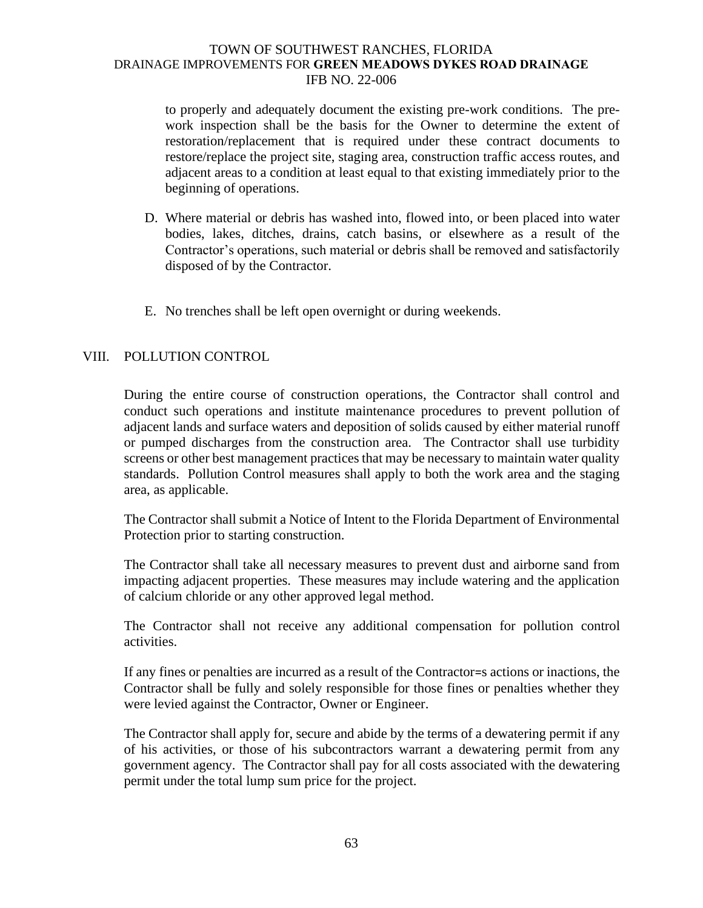to properly and adequately document the existing pre-work conditions. The prework inspection shall be the basis for the Owner to determine the extent of restoration/replacement that is required under these contract documents to restore/replace the project site, staging area, construction traffic access routes, and adjacent areas to a condition at least equal to that existing immediately prior to the beginning of operations.

- D. Where material or debris has washed into, flowed into, or been placed into water bodies, lakes, ditches, drains, catch basins, or elsewhere as a result of the Contractor's operations, such material or debris shall be removed and satisfactorily disposed of by the Contractor.
- E. No trenches shall be left open overnight or during weekends.

#### VIII. POLLUTION CONTROL

During the entire course of construction operations, the Contractor shall control and conduct such operations and institute maintenance procedures to prevent pollution of adjacent lands and surface waters and deposition of solids caused by either material runoff or pumped discharges from the construction area. The Contractor shall use turbidity screens or other best management practices that may be necessary to maintain water quality standards. Pollution Control measures shall apply to both the work area and the staging area, as applicable.

The Contractor shall submit a Notice of Intent to the Florida Department of Environmental Protection prior to starting construction.

The Contractor shall take all necessary measures to prevent dust and airborne sand from impacting adjacent properties. These measures may include watering and the application of calcium chloride or any other approved legal method.

The Contractor shall not receive any additional compensation for pollution control activities.

If any fines or penalties are incurred as a result of the Contractor=s actions or inactions, the Contractor shall be fully and solely responsible for those fines or penalties whether they were levied against the Contractor, Owner or Engineer.

The Contractor shall apply for, secure and abide by the terms of a dewatering permit if any of his activities, or those of his subcontractors warrant a dewatering permit from any government agency. The Contractor shall pay for all costs associated with the dewatering permit under the total lump sum price for the project.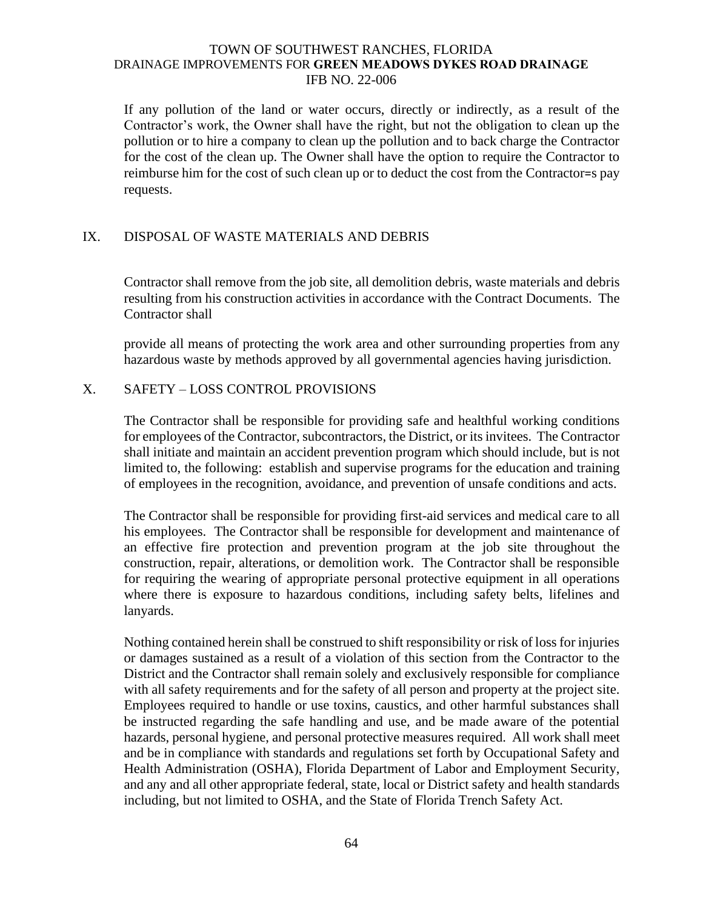If any pollution of the land or water occurs, directly or indirectly, as a result of the Contractor's work, the Owner shall have the right, but not the obligation to clean up the pollution or to hire a company to clean up the pollution and to back charge the Contractor for the cost of the clean up. The Owner shall have the option to require the Contractor to reimburse him for the cost of such clean up or to deduct the cost from the Contractor=s pay requests.

#### IX. DISPOSAL OF WASTE MATERIALS AND DEBRIS

Contractor shall remove from the job site, all demolition debris, waste materials and debris resulting from his construction activities in accordance with the Contract Documents. The Contractor shall

provide all means of protecting the work area and other surrounding properties from any hazardous waste by methods approved by all governmental agencies having jurisdiction.

#### X. SAFETY – LOSS CONTROL PROVISIONS

The Contractor shall be responsible for providing safe and healthful working conditions for employees of the Contractor, subcontractors, the District, or its invitees. The Contractor shall initiate and maintain an accident prevention program which should include, but is not limited to, the following: establish and supervise programs for the education and training of employees in the recognition, avoidance, and prevention of unsafe conditions and acts.

The Contractor shall be responsible for providing first-aid services and medical care to all his employees. The Contractor shall be responsible for development and maintenance of an effective fire protection and prevention program at the job site throughout the construction, repair, alterations, or demolition work. The Contractor shall be responsible for requiring the wearing of appropriate personal protective equipment in all operations where there is exposure to hazardous conditions, including safety belts, lifelines and lanyards.

Nothing contained herein shall be construed to shift responsibility or risk of loss for injuries or damages sustained as a result of a violation of this section from the Contractor to the District and the Contractor shall remain solely and exclusively responsible for compliance with all safety requirements and for the safety of all person and property at the project site. Employees required to handle or use toxins, caustics, and other harmful substances shall be instructed regarding the safe handling and use, and be made aware of the potential hazards, personal hygiene, and personal protective measures required. All work shall meet and be in compliance with standards and regulations set forth by Occupational Safety and Health Administration (OSHA), Florida Department of Labor and Employment Security, and any and all other appropriate federal, state, local or District safety and health standards including, but not limited to OSHA, and the State of Florida Trench Safety Act.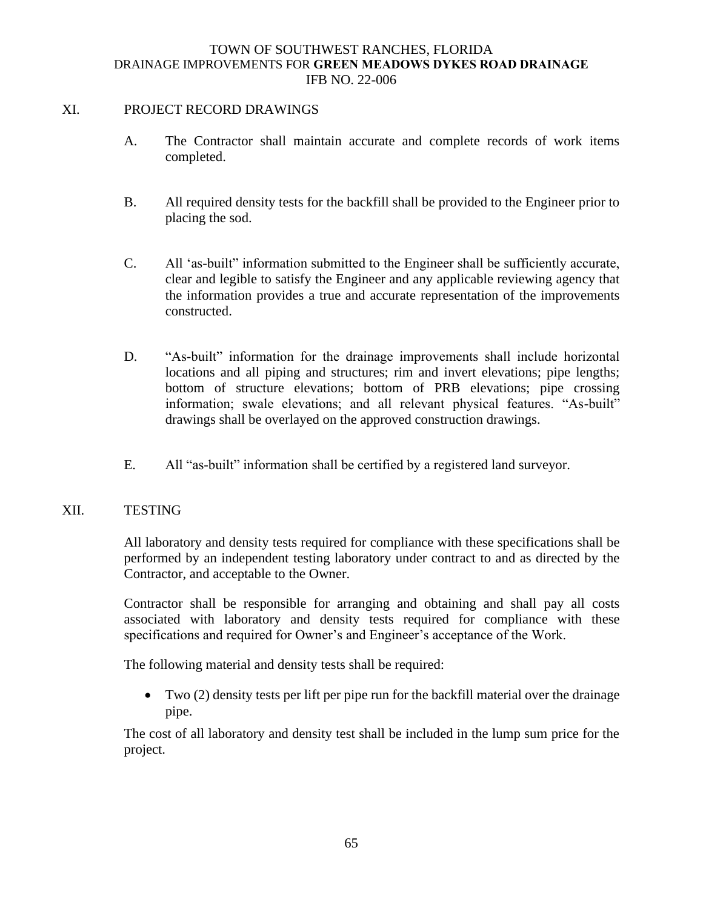#### XI. PROJECT RECORD DRAWINGS

- A. The Contractor shall maintain accurate and complete records of work items completed.
- B. All required density tests for the backfill shall be provided to the Engineer prior to placing the sod.
- C. All 'as-built" information submitted to the Engineer shall be sufficiently accurate, clear and legible to satisfy the Engineer and any applicable reviewing agency that the information provides a true and accurate representation of the improvements constructed.
- D. "As-built" information for the drainage improvements shall include horizontal locations and all piping and structures; rim and invert elevations; pipe lengths; bottom of structure elevations; bottom of PRB elevations; pipe crossing information; swale elevations; and all relevant physical features. "As-built" drawings shall be overlayed on the approved construction drawings.
- E. All "as-built" information shall be certified by a registered land surveyor.

#### XII. TESTING

All laboratory and density tests required for compliance with these specifications shall be performed by an independent testing laboratory under contract to and as directed by the Contractor, and acceptable to the Owner.

Contractor shall be responsible for arranging and obtaining and shall pay all costs associated with laboratory and density tests required for compliance with these specifications and required for Owner's and Engineer's acceptance of the Work.

The following material and density tests shall be required:

• Two (2) density tests per lift per pipe run for the backfill material over the drainage pipe.

The cost of all laboratory and density test shall be included in the lump sum price for the project.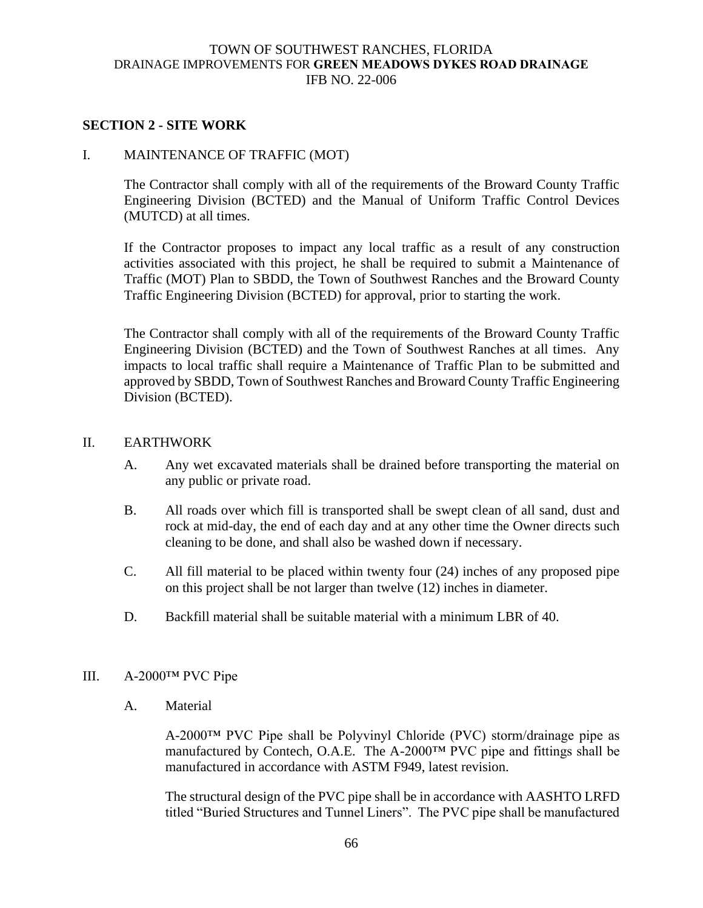#### **SECTION 2 - SITE WORK**

#### I. MAINTENANCE OF TRAFFIC (MOT)

The Contractor shall comply with all of the requirements of the Broward County Traffic Engineering Division (BCTED) and the Manual of Uniform Traffic Control Devices (MUTCD) at all times.

If the Contractor proposes to impact any local traffic as a result of any construction activities associated with this project, he shall be required to submit a Maintenance of Traffic (MOT) Plan to SBDD, the Town of Southwest Ranches and the Broward County Traffic Engineering Division (BCTED) for approval, prior to starting the work.

The Contractor shall comply with all of the requirements of the Broward County Traffic Engineering Division (BCTED) and the Town of Southwest Ranches at all times. Any impacts to local traffic shall require a Maintenance of Traffic Plan to be submitted and approved by SBDD, Town of Southwest Ranches and Broward County Traffic Engineering Division (BCTED).

#### II. EARTHWORK

- A. Any wet excavated materials shall be drained before transporting the material on any public or private road.
- B. All roads over which fill is transported shall be swept clean of all sand, dust and rock at mid-day, the end of each day and at any other time the Owner directs such cleaning to be done, and shall also be washed down if necessary.
- C. All fill material to be placed within twenty four (24) inches of any proposed pipe on this project shall be not larger than twelve (12) inches in diameter.
- D. Backfill material shall be suitable material with a minimum LBR of 40.

#### III. A-2000™ PVC Pipe

A. Material

A-2000™ PVC Pipe shall be Polyvinyl Chloride (PVC) storm/drainage pipe as manufactured by Contech, O.A.E. The A-2000™ PVC pipe and fittings shall be manufactured in accordance with ASTM F949, latest revision.

The structural design of the PVC pipe shall be in accordance with AASHTO LRFD titled "Buried Structures and Tunnel Liners". The PVC pipe shall be manufactured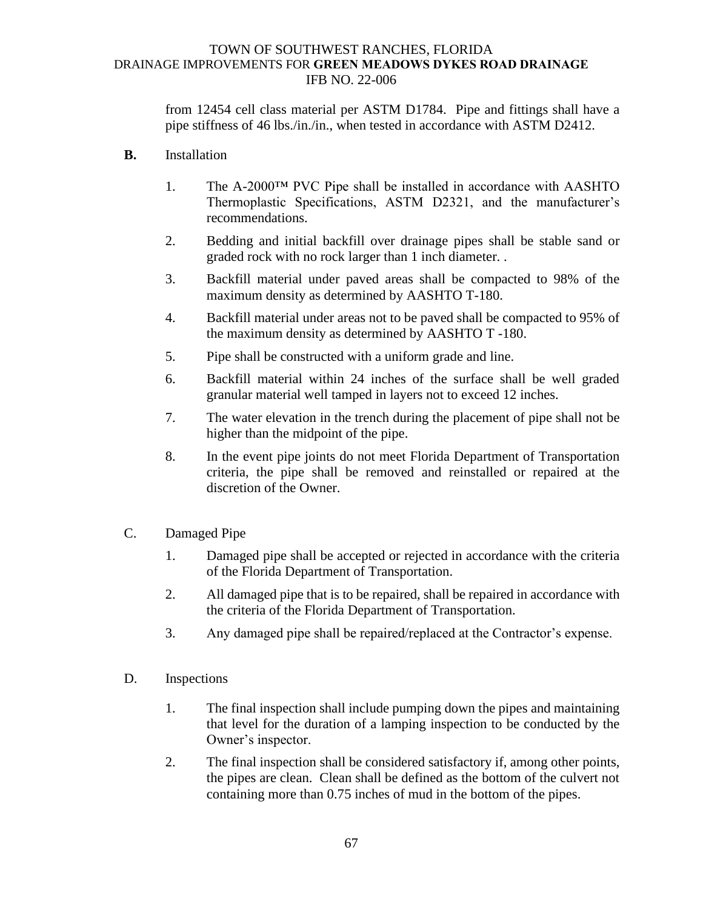from 12454 cell class material per ASTM D1784. Pipe and fittings shall have a pipe stiffness of 46 lbs./in./in., when tested in accordance with ASTM D2412.

- **B.** Installation
	- 1. The  $A$ -2000<sup>TM</sup> PVC Pipe shall be installed in accordance with AASHTO Thermoplastic Specifications, ASTM D2321, and the manufacturer's recommendations.
	- 2. Bedding and initial backfill over drainage pipes shall be stable sand or graded rock with no rock larger than 1 inch diameter. .
	- 3. Backfill material under paved areas shall be compacted to 98% of the maximum density as determined by AASHTO T-180.
	- 4. Backfill material under areas not to be paved shall be compacted to 95% of the maximum density as determined by AASHTO T -180.
	- 5. Pipe shall be constructed with a uniform grade and line.
	- 6. Backfill material within 24 inches of the surface shall be well graded granular material well tamped in layers not to exceed 12 inches.
	- 7. The water elevation in the trench during the placement of pipe shall not be higher than the midpoint of the pipe.
	- 8. In the event pipe joints do not meet Florida Department of Transportation criteria, the pipe shall be removed and reinstalled or repaired at the discretion of the Owner.
- C. Damaged Pipe
	- 1. Damaged pipe shall be accepted or rejected in accordance with the criteria of the Florida Department of Transportation.
	- 2. All damaged pipe that is to be repaired, shall be repaired in accordance with the criteria of the Florida Department of Transportation.
	- 3. Any damaged pipe shall be repaired/replaced at the Contractor's expense.
- D. Inspections
	- 1. The final inspection shall include pumping down the pipes and maintaining that level for the duration of a lamping inspection to be conducted by the Owner's inspector.
	- 2. The final inspection shall be considered satisfactory if, among other points, the pipes are clean. Clean shall be defined as the bottom of the culvert not containing more than 0.75 inches of mud in the bottom of the pipes.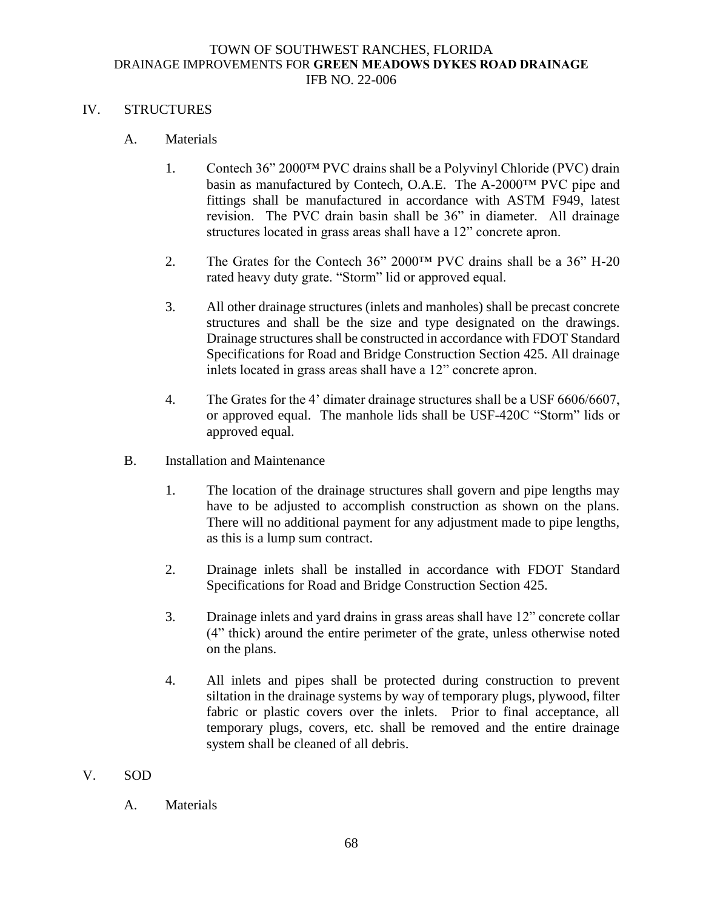### IV. STRUCTURES

- A. Materials
	- 1. Contech 36" 2000™ PVC drains shall be a Polyvinyl Chloride (PVC) drain basin as manufactured by Contech, O.A.E. The A-2000™ PVC pipe and fittings shall be manufactured in accordance with ASTM F949, latest revision. The PVC drain basin shall be 36" in diameter. All drainage structures located in grass areas shall have a 12" concrete apron.
	- 2. The Grates for the Contech 36" 2000™ PVC drains shall be a 36" H-20 rated heavy duty grate. "Storm" lid or approved equal.
	- 3. All other drainage structures (inlets and manholes) shall be precast concrete structures and shall be the size and type designated on the drawings. Drainage structures shall be constructed in accordance with FDOT Standard Specifications for Road and Bridge Construction Section 425. All drainage inlets located in grass areas shall have a 12" concrete apron.
	- 4. The Grates for the 4' dimater drainage structures shall be a USF 6606/6607, or approved equal. The manhole lids shall be USF-420C "Storm" lids or approved equal.
- B. Installation and Maintenance
	- 1. The location of the drainage structures shall govern and pipe lengths may have to be adjusted to accomplish construction as shown on the plans. There will no additional payment for any adjustment made to pipe lengths, as this is a lump sum contract.
	- 2. Drainage inlets shall be installed in accordance with FDOT Standard Specifications for Road and Bridge Construction Section 425.
	- 3. Drainage inlets and yard drains in grass areas shall have 12" concrete collar (4" thick) around the entire perimeter of the grate, unless otherwise noted on the plans.
	- 4. All inlets and pipes shall be protected during construction to prevent siltation in the drainage systems by way of temporary plugs, plywood, filter fabric or plastic covers over the inlets. Prior to final acceptance, all temporary plugs, covers, etc. shall be removed and the entire drainage system shall be cleaned of all debris.
- V. SOD
	- A. Materials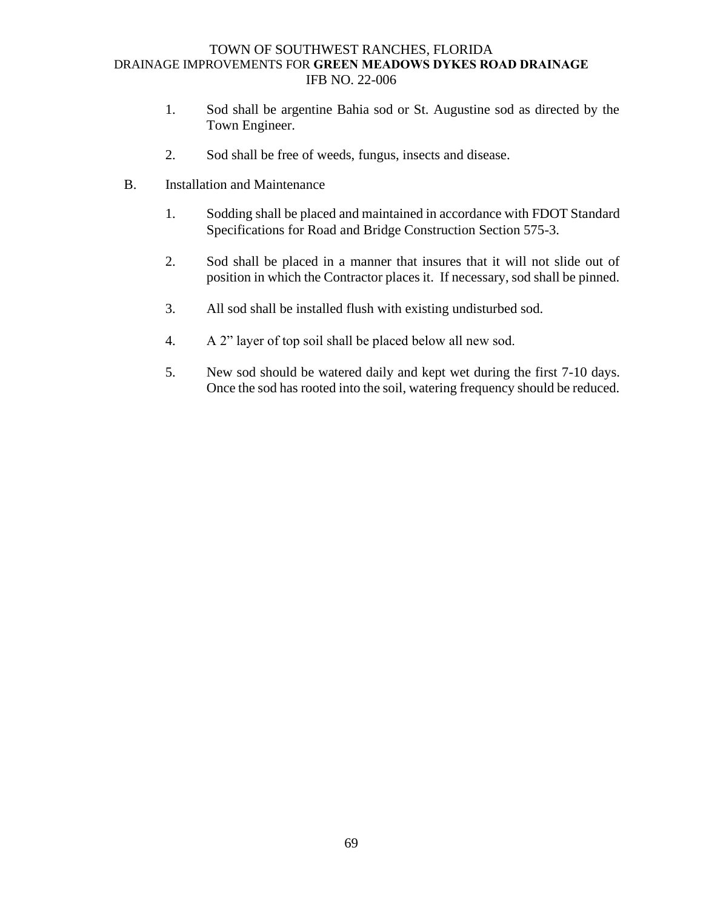- 1. Sod shall be argentine Bahia sod or St. Augustine sod as directed by the Town Engineer.
- 2. Sod shall be free of weeds, fungus, insects and disease.
- B. Installation and Maintenance
	- 1. Sodding shall be placed and maintained in accordance with FDOT Standard Specifications for Road and Bridge Construction Section 575-3.
	- 2. Sod shall be placed in a manner that insures that it will not slide out of position in which the Contractor places it. If necessary, sod shall be pinned.
	- 3. All sod shall be installed flush with existing undisturbed sod.
	- 4. A 2" layer of top soil shall be placed below all new sod.
	- 5. New sod should be watered daily and kept wet during the first 7-10 days. Once the sod has rooted into the soil, watering frequency should be reduced.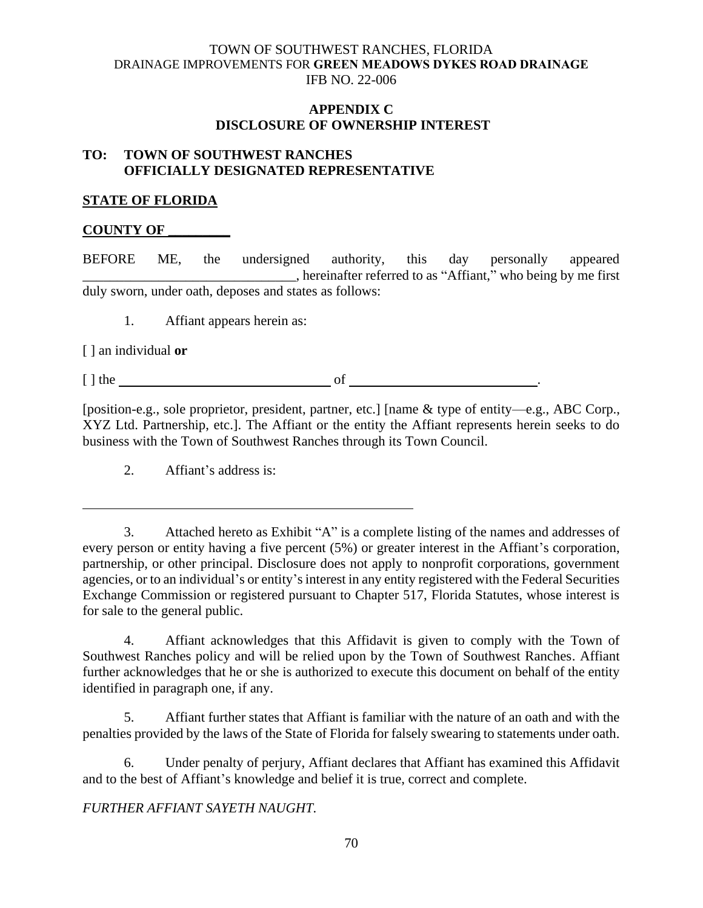### **APPENDIX C DISCLOSURE OF OWNERSHIP INTEREST**

# **TO: TOWN OF SOUTHWEST RANCHES OFFICIALLY DESIGNATED REPRESENTATIVE**

### **STATE OF FLORIDA**

# **COUNTY OF \_\_\_\_\_\_\_\_\_**

BEFORE ME, the undersigned authority, this day personally appeared \_\_\_\_\_\_\_\_\_\_\_\_\_\_\_\_\_\_\_\_\_\_\_\_\_\_\_\_\_\_\_, hereinafter referred to as "Affiant," who being by me first duly sworn, under oath, deposes and states as follows:

1. Affiant appears herein as:

[ ] an individual **or**

 $[ ]$  the  $\qquad \qquad$  of  $\qquad \qquad$  .

[position-e.g., sole proprietor, president, partner, etc.] [name & type of entity—e.g., ABC Corp., XYZ Ltd. Partnership, etc.]. The Affiant or the entity the Affiant represents herein seeks to do business with the Town of Southwest Ranches through its Town Council.

2. Affiant's address is:

3. Attached hereto as Exhibit "A" is a complete listing of the names and addresses of every person or entity having a five percent (5%) or greater interest in the Affiant's corporation, partnership, or other principal. Disclosure does not apply to nonprofit corporations, government agencies, or to an individual's or entity's interest in any entity registered with the Federal Securities Exchange Commission or registered pursuant to Chapter 517, Florida Statutes, whose interest is for sale to the general public.

4. Affiant acknowledges that this Affidavit is given to comply with the Town of Southwest Ranches policy and will be relied upon by the Town of Southwest Ranches. Affiant further acknowledges that he or she is authorized to execute this document on behalf of the entity identified in paragraph one, if any.

5. Affiant further states that Affiant is familiar with the nature of an oath and with the penalties provided by the laws of the State of Florida for falsely swearing to statements under oath.

6. Under penalty of perjury, Affiant declares that Affiant has examined this Affidavit and to the best of Affiant's knowledge and belief it is true, correct and complete.

*FURTHER AFFIANT SAYETH NAUGHT.*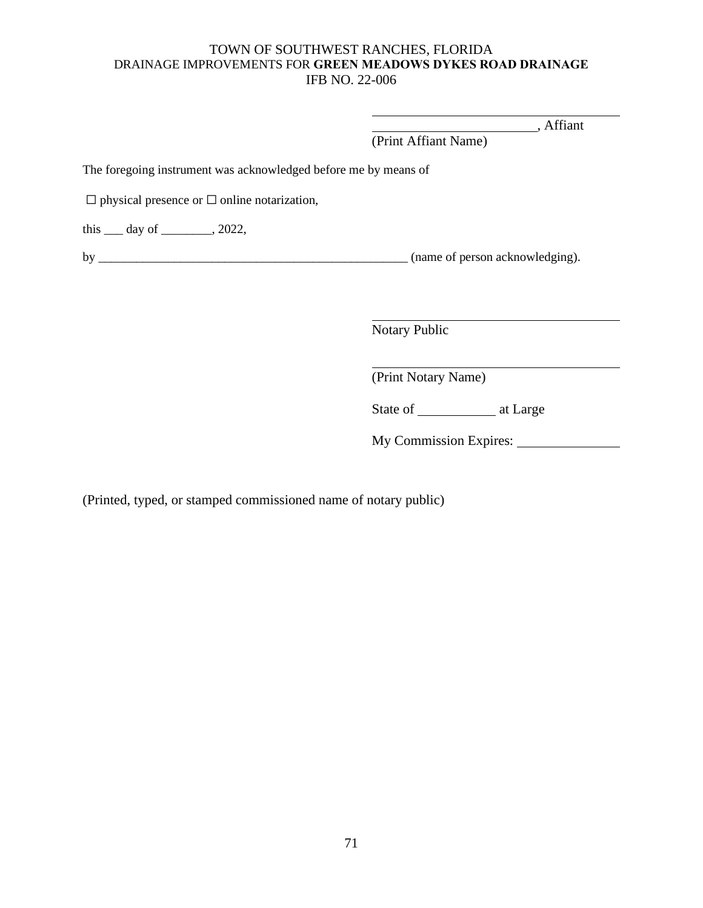|                                                                 | , Affiant                       |
|-----------------------------------------------------------------|---------------------------------|
|                                                                 | (Print Affiant Name)            |
| The foregoing instrument was acknowledged before me by means of |                                 |
| $\Box$ physical presence or $\Box$ online notarization,         |                                 |
| this $\_\_$ day of $\_\_\_\_$ , 2022,                           |                                 |
|                                                                 | (name of person acknowledging). |
|                                                                 |                                 |
|                                                                 |                                 |
|                                                                 | <b>Notary Public</b>            |

(Print Notary Name)

State of at Large

My Commission Expires:

(Printed, typed, or stamped commissioned name of notary public)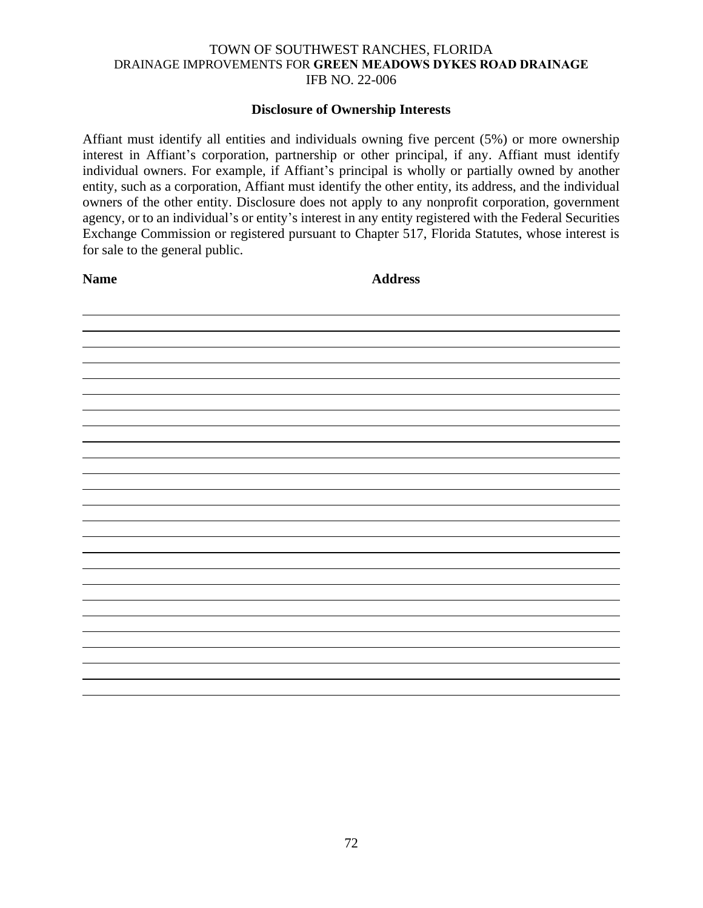#### **Disclosure of Ownership Interests**

Affiant must identify all entities and individuals owning five percent (5%) or more ownership interest in Affiant's corporation, partnership or other principal, if any. Affiant must identify individual owners. For example, if Affiant's principal is wholly or partially owned by another entity, such as a corporation, Affiant must identify the other entity, its address, and the individual owners of the other entity. Disclosure does not apply to any nonprofit corporation, government agency, or to an individual's or entity's interest in any entity registered with the Federal Securities Exchange Commission or registered pursuant to Chapter 517, Florida Statutes, whose interest is for sale to the general public.

**Name Address**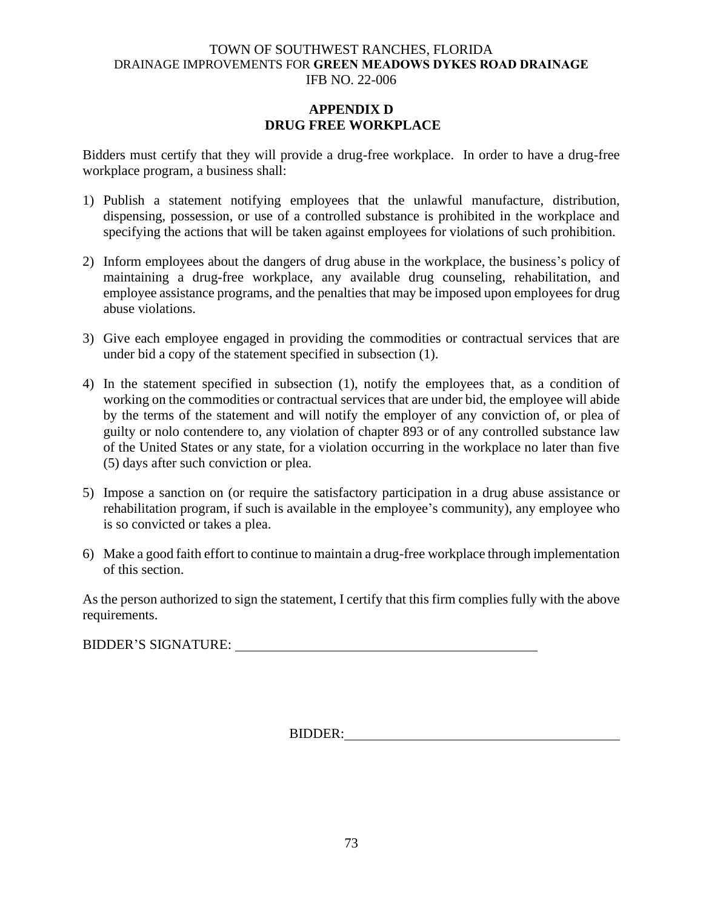# **APPENDIX D DRUG FREE WORKPLACE**

Bidders must certify that they will provide a drug-free workplace. In order to have a drug-free workplace program, a business shall:

- 1) Publish a statement notifying employees that the unlawful manufacture, distribution, dispensing, possession, or use of a controlled substance is prohibited in the workplace and specifying the actions that will be taken against employees for violations of such prohibition.
- 2) Inform employees about the dangers of drug abuse in the workplace, the business's policy of maintaining a drug-free workplace, any available drug counseling, rehabilitation, and employee assistance programs, and the penalties that may be imposed upon employees for drug abuse violations.
- 3) Give each employee engaged in providing the commodities or contractual services that are under bid a copy of the statement specified in subsection (1).
- 4) In the statement specified in subsection (1), notify the employees that, as a condition of working on the commodities or contractual services that are under bid, the employee will abide by the terms of the statement and will notify the employer of any conviction of, or plea of guilty or nolo contendere to, any violation of chapter 893 or of any controlled substance law of the United States or any state, for a violation occurring in the workplace no later than five (5) days after such conviction or plea.
- 5) Impose a sanction on (or require the satisfactory participation in a drug abuse assistance or rehabilitation program, if such is available in the employee's community), any employee who is so convicted or takes a plea.
- 6) Make a good faith effort to continue to maintain a drug-free workplace through implementation of this section.

As the person authorized to sign the statement, I certify that this firm complies fully with the above requirements.

BIDDER'S SIGNATURE: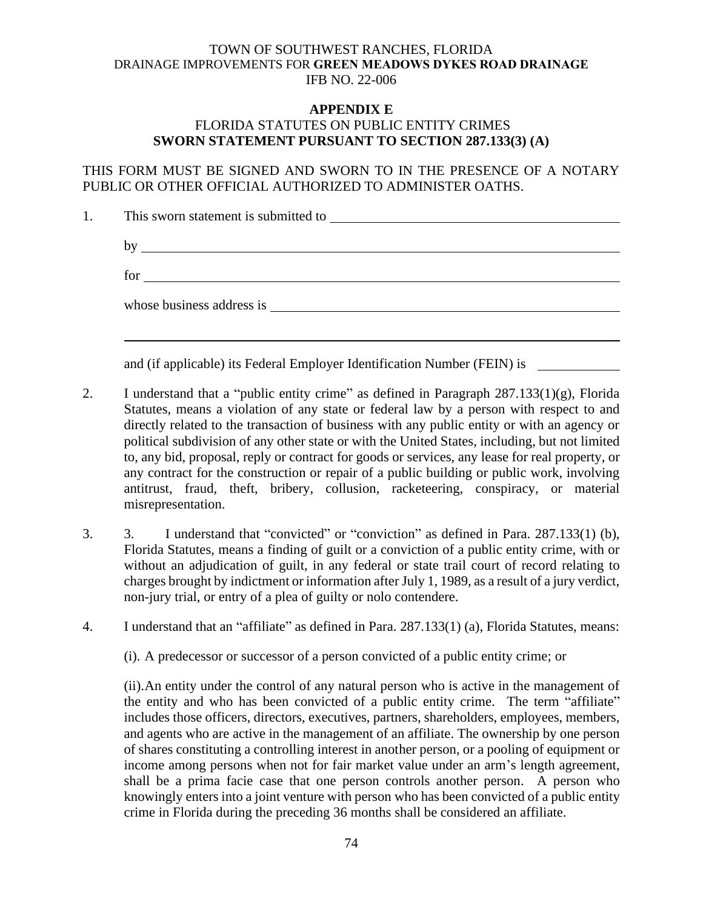### **APPENDIX E**

# FLORIDA STATUTES ON PUBLIC ENTITY CRIMES **SWORN STATEMENT PURSUANT TO SECTION 287.133(3) (A)**

# THIS FORM MUST BE SIGNED AND SWORN TO IN THE PRESENCE OF A NOTARY PUBLIC OR OTHER OFFICIAL AUTHORIZED TO ADMINISTER OATHS.

| by                                                                                                                                                                                                                                   |
|--------------------------------------------------------------------------------------------------------------------------------------------------------------------------------------------------------------------------------------|
| for<br><u> 1980 - Jan Samuel Barbara, margaret e populari e populari e populari e populari e populari e populari e popu</u>                                                                                                          |
| whose business address is <b>with a set of the contract of the set of the set of the set of the set of the set of the set of the set of the set of the set of the set of the set of the set of the set of the set of the set of </b> |
|                                                                                                                                                                                                                                      |

and (if applicable) its Federal Employer Identification Number (FEIN) is

- 2. I understand that a "public entity crime" as defined in Paragraph 287.133(1)(g), Florida Statutes, means a violation of any state or federal law by a person with respect to and directly related to the transaction of business with any public entity or with an agency or political subdivision of any other state or with the United States, including, but not limited to, any bid, proposal, reply or contract for goods or services, any lease for real property, or any contract for the construction or repair of a public building or public work, involving antitrust, fraud, theft, bribery, collusion, racketeering, conspiracy, or material misrepresentation.
- 3. 3. I understand that "convicted" or "conviction" as defined in Para. 287.133(1) (b), Florida Statutes, means a finding of guilt or a conviction of a public entity crime, with or without an adjudication of guilt, in any federal or state trail court of record relating to charges brought by indictment or information after July 1, 1989, as a result of a jury verdict, non-jury trial, or entry of a plea of guilty or nolo contendere.
- 4. I understand that an "affiliate" as defined in Para. 287.133(1) (a), Florida Statutes, means:

(i). A predecessor or successor of a person convicted of a public entity crime; or

(ii).An entity under the control of any natural person who is active in the management of the entity and who has been convicted of a public entity crime. The term "affiliate" includes those officers, directors, executives, partners, shareholders, employees, members, and agents who are active in the management of an affiliate. The ownership by one person of shares constituting a controlling interest in another person, or a pooling of equipment or income among persons when not for fair market value under an arm's length agreement, shall be a prima facie case that one person controls another person. A person who knowingly enters into a joint venture with person who has been convicted of a public entity crime in Florida during the preceding 36 months shall be considered an affiliate.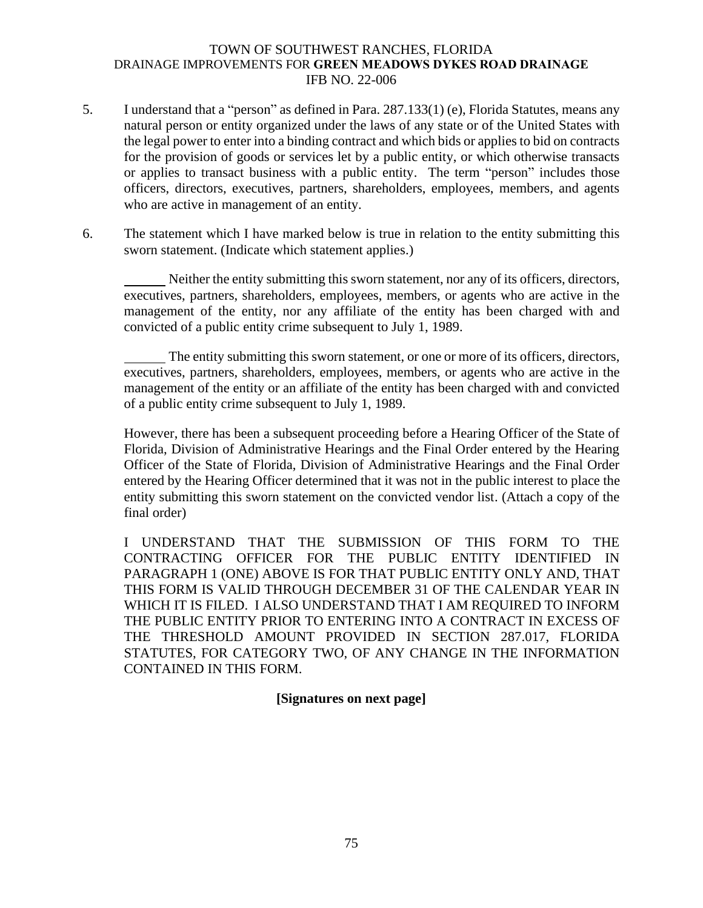- 5. I understand that a "person" as defined in Para. 287.133(1) (e), Florida Statutes, means any natural person or entity organized under the laws of any state or of the United States with the legal power to enter into a binding contract and which bids or applies to bid on contracts for the provision of goods or services let by a public entity, or which otherwise transacts or applies to transact business with a public entity. The term "person" includes those officers, directors, executives, partners, shareholders, employees, members, and agents who are active in management of an entity.
- 6. The statement which I have marked below is true in relation to the entity submitting this sworn statement. (Indicate which statement applies.)

Neither the entity submitting this sworn statement, nor any of its officers, directors, executives, partners, shareholders, employees, members, or agents who are active in the management of the entity, nor any affiliate of the entity has been charged with and convicted of a public entity crime subsequent to July 1, 1989.

The entity submitting this sworn statement, or one or more of its officers, directors, executives, partners, shareholders, employees, members, or agents who are active in the management of the entity or an affiliate of the entity has been charged with and convicted of a public entity crime subsequent to July 1, 1989.

However, there has been a subsequent proceeding before a Hearing Officer of the State of Florida, Division of Administrative Hearings and the Final Order entered by the Hearing Officer of the State of Florida, Division of Administrative Hearings and the Final Order entered by the Hearing Officer determined that it was not in the public interest to place the entity submitting this sworn statement on the convicted vendor list. (Attach a copy of the final order)

I UNDERSTAND THAT THE SUBMISSION OF THIS FORM TO THE CONTRACTING OFFICER FOR THE PUBLIC ENTITY IDENTIFIED IN PARAGRAPH 1 (ONE) ABOVE IS FOR THAT PUBLIC ENTITY ONLY AND, THAT THIS FORM IS VALID THROUGH DECEMBER 31 OF THE CALENDAR YEAR IN WHICH IT IS FILED. I ALSO UNDERSTAND THAT I AM REQUIRED TO INFORM THE PUBLIC ENTITY PRIOR TO ENTERING INTO A CONTRACT IN EXCESS OF THE THRESHOLD AMOUNT PROVIDED IN SECTION 287.017, FLORIDA STATUTES, FOR CATEGORY TWO, OF ANY CHANGE IN THE INFORMATION CONTAINED IN THIS FORM.

### **[Signatures on next page]**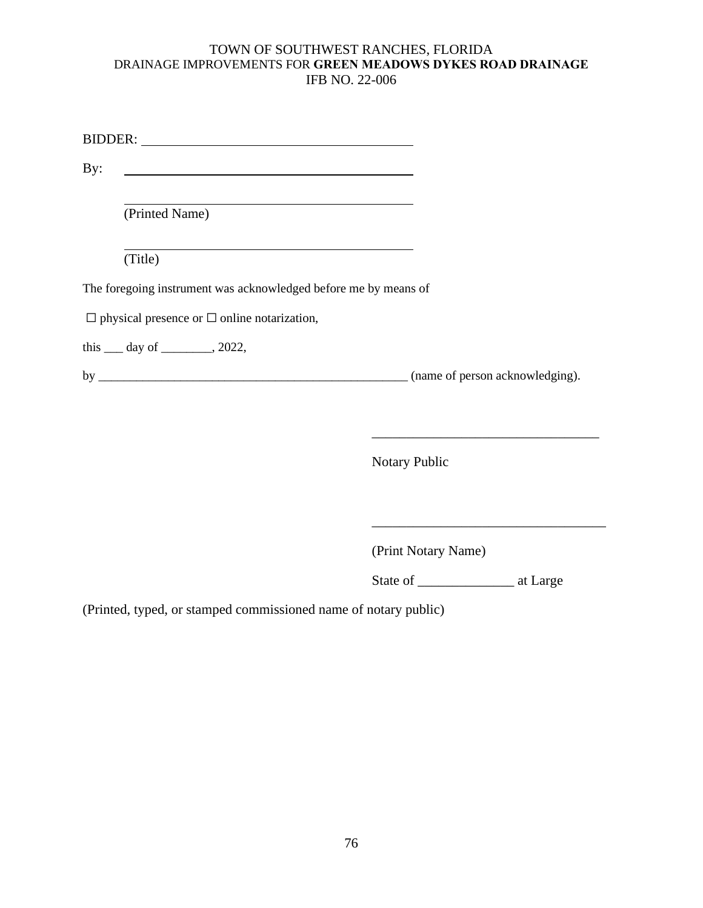| By:                                                             |                                 |
|-----------------------------------------------------------------|---------------------------------|
|                                                                 |                                 |
| (Printed Name)                                                  |                                 |
| (Title)                                                         |                                 |
| The foregoing instrument was acknowledged before me by means of |                                 |
| $\Box$ physical presence or $\Box$ online notarization,         |                                 |
| this $\_\_\_$ day of $\_\_\_\_\_$ , 2022,                       |                                 |
|                                                                 | (name of person acknowledging). |
|                                                                 |                                 |
|                                                                 |                                 |

Notary Public

(Print Notary Name)

State of \_\_\_\_\_\_\_\_\_\_\_\_\_\_ at Large

\_\_\_\_\_\_\_\_\_\_\_\_\_\_\_\_\_\_\_\_\_\_\_\_\_\_\_\_\_\_\_\_\_

\_\_\_\_\_\_\_\_\_\_\_\_\_\_\_\_\_\_\_\_\_\_\_\_\_\_\_\_\_\_\_\_\_\_

(Printed, typed, or stamped commissioned name of notary public)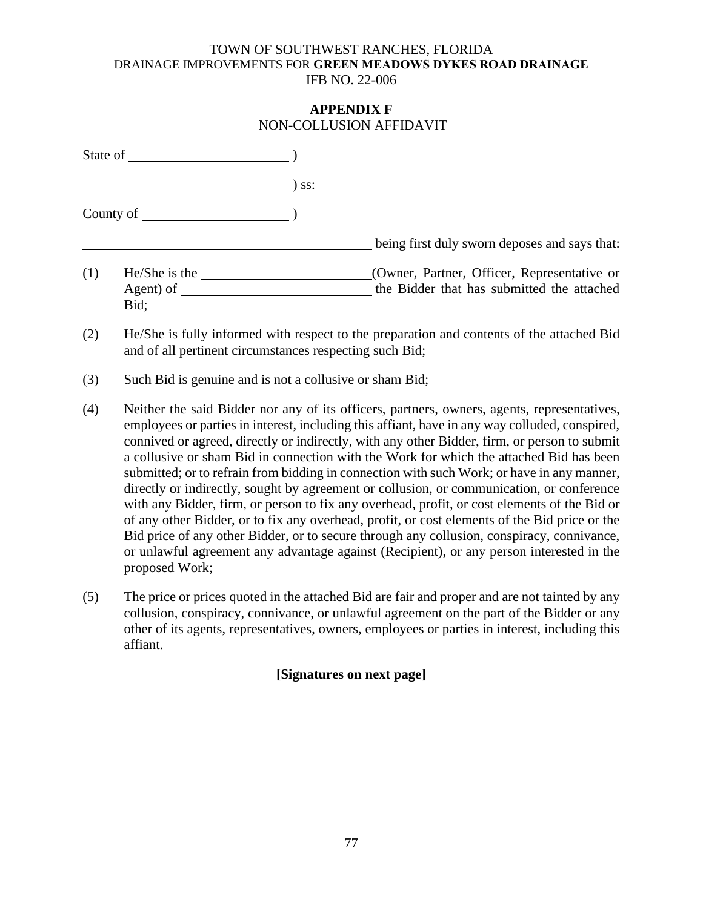### **APPENDIX F** NON-COLLUSION AFFIDAVIT

|     |                                                         | $)$ ss: |                                                                                                                                                                                                                                                                                                                                                                                                                                                                                                                                                                                     |
|-----|---------------------------------------------------------|---------|-------------------------------------------------------------------------------------------------------------------------------------------------------------------------------------------------------------------------------------------------------------------------------------------------------------------------------------------------------------------------------------------------------------------------------------------------------------------------------------------------------------------------------------------------------------------------------------|
|     | County of                                               |         |                                                                                                                                                                                                                                                                                                                                                                                                                                                                                                                                                                                     |
|     |                                                         |         | being first duly sworn deposes and says that:                                                                                                                                                                                                                                                                                                                                                                                                                                                                                                                                       |
| (1) | Bid;                                                    |         | (Owner, Partner, Officer, Representative or<br>the Bidder that has submitted the attached                                                                                                                                                                                                                                                                                                                                                                                                                                                                                           |
| (2) | and of all pertinent circumstances respecting such Bid; |         | He/She is fully informed with respect to the preparation and contents of the attached Bid                                                                                                                                                                                                                                                                                                                                                                                                                                                                                           |
| (3) | Such Bid is genuine and is not a collusive or sham Bid; |         |                                                                                                                                                                                                                                                                                                                                                                                                                                                                                                                                                                                     |
| (4) |                                                         |         | Neither the said Bidder nor any of its officers, partners, owners, agents, representatives,<br>employees or parties in interest, including this affiant, have in any way colluded, conspired,<br>connived or agreed, directly or indirectly, with any other Bidder, firm, or person to submit<br>a collusive or sham Bid in connection with the Work for which the attached Bid has been<br>submitted; or to refrain from bidding in connection with such Work; or have in any manner,<br>directly or indirectly, sought by agreement or collusion, or communication, or conference |

directly or indirectly, sought by agreement or collusion, or communication, or conference with any Bidder, firm, or person to fix any overhead, profit, or cost elements of the Bid or of any other Bidder, or to fix any overhead, profit, or cost elements of the Bid price or the Bid price of any other Bidder, or to secure through any collusion, conspiracy, connivance, or unlawful agreement any advantage against (Recipient), or any person interested in the proposed Work;

(5) The price or prices quoted in the attached Bid are fair and proper and are not tainted by any collusion, conspiracy, connivance, or unlawful agreement on the part of the Bidder or any other of its agents, representatives, owners, employees or parties in interest, including this affiant.

# **[Signatures on next page]**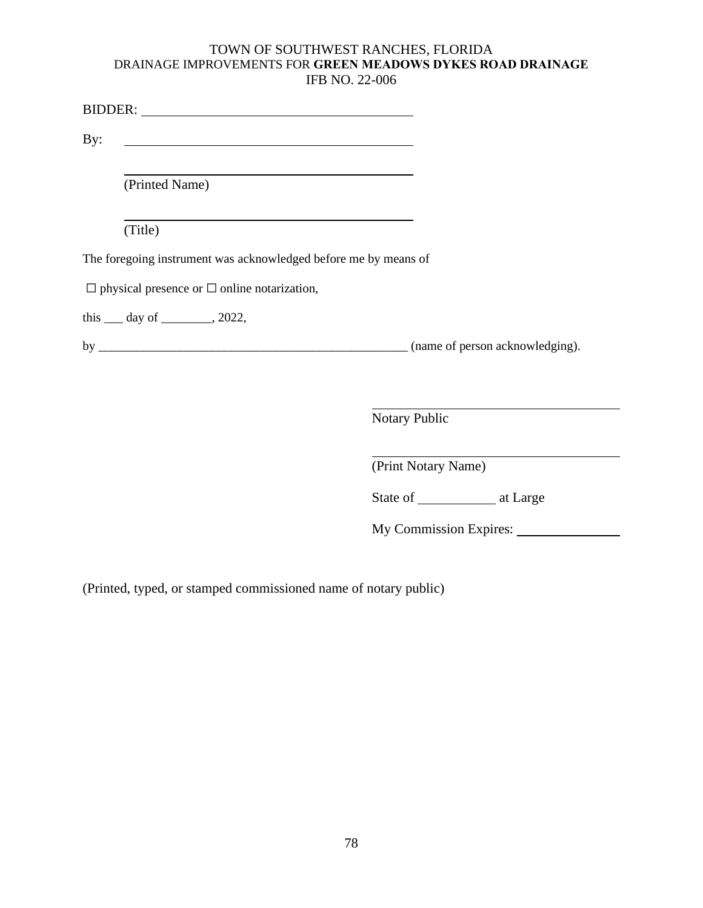| By:                                                             |
|-----------------------------------------------------------------|
|                                                                 |
| (Printed Name)                                                  |
|                                                                 |
| (Title)                                                         |
| The foregoing instrument was acknowledged before me by means of |
| $\Box$ physical presence or $\Box$ online notarization,         |
| this $\_\_\_$ day of $\_\_\_\_\_$ , 2022,                       |
| (name of person acknowledging).                                 |
|                                                                 |
|                                                                 |
| <b>Notary Public</b>                                            |

(Print Notary Name)

State of at Large

My Commission Expires:

(Printed, typed, or stamped commissioned name of notary public)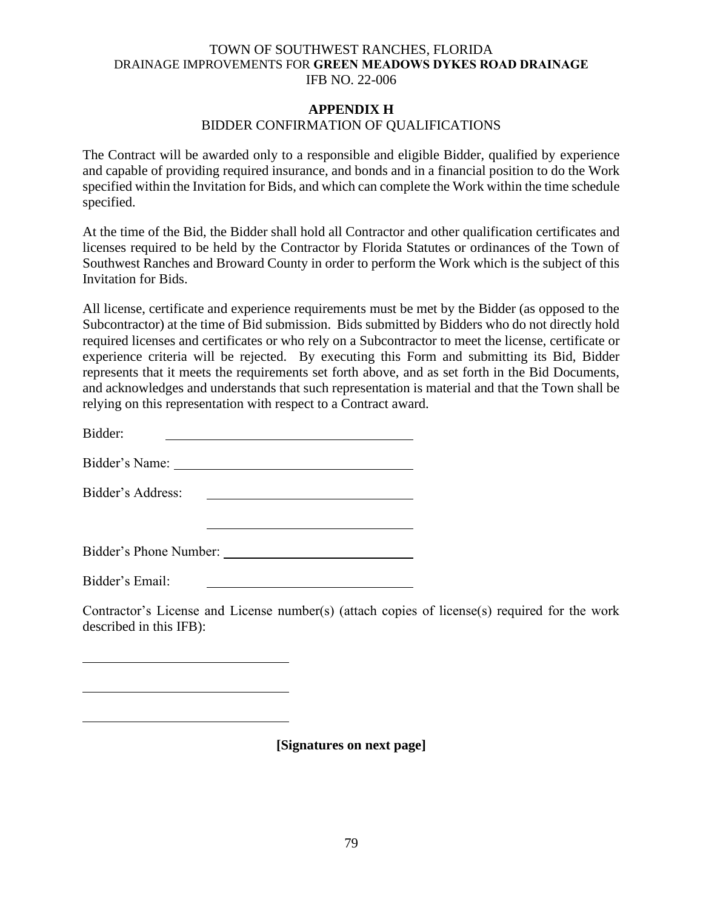### **APPENDIX H** BIDDER CONFIRMATION OF QUALIFICATIONS

The Contract will be awarded only to a responsible and eligible Bidder, qualified by experience and capable of providing required insurance, and bonds and in a financial position to do the Work specified within the Invitation for Bids, and which can complete the Work within the time schedule specified.

At the time of the Bid, the Bidder shall hold all Contractor and other qualification certificates and licenses required to be held by the Contractor by Florida Statutes or ordinances of the Town of Southwest Ranches and Broward County in order to perform the Work which is the subject of this Invitation for Bids.

All license, certificate and experience requirements must be met by the Bidder (as opposed to the Subcontractor) at the time of Bid submission. Bids submitted by Bidders who do not directly hold required licenses and certificates or who rely on a Subcontractor to meet the license, certificate or experience criteria will be rejected. By executing this Form and submitting its Bid, Bidder represents that it meets the requirements set forth above, and as set forth in the Bid Documents, and acknowledges and understands that such representation is material and that the Town shall be relying on this representation with respect to a Contract award.

Bidder's Name:

Bidder's Address:

Bidder's Phone Number:

Bidder's Email:

Contractor's License and License number(s) (attach copies of license(s) required for the work described in this IFB):

**[Signatures on next page]**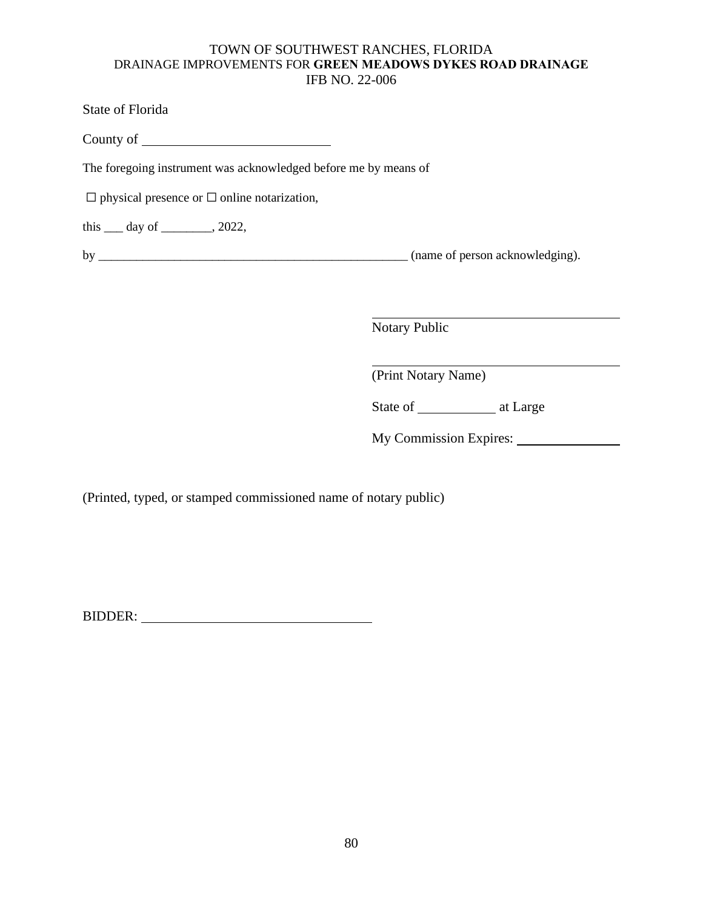| State of Florida                                                |
|-----------------------------------------------------------------|
| County of $\qquad \qquad$                                       |
| The foregoing instrument was acknowledged before me by means of |
| $\Box$ physical presence or $\Box$ online notarization,         |
| this $\_\_\_$ day of $\_\_\_\_$ , 2022,                         |
| (name of person acknowledging).                                 |

Notary Public

(Print Notary Name)

State of at Large

My Commission Expires:

(Printed, typed, or stamped commissioned name of notary public)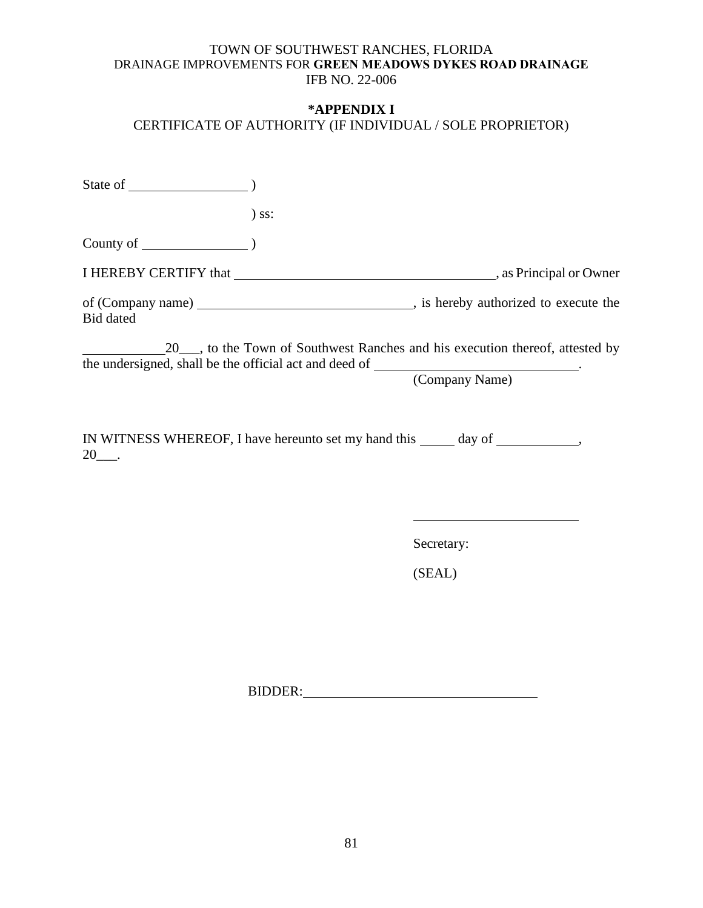### **\*APPENDIX I** CERTIFICATE OF AUTHORITY (IF INDIVIDUAL / SOLE PROPRIETOR)

| State of the state of the state of |                                                                                                                                                                                                                                                                                                                                    |
|------------------------------------|------------------------------------------------------------------------------------------------------------------------------------------------------------------------------------------------------------------------------------------------------------------------------------------------------------------------------------|
|                                    | $)$ ss:                                                                                                                                                                                                                                                                                                                            |
|                                    |                                                                                                                                                                                                                                                                                                                                    |
|                                    |                                                                                                                                                                                                                                                                                                                                    |
| <b>Bid dated</b>                   |                                                                                                                                                                                                                                                                                                                                    |
|                                    | 20 <sub>, to</sub> the Town of Southwest Ranches and his execution thereof, attested by<br>the undersigned, shall be the official act and deed of __________________________                                                                                                                                                       |
|                                    | (Company Name)                                                                                                                                                                                                                                                                                                                     |
|                                    | $\mathbf{N}$ $\mathbf{N}$ $\mathbf{N}$ $\mathbf{N}$ $\mathbf{N}$ $\mathbf{N}$ $\mathbf{N}$ $\mathbf{N}$ $\mathbf{N}$ $\mathbf{N}$ $\mathbf{N}$ $\mathbf{N}$ $\mathbf{N}$ $\mathbf{N}$ $\mathbf{N}$ $\mathbf{N}$ $\mathbf{N}$ $\mathbf{N}$ $\mathbf{N}$ $\mathbf{N}$ $\mathbf{N}$ $\mathbf{N}$ $\mathbf{N}$ $\mathbf{N}$ $\mathbf{$ |

IN WITNESS WHEREOF, I have hereunto set my hand this  $\_\_\_\_$  day of  $\_\_\_\_\_\_$ ,  $20$ \_\_\_.

Secretary:

(SEAL)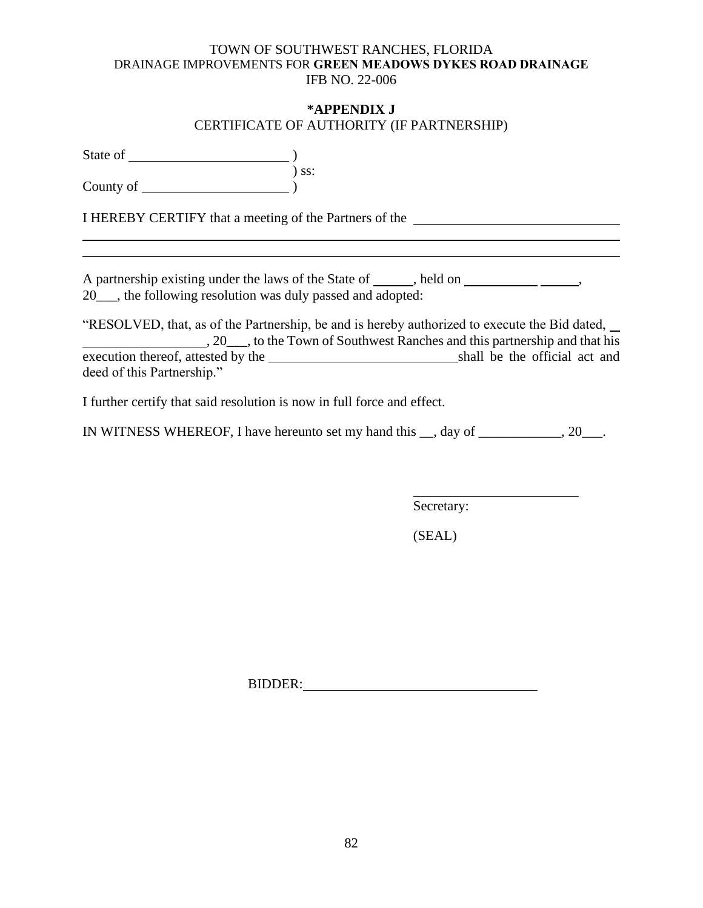# **\*APPENDIX J**  CERTIFICATE OF AUTHORITY (IF PARTNERSHIP)

State of )  $\int$  ss:

County of  $\overline{\qquad \qquad }$ 

I HEREBY CERTIFY that a meeting of the Partners of the

A partnership existing under the laws of the State of \_\_\_\_\_, held on \_\_\_\_\_\_\_\_\_\_\_\_\_\_\_\_\_\_\_\_\_\_\_\_, 20\_\_\_, the following resolution was duly passed and adopted:

"RESOLVED, that, as of the Partnership, be and is hereby authorized to execute the Bid dated, , 20\_\_\_, to the Town of Southwest Ranches and this partnership and that his execution thereof, attested by the shall be the official act and deed of this Partnership."

I further certify that said resolution is now in full force and effect.

IN WITNESS WHEREOF, I have hereunto set my hand this \_\_, day of \_\_\_\_\_\_\_\_\_\_\_\_\_\_\_\_, 20\_\_\_.

Secretary:

(SEAL)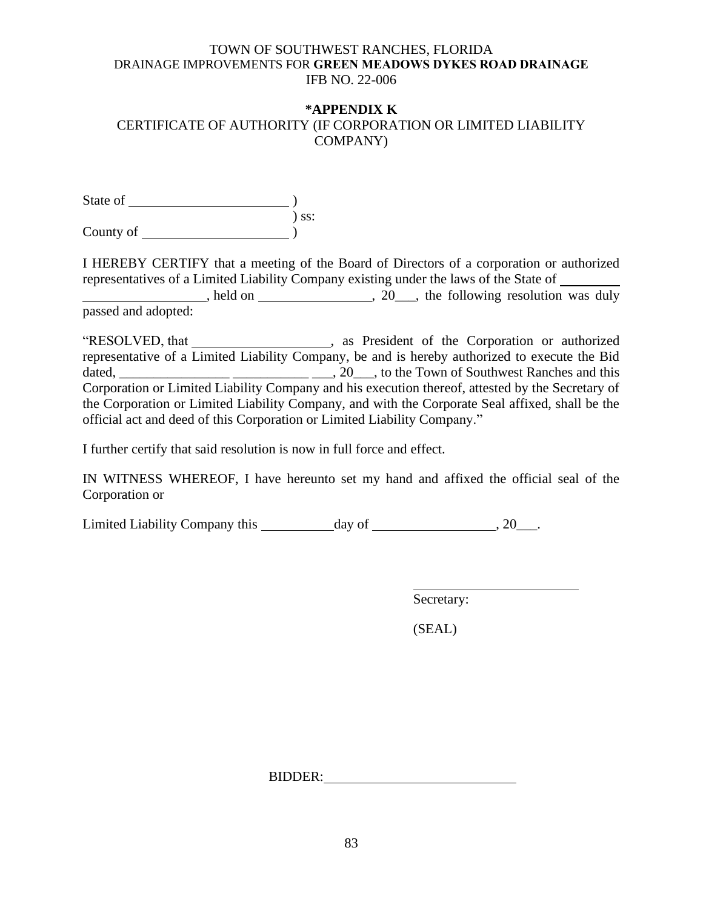### **\*APPENDIX K** CERTIFICATE OF AUTHORITY (IF CORPORATION OR LIMITED LIABILITY COMPANY)

State of  $\qquad \qquad$  ) ) ss: County of )

I HEREBY CERTIFY that a meeting of the Board of Directors of a corporation or authorized representatives of a Limited Liability Company existing under the laws of the State of

held on \_\_\_\_\_\_\_\_\_\_, 20\_\_, the following resolution was duly passed and adopted:

"RESOLVED, that , as President of the Corporation or authorized representative of a Limited Liability Company, be and is hereby authorized to execute the Bid dated, \_\_\_\_\_\_\_\_\_\_\_\_\_\_\_\_ \_\_\_\_\_\_\_\_\_\_\_ \_\_\_, 20\_\_\_, to the Town of Southwest Ranches and this Corporation or Limited Liability Company and his execution thereof, attested by the Secretary of the Corporation or Limited Liability Company, and with the Corporate Seal affixed, shall be the official act and deed of this Corporation or Limited Liability Company."

I further certify that said resolution is now in full force and effect.

IN WITNESS WHEREOF, I have hereunto set my hand and affixed the official seal of the Corporation or

Limited Liability Company this  $\qquad \qquad$  day of  $\qquad \qquad$ , 20\_\_.

Secretary:

(SEAL)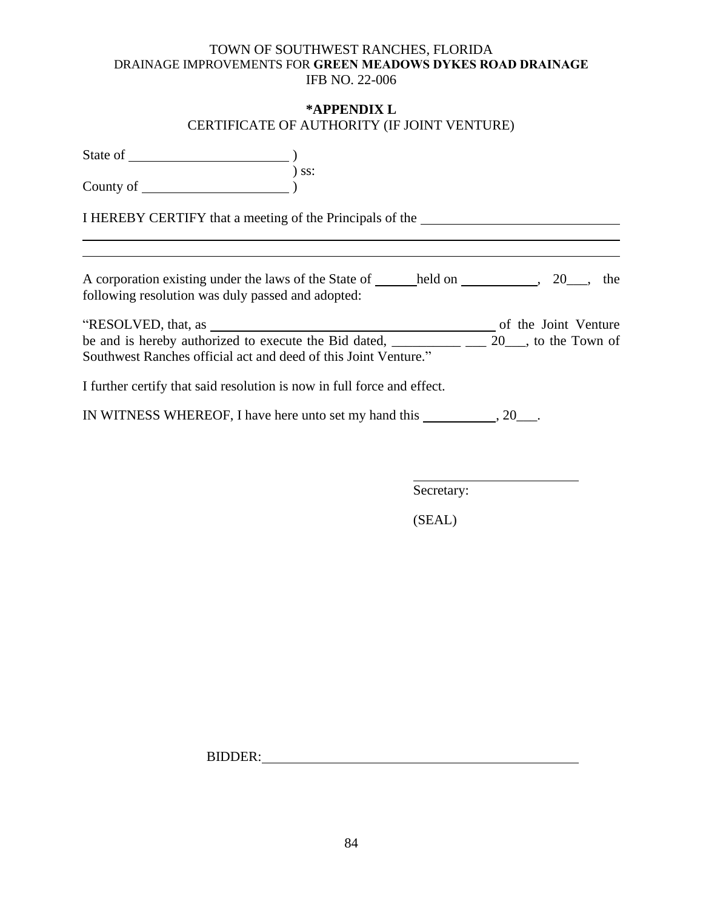### **\*APPENDIX L** CERTIFICATE OF AUTHORITY (IF JOINT VENTURE)

State of ) ) ss:

County of  $\overline{\qquad \qquad }$ 

I HEREBY CERTIFY that a meeting of the Principals of the

A corporation existing under the laws of the State of held on , 20\_\_, the following resolution was duly passed and adopted:

"RESOLVED, that, as of the Joint Venture be and is hereby authorized to execute the Bid dated, \_\_\_\_\_\_\_\_\_\_ \_\_\_ 20\_\_\_, to the Town of Southwest Ranches official act and deed of this Joint Venture."

I further certify that said resolution is now in full force and effect.

IN WITNESS WHEREOF, I have here unto set my hand this \_\_\_\_\_\_\_\_\_\_\_\_, 20\_\_\_.

Secretary:

(SEAL)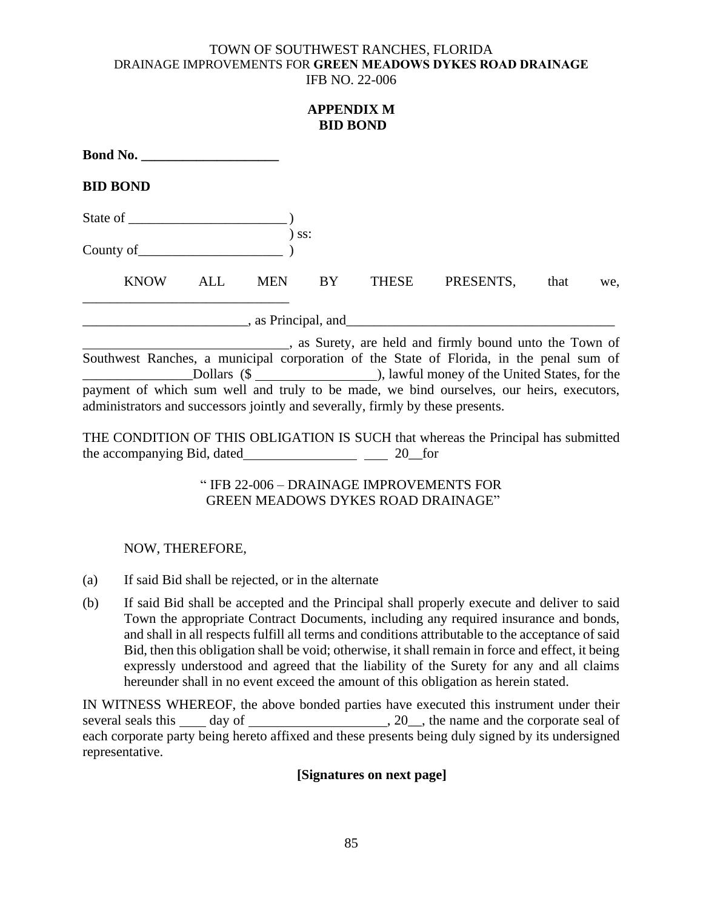#### **APPENDIX M BID BOND**

| <b>Bond No.</b>                                                                                                                                                            |     |            |    |              |                                                                                                                                                                                                                                  |      |     |
|----------------------------------------------------------------------------------------------------------------------------------------------------------------------------|-----|------------|----|--------------|----------------------------------------------------------------------------------------------------------------------------------------------------------------------------------------------------------------------------------|------|-----|
| <b>BID BOND</b>                                                                                                                                                            |     |            |    |              |                                                                                                                                                                                                                                  |      |     |
| State of $\qquad \qquad$ (                                                                                                                                                 |     |            |    |              |                                                                                                                                                                                                                                  |      |     |
| $\begin{array}{c}\n\text{Country of}\n\end{array}$                                                                                                                         |     |            |    |              |                                                                                                                                                                                                                                  |      |     |
| <b>KNOW</b>                                                                                                                                                                | ALL | <b>MEN</b> | BY | <b>THESE</b> | PRESENTS,                                                                                                                                                                                                                        | that | we, |
|                                                                                                                                                                            |     |            |    |              | as Principal, and<br>expansion of the Second State State State State State State State State State State State State State State State State State State State State State State State State State State State State State State |      |     |
| Southwest Ranches, a municipal corporation of the State of Florida, in the penal sum of                                                                                    |     |            |    |              | s as Surety, are held and firmly bound unto the Town of                                                                                                                                                                          |      |     |
| payment of which sum well and truly to be made, we bind ourselves, our heirs, executors,<br>administrators and successors jointly and severally, firmly by these presents. |     |            |    |              |                                                                                                                                                                                                                                  |      |     |

THE CONDITION OF THIS OBLIGATION IS SUCH that whereas the Principal has submitted the accompanying Bid, dated 20\_60 pm

> " IFB 22-006 – DRAINAGE IMPROVEMENTS FOR GREEN MEADOWS DYKES ROAD DRAINAGE"

# NOW, THEREFORE,

- (a) If said Bid shall be rejected, or in the alternate
- (b) If said Bid shall be accepted and the Principal shall properly execute and deliver to said Town the appropriate Contract Documents, including any required insurance and bonds, and shall in all respects fulfill all terms and conditions attributable to the acceptance of said Bid, then this obligation shall be void; otherwise, it shall remain in force and effect, it being expressly understood and agreed that the liability of the Surety for any and all claims hereunder shall in no event exceed the amount of this obligation as herein stated.

IN WITNESS WHEREOF, the above bonded parties have executed this instrument under their several seals this day of , 20\_\_, the name and the corporate seal of each corporate party being hereto affixed and these presents being duly signed by its undersigned representative.

**[Signatures on next page]**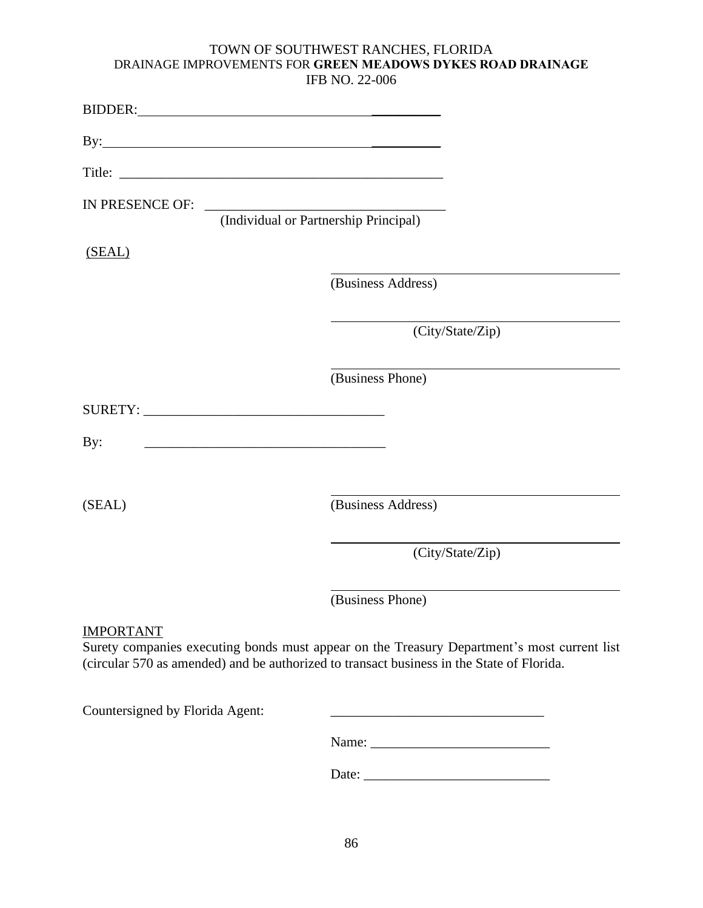| By: $\frac{1}{2}$ By:                                                                                                                                                                                                          |                                                                                                                                                                                          |
|--------------------------------------------------------------------------------------------------------------------------------------------------------------------------------------------------------------------------------|------------------------------------------------------------------------------------------------------------------------------------------------------------------------------------------|
| Title: Title: Title: Title: The Communication of the Communication of the Communication of the Communication of the Communication of the Communication of the Communication of the Communication of the Communication of the C |                                                                                                                                                                                          |
|                                                                                                                                                                                                                                | (Individual or Partnership Principal)                                                                                                                                                    |
| (SEAL)                                                                                                                                                                                                                         |                                                                                                                                                                                          |
|                                                                                                                                                                                                                                |                                                                                                                                                                                          |
|                                                                                                                                                                                                                                | (Business Address)                                                                                                                                                                       |
|                                                                                                                                                                                                                                | (City/State/Zip)                                                                                                                                                                         |
|                                                                                                                                                                                                                                | (Business Phone)                                                                                                                                                                         |
|                                                                                                                                                                                                                                |                                                                                                                                                                                          |
| By:                                                                                                                                                                                                                            |                                                                                                                                                                                          |
|                                                                                                                                                                                                                                |                                                                                                                                                                                          |
| (SEAL)                                                                                                                                                                                                                         | (Business Address)                                                                                                                                                                       |
|                                                                                                                                                                                                                                | (City/State/Zip)                                                                                                                                                                         |
|                                                                                                                                                                                                                                | (Business Phone)                                                                                                                                                                         |
| <b>IMPORTANT</b>                                                                                                                                                                                                               | Surety companies executing bonds must appear on the Treasury Department's most current list<br>(circular 570 as amended) and be authorized to transact business in the State of Florida. |
| Countersigned by Florida Agent:                                                                                                                                                                                                |                                                                                                                                                                                          |

Name: \_\_\_\_\_\_\_\_\_\_\_\_\_\_\_\_\_\_\_\_\_\_\_\_\_\_

Date: \_\_\_\_\_\_\_\_\_\_\_\_\_\_\_\_\_\_\_\_\_\_\_\_\_\_\_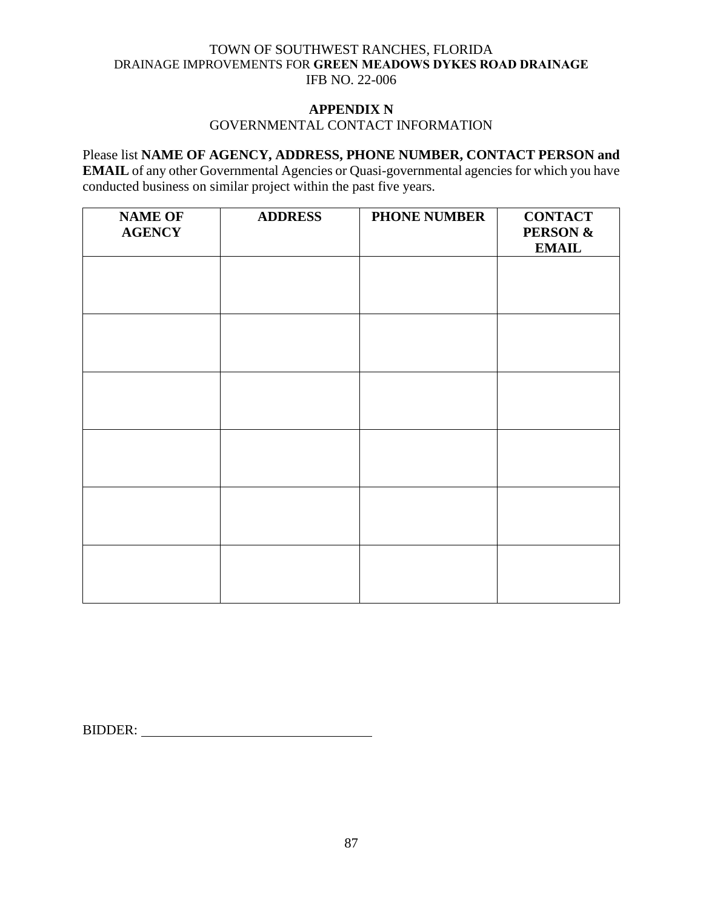#### **APPENDIX N** GOVERNMENTAL CONTACT INFORMATION

Please list **NAME OF AGENCY, ADDRESS, PHONE NUMBER, CONTACT PERSON and EMAIL** of any other Governmental Agencies or Quasi-governmental agencies for which you have conducted business on similar project within the past five years.

| <b>NAME OF</b><br><b>AGENCY</b> | <b>ADDRESS</b> | <b>PHONE NUMBER</b> | <b>CONTACT</b><br><b>PERSON &amp;</b><br><b>EMAIL</b> |
|---------------------------------|----------------|---------------------|-------------------------------------------------------|
|                                 |                |                     |                                                       |
|                                 |                |                     |                                                       |
|                                 |                |                     |                                                       |
|                                 |                |                     |                                                       |
|                                 |                |                     |                                                       |
|                                 |                |                     |                                                       |
|                                 |                |                     |                                                       |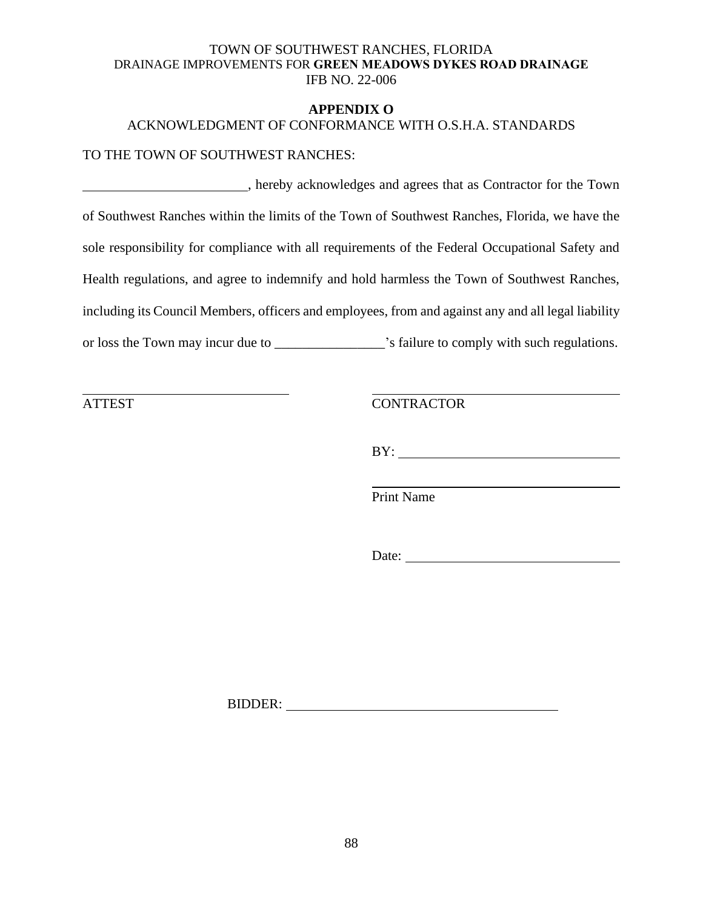# **APPENDIX O** ACKNOWLEDGMENT OF CONFORMANCE WITH O.S.H.A. STANDARDS

### TO THE TOWN OF SOUTHWEST RANCHES:

, hereby acknowledges and agrees that as Contractor for the Town of Southwest Ranches within the limits of the Town of Southwest Ranches, Florida, we have the sole responsibility for compliance with all requirements of the Federal Occupational Safety and Health regulations, and agree to indemnify and hold harmless the Town of Southwest Ranches, including its Council Members, officers and employees, from and against any and all legal liability or loss the Town may incur due to \_\_\_\_\_\_\_\_\_\_\_\_\_\_\_\_\_\_'s failure to comply with such regulations.

ATTEST CONTRACTOR

BY:

Print Name

Date: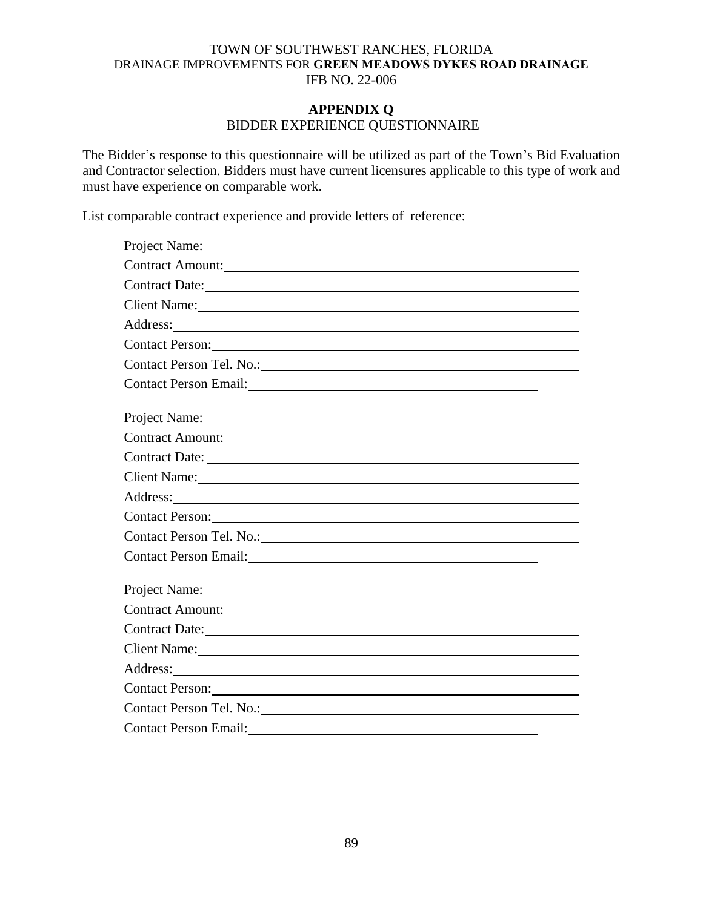### **APPENDIX Q** BIDDER EXPERIENCE QUESTIONNAIRE

The Bidder's response to this questionnaire will be utilized as part of the Town's Bid Evaluation and Contractor selection. Bidders must have current licensures applicable to this type of work and must have experience on comparable work.

List comparable contract experience and provide letters of reference:

| Project Name: Name:                                                                                                                                                                                                                  |
|--------------------------------------------------------------------------------------------------------------------------------------------------------------------------------------------------------------------------------------|
|                                                                                                                                                                                                                                      |
|                                                                                                                                                                                                                                      |
| Client Name: Name:                                                                                                                                                                                                                   |
| Address: <u>example and the set of the set of the set of the set of the set of the set of the set of the set of the set of the set of the set of the set of the set of the set of the set of the set of the set of the set of th</u> |
| Contact Person:                                                                                                                                                                                                                      |
|                                                                                                                                                                                                                                      |
|                                                                                                                                                                                                                                      |
| Project Name: 1988                                                                                                                                                                                                                   |
| Contract Amount:                                                                                                                                                                                                                     |
|                                                                                                                                                                                                                                      |
| Client Name: 1988                                                                                                                                                                                                                    |
|                                                                                                                                                                                                                                      |
| Contact Person: 2008                                                                                                                                                                                                                 |
|                                                                                                                                                                                                                                      |
|                                                                                                                                                                                                                                      |
| Project Name: No. 2014. The contract of the contract of the contract of the contract of the contract of the contract of the contract of the contract of the contract of the contract of the contract of the contract of the co       |
| Contract Amount: New York Contract Amount:                                                                                                                                                                                           |
| Contract Date: Note: Note: Note: Note: Note: Note: Note: Note: Note: Note: Note: Note: Note: Note: Note: Note: Note: Note: Note: Note: Note: Note: Note: Note: Note: Note: Note: Note: Note: Note: Note: Note: Note: Note: Not       |
| Client Name: 1988                                                                                                                                                                                                                    |
|                                                                                                                                                                                                                                      |
|                                                                                                                                                                                                                                      |
| Contact Person Tel. No.:                                                                                                                                                                                                             |
| <b>Contact Person Email:</b>                                                                                                                                                                                                         |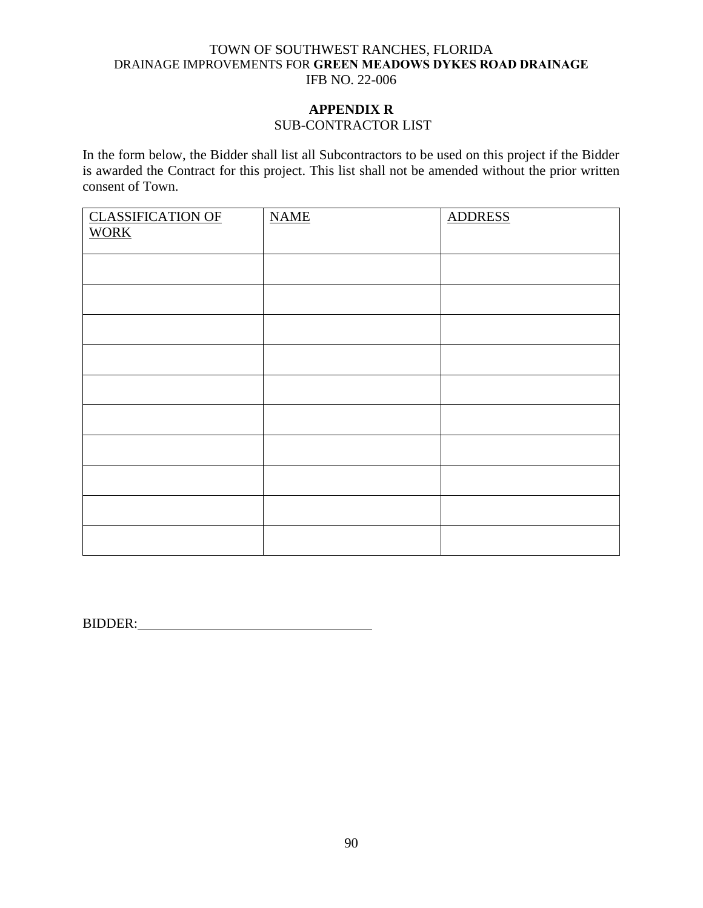### **APPENDIX R** SUB-CONTRACTOR LIST

In the form below, the Bidder shall list all Subcontractors to be used on this project if the Bidder is awarded the Contract for this project. This list shall not be amended without the prior written consent of Town.

| <b>CLASSIFICATION OF</b><br><b>WORK</b> | <b>NAME</b> | <b>ADDRESS</b> |
|-----------------------------------------|-------------|----------------|
|                                         |             |                |
|                                         |             |                |
|                                         |             |                |
|                                         |             |                |
|                                         |             |                |
|                                         |             |                |
|                                         |             |                |
|                                         |             |                |
|                                         |             |                |
|                                         |             |                |

BIDDER: University of the set of the set of the set of the set of the set of the set of the set of the set of the set of the set of the set of the set of the set of the set of the set of the set of the set of the set of th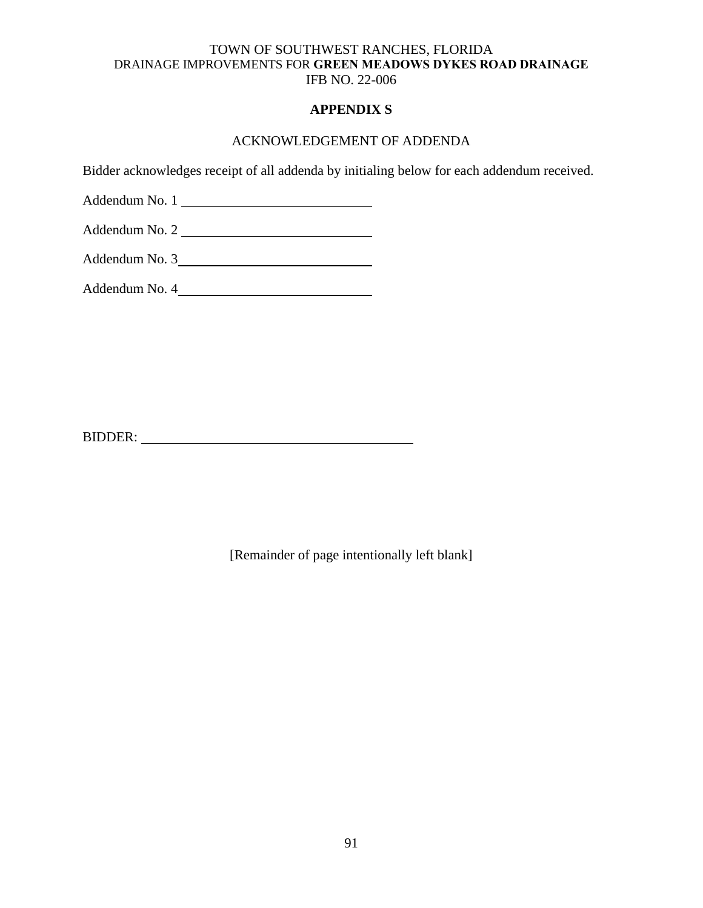### **APPENDIX S**

# ACKNOWLEDGEMENT OF ADDENDA

Bidder acknowledges receipt of all addenda by initialing below for each addendum received.

Addendum No. 1

Addendum No. 2

Addendum No. 3

Addendum No. 4

BIDDER:

[Remainder of page intentionally left blank]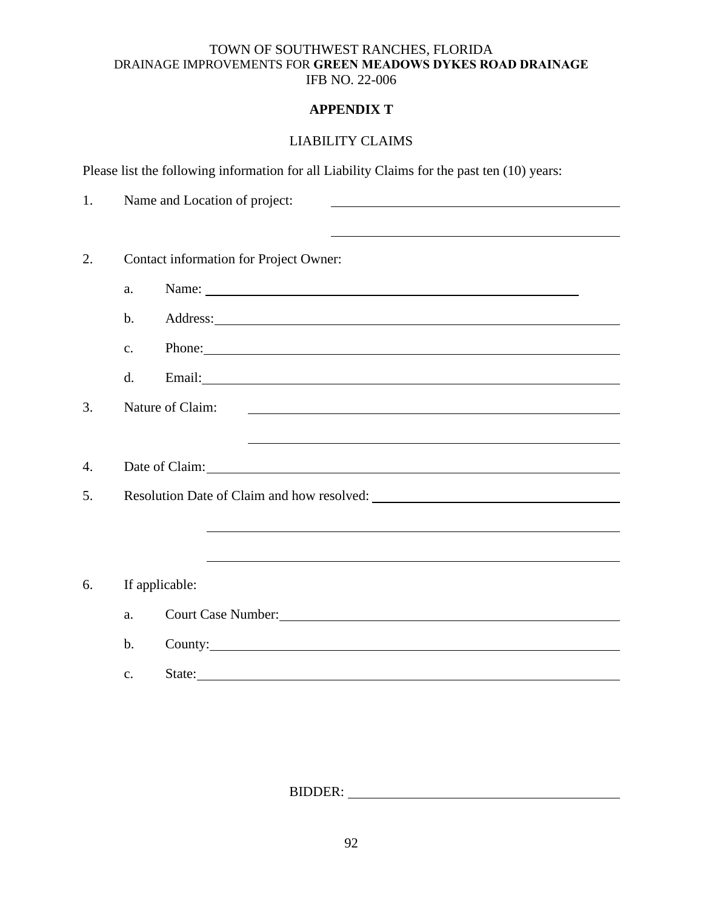# **APPENDIX T**

# LIABILITY CLAIMS

Please list the following information for all Liability Claims for the past ten (10) years:

| 1.             | Name and Location of project:                                                                                                                                                                                                             |
|----------------|-------------------------------------------------------------------------------------------------------------------------------------------------------------------------------------------------------------------------------------------|
|                |                                                                                                                                                                                                                                           |
| 2.             | Contact information for Project Owner:                                                                                                                                                                                                    |
|                | a.                                                                                                                                                                                                                                        |
|                | b.                                                                                                                                                                                                                                        |
|                | Phone:<br>c.                                                                                                                                                                                                                              |
|                | $\mathbf{d}$ .                                                                                                                                                                                                                            |
| 3.             | Nature of Claim:<br><u> 1989 - Andrea Barbara, amerikan basar dan berasal dalam berasal dalam berasal dalam berasal dalam berasal da</u>                                                                                                  |
|                | <u> 1989 - Andrea Stadt Brander, amerikansk politiker (d. 1989)</u>                                                                                                                                                                       |
| 4.             |                                                                                                                                                                                                                                           |
| 5 <sub>1</sub> |                                                                                                                                                                                                                                           |
|                |                                                                                                                                                                                                                                           |
|                |                                                                                                                                                                                                                                           |
| 6.             | If applicable:                                                                                                                                                                                                                            |
|                | Court Case Number: 2008<br>a.                                                                                                                                                                                                             |
|                | $b$<br>County:                                                                                                                                                                                                                            |
|                | State: <u>State:</u> State: State: State: State: State: State: State: State: State: State: State: State: State: State: State: State: State: State: State: State: State: State: State: State: State: State: State: State: State: Sta<br>c. |
|                |                                                                                                                                                                                                                                           |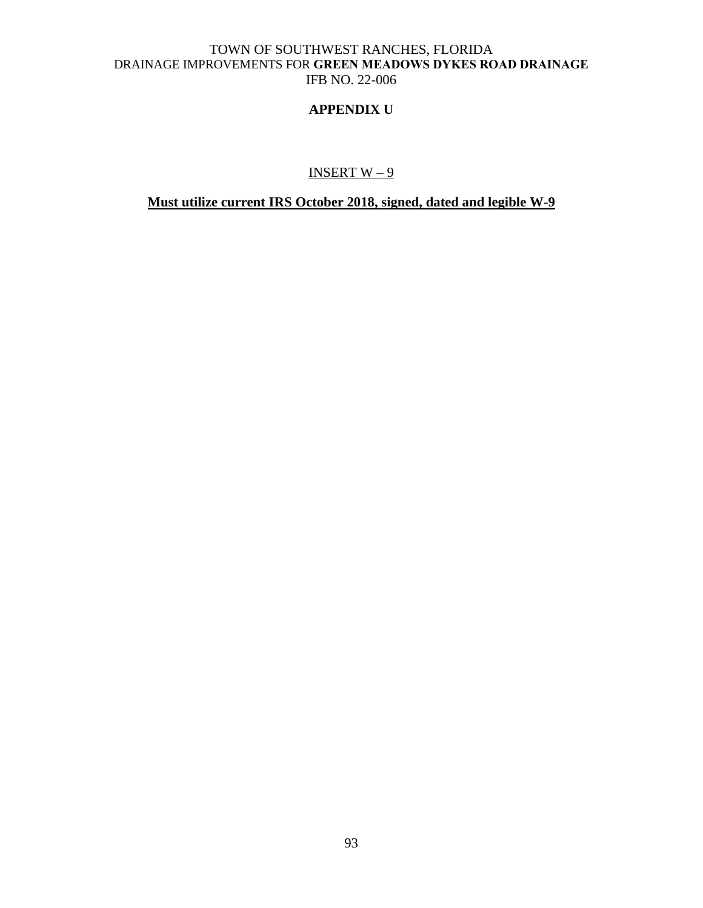# **APPENDIX U**

# INSERT  $W - 9$

**Must utilize current IRS October 2018, signed, dated and legible W-9**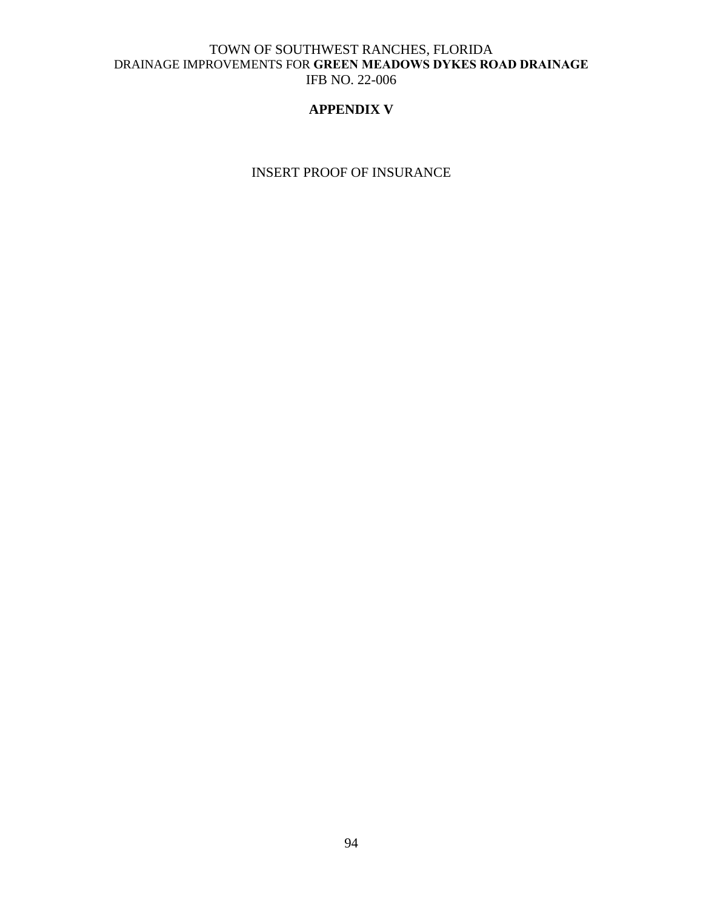# **APPENDIX V**

INSERT PROOF OF INSURANCE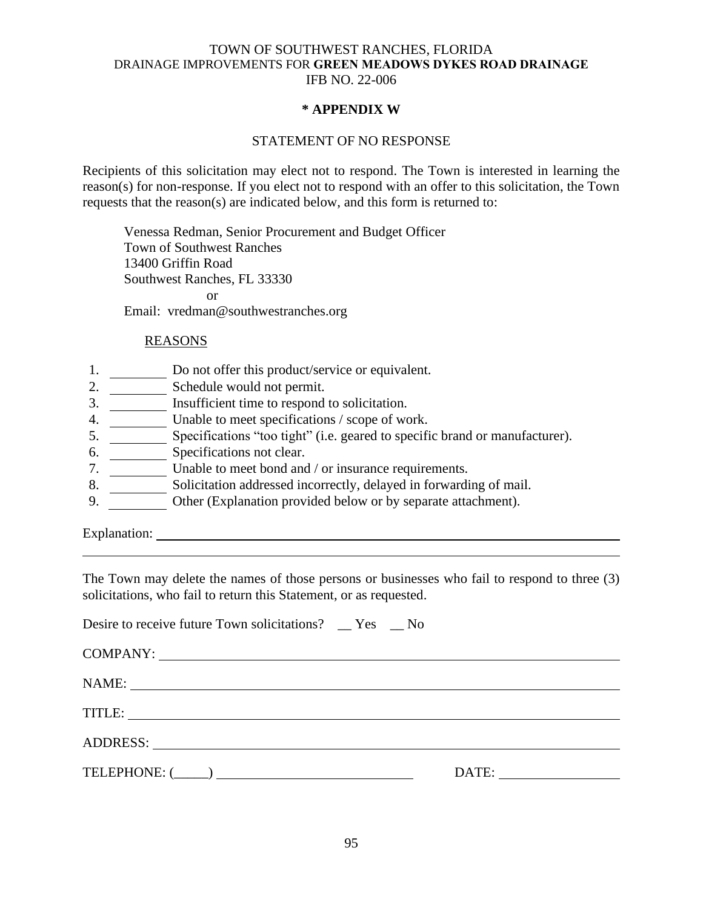#### **\* APPENDIX W**

#### STATEMENT OF NO RESPONSE

Recipients of this solicitation may elect not to respond. The Town is interested in learning the reason(s) for non-response. If you elect not to respond with an offer to this solicitation, the Town requests that the reason(s) are indicated below, and this form is returned to:

Venessa Redman, Senior Procurement and Budget Officer Town of Southwest Ranches 13400 Griffin Road Southwest Ranches, FL 33330 or Email: vredman@southwestranches.org

#### REASONS

- 1. Do not offer this product/service or equivalent.
- 2. Schedule would not permit.
- 3. Insufficient time to respond to solicitation.
- 4. Unable to meet specifications / scope of work.
- 5. Specifications "too tight" (i.e. geared to specific brand or manufacturer).
- 6. Specifications not clear.
- 7. Unable to meet bond and / or insurance requirements.
- 8. Solicitation addressed incorrectly, delayed in forwarding of mail.
- 9. Other (Explanation provided below or by separate attachment).

Explanation: Explanation:

The Town may delete the names of those persons or businesses who fail to respond to three (3) solicitations, who fail to return this Statement, or as requested.

| Desire to receive future Town solicitations? _ Yes _ No |       |
|---------------------------------------------------------|-------|
|                                                         |       |
|                                                         |       |
|                                                         |       |
|                                                         |       |
| TELEPHONE: $(\_\_)$                                     | DATE: |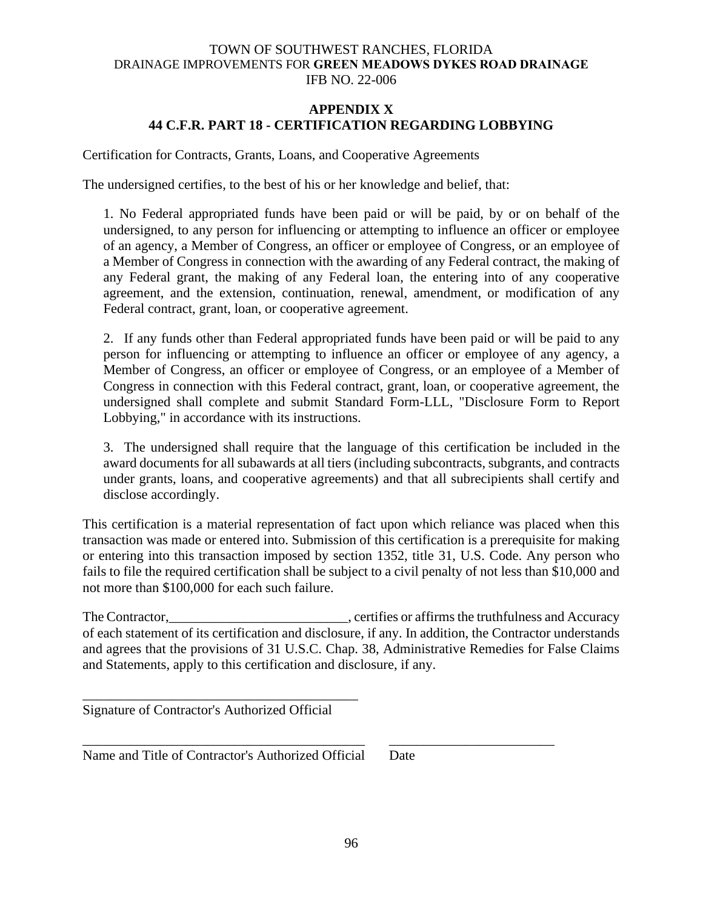### **APPENDIX X 44 C.F.R. PART 18 - CERTIFICATION REGARDING LOBBYING**

Certification for Contracts, Grants, Loans, and Cooperative Agreements

The undersigned certifies, to the best of his or her knowledge and belief, that:

1. No Federal appropriated funds have been paid or will be paid, by or on behalf of the undersigned, to any person for influencing or attempting to influence an officer or employee of an agency, a Member of Congress, an officer or employee of Congress, or an employee of a Member of Congress in connection with the awarding of any Federal contract, the making of any Federal grant, the making of any Federal loan, the entering into of any cooperative agreement, and the extension, continuation, renewal, amendment, or modification of any Federal contract, grant, loan, or cooperative agreement.

2. If any funds other than Federal appropriated funds have been paid or will be paid to any person for influencing or attempting to influence an officer or employee of any agency, a Member of Congress, an officer or employee of Congress, or an employee of a Member of Congress in connection with this Federal contract, grant, loan, or cooperative agreement, the undersigned shall complete and submit Standard Form-LLL, "Disclosure Form to Report Lobbying," in accordance with its instructions.

3. The undersigned shall require that the language of this certification be included in the award documents for all subawards at all tiers (including subcontracts, subgrants, and contracts under grants, loans, and cooperative agreements) and that all subrecipients shall certify and disclose accordingly.

This certification is a material representation of fact upon which reliance was placed when this transaction was made or entered into. Submission of this certification is a prerequisite for making or entering into this transaction imposed by section 1352, title 31, U.S. Code. Any person who fails to file the required certification shall be subject to a civil penalty of not less than \$10,000 and not more than \$100,000 for each such failure.

The Contractor, The Contractor,  $\blacksquare$ , certifies or affirms the truthfulness and Accuracy of each statement of its certification and disclosure, if any. In addition, the Contractor understands and agrees that the provisions of 31 U.S.C. Chap. 38, Administrative Remedies for False Claims and Statements, apply to this certification and disclosure, if any.

Signature of Contractor's Authorized Official

\_\_\_\_\_\_\_\_\_\_\_\_\_\_\_\_\_\_\_\_\_\_\_\_\_\_\_\_\_\_\_\_\_\_\_\_\_\_\_\_

Name and Title of Contractor's Authorized Official Date

\_\_\_\_\_\_\_\_\_\_\_\_\_\_\_\_\_\_\_\_\_\_\_\_\_\_\_\_\_\_\_\_\_\_\_\_\_\_\_\_\_ \_\_\_\_\_\_\_\_\_\_\_\_\_\_\_\_\_\_\_\_\_\_\_\_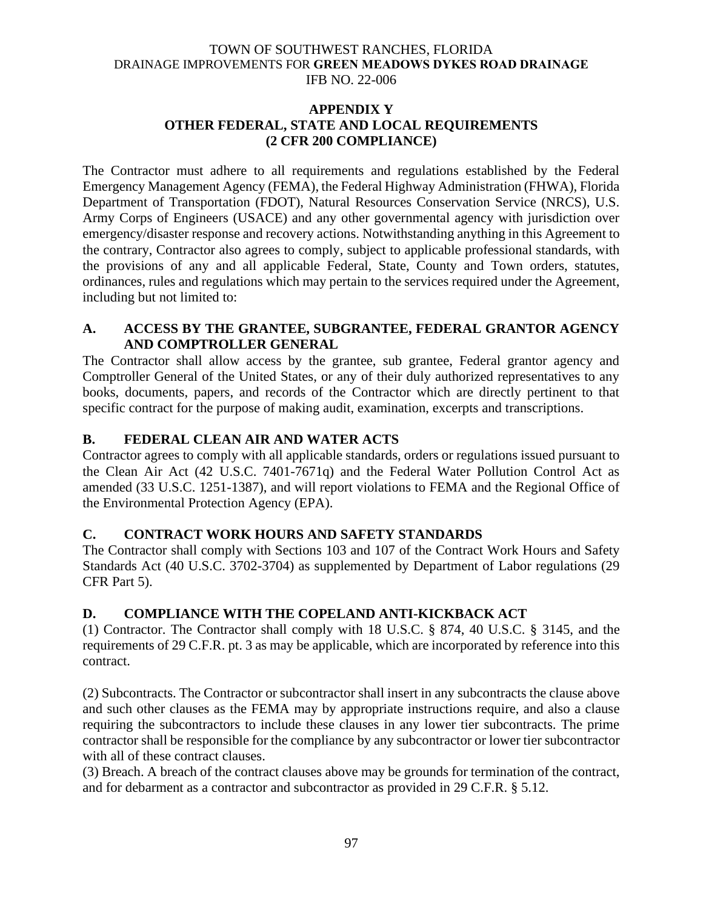# **APPENDIX Y OTHER FEDERAL, STATE AND LOCAL REQUIREMENTS (2 CFR 200 COMPLIANCE)**

The Contractor must adhere to all requirements and regulations established by the Federal Emergency Management Agency (FEMA), the Federal Highway Administration (FHWA), Florida Department of Transportation (FDOT), Natural Resources Conservation Service (NRCS), U.S. Army Corps of Engineers (USACE) and any other governmental agency with jurisdiction over emergency/disaster response and recovery actions. Notwithstanding anything in this Agreement to the contrary, Contractor also agrees to comply, subject to applicable professional standards, with the provisions of any and all applicable Federal, State, County and Town orders, statutes, ordinances, rules and regulations which may pertain to the services required under the Agreement, including but not limited to:

# **A. ACCESS BY THE GRANTEE, SUBGRANTEE, FEDERAL GRANTOR AGENCY AND COMPTROLLER GENERAL**

The Contractor shall allow access by the grantee, sub grantee, Federal grantor agency and Comptroller General of the United States, or any of their duly authorized representatives to any books, documents, papers, and records of the Contractor which are directly pertinent to that specific contract for the purpose of making audit, examination, excerpts and transcriptions.

# **B. FEDERAL CLEAN AIR AND WATER ACTS**

Contractor agrees to comply with all applicable standards, orders or regulations issued pursuant to the Clean Air Act (42 U.S.C. 7401-7671q) and the Federal Water Pollution Control Act as amended (33 U.S.C. 1251-1387), and will report violations to FEMA and the Regional Office of the Environmental Protection Agency (EPA).

# **C. CONTRACT WORK HOURS AND SAFETY STANDARDS**

The Contractor shall comply with Sections 103 and 107 of the Contract Work Hours and Safety Standards Act (40 U.S.C. 3702-3704) as supplemented by Department of Labor regulations (29 CFR Part 5).

# **D. COMPLIANCE WITH THE COPELAND ANTI-KICKBACK ACT**

(1) Contractor. The Contractor shall comply with 18 U.S.C. § 874, 40 U.S.C. § 3145, and the requirements of 29 C.F.R. pt. 3 as may be applicable, which are incorporated by reference into this contract.

(2) Subcontracts. The Contractor or subcontractor shall insert in any subcontracts the clause above and such other clauses as the FEMA may by appropriate instructions require, and also a clause requiring the subcontractors to include these clauses in any lower tier subcontracts. The prime contractor shall be responsible for the compliance by any subcontractor or lower tier subcontractor with all of these contract clauses.

(3) Breach. A breach of the contract clauses above may be grounds for termination of the contract, and for debarment as a contractor and subcontractor as provided in 29 C.F.R. § 5.12.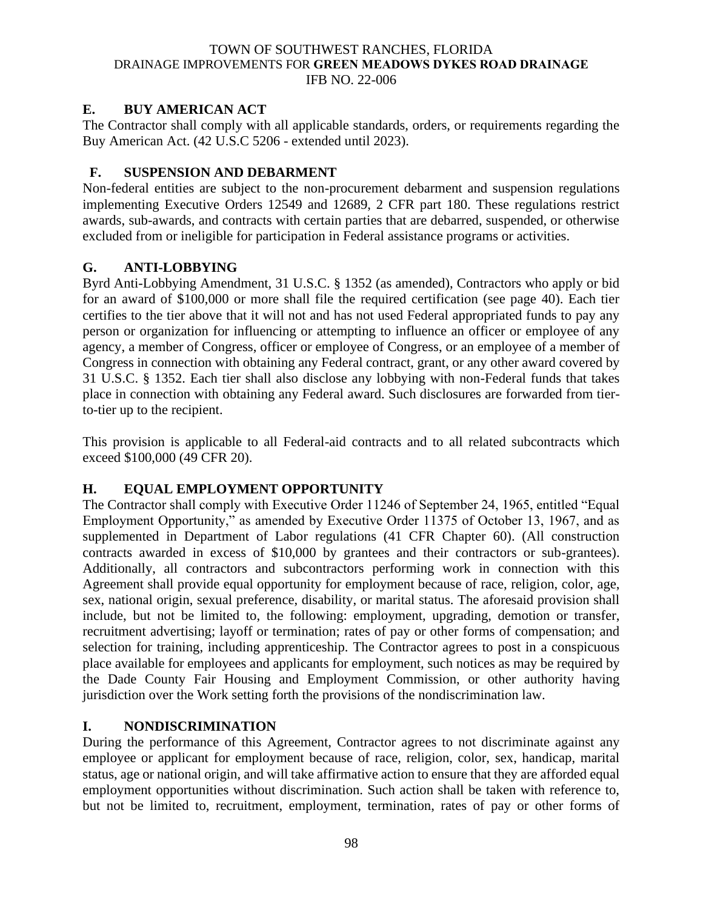# **E. BUY AMERICAN ACT**

The Contractor shall comply with all applicable standards, orders, or requirements regarding the Buy American Act. (42 U.S.C 5206 - extended until 2023).

# **F. SUSPENSION AND DEBARMENT**

Non-federal entities are subject to the non-procurement debarment and suspension regulations implementing Executive Orders 12549 and 12689, 2 CFR part 180. These regulations restrict awards, sub-awards, and contracts with certain parties that are debarred, suspended, or otherwise excluded from or ineligible for participation in Federal assistance programs or activities.

# **G. ANTI-LOBBYING**

Byrd Anti-Lobbying Amendment, 31 U.S.C. § 1352 (as amended), Contractors who apply or bid for an award of \$100,000 or more shall file the required certification (see page 40). Each tier certifies to the tier above that it will not and has not used Federal appropriated funds to pay any person or organization for influencing or attempting to influence an officer or employee of any agency, a member of Congress, officer or employee of Congress, or an employee of a member of Congress in connection with obtaining any Federal contract, grant, or any other award covered by 31 U.S.C. § 1352. Each tier shall also disclose any lobbying with non-Federal funds that takes place in connection with obtaining any Federal award. Such disclosures are forwarded from tierto-tier up to the recipient.

This provision is applicable to all Federal-aid contracts and to all related subcontracts which exceed \$100,000 (49 CFR 20).

# **H. EQUAL EMPLOYMENT OPPORTUNITY**

The Contractor shall comply with Executive Order 11246 of September 24, 1965, entitled "Equal Employment Opportunity," as amended by Executive Order 11375 of October 13, 1967, and as supplemented in Department of Labor regulations (41 CFR Chapter 60). (All construction contracts awarded in excess of \$10,000 by grantees and their contractors or sub-grantees). Additionally, all contractors and subcontractors performing work in connection with this Agreement shall provide equal opportunity for employment because of race, religion, color, age, sex, national origin, sexual preference, disability, or marital status. The aforesaid provision shall include, but not be limited to, the following: employment, upgrading, demotion or transfer, recruitment advertising; layoff or termination; rates of pay or other forms of compensation; and selection for training, including apprenticeship. The Contractor agrees to post in a conspicuous place available for employees and applicants for employment, such notices as may be required by the Dade County Fair Housing and Employment Commission, or other authority having jurisdiction over the Work setting forth the provisions of the nondiscrimination law.

### **I. NONDISCRIMINATION**

During the performance of this Agreement, Contractor agrees to not discriminate against any employee or applicant for employment because of race, religion, color, sex, handicap, marital status, age or national origin, and will take affirmative action to ensure that they are afforded equal employment opportunities without discrimination. Such action shall be taken with reference to, but not be limited to, recruitment, employment, termination, rates of pay or other forms of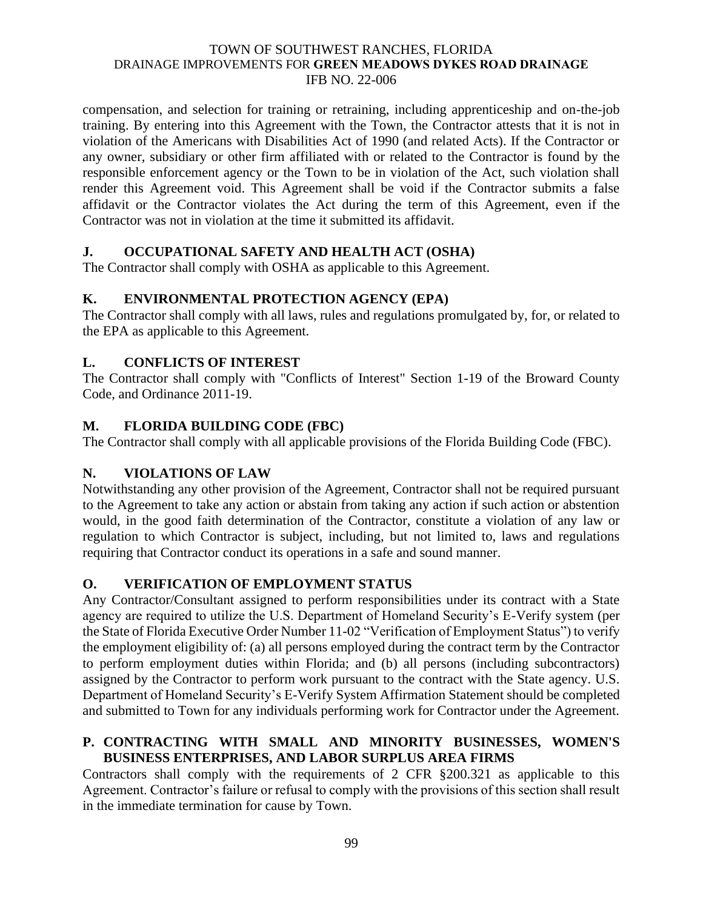compensation, and selection for training or retraining, including apprenticeship and on-the-job training. By entering into this Agreement with the Town, the Contractor attests that it is not in violation of the Americans with Disabilities Act of 1990 (and related Acts). If the Contractor or any owner, subsidiary or other firm affiliated with or related to the Contractor is found by the responsible enforcement agency or the Town to be in violation of the Act, such violation shall render this Agreement void. This Agreement shall be void if the Contractor submits a false affidavit or the Contractor violates the Act during the term of this Agreement, even if the Contractor was not in violation at the time it submitted its affidavit.

# **J. OCCUPATIONAL SAFETY AND HEALTH ACT (OSHA)**

The Contractor shall comply with OSHA as applicable to this Agreement.

# **K. ENVIRONMENTAL PROTECTION AGENCY (EPA)**

The Contractor shall comply with all laws, rules and regulations promulgated by, for, or related to the EPA as applicable to this Agreement.

# **L. CONFLICTS OF INTEREST**

The Contractor shall comply with "Conflicts of Interest" Section 1-19 of the Broward County Code, and Ordinance 2011-19.

# **M. FLORIDA BUILDING CODE (FBC)**

The Contractor shall comply with all applicable provisions of the Florida Building Code (FBC).

### **N. VIOLATIONS OF LAW**

Notwithstanding any other provision of the Agreement, Contractor shall not be required pursuant to the Agreement to take any action or abstain from taking any action if such action or abstention would, in the good faith determination of the Contractor, constitute a violation of any law or regulation to which Contractor is subject, including, but not limited to, laws and regulations requiring that Contractor conduct its operations in a safe and sound manner.

# **O. VERIFICATION OF EMPLOYMENT STATUS**

Any Contractor/Consultant assigned to perform responsibilities under its contract with a State agency are required to utilize the U.S. Department of Homeland Security's E-Verify system (per the State of Florida Executive Order Number 11-02 "Verification of Employment Status") to verify the employment eligibility of: (a) all persons employed during the contract term by the Contractor to perform employment duties within Florida; and (b) all persons (including subcontractors) assigned by the Contractor to perform work pursuant to the contract with the State agency. U.S. Department of Homeland Security's E-Verify System Affirmation Statement should be completed and submitted to Town for any individuals performing work for Contractor under the Agreement.

# **P. CONTRACTING WITH SMALL AND MINORITY BUSINESSES, WOMEN'S BUSINESS ENTERPRISES, AND LABOR SURPLUS AREA FIRMS**

Contractors shall comply with the requirements of 2 CFR §200.321 as applicable to this Agreement. Contractor's failure or refusal to comply with the provisions of this section shall result in the immediate termination for cause by Town.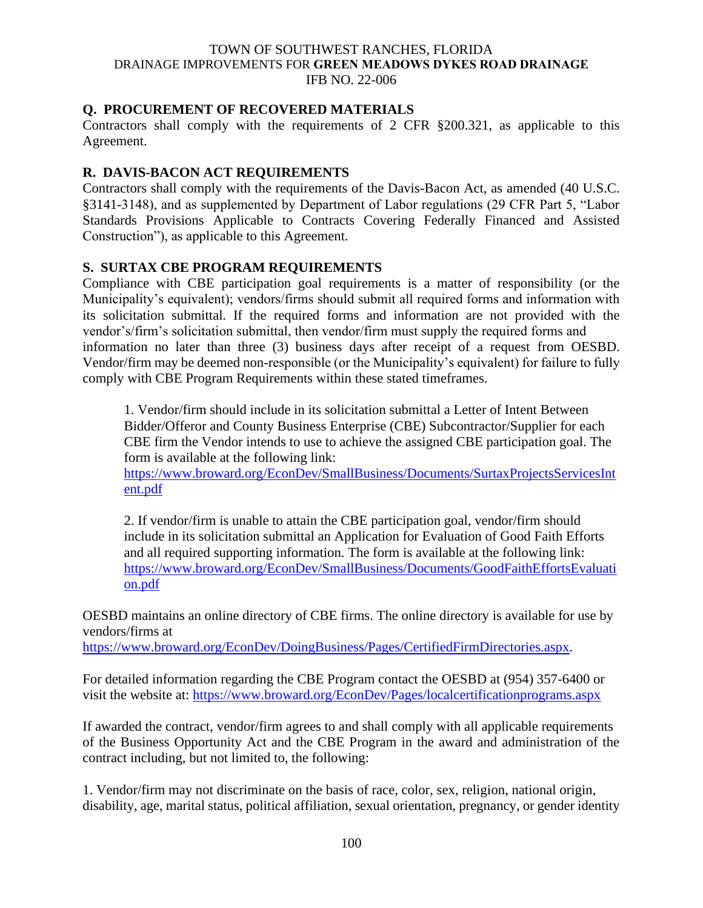### **Q. PROCUREMENT OF RECOVERED MATERIALS**

Contractors shall comply with the requirements of 2 CFR §200.321, as applicable to this Agreement.

# **R. DAVIS-BACON ACT REQUIREMENTS**

Contractors shall comply with the requirements of the Davis-Bacon Act, as amended (40 U.S.C. §3141-3148), and as supplemented by Department of Labor regulations (29 CFR Part 5, "Labor Standards Provisions Applicable to Contracts Covering Federally Financed and Assisted Construction"), as applicable to this Agreement.

# **S. SURTAX CBE PROGRAM REQUIREMENTS**

Compliance with CBE participation goal requirements is a matter of responsibility (or the Municipality's equivalent); vendors/firms should submit all required forms and information with its solicitation submittal. If the required forms and information are not provided with the vendor's/firm's solicitation submittal, then vendor/firm must supply the required forms and information no later than three (3) business days after receipt of a request from OESBD. Vendor/firm may be deemed non-responsible (or the Municipality's equivalent) for failure to fully comply with CBE Program Requirements within these stated timeframes.

1. Vendor/firm should include in its solicitation submittal a Letter of Intent Between Bidder/Offeror and County Business Enterprise (CBE) Subcontractor/Supplier for each CBE firm the Vendor intends to use to achieve the assigned CBE participation goal. The form is available at the following link:

[https://www.broward.org/EconDev/SmallBusiness/Documents/SurtaxProjectsServicesInt](https://www.broward.org/EconDev/SmallBusiness/Documents/SurtaxProjectsServicesIntent.pdf) [ent.pdf](https://www.broward.org/EconDev/SmallBusiness/Documents/SurtaxProjectsServicesIntent.pdf)

2. If vendor/firm is unable to attain the CBE participation goal, vendor/firm should include in its solicitation submittal an Application for Evaluation of Good Faith Efforts and all required supporting information. The form is available at the following link: [https://www.broward.org/EconDev/SmallBusiness/Documents/GoodFaithEffortsEvaluati](https://www.broward.org/EconDev/SmallBusiness/Documents/GoodFaithEffortsEvaluation.pdf) [on.pdf](https://www.broward.org/EconDev/SmallBusiness/Documents/GoodFaithEffortsEvaluation.pdf)

OESBD maintains an online directory of CBE firms. The online directory is available for use by vendors/firms at

[https://www.broward.org/EconDev/DoingBusiness/Pages/CertifiedFirmDirectories.aspx.](https://www.broward.org/EconDev/DoingBusiness/Pages/CertifiedFirmDirectories.aspx)

For detailed information regarding the CBE Program contact the OESBD at (954) 357-6400 or visit the website at:<https://www.broward.org/EconDev/Pages/localcertificationprograms.aspx>

If awarded the contract, vendor/firm agrees to and shall comply with all applicable requirements of the Business Opportunity Act and the CBE Program in the award and administration of the contract including, but not limited to, the following:

1. Vendor/firm may not discriminate on the basis of race, color, sex, religion, national origin, disability, age, marital status, political affiliation, sexual orientation, pregnancy, or gender identity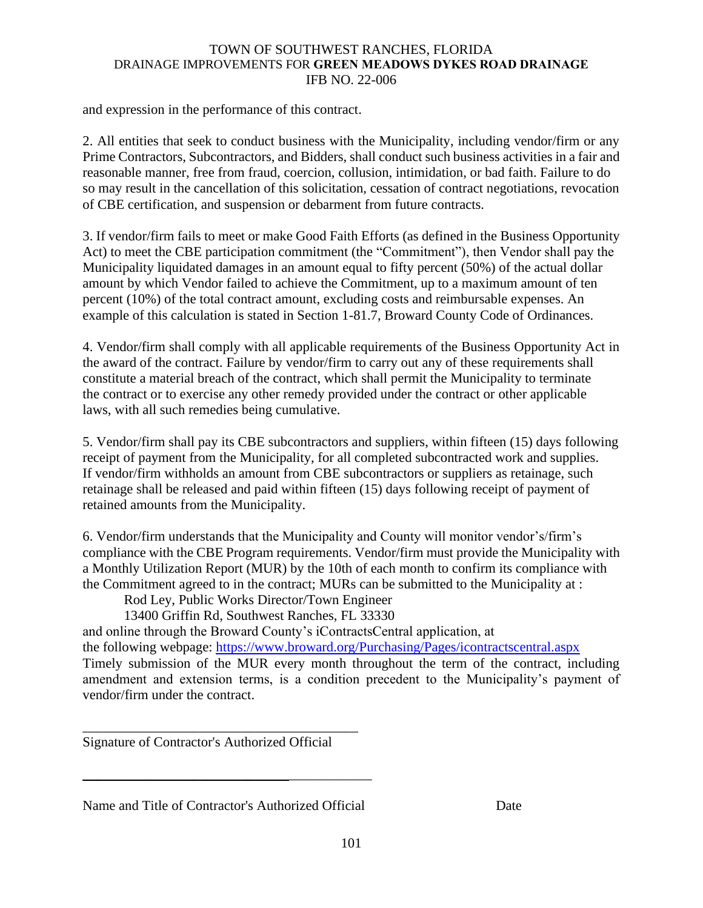and expression in the performance of this contract.

2. All entities that seek to conduct business with the Municipality, including vendor/firm or any Prime Contractors, Subcontractors, and Bidders, shall conduct such business activities in a fair and reasonable manner, free from fraud, coercion, collusion, intimidation, or bad faith. Failure to do so may result in the cancellation of this solicitation, cessation of contract negotiations, revocation of CBE certification, and suspension or debarment from future contracts.

3. If vendor/firm fails to meet or make Good Faith Efforts (as defined in the Business Opportunity Act) to meet the CBE participation commitment (the "Commitment"), then Vendor shall pay the Municipality liquidated damages in an amount equal to fifty percent (50%) of the actual dollar amount by which Vendor failed to achieve the Commitment, up to a maximum amount of ten percent (10%) of the total contract amount, excluding costs and reimbursable expenses. An example of this calculation is stated in Section 1-81.7, Broward County Code of Ordinances.

4. Vendor/firm shall comply with all applicable requirements of the Business Opportunity Act in the award of the contract. Failure by vendor/firm to carry out any of these requirements shall constitute a material breach of the contract, which shall permit the Municipality to terminate the contract or to exercise any other remedy provided under the contract or other applicable laws, with all such remedies being cumulative.

5. Vendor/firm shall pay its CBE subcontractors and suppliers, within fifteen (15) days following receipt of payment from the Municipality, for all completed subcontracted work and supplies. If vendor/firm withholds an amount from CBE subcontractors or suppliers as retainage, such retainage shall be released and paid within fifteen (15) days following receipt of payment of retained amounts from the Municipality.

6. Vendor/firm understands that the Municipality and County will monitor vendor's/firm's compliance with the CBE Program requirements. Vendor/firm must provide the Municipality with a Monthly Utilization Report (MUR) by the 10th of each month to confirm its compliance with the Commitment agreed to in the contract; MURs can be submitted to the Municipality at :

Rod Ley, Public Works Director/Town Engineer

13400 Griffin Rd, Southwest Ranches, FL 33330

and online through the Broward County's iContractsCentral application, at the following webpage:<https://www.broward.org/Purchasing/Pages/icontractscentral.aspx> Timely submission of the MUR every month throughout the term of the contract, including amendment and extension terms, is a condition precedent to the Municipality's payment of vendor/firm under the contract.

Signature of Contractor's Authorized Official

\_\_\_\_\_\_\_\_\_\_\_\_\_\_\_\_\_\_\_\_\_\_\_\_\_\_\_\_\_\_\_\_\_\_\_\_\_\_\_\_

Name and Title of Contractor's Authorized Official Date

\_\_\_\_\_\_\_\_\_\_\_\_\_\_\_\_\_\_\_\_\_\_\_\_\_\_\_\_\_\_\_\_\_\_\_\_\_\_\_\_\_\_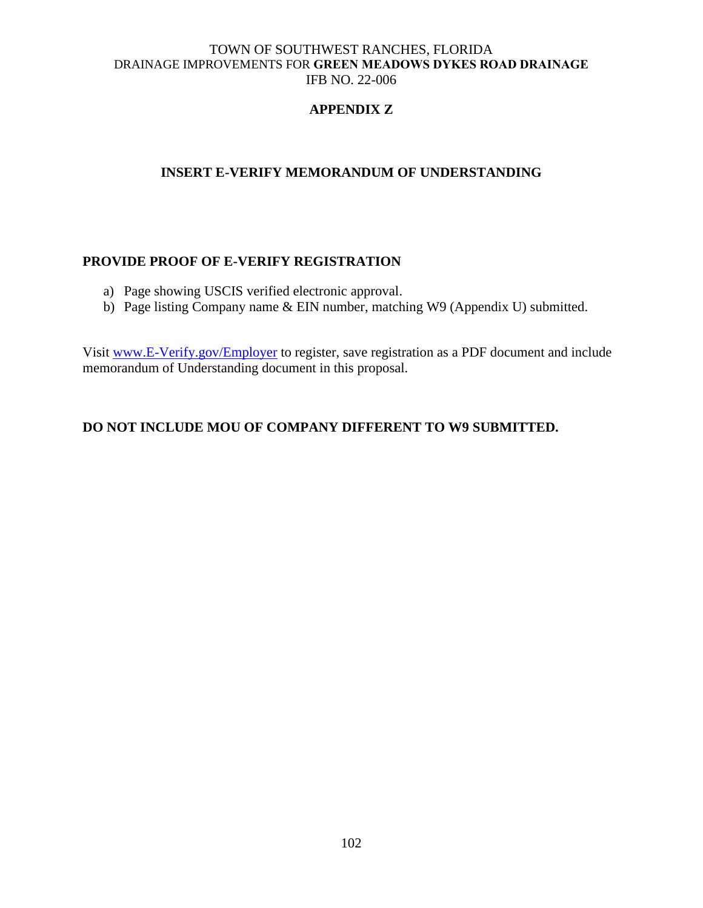# **APPENDIX Z**

# **INSERT E-VERIFY MEMORANDUM OF UNDERSTANDING**

### **PROVIDE PROOF OF E-VERIFY REGISTRATION**

- a) Page showing USCIS verified electronic approval.
- b) Page listing Company name & EIN number, matching W9 (Appendix U) submitted.

Visit [www.E-Verify.gov/Employer](http://www.e-verify.gov/Employer) to register, save registration as a PDF document and include memorandum of Understanding document in this proposal.

# **DO NOT INCLUDE MOU OF COMPANY DIFFERENT TO W9 SUBMITTED.**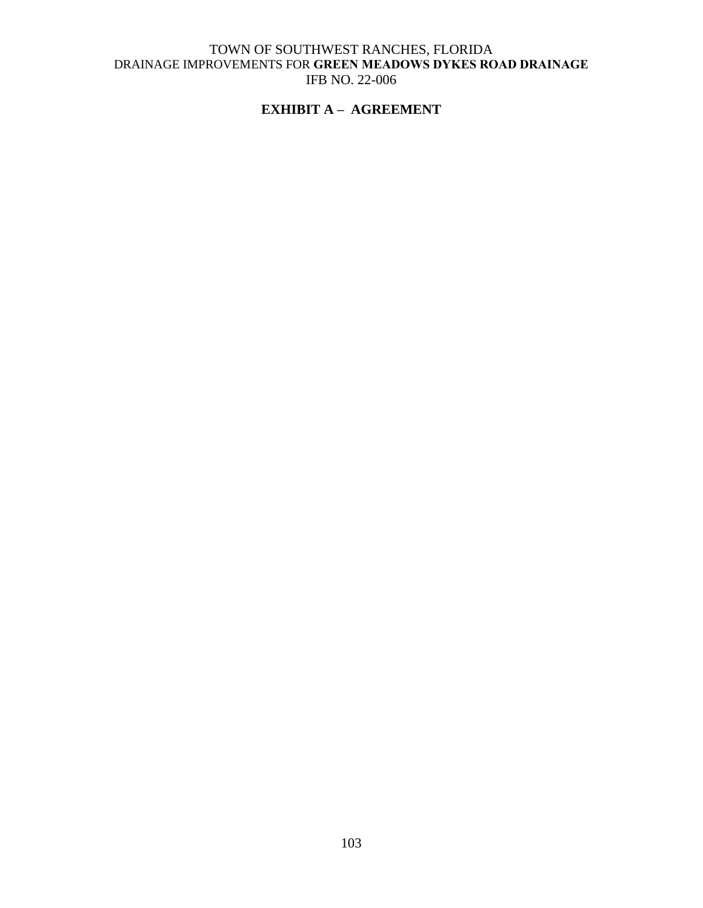# **EXHIBIT A – AGREEMENT**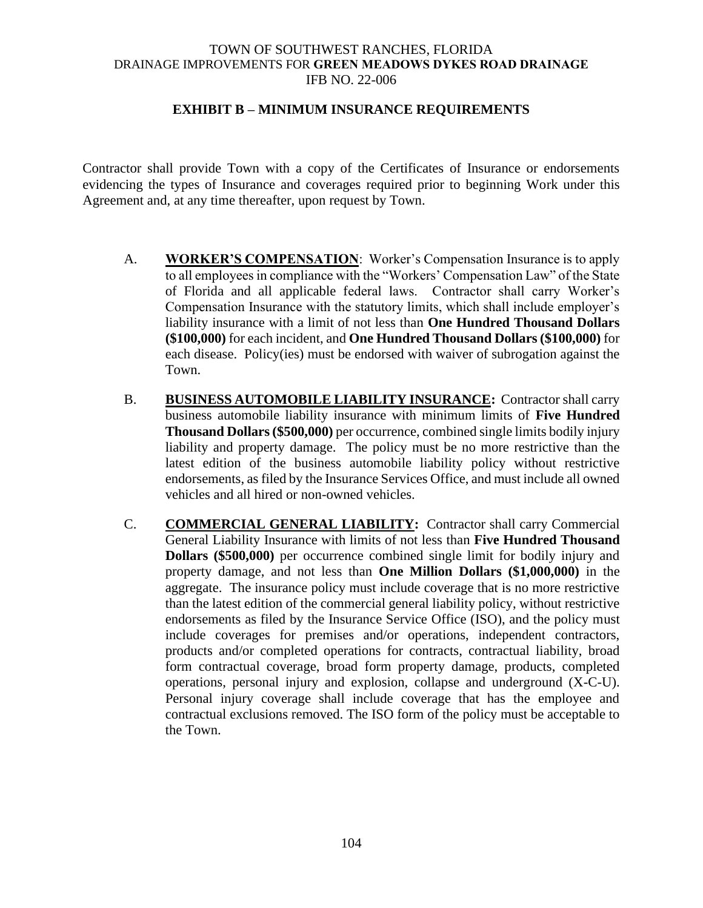### **EXHIBIT B – MINIMUM INSURANCE REQUIREMENTS**

Contractor shall provide Town with a copy of the Certificates of Insurance or endorsements evidencing the types of Insurance and coverages required prior to beginning Work under this Agreement and, at any time thereafter, upon request by Town.

- A. **WORKER'S COMPENSATION**: Worker's Compensation Insurance is to apply to all employees in compliance with the "Workers' Compensation Law" of the State of Florida and all applicable federal laws. Contractor shall carry Worker's Compensation Insurance with the statutory limits, which shall include employer's liability insurance with a limit of not less than **One Hundred Thousand Dollars (\$100,000)** for each incident, and **One Hundred Thousand Dollars (\$100,000)** for each disease. Policy(ies) must be endorsed with waiver of subrogation against the Town.
- B. **BUSINESS AUTOMOBILE LIABILITY INSURANCE:** Contractor shall carry business automobile liability insurance with minimum limits of **Five Hundred Thousand Dollars (\$500,000)** per occurrence, combined single limits bodily injury liability and property damage. The policy must be no more restrictive than the latest edition of the business automobile liability policy without restrictive endorsements, as filed by the Insurance Services Office, and must include all owned vehicles and all hired or non-owned vehicles.
- C. **COMMERCIAL GENERAL LIABILITY:** Contractor shall carry Commercial General Liability Insurance with limits of not less than **Five Hundred Thousand Dollars (\$500,000)** per occurrence combined single limit for bodily injury and property damage, and not less than **One Million Dollars (\$1,000,000)** in the aggregate. The insurance policy must include coverage that is no more restrictive than the latest edition of the commercial general liability policy, without restrictive endorsements as filed by the Insurance Service Office (ISO), and the policy must include coverages for premises and/or operations, independent contractors, products and/or completed operations for contracts, contractual liability, broad form contractual coverage, broad form property damage, products, completed operations, personal injury and explosion, collapse and underground (X-C-U). Personal injury coverage shall include coverage that has the employee and contractual exclusions removed. The ISO form of the policy must be acceptable to the Town.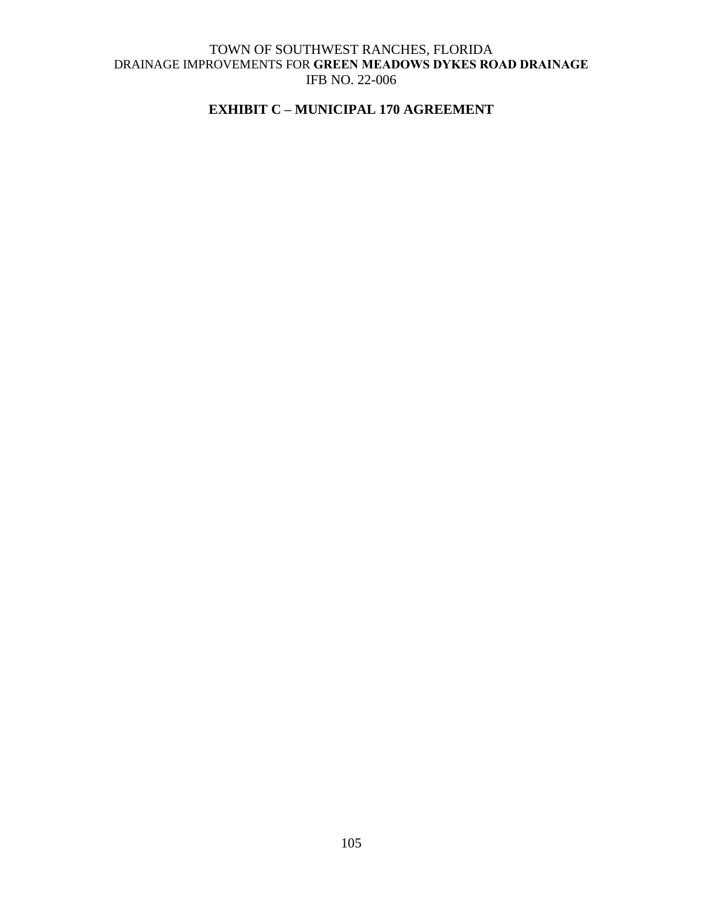# **EXHIBIT C – MUNICIPAL 170 AGREEMENT**